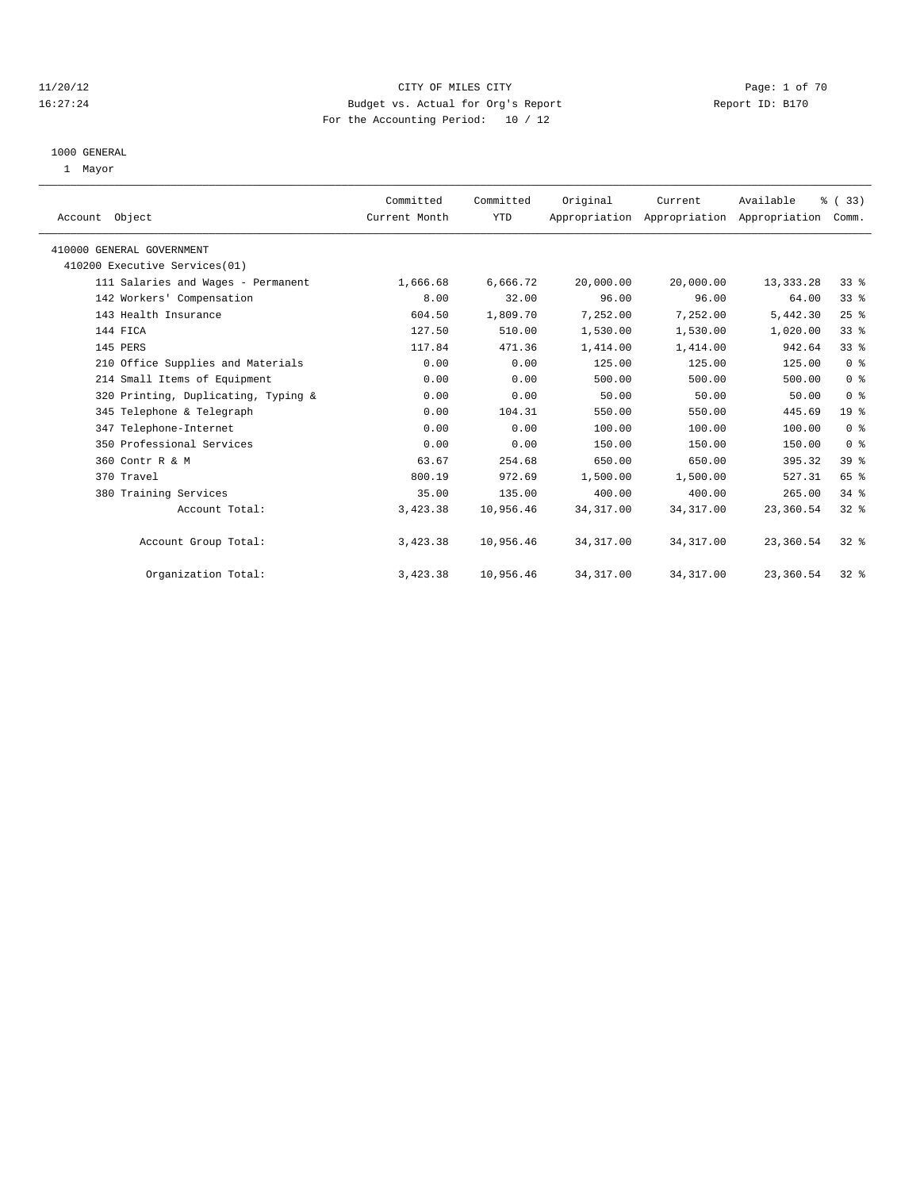#### 11/20/12 CITY OF MILES CITY Page: 1 of 70 16:27:24 Budget vs. Actual for Org's Report Report ID: B170 For the Accounting Period: 10 / 12

#### 1000 GENERAL

1 Mayor

| Account Object                      | Committed<br>Current Month | Committed<br>YTD | Original   | Current<br>Appropriation Appropriation Appropriation | Available   | % (33)<br>Comm. |  |
|-------------------------------------|----------------------------|------------------|------------|------------------------------------------------------|-------------|-----------------|--|
| 410000 GENERAL GOVERNMENT           |                            |                  |            |                                                      |             |                 |  |
| 410200 Executive Services(01)       |                            |                  |            |                                                      |             |                 |  |
| 111 Salaries and Wages - Permanent  | 1,666.68                   | 6,666.72         | 20,000.00  | 20,000.00                                            | 13, 333. 28 | 33%             |  |
| 142 Workers' Compensation           | 8.00                       | 32.00            | 96.00      | 96.00                                                | 64.00       | 33%             |  |
| 143 Health Insurance                | 604.50                     | 1,809.70         | 7,252.00   | 7,252.00                                             | 5,442.30    | 25%             |  |
| 144 FICA                            | 127.50                     | 510.00           | 1,530.00   | 1,530.00                                             | 1,020.00    | 33%             |  |
| 145 PERS                            | 117.84                     | 471.36           | 1,414.00   | 1,414.00                                             | 942.64      | 33%             |  |
| 210 Office Supplies and Materials   | 0.00                       | 0.00             | 125.00     | 125.00                                               | 125.00      | 0 <sup>8</sup>  |  |
| 214 Small Items of Equipment        | 0.00                       | 0.00             | 500.00     | 500.00                                               | 500.00      | 0 <sup>8</sup>  |  |
| 320 Printing, Duplicating, Typing & | 0.00                       | 0.00             | 50.00      | 50.00                                                | 50.00       | 0 <sup>8</sup>  |  |
| 345 Telephone & Telegraph           | 0.00                       | 104.31           | 550.00     | 550.00                                               | 445.69      | 19 <sup>°</sup> |  |
| 347 Telephone-Internet              | 0.00                       | 0.00             | 100.00     | 100.00                                               | 100.00      | 0 <sup>8</sup>  |  |
| 350 Professional Services           | 0.00                       | 0.00             | 150.00     | 150.00                                               | 150.00      | 0 <sup>8</sup>  |  |
| 360 Contr R & M                     | 63.67                      | 254.68           | 650.00     | 650.00                                               | 395.32      | 39 %            |  |
| 370 Travel                          | 800.19                     | 972.69           | 1,500.00   | 1,500.00                                             | 527.31      | 65 %            |  |
| 380 Training Services               | 35.00                      | 135.00           | 400.00     | 400.00                                               | 265.00      | 34.8            |  |
| Account Total:                      | 3,423.38                   | 10,956.46        | 34, 317.00 | 34, 317.00                                           | 23,360.54   | $32$ $%$        |  |
| Account Group Total:                | 3,423.38                   | 10,956.46        | 34, 317.00 | 34, 317.00                                           | 23,360.54   | $32$ $%$        |  |
| Organization Total:                 | 3,423.38                   | 10,956.46        | 34, 317.00 | 34, 317.00                                           | 23,360.54   | $32*$           |  |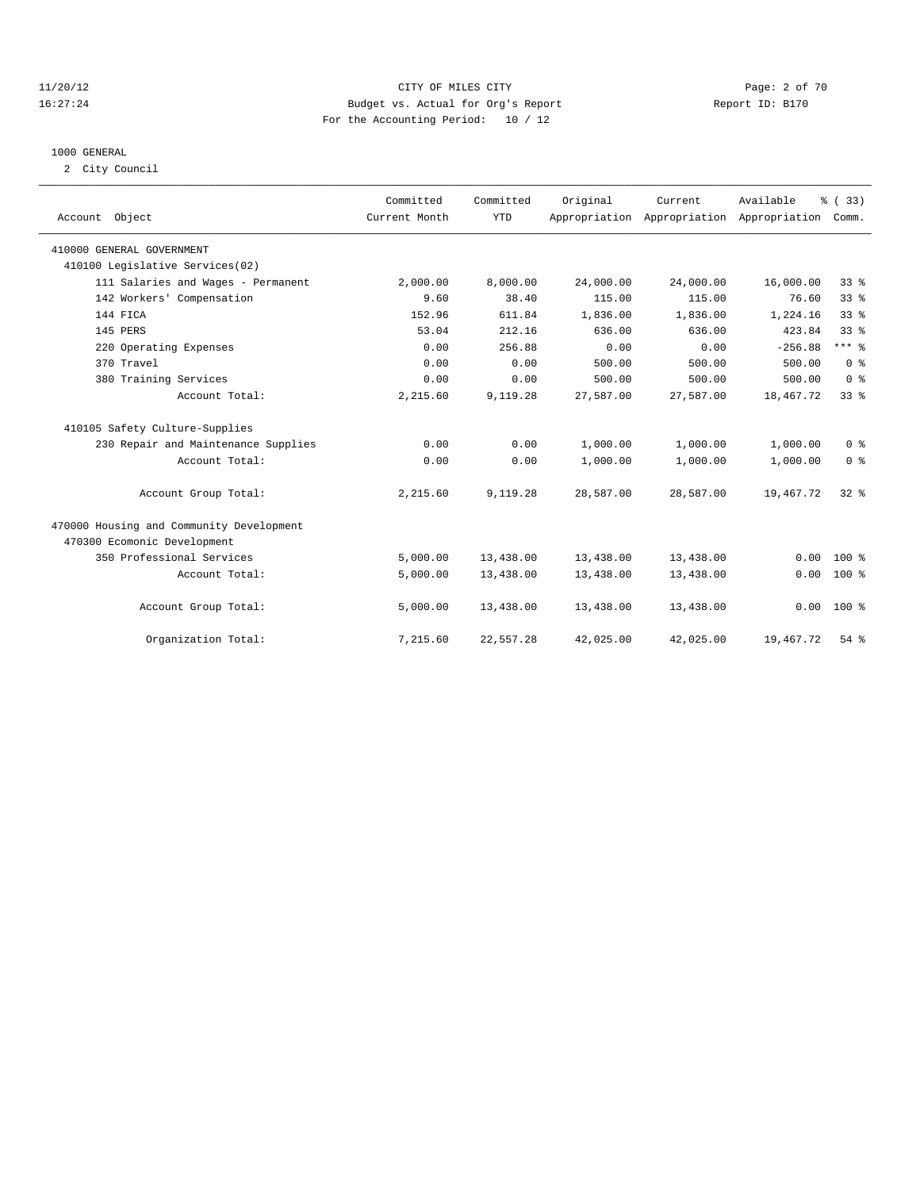#### 11/20/12 CITY OF MILES CITY Page: 2 of 70 16:27:24 Budget vs. Actual for Org's Report Report ID: B170 For the Accounting Period: 10 / 12

#### 1000 GENERAL

2 City Council

| Account Object                           | Committed<br>Current Month | Committed<br><b>YTD</b> | Original  | Current<br>Appropriation Appropriation Appropriation | Available | % (33)<br>Comm. |  |
|------------------------------------------|----------------------------|-------------------------|-----------|------------------------------------------------------|-----------|-----------------|--|
| 410000 GENERAL GOVERNMENT                |                            |                         |           |                                                      |           |                 |  |
| 410100 Legislative Services(02)          |                            |                         |           |                                                      |           |                 |  |
| 111 Salaries and Wages - Permanent       | 2,000.00                   | 8,000.00                | 24,000.00 | 24,000.00                                            | 16,000.00 | 33%             |  |
| 142 Workers' Compensation                | 9.60                       | 38.40                   | 115.00    | 115.00                                               | 76.60     | 33%             |  |
| 144 FICA                                 | 152.96                     | 611.84                  | 1,836.00  | 1,836.00                                             | 1,224.16  | 33 <sup>8</sup> |  |
| 145 PERS                                 | 53.04                      | 212.16                  | 636.00    | 636.00                                               | 423.84    | 33 <sup>8</sup> |  |
| 220 Operating Expenses                   | 0.00                       | 256.88                  | 0.00      | 0.00                                                 | $-256.88$ | $***$ $%$       |  |
| 370 Travel                               | 0.00                       | 0.00                    | 500.00    | 500.00                                               | 500.00    | 0 <sup>8</sup>  |  |
| 380 Training Services                    | 0.00                       | 0.00                    | 500.00    | 500.00                                               | 500.00    | 0 <sup>8</sup>  |  |
| Account Total:                           | 2,215.60                   | 9,119.28                | 27,587.00 | 27,587.00                                            | 18,467.72 | 33%             |  |
| 410105 Safety Culture-Supplies           |                            |                         |           |                                                      |           |                 |  |
| 230 Repair and Maintenance Supplies      | 0.00                       | 0.00                    | 1,000.00  | 1,000.00                                             | 1,000.00  | 0 <sup>8</sup>  |  |
| Account Total:                           | 0.00                       | 0.00                    | 1,000.00  | 1,000.00                                             | 1,000.00  | 0 <sup>8</sup>  |  |
| Account Group Total:                     | 2,215.60                   | 9,119.28                | 28,587.00 | 28,587.00                                            | 19,467.72 | 32%             |  |
| 470000 Housing and Community Development |                            |                         |           |                                                      |           |                 |  |
| 470300 Ecomonic Development              |                            |                         |           |                                                      |           |                 |  |
| 350 Professional Services                | 5,000.00                   | 13,438.00               | 13,438.00 | 13,438.00                                            | 0.00      | $100*$          |  |
| Account Total:                           | 5,000.00                   | 13,438.00               | 13,438.00 | 13,438.00                                            | 0.00      | 100 %           |  |
| Account Group Total:                     | 5,000.00                   | 13,438.00               | 13,438.00 | 13,438.00                                            | 0.00      | $100*$          |  |
| Organization Total:                      | 7,215.60                   | 22,557.28               | 42,025.00 | 42,025.00                                            | 19,467.72 | $54$ $%$        |  |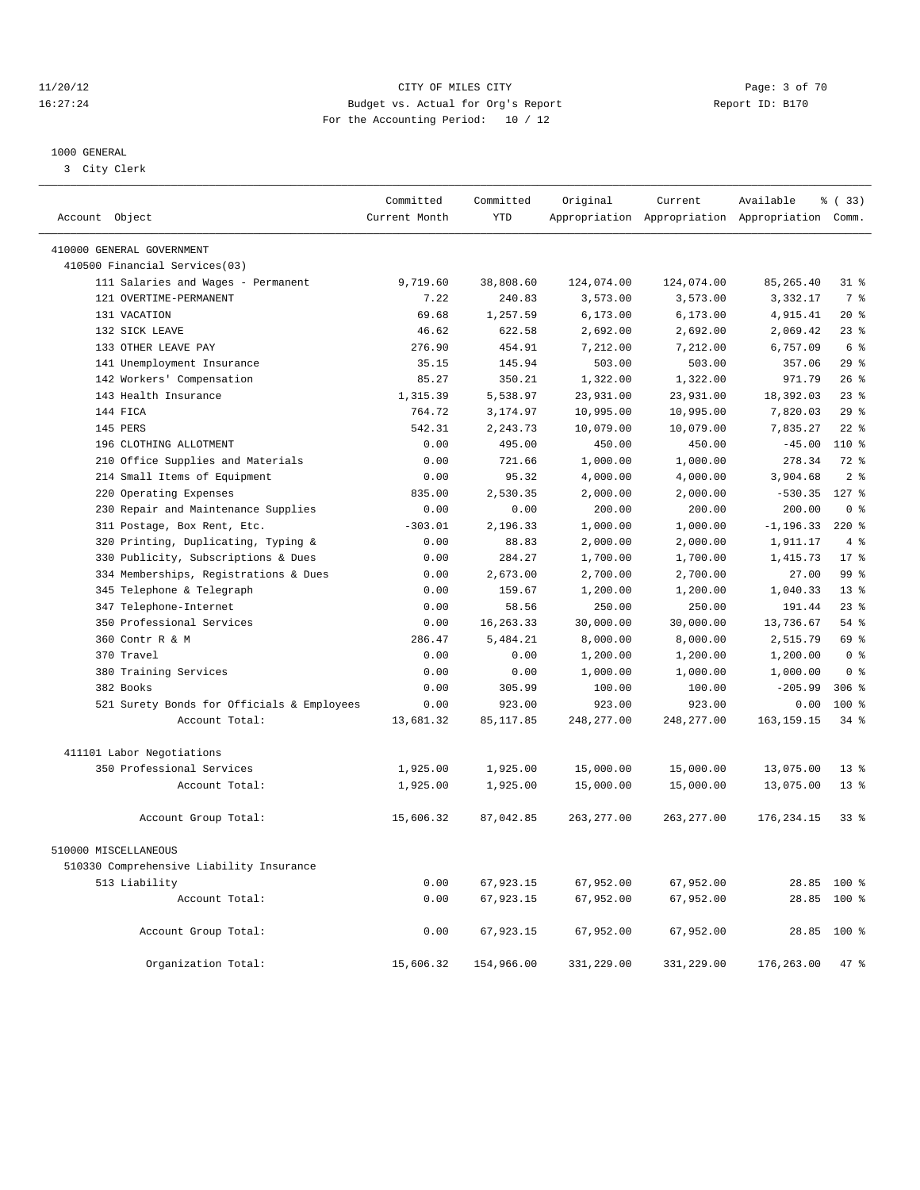#### 11/20/12 CITY OF MILES CITY Page: 3 of 70 16:27:24 Budget vs. Actual for Org's Report Report ID: B170 For the Accounting Period: 10 / 12

————————————————————————————————————————————————————————————————————————————————————————————————————————————————————————————————————

#### 1000 GENERAL

3 City Clerk

|                                            | Committed     | Committed   | Original    | Current     | Available                                       | % ( 33 )        |
|--------------------------------------------|---------------|-------------|-------------|-------------|-------------------------------------------------|-----------------|
| Account Object                             | Current Month | <b>YTD</b>  |             |             | Appropriation Appropriation Appropriation Comm. |                 |
| 410000 GENERAL GOVERNMENT                  |               |             |             |             |                                                 |                 |
| 410500 Financial Services(03)              |               |             |             |             |                                                 |                 |
| 111 Salaries and Wages - Permanent         | 9,719.60      | 38,808.60   | 124,074.00  | 124,074.00  | 85,265.40                                       | $31$ $%$        |
| 121 OVERTIME-PERMANENT                     | 7.22          | 240.83      | 3,573.00    | 3,573.00    | 3,332.17                                        | 7 %             |
| 131 VACATION                               | 69.68         | 1,257.59    | 6, 173.00   | 6, 173.00   | 4,915.41                                        | $20*$           |
| 132 SICK LEAVE                             | 46.62         | 622.58      | 2,692.00    | 2,692.00    | 2,069.42                                        | $23$ %          |
| 133 OTHER LEAVE PAY                        | 276.90        | 454.91      | 7,212.00    | 7,212.00    | 6,757.09                                        | 6 %             |
| 141 Unemployment Insurance                 | 35.15         | 145.94      | 503.00      | 503.00      | 357.06                                          | 29%             |
| 142 Workers' Compensation                  | 85.27         | 350.21      | 1,322.00    | 1,322.00    | 971.79                                          | 26%             |
| 143 Health Insurance                       | 1,315.39      | 5,538.97    | 23,931.00   | 23,931.00   | 18,392.03                                       | $23$ $%$        |
| 144 FICA                                   | 764.72        | 3,174.97    | 10,995.00   | 10,995.00   | 7,820.03                                        | 29%             |
| 145 PERS                                   | 542.31        | 2,243.73    | 10,079.00   | 10,079.00   | 7,835.27                                        | $22$ $%$        |
| 196 CLOTHING ALLOTMENT                     | 0.00          | 495.00      | 450.00      | 450.00      | $-45.00$                                        | $110*$          |
| 210 Office Supplies and Materials          | 0.00          | 721.66      | 1,000.00    | 1,000.00    | 278.34                                          | $72$ $%$        |
| 214 Small Items of Equipment               | 0.00          | 95.32       | 4,000.00    | 4,000.00    | 3,904.68                                        | 2 <sup>°</sup>  |
| 220 Operating Expenses                     | 835.00        | 2,530.35    | 2,000.00    | 2,000.00    | $-530.35$                                       | $127$ %         |
| 230 Repair and Maintenance Supplies        | 0.00          | 0.00        | 200.00      | 200.00      | 200.00                                          | 0 <sup>8</sup>  |
| 311 Postage, Box Rent, Etc.                | $-303.01$     | 2,196.33    | 1,000.00    | 1,000.00    | $-1, 196.33$                                    | $220$ %         |
| 320 Printing, Duplicating, Typing &        | 0.00          | 88.83       | 2,000.00    | 2,000.00    | 1,911.17                                        | 4%              |
| 330 Publicity, Subscriptions & Dues        | 0.00          | 284.27      | 1,700.00    | 1,700.00    | 1,415.73                                        | 17 <sup>8</sup> |
| 334 Memberships, Registrations & Dues      | 0.00          | 2,673.00    | 2,700.00    | 2,700.00    | 27.00                                           | 99 %            |
| 345 Telephone & Telegraph                  | 0.00          | 159.67      | 1,200.00    | 1,200.00    | 1,040.33                                        | 13 <sup>8</sup> |
| 347 Telephone-Internet                     | 0.00          | 58.56       | 250.00      | 250.00      | 191.44                                          | 23 <sup>8</sup> |
| 350 Professional Services                  | 0.00          | 16, 263. 33 | 30,000.00   | 30,000.00   | 13,736.67                                       | 54%             |
| 360 Contr R & M                            | 286.47        | 5,484.21    | 8,000.00    | 8,000.00    | 2,515.79                                        | 69 %            |
| 370 Travel                                 | 0.00          | 0.00        | 1,200.00    | 1,200.00    | 1,200.00                                        | 0 <sup>8</sup>  |
| 380 Training Services                      | 0.00          | 0.00        | 1,000.00    | 1,000.00    | 1,000.00                                        | 0 <sup>8</sup>  |
| 382 Books                                  | 0.00          | 305.99      | 100.00      | 100.00      | $-205.99$                                       | $306$ %         |
| 521 Surety Bonds for Officials & Employees | 0.00          | 923.00      | 923.00      | 923.00      | 0.00                                            | 100 %           |
| Account Total:                             | 13,681.32     | 85, 117.85  | 248, 277.00 | 248, 277.00 | 163, 159. 15                                    | $34$ $%$        |
| 411101 Labor Negotiations                  |               |             |             |             |                                                 |                 |
| 350 Professional Services                  |               |             | 15,000.00   | 15,000.00   |                                                 | 13 <sup>8</sup> |
|                                            | 1,925.00      | 1,925.00    |             |             | 13,075.00                                       |                 |
| Account Total:                             | 1,925.00      | 1,925.00    | 15,000.00   | 15,000.00   | 13,075.00                                       | 13 <sup>8</sup> |
| Account Group Total:                       | 15,606.32     | 87,042.85   | 263, 277.00 | 263, 277.00 | 176, 234. 15                                    | 33%             |
| 510000 MISCELLANEOUS                       |               |             |             |             |                                                 |                 |
| 510330 Comprehensive Liability Insurance   |               |             |             |             |                                                 |                 |
| 513 Liability                              | 0.00          | 67,923.15   | 67,952.00   | 67,952.00   |                                                 | 28.85 100 %     |
| Account Total:                             | 0.00          | 67,923.15   | 67,952.00   | 67,952.00   | 28.85                                           | $100*$          |
| Account Group Total:                       | 0.00          | 67,923.15   | 67,952.00   | 67,952.00   |                                                 | 28.85 100 %     |
| Organization Total:                        | 15,606.32     | 154,966.00  | 331,229.00  | 331,229.00  | 176,263.00                                      | 47 %            |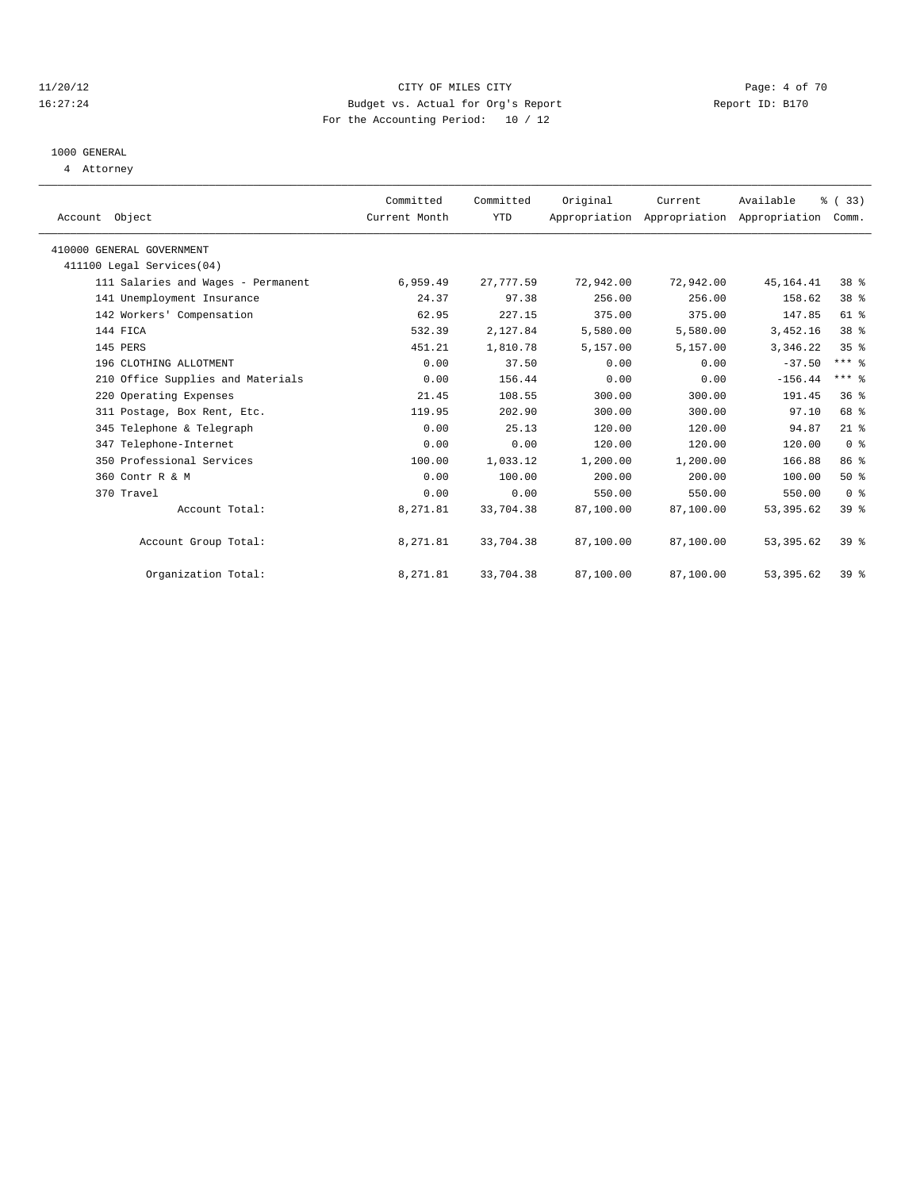#### 11/20/12 CITY OF MILES CITY Page: 4 of 70 16:27:24 Budget vs. Actual for Org's Report Report ID: B170 For the Accounting Period: 10 / 12

### 1000 GENERAL

4 Attorney

| Account Object                     | Committed<br>Current Month | Committed<br>YTD | Original  | Current   | Available<br>Appropriation Appropriation Appropriation | % (33)<br>Comm. |  |
|------------------------------------|----------------------------|------------------|-----------|-----------|--------------------------------------------------------|-----------------|--|
| 410000 GENERAL GOVERNMENT          |                            |                  |           |           |                                                        |                 |  |
| 411100 Legal Services(04)          |                            |                  |           |           |                                                        |                 |  |
| 111 Salaries and Wages - Permanent | 6,959.49                   | 27,777.59        | 72,942.00 | 72,942.00 | 45, 164. 41                                            | 38 <sup>8</sup> |  |
|                                    |                            |                  |           |           |                                                        |                 |  |
| 141 Unemployment Insurance         | 24.37                      | 97.38            | 256.00    | 256.00    | 158.62                                                 | 38 %            |  |
| 142 Workers' Compensation          | 62.95                      | 227.15           | 375.00    | 375.00    | 147.85                                                 | $61$ $%$        |  |
| 144 FICA                           | 532.39                     | 2,127.84         | 5,580.00  | 5,580.00  | 3,452.16                                               | 38 <sup>8</sup> |  |
| 145 PERS                           | 451.21                     | 1,810.78         | 5,157.00  | 5,157.00  | 3,346.22                                               | 35 <sup>8</sup> |  |
| 196 CLOTHING ALLOTMENT             | 0.00                       | 37.50            | 0.00      | 0.00      | $-37.50$                                               | $***$ $%$       |  |
| 210 Office Supplies and Materials  | 0.00                       | 156.44           | 0.00      | 0.00      | $-156.44$                                              | $***$ $%$       |  |
| 220 Operating Expenses             | 21.45                      | 108.55           | 300.00    | 300.00    | 191.45                                                 | 36 <sup>8</sup> |  |
| 311 Postage, Box Rent, Etc.        | 119.95                     | 202.90           | 300.00    | 300.00    | 97.10                                                  | 68 %            |  |
| 345 Telephone & Telegraph          | 0.00                       | 25.13            | 120.00    | 120.00    | 94.87                                                  | $21$ %          |  |
| 347 Telephone-Internet             | 0.00                       | 0.00             | 120.00    | 120.00    | 120.00                                                 | 0 <sup>8</sup>  |  |
| 350 Professional Services          | 100.00                     | 1,033.12         | 1,200.00  | 1,200.00  | 166.88                                                 | 86%             |  |
| 360 Contr R & M                    | 0.00                       | 100.00           | 200.00    | 200.00    | 100.00                                                 | $50*$           |  |
| 370 Travel                         | 0.00                       | 0.00             | 550.00    | 550.00    | 550.00                                                 | 0 <sup>8</sup>  |  |
| Account Total:                     | 8,271.81                   | 33,704.38        | 87,100.00 | 87,100.00 | 53, 395.62                                             | 39 %            |  |
|                                    |                            |                  |           |           |                                                        |                 |  |
| Account Group Total:               | 8,271.81                   | 33,704.38        | 87,100.00 | 87,100.00 | 53, 395.62                                             | $39*$           |  |
| Organization Total:                | 8,271.81                   | 33,704.38        | 87,100.00 | 87,100.00 | 53, 395.62                                             | 39 <sup>8</sup> |  |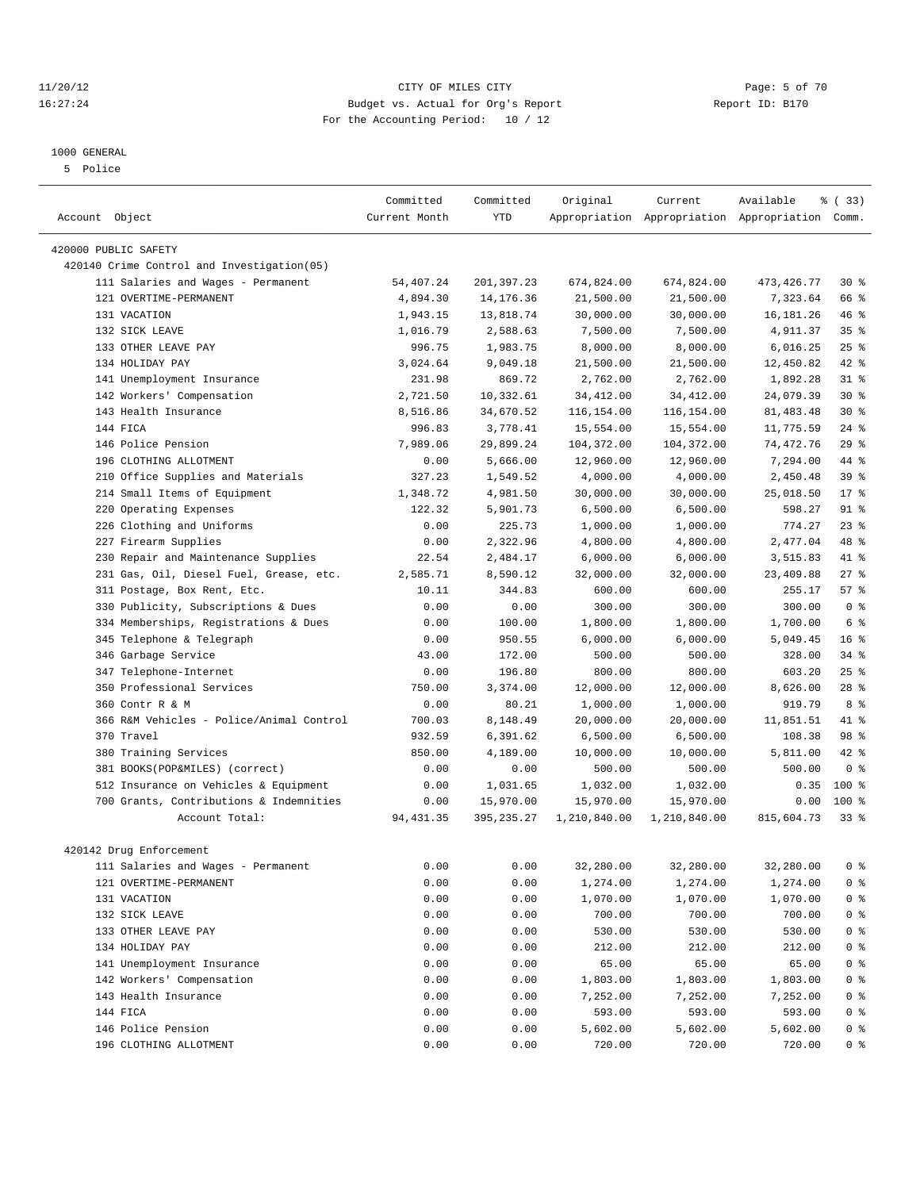#### 11/20/12 CITY OF MILES CITY Page: 5 of 70 16:27:24 Budget vs. Actual for Org's Report Report ID: B170 For the Accounting Period: 10 / 12

#### 1000 GENERAL

5 Police

|                                             | Committed     | Committed   |              | Current      | Available                                       | % (33)          |
|---------------------------------------------|---------------|-------------|--------------|--------------|-------------------------------------------------|-----------------|
| Account Object                              | Current Month | <b>YTD</b>  | Original     |              | Appropriation Appropriation Appropriation Comm. |                 |
|                                             |               |             |              |              |                                                 |                 |
| 420000 PUBLIC SAFETY                        |               |             |              |              |                                                 |                 |
| 420140 Crime Control and Investigation (05) |               |             |              |              |                                                 |                 |
| 111 Salaries and Wages - Permanent          | 54,407.24     | 201,397.23  | 674,824.00   | 674,824.00   | 473, 426.77                                     | $30*$           |
| 121 OVERTIME-PERMANENT                      | 4,894.30      | 14, 176. 36 | 21,500.00    | 21,500.00    | 7,323.64                                        | 66 %            |
| 131 VACATION                                | 1,943.15      | 13,818.74   | 30,000.00    | 30,000.00    | 16, 181. 26                                     | 46 %            |
| 132 SICK LEAVE                              | 1,016.79      | 2,588.63    | 7,500.00     | 7,500.00     | 4,911.37                                        | 35 <sup>8</sup> |
| 133 OTHER LEAVE PAY                         | 996.75        | 1,983.75    | 8,000.00     | 8,000.00     | 6,016.25                                        | 25%             |
| 134 HOLIDAY PAY                             | 3,024.64      | 9,049.18    | 21,500.00    | 21,500.00    | 12,450.82                                       | 42 %            |
| 141 Unemployment Insurance                  | 231.98        | 869.72      | 2,762.00     | 2,762.00     | 1,892.28                                        | $31$ $%$        |
| 142 Workers' Compensation                   | 2,721.50      | 10,332.61   | 34,412.00    | 34, 412.00   | 24,079.39                                       | $30*$           |
| 143 Health Insurance                        | 8,516.86      | 34,670.52   | 116,154.00   | 116,154.00   | 81, 483. 48                                     | $30*$           |
| 144 FICA                                    | 996.83        | 3,778.41    | 15,554.00    | 15,554.00    | 11,775.59                                       | $24$ %          |
| 146 Police Pension                          | 7,989.06      | 29,899.24   | 104,372.00   | 104,372.00   | 74,472.76                                       | 29%             |
| 196 CLOTHING ALLOTMENT                      | 0.00          | 5,666.00    | 12,960.00    | 12,960.00    | 7,294.00                                        | 44 %            |
| Office Supplies and Materials<br>210        | 327.23        | 1,549.52    | 4,000.00     | 4,000.00     | 2,450.48                                        | 39 %            |
| 214 Small Items of Equipment                | 1,348.72      | 4,981.50    | 30,000.00    | 30,000.00    | 25,018.50                                       | 17.8            |
| 220 Operating Expenses                      | 122.32        | 5,901.73    | 6,500.00     | 6,500.00     | 598.27                                          | $91$ %          |
| 226 Clothing and Uniforms                   | 0.00          | 225.73      | 1,000.00     | 1,000.00     | 774.27                                          | $23$ $%$        |
| 227 Firearm Supplies                        | 0.00          | 2,322.96    | 4,800.00     | 4,800.00     | 2,477.04                                        | 48 %            |
| Repair and Maintenance Supplies<br>230      | 22.54         | 2,484.17    | 6,000.00     | 6,000.00     | 3,515.83                                        | 41 %            |
| 231 Gas, Oil, Diesel Fuel, Grease, etc.     | 2,585.71      | 8,590.12    | 32,000.00    | 32,000.00    | 23,409.88                                       | $27$ %          |
| 311 Postage, Box Rent, Etc.                 | 10.11         | 344.83      | 600.00       | 600.00       | 255.17                                          | 57%             |
| 330 Publicity, Subscriptions & Dues         | 0.00          | 0.00        | 300.00       | 300.00       | 300.00                                          | 0 <sup>8</sup>  |
| 334 Memberships, Registrations & Dues       | 0.00          | 100.00      | 1,800.00     | 1,800.00     | 1,700.00                                        | 6 %             |
| Telephone & Telegraph<br>345                | 0.00          | 950.55      | 6,000.00     | 6,000.00     | 5,049.45                                        | 16 <sup>°</sup> |
| 346 Garbage Service                         | 43.00         | 172.00      | 500.00       | 500.00       | 328.00                                          | $34$ $%$        |
| 347 Telephone-Internet                      | 0.00          | 196.80      | 800.00       | 800.00       | 603.20                                          | 25%             |
| 350 Professional Services                   | 750.00        | 3,374.00    | 12,000.00    | 12,000.00    | 8,626.00                                        | 28 <sup>8</sup> |
| 360 Contr R & M                             | 0.00          | 80.21       | 1,000.00     | 1,000.00     | 919.79                                          | 8 %             |
| 366 R&M Vehicles - Police/Animal Control    | 700.03        | 8,148.49    | 20,000.00    | 20,000.00    | 11,851.51                                       | 41 %            |
| 370 Travel                                  | 932.59        | 6,391.62    | 6,500.00     | 6,500.00     | 108.38                                          | 98 %            |
| 380 Training Services                       | 850.00        | 4,189.00    | 10,000.00    | 10,000.00    | 5,811.00                                        | 42 %            |
| 381 BOOKS(POP&MILES) (correct)              | 0.00          | 0.00        | 500.00       | 500.00       | 500.00                                          | 0 <sup>8</sup>  |
| 512 Insurance on Vehicles & Equipment       | 0.00          | 1,031.65    | 1,032.00     | 1,032.00     | 0.35                                            | $100*$          |
| 700 Grants, Contributions & Indemnities     | 0.00          | 15,970.00   | 15,970.00    | 15,970.00    | 0.00                                            | $100*$          |
| Account Total:                              | 94, 431.35    | 395,235.27  | 1,210,840.00 | 1,210,840.00 | 815,604.73                                      | $33$ $%$        |
|                                             |               |             |              |              |                                                 |                 |
| 420142 Drug Enforcement                     |               |             |              |              |                                                 |                 |
| 111 Salaries and Wages - Permanent          | 0.00          | 0.00        | 32,280.00    | 32,280.00    | 32,280.00                                       | 0 <sup>8</sup>  |
| 121 OVERTIME-PERMANENT                      | 0.00          | 0.00        | 1,274.00     | 1,274.00     | 1,274.00                                        | 0 <sup>8</sup>  |
| 131 VACATION                                | 0.00          | 0.00        | 1,070.00     | 1,070.00     | 1,070.00                                        | $0$ %           |
| 132 SICK LEAVE                              | 0.00          | 0.00        | 700.00       | 700.00       | 700.00                                          | $0$ %           |
| 133 OTHER LEAVE PAY                         | 0.00          | 0.00        | 530.00       | 530.00       | 530.00                                          | 0 <sup>8</sup>  |
| 134 HOLIDAY PAY                             | 0.00          | 0.00        | 212.00       | 212.00       | 212.00                                          | $0$ %           |
| 141 Unemployment Insurance                  | 0.00          | 0.00        | 65.00        | 65.00        | 65.00                                           | 0 <sup>8</sup>  |
| 142 Workers' Compensation                   | 0.00          | 0.00        | 1,803.00     | 1,803.00     | 1,803.00                                        | $0$ %           |
| 143 Health Insurance                        | 0.00          | 0.00        | 7,252.00     | 7,252.00     | 7,252.00                                        | $0$ %           |
| 144 FICA                                    | 0.00          | 0.00        | 593.00       | 593.00       | 593.00                                          | 0 %             |
| 146 Police Pension                          | 0.00          | 0.00        | 5,602.00     | 5,602.00     | 5,602.00                                        | 0 %             |
| 196 CLOTHING ALLOTMENT                      | 0.00          | 0.00        | 720.00       | 720.00       | 720.00                                          | 0 %             |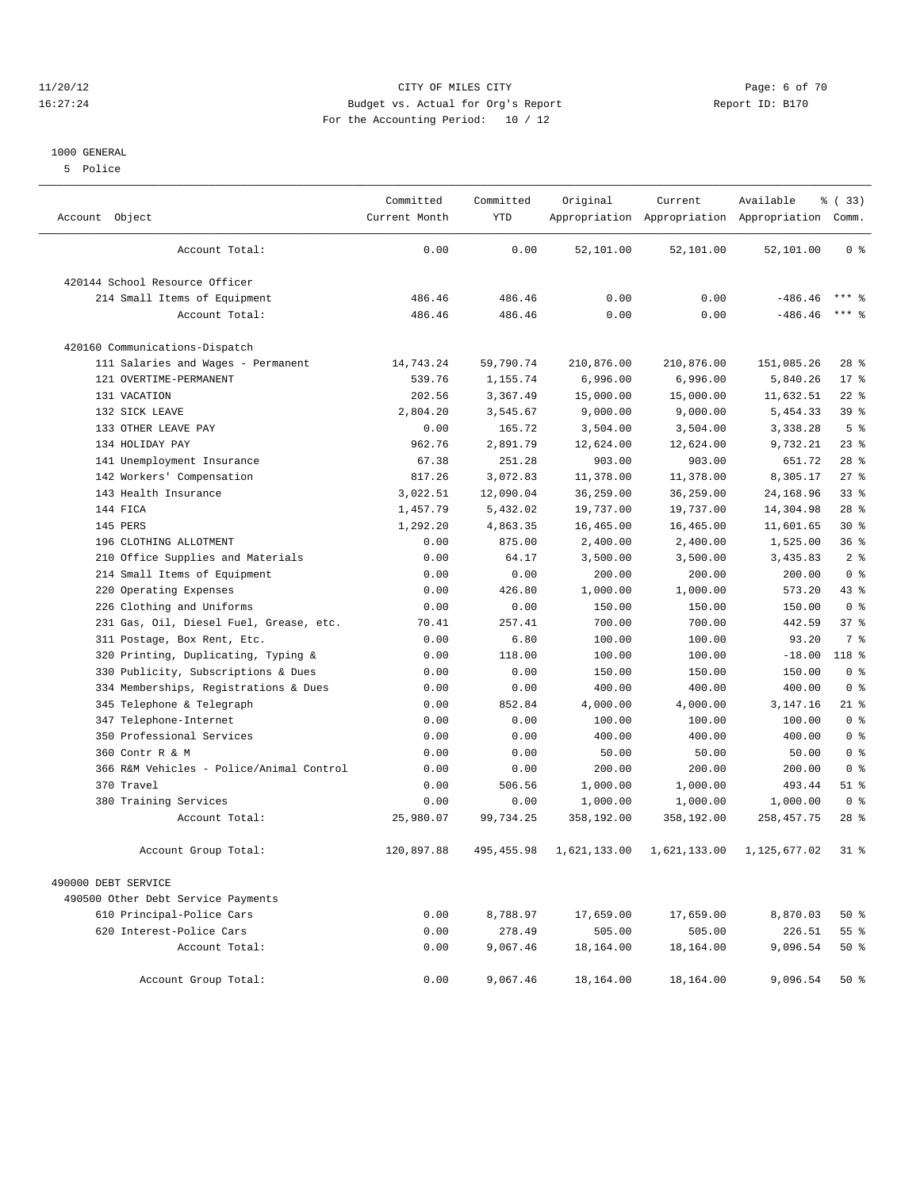#### 11/20/12 CITY OF MILES CITY Page: 6 of 70 16:27:24 Budget vs. Actual for Org's Report Report ID: B170 For the Accounting Period: 10 / 12

#### 1000 GENERAL

5 Police

| Account Object                           | Committed<br>Current Month | Committed<br><b>YTD</b> | Original     | Current      | Available<br>Appropriation Appropriation Appropriation Comm. | % (33)          |
|------------------------------------------|----------------------------|-------------------------|--------------|--------------|--------------------------------------------------------------|-----------------|
| Account Total:                           | 0.00                       | 0.00                    | 52,101.00    | 52,101.00    | 52,101.00                                                    | 0 <sup>8</sup>  |
| 420144 School Resource Officer           |                            |                         |              |              |                                                              |                 |
| 214 Small Items of Equipment             | 486.46                     | 486.46                  | 0.00         | 0.00         | $-486.46$                                                    | $***$ 2         |
| Account Total:                           | 486.46                     | 486.46                  | 0.00         | 0.00         | $-486.46$                                                    | $***$ %         |
| 420160 Communications-Dispatch           |                            |                         |              |              |                                                              |                 |
| 111 Salaries and Wages - Permanent       | 14,743.24                  | 59,790.74               | 210,876.00   | 210,876.00   | 151,085.26                                                   | $28$ %          |
| 121 OVERTIME-PERMANENT                   | 539.76                     | 1,155.74                | 6,996.00     | 6,996.00     | 5,840.26                                                     | $17*$           |
| 131 VACATION                             | 202.56                     | 3,367.49                | 15,000.00    | 15,000.00    | 11,632.51                                                    | $22$ %          |
| 132 SICK LEAVE                           | 2,804.20                   | 3,545.67                | 9,000.00     | 9,000.00     | 5,454.33                                                     | 39 <sup>8</sup> |
| 133 OTHER LEAVE PAY                      | 0.00                       | 165.72                  | 3,504.00     | 3,504.00     | 3,338.28                                                     | 5 <sub>8</sub>  |
| 134 HOLIDAY PAY                          | 962.76                     | 2,891.79                | 12,624.00    | 12,624.00    | 9,732.21                                                     | $23$ $%$        |
| 141 Unemployment Insurance               | 67.38                      | 251.28                  | 903.00       | 903.00       | 651.72                                                       | $28$ %          |
| 142 Workers' Compensation                | 817.26                     | 3,072.83                | 11,378.00    | 11,378.00    | 8,305.17                                                     | 27%             |
| 143 Health Insurance                     | 3,022.51                   | 12,090.04               | 36,259.00    | 36,259.00    | 24,168.96                                                    | 33 <sup>8</sup> |
| 144 FICA                                 | 1,457.79                   | 5,432.02                | 19,737.00    | 19,737.00    | 14,304.98                                                    | 28 <sup>8</sup> |
| 145 PERS                                 | 1,292.20                   | 4,863.35                | 16,465.00    | 16,465.00    | 11,601.65                                                    | $30*$           |
| 196 CLOTHING ALLOTMENT                   | 0.00                       | 875.00                  | 2,400.00     | 2,400.00     | 1,525.00                                                     | 36 <sup>8</sup> |
| Office Supplies and Materials<br>210     | 0.00                       | 64.17                   | 3,500.00     | 3,500.00     | 3,435.83                                                     | 2 <sup>°</sup>  |
| 214 Small Items of Equipment             | 0.00                       | 0.00                    | 200.00       | 200.00       | 200.00                                                       | 0 <sup>8</sup>  |
| 220 Operating Expenses                   | 0.00                       | 426.80                  | 1,000.00     | 1,000.00     | 573.20                                                       | $43$ %          |
| 226 Clothing and Uniforms                | 0.00                       | 0.00                    | 150.00       | 150.00       | 150.00                                                       | 0 <sup>8</sup>  |
| 231 Gas, Oil, Diesel Fuel, Grease, etc.  | 70.41                      | 257.41                  | 700.00       | 700.00       | 442.59                                                       | 37%             |
| 311 Postage, Box Rent, Etc.              | 0.00                       | 6.80                    | 100.00       | 100.00       | 93.20                                                        | 7 <sup>8</sup>  |
| Printing, Duplicating, Typing &<br>320   | 0.00                       | 118.00                  | 100.00       | 100.00       | $-18.00$                                                     | $118*$          |
| 330 Publicity, Subscriptions & Dues      | 0.00                       | 0.00                    | 150.00       | 150.00       | 150.00                                                       | 0 <sup>8</sup>  |
| 334 Memberships, Registrations & Dues    | 0.00                       | 0.00                    | 400.00       | 400.00       | 400.00                                                       | 0 <sup>8</sup>  |
| 345 Telephone & Telegraph                | 0.00                       | 852.84                  | 4,000.00     | 4,000.00     | 3, 147. 16                                                   | $21$ %          |
| Telephone-Internet<br>347                | 0.00                       | 0.00                    | 100.00       | 100.00       | 100.00                                                       | 0 <sup>8</sup>  |
| 350 Professional Services                | 0.00                       | 0.00                    | 400.00       | 400.00       | 400.00                                                       | 0 <sup>8</sup>  |
| 360 Contr R & M                          | 0.00                       | 0.00                    | 50.00        | 50.00        | 50.00                                                        | 0 <sup>8</sup>  |
| 366 R&M Vehicles - Police/Animal Control | 0.00                       | 0.00                    | 200.00       | 200.00       | 200.00                                                       | 0 <sup>8</sup>  |
| 370 Travel                               | 0.00                       | 506.56                  | 1,000.00     | 1,000.00     | 493.44                                                       | $51$ %          |
| 380 Training Services                    | 0.00                       | 0.00                    | 1,000.00     | 1,000.00     | 1,000.00                                                     | 0 <sup>8</sup>  |
| Account Total:                           | 25,980.07                  | 99,734.25               | 358,192.00   | 358,192.00   | 258, 457. 75                                                 | $28$ $%$        |
| Account Group Total:                     | 120,897.88                 | 495,455.98              | 1,621,133.00 | 1,621,133.00 | 1,125,677.02                                                 | $31$ $%$        |
| 490000 DEBT SERVICE                      |                            |                         |              |              |                                                              |                 |
| 490500 Other Debt Service Payments       |                            |                         |              |              |                                                              |                 |
| 610 Principal-Police Cars                | 0.00                       | 8,788.97                | 17,659.00    | 17,659.00    | 8,870.03                                                     | $50*$           |
| 620 Interest-Police Cars                 | 0.00                       | 278.49                  | 505.00       | 505.00       | 226.51                                                       | 55 <sup>8</sup> |
| Account Total:                           | 0.00                       | 9,067.46                | 18,164.00    | 18,164.00    | 9,096.54                                                     | $50*$           |
| Account Group Total:                     | 0.00                       | 9,067.46                | 18,164.00    | 18,164.00    | 9,096.54                                                     | $50*$           |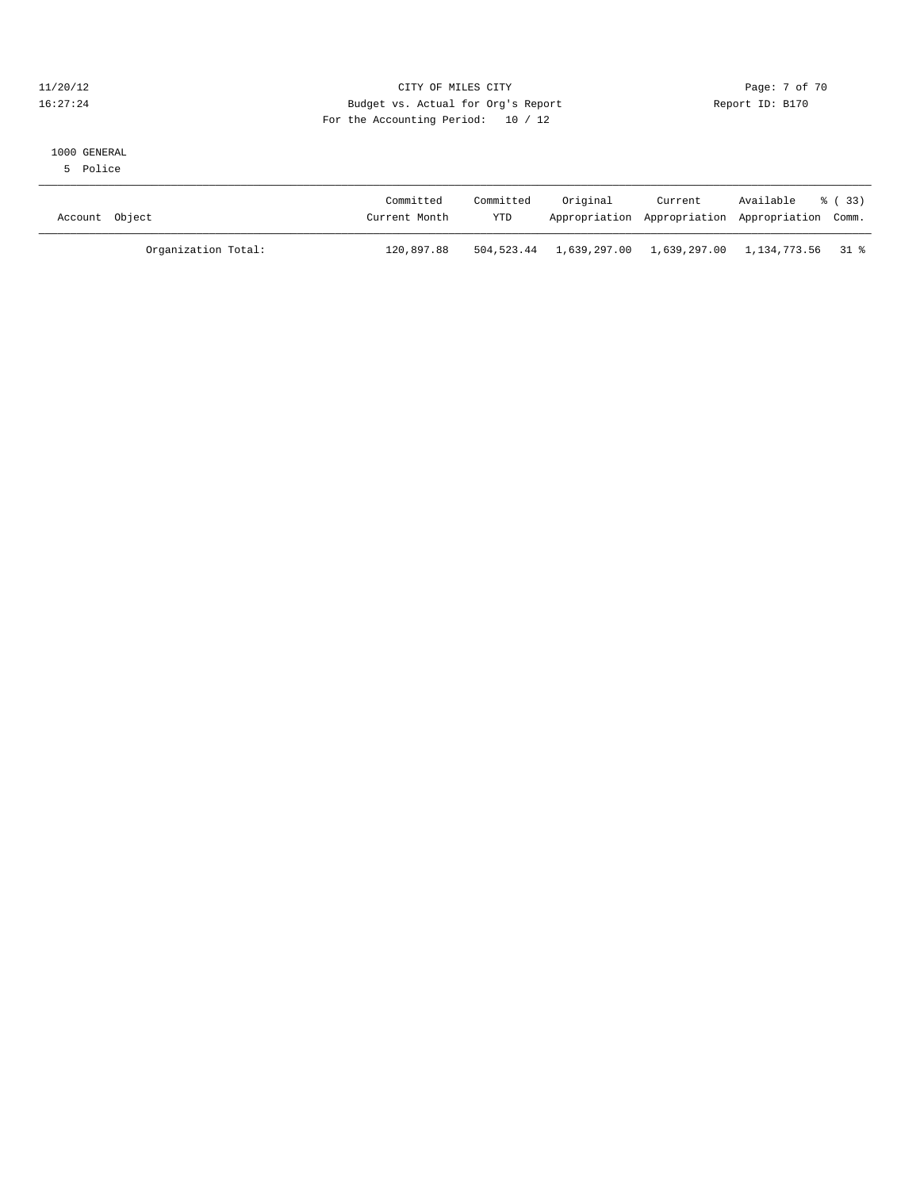#### 11/20/12 CITY OF MILES CITY Page: 7 of 70 16:27:24 Budget vs. Actual for Org's Report Report ID: B170 For the Accounting Period: 10 / 12

#### 1000 GENERAL

5 Police

| Account Object      | Committed<br>Current Month | Committed<br>YTD | Original                                               | Current<br>Appropriation Appropriation Appropriation Comm. | Available % (33) |  |
|---------------------|----------------------------|------------------|--------------------------------------------------------|------------------------------------------------------------|------------------|--|
| Organization Total: | 120,897.88                 |                  | 504,523.44 1,639,297.00 1,639,297.00 1,134,773.56 31 % |                                                            |                  |  |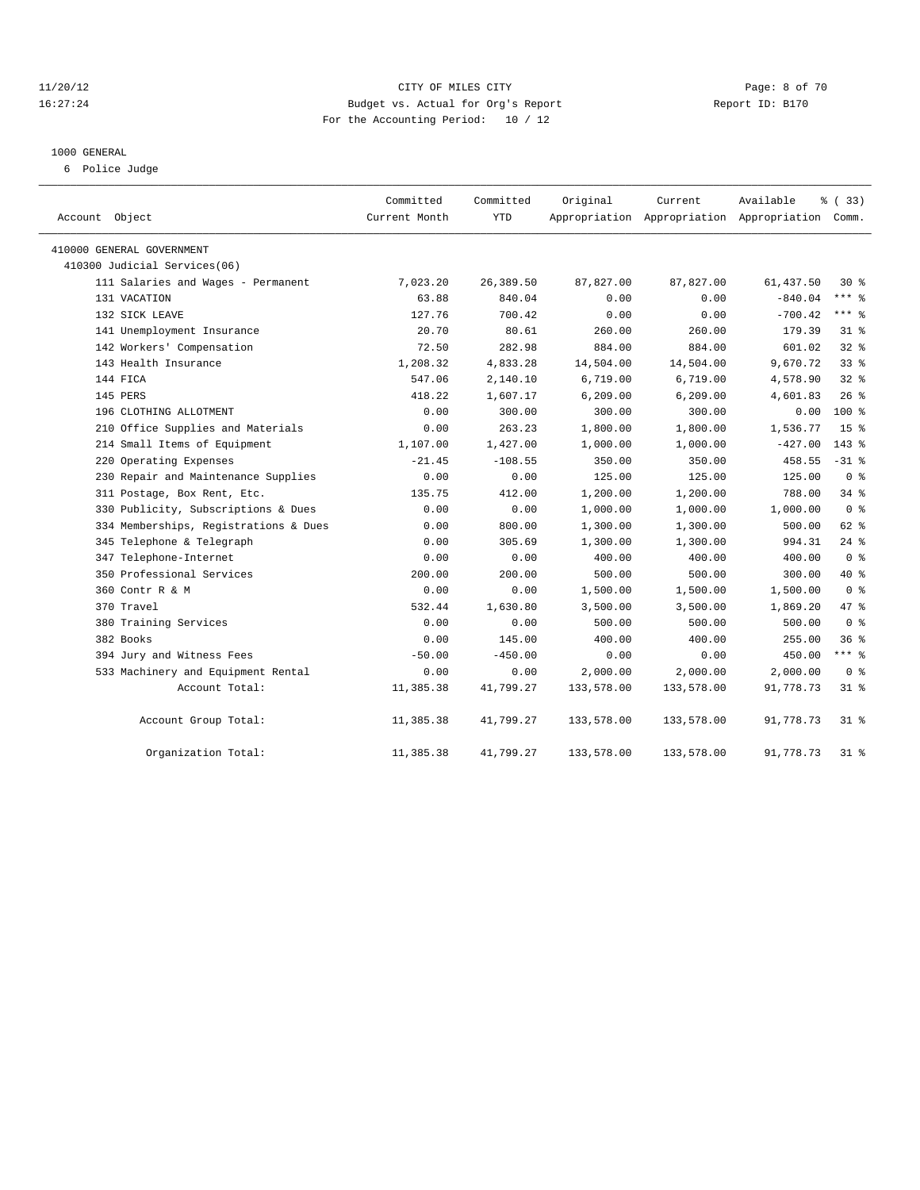#### 11/20/12 CITY OF MILES CITY Page: 8 of 70 16:27:24 Budget vs. Actual for Org's Report Report ID: B170 For the Accounting Period: 10 / 12

#### 1000 GENERAL

6 Police Judge

| Account Object                        | Committed<br>Current Month | Committed<br>YTD | Original   | Current<br>Appropriation Appropriation Appropriation Comm. | Available  | % (33)          |
|---------------------------------------|----------------------------|------------------|------------|------------------------------------------------------------|------------|-----------------|
|                                       |                            |                  |            |                                                            |            |                 |
| 410000 GENERAL GOVERNMENT             |                            |                  |            |                                                            |            |                 |
| 410300 Judicial Services(06)          |                            |                  |            |                                                            |            |                 |
| 111 Salaries and Wages - Permanent    | 7,023.20                   | 26,389.50        | 87,827.00  | 87,827.00                                                  | 61, 437.50 | $30*$           |
| 131 VACATION                          | 63.88                      | 840.04           | 0.00       | 0.00                                                       | $-840.04$  | $***$ $=$       |
| 132 SICK LEAVE                        | 127.76                     | 700.42           | 0.00       | 0.00                                                       | $-700.42$  | $***$ 8         |
| 141 Unemployment Insurance            | 20.70                      | 80.61            | 260.00     | 260.00                                                     | 179.39     | 31.8            |
| 142 Workers' Compensation             | 72.50                      | 282.98           | 884.00     | 884.00                                                     | 601.02     | 32%             |
| 143 Health Insurance                  | 1,208.32                   | 4,833.28         | 14,504.00  | 14,504.00                                                  | 9,670.72   | 33%             |
| 144 FICA                              | 547.06                     | 2,140.10         | 6,719.00   | 6,719.00                                                   | 4,578.90   | $32$ $%$        |
| 145 PERS                              | 418.22                     | 1,607.17         | 6, 209.00  | 6, 209.00                                                  | 4,601.83   | 26%             |
| 196 CLOTHING ALLOTMENT                | 0.00                       | 300.00           | 300.00     | 300.00                                                     | 0.00       | 100 %           |
| 210 Office Supplies and Materials     | 0.00                       | 263.23           | 1,800.00   | 1,800.00                                                   | 1,536.77   | 15 <sup>8</sup> |
| 214 Small Items of Equipment          | 1,107.00                   | 1,427.00         | 1,000.00   | 1,000.00                                                   | $-427.00$  | $143*$          |
| 220 Operating Expenses                | $-21.45$                   | $-108.55$        | 350.00     | 350.00                                                     | 458.55     | $-31$ %         |
| 230 Repair and Maintenance Supplies   | 0.00                       | 0.00             | 125.00     | 125.00                                                     | 125.00     | 0 <sup>8</sup>  |
| 311 Postage, Box Rent, Etc.           | 135.75                     | 412.00           | 1,200.00   | 1,200.00                                                   | 788.00     | $34*$           |
| 330 Publicity, Subscriptions & Dues   | 0.00                       | 0.00             | 1,000.00   | 1,000.00                                                   | 1,000.00   | 0 <sup>8</sup>  |
| 334 Memberships, Registrations & Dues | 0.00                       | 800.00           | 1,300.00   | 1,300.00                                                   | 500.00     | 62 %            |
| 345 Telephone & Telegraph             | 0.00                       | 305.69           | 1,300.00   | 1,300.00                                                   | 994.31     | $24$ $%$        |
| 347 Telephone-Internet                | 0.00                       | 0.00             | 400.00     | 400.00                                                     | 400.00     | 0 <sup>8</sup>  |
| 350 Professional Services             | 200.00                     | 200.00           | 500.00     | 500.00                                                     | 300.00     | $40*$           |
| 360 Contr R & M                       | 0.00                       | 0.00             | 1,500.00   | 1,500.00                                                   | 1,500.00   | 0 <sup>8</sup>  |
| 370 Travel                            | 532.44                     | 1,630.80         | 3,500.00   | 3,500.00                                                   | 1,869.20   | 47 %            |
| 380 Training Services                 | 0.00                       | 0.00             | 500.00     | 500.00                                                     | 500.00     | 0 <sup>8</sup>  |
| 382 Books                             | 0.00                       | 145.00           | 400.00     | 400.00                                                     | 255.00     | 36%             |
| 394 Jury and Witness Fees             | $-50.00$                   | $-450.00$        | 0.00       | 0.00                                                       | 450.00     | $***$ 8         |
| 533 Machinery and Equipment Rental    | 0.00                       | 0.00             | 2,000.00   | 2,000.00                                                   | 2,000.00   | 0 <sup>8</sup>  |
| Account Total:                        | 11,385.38                  | 41,799.27        | 133,578.00 | 133,578.00                                                 | 91,778.73  | $31$ %          |
| Account Group Total:                  | 11,385.38                  | 41,799.27        | 133,578.00 | 133,578.00                                                 | 91,778.73  | $31$ %          |
| Organization Total:                   | 11,385.38                  | 41,799.27        | 133,578.00 | 133,578.00                                                 | 91,778.73  | $31$ %          |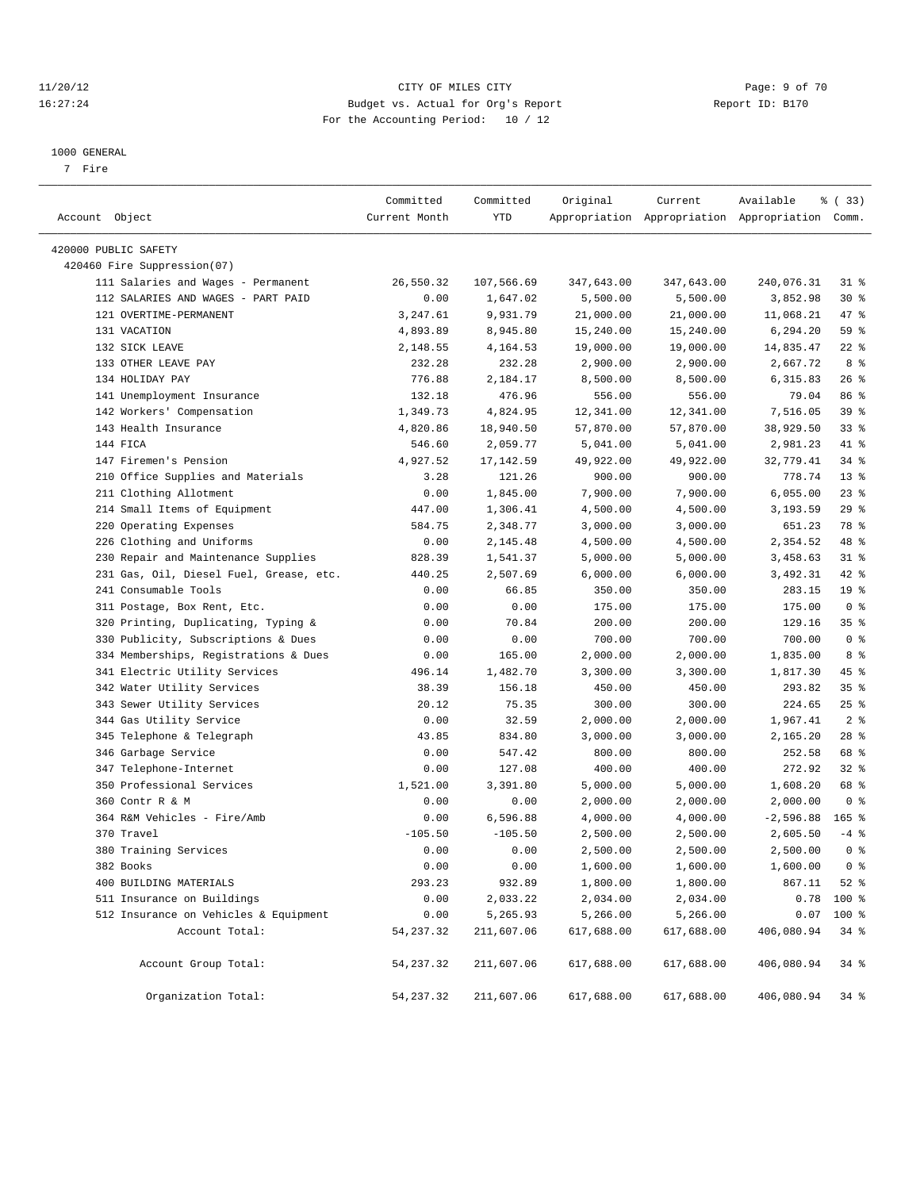#### 11/20/12 CITY OF MILES CITY Page: 9 of 70 16:27:24 Budget vs. Actual for Org's Report Report ID: B170 For the Accounting Period: 10 / 12

————————————————————————————————————————————————————————————————————————————————————————————————————————————————————————————————————

#### 1000 GENERAL

7 Fire

|                                         | Committed     | Committed  | Original   | Current    | Available                                       | 8 (33)          |  |
|-----------------------------------------|---------------|------------|------------|------------|-------------------------------------------------|-----------------|--|
| Account Object                          | Current Month | YTD        |            |            | Appropriation Appropriation Appropriation Comm. |                 |  |
| 420000 PUBLIC SAFETY                    |               |            |            |            |                                                 |                 |  |
| 420460 Fire Suppression(07)             |               |            |            |            |                                                 |                 |  |
| 111 Salaries and Wages - Permanent      | 26,550.32     | 107,566.69 | 347,643.00 | 347,643.00 | 240,076.31                                      | $31$ %          |  |
| 112 SALARIES AND WAGES - PART PAID      | 0.00          | 1,647.02   | 5,500.00   | 5,500.00   | 3,852.98                                        | $30*$           |  |
| 121 OVERTIME-PERMANENT                  | 3,247.61      | 9,931.79   | 21,000.00  | 21,000.00  | 11,068.21                                       | 47 %            |  |
| 131 VACATION                            | 4,893.89      | 8,945.80   | 15,240.00  | 15,240.00  | 6,294.20                                        | 59 %            |  |
| 132 SICK LEAVE                          | 2,148.55      | 4,164.53   | 19,000.00  | 19,000.00  | 14,835.47                                       | $22$ %          |  |
| 133 OTHER LEAVE PAY                     | 232.28        | 232.28     | 2,900.00   | 2,900.00   | 2,667.72                                        | 8 %             |  |
| 134 HOLIDAY PAY                         | 776.88        | 2,184.17   | 8,500.00   | 8,500.00   | 6,315.83                                        | $26$ %          |  |
| 141 Unemployment Insurance              | 132.18        | 476.96     | 556.00     | 556.00     | 79.04                                           | 86 %            |  |
| 142 Workers' Compensation               | 1,349.73      | 4,824.95   | 12,341.00  | 12,341.00  | 7,516.05                                        | 39 %            |  |
| 143 Health Insurance                    | 4,820.86      | 18,940.50  | 57,870.00  | 57,870.00  | 38,929.50                                       | $33$ $%$        |  |
| 144 FICA                                | 546.60        | 2,059.77   | 5,041.00   | 5,041.00   | 2,981.23                                        | 41 %            |  |
| 147 Firemen's Pension                   | 4,927.52      | 17,142.59  | 49,922.00  | 49,922.00  | 32,779.41                                       | 34 %            |  |
| 210 Office Supplies and Materials       | 3.28          | 121.26     | 900.00     | 900.00     | 778.74                                          | $13*$           |  |
| 211 Clothing Allotment                  | 0.00          | 1,845.00   | 7,900.00   | 7,900.00   | 6,055.00                                        | $23$ $%$        |  |
| 214 Small Items of Equipment            | 447.00        | 1,306.41   | 4,500.00   | 4,500.00   | 3,193.59                                        | $29$ %          |  |
| 220 Operating Expenses                  | 584.75        | 2,348.77   | 3,000.00   | 3,000.00   | 651.23                                          | 78 %            |  |
| 226 Clothing and Uniforms               | 0.00          | 2,145.48   | 4,500.00   | 4,500.00   | 2,354.52                                        | 48 %            |  |
| 230 Repair and Maintenance Supplies     | 828.39        | 1,541.37   | 5,000.00   | 5,000.00   | 3,458.63                                        | $31$ %          |  |
| 231 Gas, Oil, Diesel Fuel, Grease, etc. | 440.25        | 2,507.69   | 6,000.00   | 6,000.00   | 3,492.31                                        | $42$ %          |  |
| 241 Consumable Tools                    | 0.00          | 66.85      | 350.00     | 350.00     | 283.15                                          | 19 <sup>°</sup> |  |
| 311 Postage, Box Rent, Etc.             | 0.00          | 0.00       | 175.00     | 175.00     | 175.00                                          | 0 <sup>8</sup>  |  |
| 320 Printing, Duplicating, Typing &     | 0.00          | 70.84      | 200.00     | 200.00     | 129.16                                          | 35%             |  |
| 330 Publicity, Subscriptions & Dues     | 0.00          | 0.00       | 700.00     | 700.00     | 700.00                                          | 0 <sup>8</sup>  |  |
| 334 Memberships, Registrations & Dues   | 0.00          | 165.00     | 2,000.00   | 2,000.00   | 1,835.00                                        | 8 %             |  |
| 341 Electric Utility Services           | 496.14        | 1,482.70   | 3,300.00   | 3,300.00   | 1,817.30                                        | 45 %            |  |
| 342 Water Utility Services              | 38.39         | 156.18     | 450.00     | 450.00     | 293.82                                          | 35%             |  |
| 343 Sewer Utility Services              | 20.12         | 75.35      | 300.00     | 300.00     | 224.65                                          | $25$ %          |  |
| 344 Gas Utility Service                 | 0.00          | 32.59      | 2,000.00   | 2,000.00   | 1,967.41                                        | 2 <sup>8</sup>  |  |
| 345 Telephone & Telegraph               | 43.85         | 834.80     | 3,000.00   | 3,000.00   | 2,165.20                                        | $28$ %          |  |
| 346 Garbage Service                     | 0.00          | 547.42     | 800.00     | 800.00     | 252.58                                          | 68 %            |  |
| 347 Telephone-Internet                  | 0.00          | 127.08     | 400.00     | 400.00     | 272.92                                          | $32$ $%$        |  |
| 350 Professional Services               | 1,521.00      | 3,391.80   | 5,000.00   | 5,000.00   | 1,608.20                                        | 68 %            |  |
| 360 Contr R & M                         | 0.00          | 0.00       | 2,000.00   | 2,000.00   | 2,000.00                                        | 0 <sup>8</sup>  |  |
| 364 R&M Vehicles - Fire/Amb             | 0.00          | 6,596.88   | 4,000.00   | 4,000.00   | $-2,596.88$                                     | $165$ %         |  |
| 370 Travel                              | $-105.50$     | $-105.50$  | 2,500.00   | 2,500.00   | 2,605.50                                        | $-4$ %          |  |
| 380 Training Services                   | 0.00          | 0.00       | 2,500.00   | 2,500.00   | 2,500.00                                        | 0 <sup>8</sup>  |  |
| 382 Books                               | 0.00          | 0.00       | 1,600.00   | 1,600.00   | 1,600.00                                        | 0 <sup>8</sup>  |  |
| 400 BUILDING MATERIALS                  | 293.23        | 932.89     | 1,800.00   | 1,800.00   | 867.11                                          | $52$ $%$        |  |
| 511 Insurance on Buildings              | 0.00          | 2,033.22   | 2,034.00   | 2,034.00   |                                                 | $0.78$ 100 %    |  |
| 512 Insurance on Vehicles & Equipment   | 0.00          | 5,265.93   | 5,266.00   | 5,266.00   | 0.07                                            | 100 %           |  |
| Account Total:                          | 54, 237.32    | 211,607.06 | 617,688.00 | 617,688.00 | 406,080.94                                      | 34 %            |  |
|                                         |               |            |            |            |                                                 |                 |  |
| Account Group Total:                    | 54, 237.32    | 211,607.06 | 617,688.00 | 617,688.00 | 406,080.94                                      | $34$ $%$        |  |
| Organization Total:                     | 54, 237.32    | 211,607.06 | 617,688.00 | 617,688.00 | 406,080.94                                      | $34$ $%$        |  |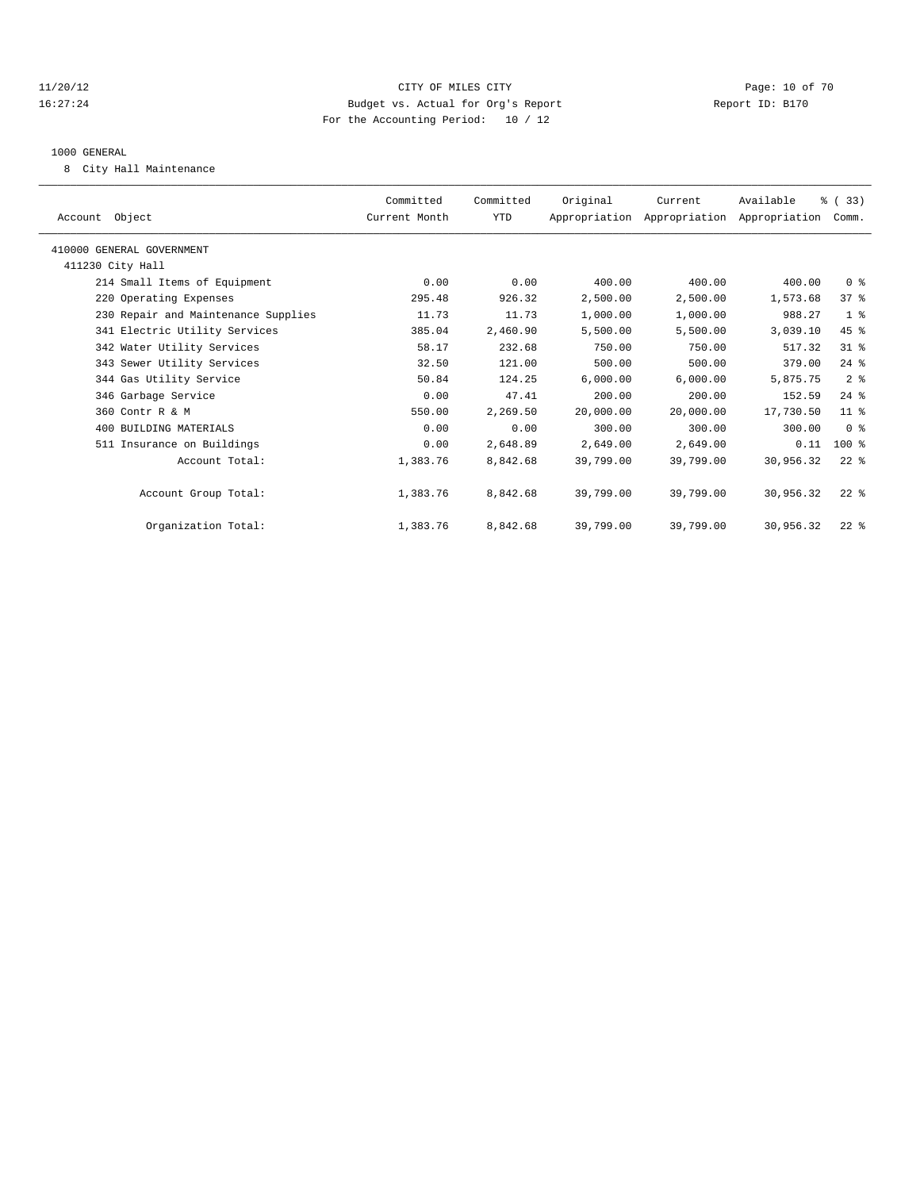#### 11/20/12 **Page: 10 of 70** CITY OF MILES CITY **Page: 10 of 70** 16:27:24 Budget vs. Actual for Org's Report Report ID: B170 For the Accounting Period: 10 / 12

#### 1000 GENERAL

8 City Hall Maintenance

| Account Object                      | Committed<br>Current Month | Committed<br>YTD | Original  | Current<br>Appropriation Appropriation Appropriation Comm. | Available | % (33)          |  |
|-------------------------------------|----------------------------|------------------|-----------|------------------------------------------------------------|-----------|-----------------|--|
| 410000 GENERAL GOVERNMENT           |                            |                  |           |                                                            |           |                 |  |
| 411230 City Hall                    |                            |                  |           |                                                            |           |                 |  |
| 214 Small Items of Equipment        | 0.00                       | 0.00             | 400.00    | 400.00                                                     | 400.00    | 0 <sup>8</sup>  |  |
| 220 Operating Expenses              | 295.48                     | 926.32           | 2,500.00  | 2,500.00                                                   | 1,573.68  | 37 <sup>8</sup> |  |
| 230 Repair and Maintenance Supplies | 11.73                      | 11.73            | 1,000.00  | 1,000.00                                                   | 988.27    | 1 <sup>8</sup>  |  |
| 341 Electric Utility Services       | 385.04                     | 2,460.90         | 5,500.00  | 5,500.00                                                   | 3,039.10  | 45 %            |  |
| 342 Water Utility Services          | 58.17                      | 232.68           | 750.00    | 750.00                                                     | 517.32    | 31.8            |  |
| 343 Sewer Utility Services          | 32.50                      | 121.00           | 500.00    | 500.00                                                     | 379.00    | $24$ $%$        |  |
| 344 Gas Utility Service             | 50.84                      | 124.25           | 6,000.00  | 6,000.00                                                   | 5,875.75  | 2 <sup>°</sup>  |  |
| 346 Garbage Service                 | 0.00                       | 47.41            | 200.00    | 200.00                                                     | 152.59    | $24$ $%$        |  |
| 360 Contr R & M                     | 550.00                     | 2,269.50         | 20.000.00 | 20,000.00                                                  | 17,730.50 | 11 <sup>8</sup> |  |
| 400 BUILDING MATERIALS              | 0.00                       | 0.00             | 300.00    | 300.00                                                     | 300.00    | 0 <sup>8</sup>  |  |
| 511 Insurance on Buildings          | 0.00                       | 2,648.89         | 2,649.00  | 2,649.00                                                   | 0.11      | $100*$          |  |
| Account Total:                      | 1,383.76                   | 8,842.68         | 39,799.00 | 39,799.00                                                  | 30,956.32 | $22$ %          |  |
| Account Group Total:                | 1,383.76                   | 8,842.68         | 39,799.00 | 39,799.00                                                  | 30,956.32 | $22$ $%$        |  |
| Organization Total:                 | 1,383.76                   | 8,842.68         | 39,799.00 | 39,799.00                                                  | 30,956.32 | $22$ $%$        |  |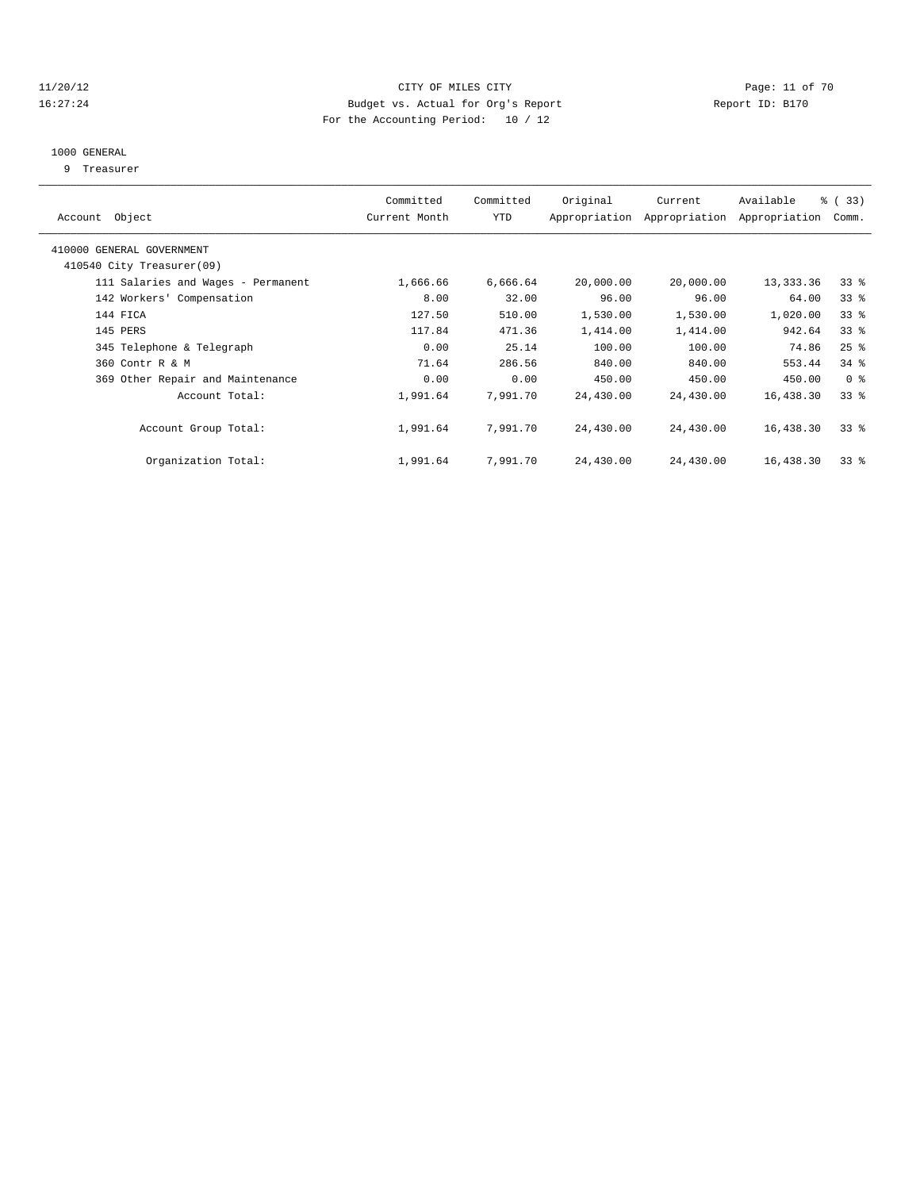#### 11/20/12 **Page: 11 of 70** CITY OF MILES CITY **Page: 11 of 70** 16:27:24 Budget vs. Actual for Org's Report Report ID: B170 For the Accounting Period: 10 / 12

#### 1000 GENERAL

9 Treasurer

| Account Object                     | Committed<br>Current Month | Committed<br>YTD | Original  | Current<br>Appropriation Appropriation | Available<br>Appropriation | % ( 33 )<br>Comm. |
|------------------------------------|----------------------------|------------------|-----------|----------------------------------------|----------------------------|-------------------|
| 410000 GENERAL GOVERNMENT          |                            |                  |           |                                        |                            |                   |
| 410540 City Treasurer(09)          |                            |                  |           |                                        |                            |                   |
| 111 Salaries and Wages - Permanent | 1,666.66                   | 6,666.64         | 20,000.00 | 20,000.00                              | 13,333.36                  | $33*$             |
| 142 Workers' Compensation          | 8.00                       | 32.00            | 96.00     | 96.00                                  | 64.00                      | 33 <sup>8</sup>   |
| 144 FICA                           | 127.50                     | 510.00           | 1,530.00  | 1,530.00                               | 1,020.00                   | 33 <sup>8</sup>   |
| 145 PERS                           | 117.84                     | 471.36           | 1,414.00  | 1,414.00                               | 942.64                     | $33*$             |
| 345 Telephone & Telegraph          | 0.00                       | 25.14            | 100.00    | 100.00                                 | 74.86                      | $25$ $%$          |
| 360 Contr R & M                    | 71.64                      | 286.56           | 840.00    | 840.00                                 | 553.44                     | $34$ $%$          |
| 369 Other Repair and Maintenance   | 0.00                       | 0.00             | 450.00    | 450.00                                 | 450.00                     | 0 <sup>8</sup>    |
| Account Total:                     | 1,991.64                   | 7,991.70         | 24,430.00 | 24,430.00                              | 16,438.30                  | 338               |
| Account Group Total:               | 1,991.64                   | 7,991.70         | 24,430.00 | 24,430.00                              | 16,438.30                  | 338               |
| Organization Total:                | 1,991.64                   | 7,991.70         | 24,430.00 | 24,430.00                              | 16,438.30                  | 33 <sup>8</sup>   |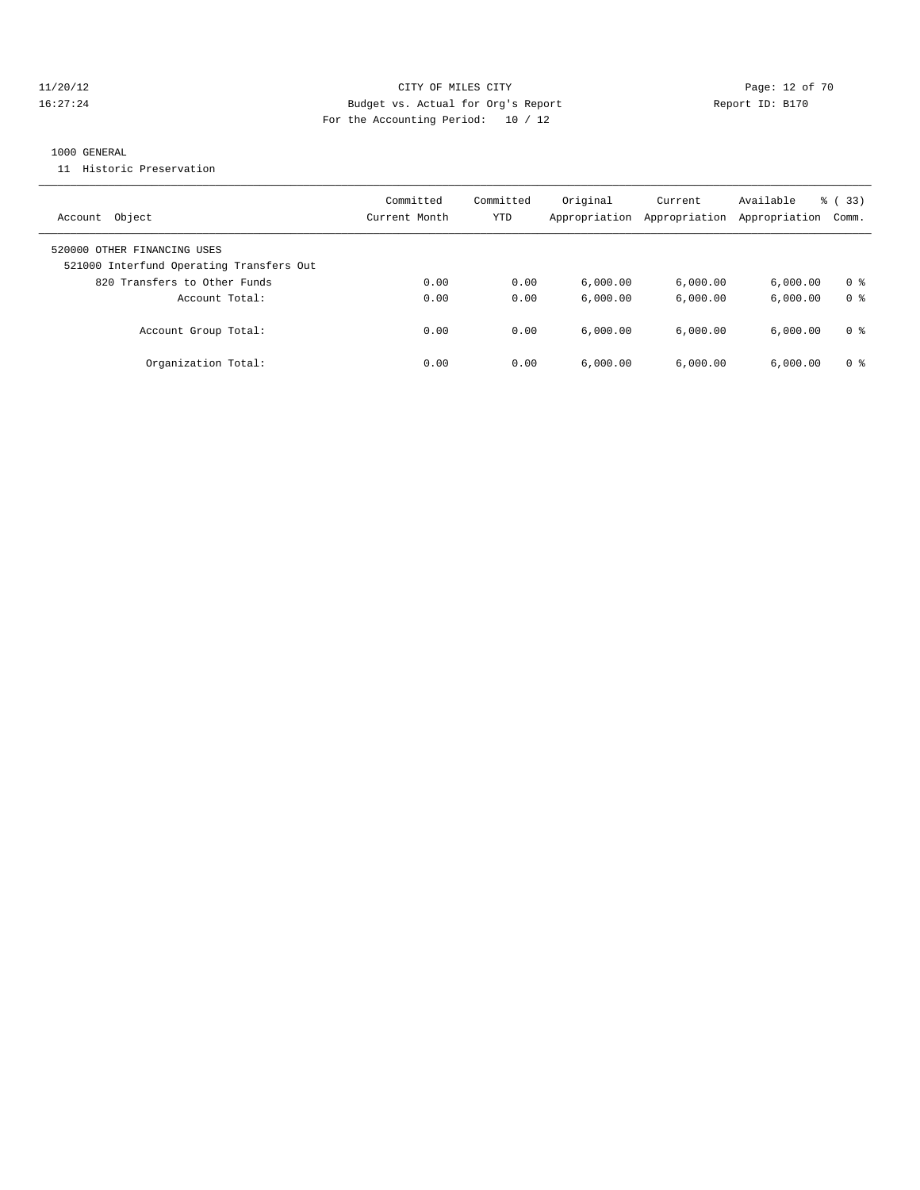#### 11/20/12 **Page: 12 of 70** CITY OF MILES CITY **Page: 12 of 70** 16:27:24 Budget vs. Actual for Org's Report Report ID: B170 For the Accounting Period: 10 / 12

#### 1000 GENERAL

11 Historic Preservation

| Object<br>Account                                                       | Committed<br>Current Month | Committed<br>YTD | Original<br>Appropriation | Current<br>Appropriation | Available<br>Appropriation | % (33)<br>Comm. |
|-------------------------------------------------------------------------|----------------------------|------------------|---------------------------|--------------------------|----------------------------|-----------------|
| 520000 OTHER FINANCING USES<br>521000 Interfund Operating Transfers Out |                            |                  |                           |                          |                            |                 |
| 820 Transfers to Other Funds                                            | 0.00                       | 0.00             | 6.000.00                  | 6,000.00                 | 6.000.00                   | 0 <sup>8</sup>  |
| Account Total:                                                          | 0.00                       | 0.00             | 6.000.00                  | 6.000.00                 | 6.000.00                   | 0 <sup>8</sup>  |
| Account Group Total:                                                    | 0.00                       | 0.00             | 6.000.00                  | 6.000.00                 | 6.000.00                   | 0 %             |
| Organization Total:                                                     | 0.00                       | 0.00             | 6,000.00                  | 6.000.00                 | 6.000.00                   | 0 <sup>8</sup>  |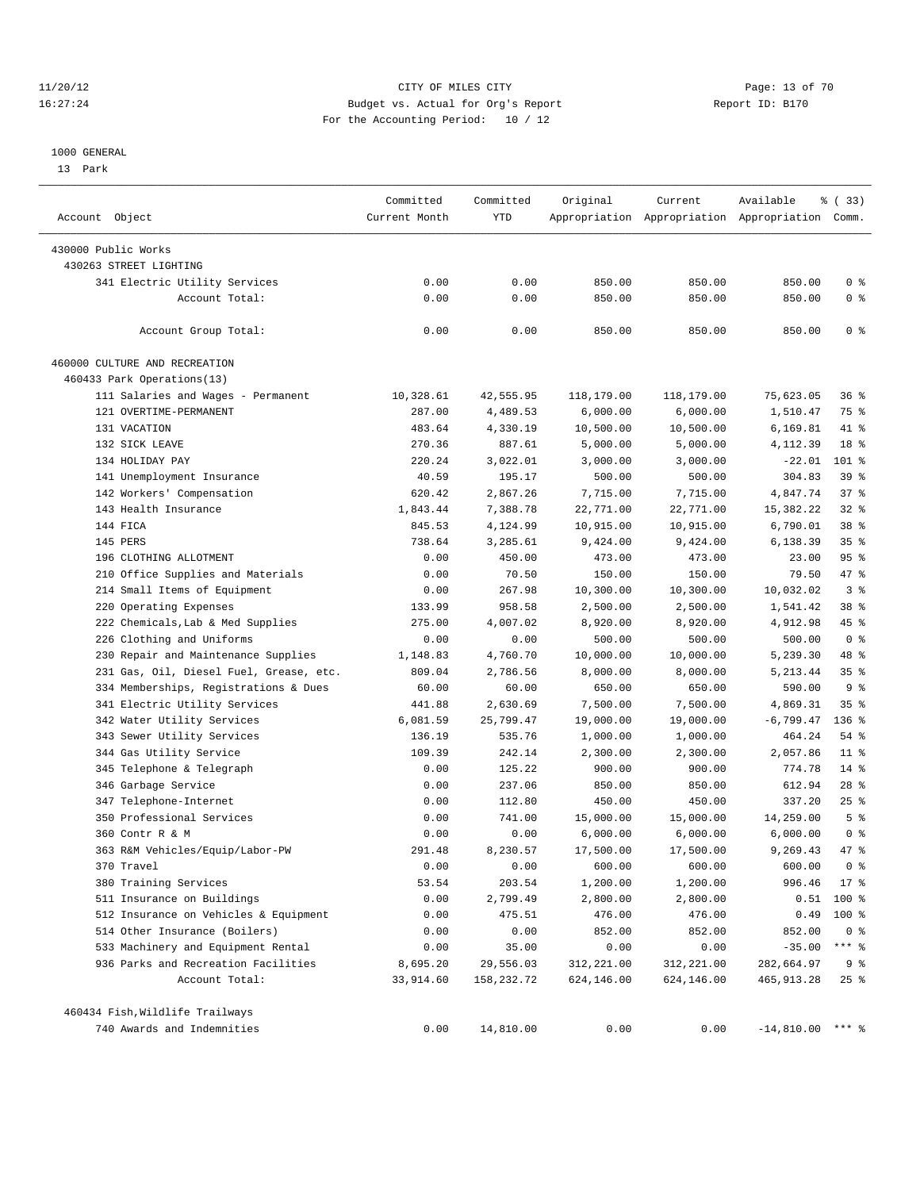#### 11/20/12 **Page: 13 of 70 CITY CONSIDER CITY CITY CITY Page: 13 of 70** 16:27:24 Budget vs. Actual for Org's Report Report ID: B170 For the Accounting Period: 10 / 12

#### 1000 GENERAL

13 Park

| Account Object                          | Committed<br>Current Month | Committed<br>YTD | Original   | Current    | Available<br>Appropriation Appropriation Appropriation Comm. | % (33)             |
|-----------------------------------------|----------------------------|------------------|------------|------------|--------------------------------------------------------------|--------------------|
| 430000 Public Works                     |                            |                  |            |            |                                                              |                    |
| 430263 STREET LIGHTING                  |                            |                  |            |            |                                                              |                    |
| 341 Electric Utility Services           | 0.00                       | 0.00             | 850.00     | 850.00     | 850.00                                                       | 0 <sup>8</sup>     |
| Account Total:                          | 0.00                       | 0.00             | 850.00     | 850.00     | 850.00                                                       | 0 <sup>8</sup>     |
|                                         |                            |                  |            |            |                                                              |                    |
| Account Group Total:                    | 0.00                       | 0.00             | 850.00     | 850.00     | 850.00                                                       | 0 <sup>8</sup>     |
| 460000 CULTURE AND RECREATION           |                            |                  |            |            |                                                              |                    |
| 460433 Park Operations(13)              |                            |                  |            |            |                                                              |                    |
| 111 Salaries and Wages - Permanent      | 10,328.61                  | 42,555.95        | 118,179.00 | 118,179.00 | 75,623.05                                                    | $36$ $\frac{6}{3}$ |
| 121 OVERTIME-PERMANENT                  | 287.00                     | 4,489.53         | 6,000.00   | 6,000.00   | 1,510.47                                                     | 75 %               |
| 131 VACATION                            | 483.64                     | 4,330.19         | 10,500.00  | 10,500.00  | 6,169.81                                                     | 41 %               |
| 132 SICK LEAVE                          | 270.36                     | 887.61           | 5,000.00   | 5,000.00   | 4,112.39                                                     | 18 <sup>°</sup>    |
| 134 HOLIDAY PAY                         | 220.24                     | 3,022.01         | 3,000.00   | 3,000.00   | $-22.01$                                                     | 101 %              |
| 141 Unemployment Insurance              | 40.59                      | 195.17           | 500.00     | 500.00     | 304.83                                                       | 39 %               |
| 142 Workers' Compensation               | 620.42                     | 2,867.26         | 7,715.00   | 7,715.00   | 4,847.74                                                     | 37%                |
| 143 Health Insurance                    | 1,843.44                   | 7,388.78         | 22,771.00  | 22,771.00  | 15,382.22                                                    | $32$ $%$           |
| 144 FICA                                | 845.53                     | 4,124.99         | 10,915.00  | 10,915.00  | 6,790.01                                                     | 38 <sup>8</sup>    |
| 145 PERS                                | 738.64                     | 3,285.61         | 9,424.00   | 9,424.00   | 6,138.39                                                     | 35%                |
| 196 CLOTHING ALLOTMENT                  | 0.00                       | 450.00           | 473.00     | 473.00     | 23.00                                                        | 95%                |
| 210 Office Supplies and Materials       | 0.00                       | 70.50            | 150.00     | 150.00     | 79.50                                                        | 47 %               |
| 214 Small Items of Equipment            | 0.00                       | 267.98           | 10,300.00  | 10,300.00  | 10,032.02                                                    | 3 <sup>8</sup>     |
| 220 Operating Expenses                  | 133.99                     | 958.58           | 2,500.00   | 2,500.00   | 1,541.42                                                     | 38 %               |
| 222 Chemicals, Lab & Med Supplies       | 275.00                     | 4,007.02         | 8,920.00   | 8,920.00   | 4,912.98                                                     | 45 %               |
| 226 Clothing and Uniforms               | 0.00                       | 0.00             | 500.00     | 500.00     | 500.00                                                       | 0 <sup>8</sup>     |
| 230 Repair and Maintenance Supplies     | 1,148.83                   | 4,760.70         | 10,000.00  | 10,000.00  | 5,239.30                                                     | 48 %               |
| 231 Gas, Oil, Diesel Fuel, Grease, etc. | 809.04                     | 2,786.56         | 8,000.00   | 8,000.00   | 5, 213.44                                                    | 35 <sup>8</sup>    |
| 334 Memberships, Registrations & Dues   | 60.00                      | 60.00            | 650.00     | 650.00     | 590.00                                                       | 9 <sub>8</sub>     |
| 341 Electric Utility Services           | 441.88                     | 2,630.69         | 7,500.00   | 7,500.00   | 4,869.31                                                     | 35%                |
| 342 Water Utility Services              | 6,081.59                   | 25,799.47        | 19,000.00  | 19,000.00  | $-6,799.47$                                                  | $136$ %            |
| 343 Sewer Utility Services              | 136.19                     | 535.76           | 1,000.00   | 1,000.00   | 464.24                                                       | 54 %               |
| 344 Gas Utility Service                 | 109.39                     | 242.14           | 2,300.00   | 2,300.00   | 2,057.86                                                     | $11*$              |
| 345 Telephone & Telegraph               | 0.00                       | 125.22           | 900.00     | 900.00     | 774.78                                                       | $14$ %             |
| 346 Garbage Service                     | 0.00                       | 237.06           | 850.00     | 850.00     | 612.94                                                       | $28$ %             |
| 347 Telephone-Internet                  | 0.00                       | 112.80           | 450.00     | 450.00     | 337.20                                                       | 25%                |
| 350 Professional Services               | 0.00                       | 741.00           | 15,000.00  | 15,000.00  | 14,259.00                                                    | 5 <sup>°</sup>     |
| 360 Contr R & M                         | 0.00                       | 0.00             | 6,000.00   | 6,000.00   | 6,000.00                                                     | 0 <sup>8</sup>     |
| 363 R&M Vehicles/Equip/Labor-PW         | 291.48                     | 8,230.57         | 17,500.00  | 17,500.00  | 9,269.43                                                     | 47 %               |
| 370 Travel                              | 0.00                       | 0.00             | 600.00     | 600.00     | 600.00                                                       | 0 <sup>8</sup>     |
| 380 Training Services                   | 53.54                      | 203.54           | 1,200.00   | 1,200.00   | 996.46                                                       | $17*$              |
| 511 Insurance on Buildings              | 0.00                       | 2,799.49         | 2,800.00   | 2,800.00   | 0.51                                                         | 100 %              |
| 512 Insurance on Vehicles & Equipment   | 0.00                       | 475.51           | 476.00     | 476.00     | 0.49                                                         | $100$ %            |
| 514 Other Insurance (Boilers)           | 0.00                       | 0.00             | 852.00     | 852.00     | 852.00                                                       | 0 <sup>8</sup>     |
| 533 Machinery and Equipment Rental      | 0.00                       | 35.00            | 0.00       | 0.00       | $-35.00$                                                     | $***$ $-$          |
| 936 Parks and Recreation Facilities     | 8,695.20                   | 29,556.03        | 312,221.00 | 312,221.00 | 282,664.97                                                   | 9%                 |
| Account Total:                          | 33,914.60                  | 158,232.72       | 624,146.00 | 624,146.00 | 465, 913.28                                                  | $25$ $%$           |
| 460434 Fish, Wildlife Trailways         |                            |                  |            |            |                                                              |                    |
| 740 Awards and Indemnities              | 0.00                       | 14,810.00        | 0.00       | 0.00       | $-14,810.00$ *** %                                           |                    |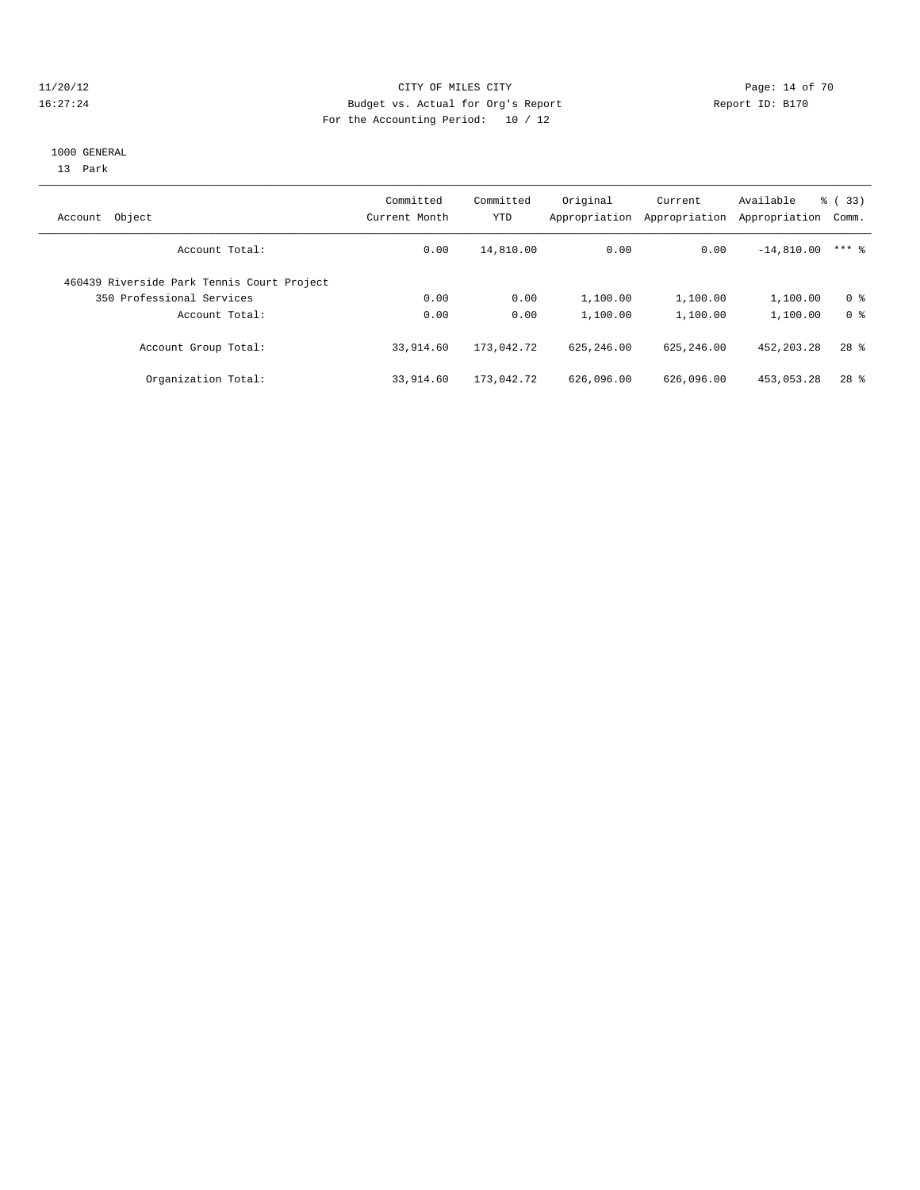#### 11/20/12 **Page: 14 of 70** CITY OF MILES CITY **Page: 14 of 70** 16:27:24 Budget vs. Actual for Org's Report Report ID: B170 For the Accounting Period: 10 / 12

#### 1000 GENERAL

13 Park

| Object<br>Account                          | Committed<br>Current Month | Committed<br>YTD | Original<br>Appropriation | Current<br>Appropriation | Available<br>Appropriation | % (33)<br>Comm. |
|--------------------------------------------|----------------------------|------------------|---------------------------|--------------------------|----------------------------|-----------------|
| Account Total:                             | 0.00                       | 14,810.00        | 0.00                      | 0.00                     | $-14,810.00$               | $***$ 2         |
| 460439 Riverside Park Tennis Court Project |                            |                  |                           |                          |                            |                 |
| 350 Professional Services                  | 0.00                       | 0.00             | 1,100.00                  | 1,100.00                 | 1,100.00                   | 0 <sup>8</sup>  |
| Account Total:                             | 0.00                       | 0.00             | 1,100.00                  | 1,100.00                 | 1,100.00                   | 0 <sup>8</sup>  |
| Account Group Total:                       | 33,914.60                  | 173,042.72       | 625, 246, 00              | 625, 246, 00             | 452, 203. 28               | $28$ $%$        |
| Organization Total:                        | 33,914.60                  | 173,042.72       | 626,096.00                | 626,096.00               | 453,053.28                 | $28$ $%$        |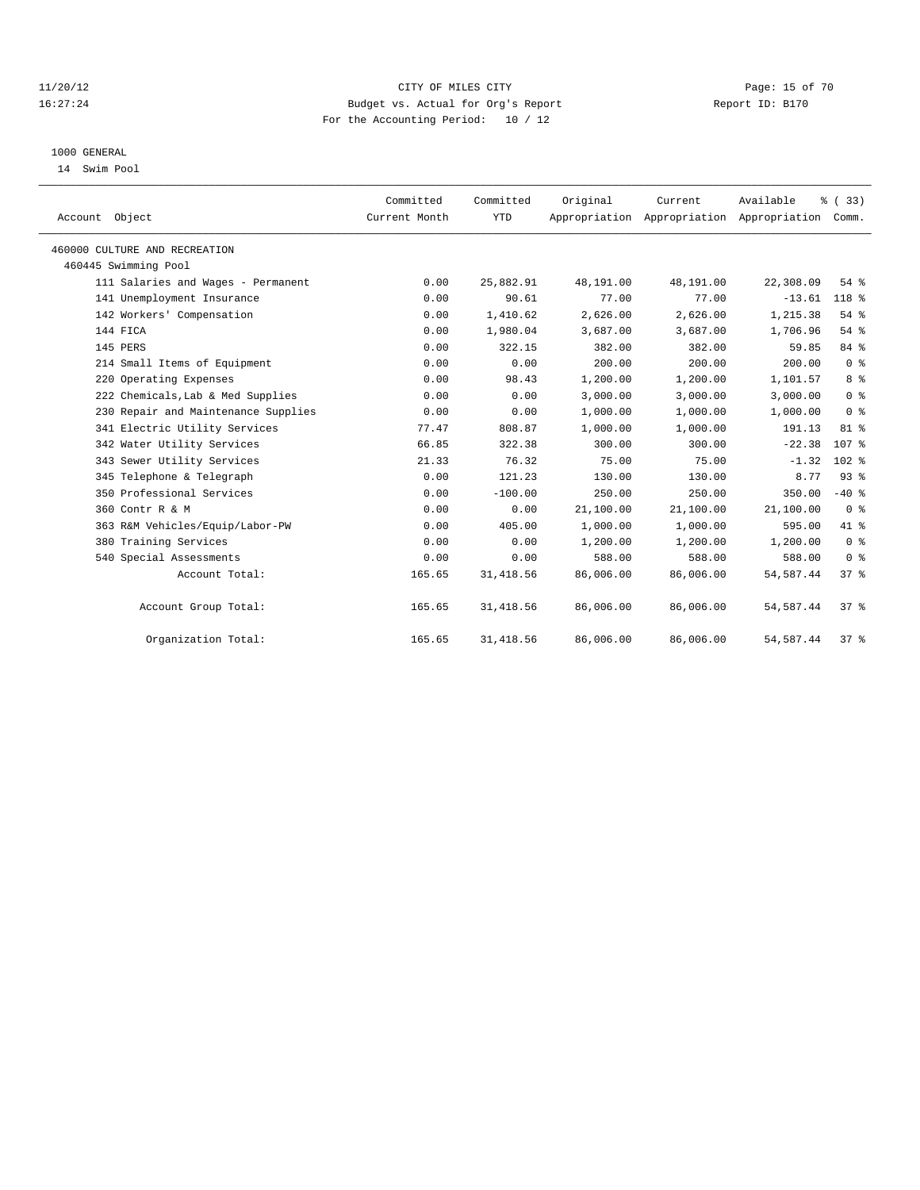#### 11/20/12 **Page: 15 of 70** CITY OF MILES CITY **CITY** Page: 15 of 70 16:27:24 Budget vs. Actual for Org's Report Report ID: B170 For the Accounting Period: 10 / 12

#### 1000 GENERAL

14 Swim Pool

| Account Object                      | Committed<br>Current Month | Committed<br><b>YTD</b> | Original  | Current<br>Appropriation Appropriation Appropriation | Available  | % (33)<br>Comm.  |
|-------------------------------------|----------------------------|-------------------------|-----------|------------------------------------------------------|------------|------------------|
| 460000 CULTURE AND RECREATION       |                            |                         |           |                                                      |            |                  |
| 460445 Swimming Pool                |                            |                         |           |                                                      |            |                  |
| 111 Salaries and Wages - Permanent  | 0.00                       | 25,882.91               | 48,191.00 | 48,191.00                                            | 22,308.09  | 54%              |
| 141 Unemployment Insurance          | 0.00                       | 90.61                   | 77.00     | 77.00                                                | $-13.61$   | 118 %            |
| 142 Workers' Compensation           | 0.00                       | 1,410.62                | 2,626.00  | 2,626.00                                             | 1,215.38   | 54%              |
| 144 FICA                            | 0.00                       | 1,980.04                | 3,687.00  | 3,687.00                                             | 1,706.96   | 54%              |
| 145 PERS                            | 0.00                       | 322.15                  | 382.00    | 382.00                                               | 59.85      | 84 %             |
| 214 Small Items of Equipment        | 0.00                       | 0.00                    | 200.00    | 200.00                                               | 200.00     | 0 <sup>8</sup>   |
| 220 Operating Expenses              | 0.00                       | 98.43                   | 1,200.00  | 1,200.00                                             | 1,101.57   | 8 <sup>8</sup>   |
| 222 Chemicals, Lab & Med Supplies   | 0.00                       | 0.00                    | 3.000.00  | 3.000.00                                             | 3,000.00   | 0 <sup>8</sup>   |
| 230 Repair and Maintenance Supplies | 0.00                       | 0.00                    | 1,000.00  | 1,000.00                                             | 1,000.00   | 0 <sup>8</sup>   |
| 341 Electric Utility Services       | 77.47                      | 808.87                  | 1,000.00  | 1,000.00                                             | 191.13     | 81 %             |
| 342 Water Utility Services          | 66.85                      | 322.38                  | 300.00    | 300.00                                               | $-22.38$   | 107 <sub>8</sub> |
| 343 Sewer Utility Services          | 21.33                      | 76.32                   | 75.00     | 75.00                                                | $-1.32$    | $102$ %          |
| 345 Telephone & Telegraph           | 0.00                       | 121.23                  | 130.00    | 130.00                                               | 8.77       | 93%              |
| 350 Professional Services           | 0.00                       | $-100.00$               | 250.00    | 250.00                                               | 350.00     | $-40$ %          |
| 360 Contr R & M                     | 0.00                       | 0.00                    | 21,100.00 | 21,100.00                                            | 21,100.00  | 0 <sup>8</sup>   |
| 363 R&M Vehicles/Equip/Labor-PW     | 0.00                       | 405.00                  | 1,000.00  | 1,000.00                                             | 595.00     | 41.8             |
| 380 Training Services               | 0.00                       | 0.00                    | 1,200.00  | 1,200.00                                             | 1,200.00   | 0 <sup>8</sup>   |
| 540 Special Assessments             | 0.00                       | 0.00                    | 588.00    | 588.00                                               | 588.00     | 0 <sup>8</sup>   |
| Account Total:                      | 165.65                     | 31, 418.56              | 86,006.00 | 86,006.00                                            | 54, 587.44 | 37%              |
| Account Group Total:                | 165.65                     | 31, 418.56              | 86,006.00 | 86,006.00                                            | 54, 587.44 | 37 <sup>8</sup>  |
| Organization Total:                 | 165.65                     | 31, 418.56              | 86,006.00 | 86,006.00                                            | 54, 587.44 | $37*$            |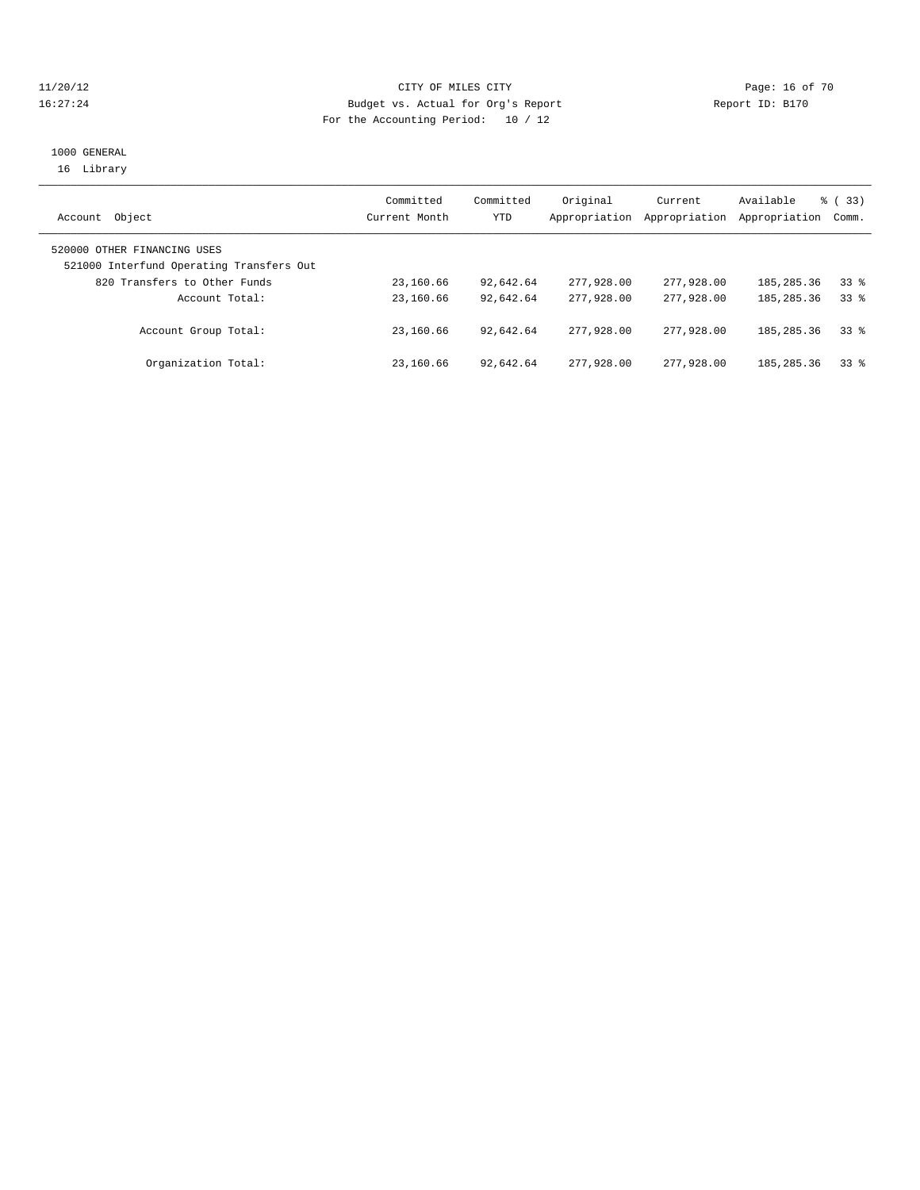#### 11/20/12 **Page: 16 of 70** CITY OF MILES CITY **Page: 16 of 70** 16:27:24 Budget vs. Actual for Org's Report Report ID: B170 For the Accounting Period: 10 / 12

#### 1000 GENERAL 16 Library

| Object<br>Account                                                       | Committed<br>Current Month | Committed<br>YTD | Original<br>Appropriation | Current<br>Appropriation | Available<br>Appropriation | <sub>ර</sub> ි (33)<br>Comm. |
|-------------------------------------------------------------------------|----------------------------|------------------|---------------------------|--------------------------|----------------------------|------------------------------|
| 520000 OTHER FINANCING USES<br>521000 Interfund Operating Transfers Out |                            |                  |                           |                          |                            |                              |
| 820 Transfers to Other Funds                                            | 23,160.66                  | 92,642.64        | 277,928.00                | 277,928.00               | 185,285.36                 | 338                          |
| Account Total:                                                          | 23,160.66                  | 92,642.64        | 277,928,00                | 277,928,00               | 185, 285, 36               | 338                          |
| Account Group Total:                                                    | 23,160.66                  | 92,642.64        | 277,928,00                | 277,928,00               | 185, 285, 36               | 33 <sup>8</sup>              |
| Organization Total:                                                     | 23,160.66                  | 92,642.64        | 277,928,00                | 277,928,00               | 185,285.36                 | $33*$                        |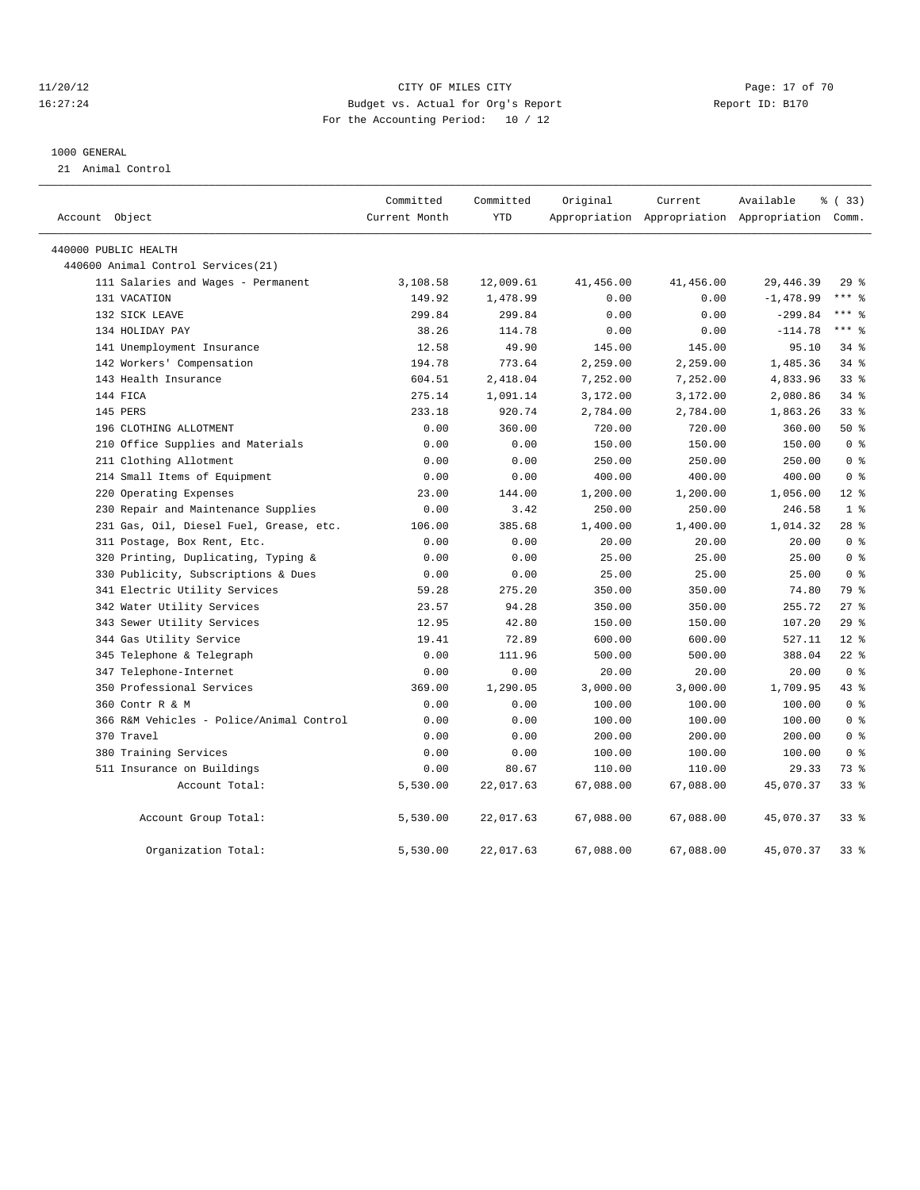#### 11/20/12 **Page: 17 of 70** CITY OF MILES CITY **Page: 17 of 70** 16:27:24 Budget vs. Actual for Org's Report Report ID: B170 For the Accounting Period: 10 / 12

#### 1000 GENERAL

21 Animal Control

| Account Object                           | Committed<br>Current Month | Committed<br><b>YTD</b> | Original  | Current   | Available<br>Appropriation Appropriation Appropriation Comm. | % (33)          |
|------------------------------------------|----------------------------|-------------------------|-----------|-----------|--------------------------------------------------------------|-----------------|
|                                          |                            |                         |           |           |                                                              |                 |
| 440000 PUBLIC HEALTH                     |                            |                         |           |           |                                                              |                 |
| 440600 Animal Control Services (21)      |                            |                         |           |           |                                                              |                 |
| 111 Salaries and Wages - Permanent       | 3,108.58                   | 12,009.61               | 41,456.00 | 41,456.00 | 29, 446.39                                                   | 29%             |
| 131 VACATION                             | 149.92                     | 1,478.99                | 0.00      | 0.00      | $-1,478.99$                                                  | $***$ $%$       |
| 132 SICK LEAVE                           | 299.84                     | 299.84                  | 0.00      | 0.00      | $-299.84$                                                    | $***$ $%$       |
| 134 HOLIDAY PAY                          | 38.26                      | 114.78                  | 0.00      | 0.00      | $-114.78$                                                    | $***$ $%$       |
| 141 Unemployment Insurance               | 12.58                      | 49.90                   | 145.00    | 145.00    | 95.10                                                        | 34%             |
| 142 Workers' Compensation                | 194.78                     | 773.64                  | 2,259.00  | 2,259.00  | 1,485.36                                                     | $34$ $%$        |
| 143 Health Insurance                     | 604.51                     | 2,418.04                | 7,252.00  | 7,252.00  | 4,833.96                                                     | 33 <sup>8</sup> |
| 144 FICA                                 | 275.14                     | 1,091.14                | 3,172.00  | 3,172.00  | 2,080.86                                                     | 34%             |
| 145 PERS                                 | 233.18                     | 920.74                  | 2,784.00  | 2,784.00  | 1,863.26                                                     | 33%             |
| 196 CLOTHING ALLOTMENT                   | 0.00                       | 360.00                  | 720.00    | 720.00    | 360.00                                                       | 50%             |
| 210 Office Supplies and Materials        | 0.00                       | 0.00                    | 150.00    | 150.00    | 150.00                                                       | 0 <sup>8</sup>  |
| 211 Clothing Allotment                   | 0.00                       | 0.00                    | 250.00    | 250.00    | 250.00                                                       | 0 <sup>8</sup>  |
| 214 Small Items of Equipment             | 0.00                       | 0.00                    | 400.00    | 400.00    | 400.00                                                       | 0 <sup>8</sup>  |
| 220 Operating Expenses                   | 23.00                      | 144.00                  | 1,200.00  | 1,200.00  | 1,056.00                                                     | $12*$           |
| 230 Repair and Maintenance Supplies      | 0.00                       | 3.42                    | 250.00    | 250.00    | 246.58                                                       | 1 <sup>8</sup>  |
| 231 Gas, Oil, Diesel Fuel, Grease, etc.  | 106.00                     | 385.68                  | 1,400.00  | 1,400.00  | 1,014.32                                                     | $28$ %          |
| 311 Postage, Box Rent, Etc.              | 0.00                       | 0.00                    | 20.00     | 20.00     | 20.00                                                        | 0 <sup>8</sup>  |
| 320 Printing, Duplicating, Typing &      | 0.00                       | 0.00                    | 25.00     | 25.00     | 25.00                                                        | 0 <sup>8</sup>  |
| 330 Publicity, Subscriptions & Dues      | 0.00                       | 0.00                    | 25.00     | 25.00     | 25.00                                                        | 0 <sup>8</sup>  |
| 341 Electric Utility Services            | 59.28                      | 275.20                  | 350.00    | 350.00    | 74.80                                                        | 79 %            |
| 342 Water Utility Services               | 23.57                      | 94.28                   | 350.00    | 350.00    | 255.72                                                       | $27$ $%$        |
| 343 Sewer Utility Services               | 12.95                      | 42.80                   | 150.00    | 150.00    | 107.20                                                       | 29%             |
| 344 Gas Utility Service                  | 19.41                      | 72.89                   | 600.00    | 600.00    | 527.11                                                       | 12 <sup>°</sup> |
| 345 Telephone & Telegraph                | 0.00                       | 111.96                  | 500.00    | 500.00    | 388.04                                                       | $22$ $%$        |
| 347 Telephone-Internet                   | 0.00                       | 0.00                    | 20.00     | 20.00     | 20.00                                                        | 0 <sup>8</sup>  |
| 350 Professional Services                | 369.00                     | 1,290.05                | 3,000.00  | 3,000.00  | 1,709.95                                                     | 43 %            |
| 360 Contr R & M                          | 0.00                       | 0.00                    | 100.00    | 100.00    | 100.00                                                       | 0 <sup>8</sup>  |
| 366 R&M Vehicles - Police/Animal Control | 0.00                       | 0.00                    | 100.00    | 100.00    | 100.00                                                       | 0 <sup>8</sup>  |
| 370 Travel                               | 0.00                       | 0.00                    | 200.00    | 200.00    | 200.00                                                       | 0 <sup>8</sup>  |
| 380 Training Services                    | 0.00                       | 0.00                    | 100.00    | 100.00    | 100.00                                                       | 0 <sup>8</sup>  |
| 511 Insurance on Buildings               | 0.00                       | 80.67                   | 110.00    | 110.00    | 29.33                                                        | 73 %            |
| Account Total:                           | 5,530.00                   | 22,017.63               | 67,088.00 | 67,088.00 | 45,070.37                                                    | 33 <sup>8</sup> |
| Account Group Total:                     | 5,530.00                   | 22,017.63               | 67,088.00 | 67,088.00 | 45,070.37                                                    | 33 <sup>8</sup> |
| Organization Total:                      | 5,530.00                   | 22,017.63               | 67,088.00 | 67,088.00 | 45,070.37                                                    | 33 <sup>8</sup> |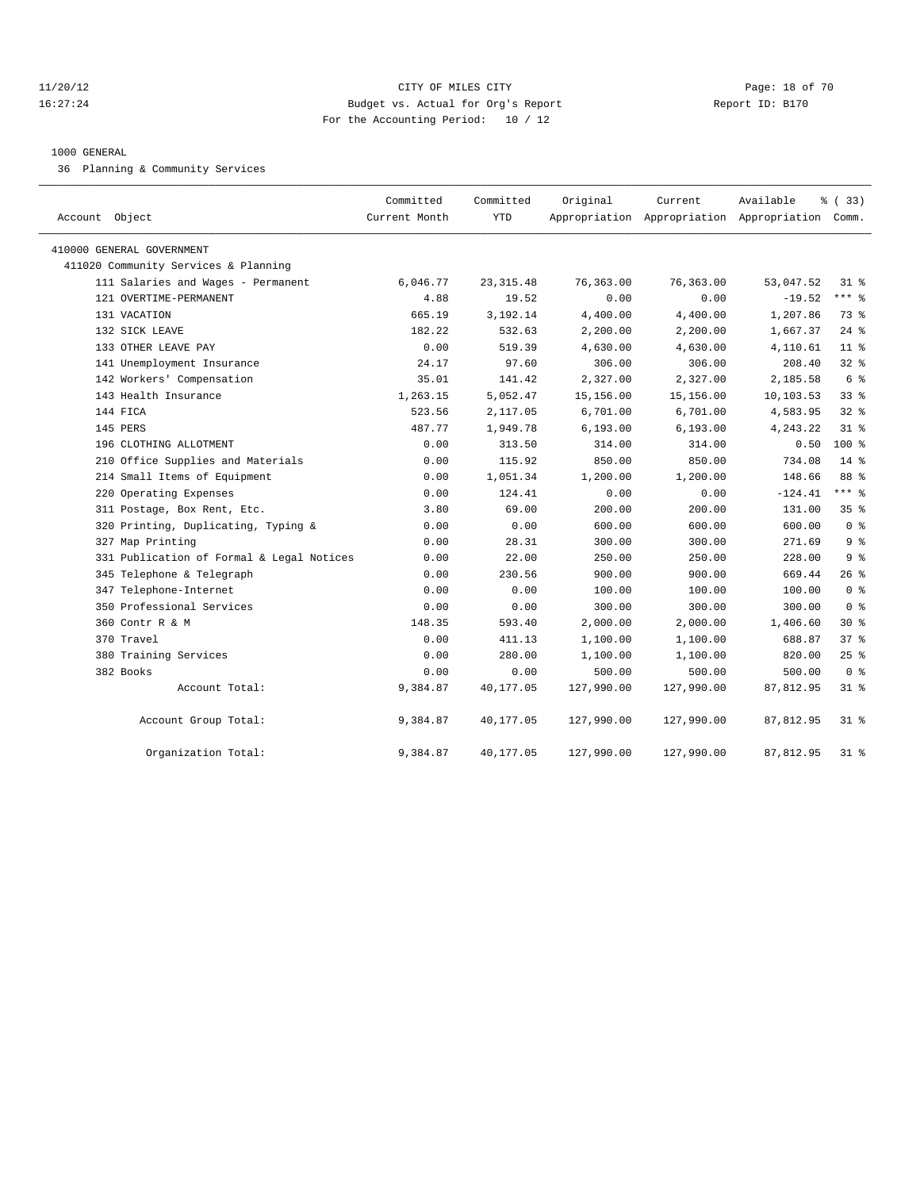#### 11/20/12 **Page: 18 of 70** CITY OF MILES CITY **CITY** Page: 18 of 70 16:27:24 Budget vs. Actual for Org's Report Report ID: B170 For the Accounting Period: 10 / 12

#### 1000 GENERAL

36 Planning & Community Services

| Account Object                            | Committed<br>Current Month | Committed<br>YTD | Original   | Current    | Available<br>Appropriation Appropriation Appropriation Comm. | % (33)         |
|-------------------------------------------|----------------------------|------------------|------------|------------|--------------------------------------------------------------|----------------|
|                                           |                            |                  |            |            |                                                              |                |
| 410000 GENERAL GOVERNMENT                 |                            |                  |            |            |                                                              |                |
| 411020 Community Services & Planning      |                            |                  |            |            |                                                              |                |
| 111 Salaries and Wages - Permanent        | 6,046.77                   | 23, 315.48       | 76,363.00  | 76,363.00  | 53,047.52                                                    | $31$ $%$       |
| 121 OVERTIME-PERMANENT                    | 4.88                       | 19.52            | 0.00       | 0.00       | $-19.52$                                                     | $***$ $%$      |
| 131 VACATION                              | 665.19                     | 3,192.14         | 4,400.00   | 4,400.00   | 1,207.86                                                     | 73.8           |
| 132 SICK LEAVE                            | 182.22                     | 532.63           | 2,200.00   | 2,200.00   | 1,667.37                                                     | $24$ $%$       |
| 133 OTHER LEAVE PAY                       | 0.00                       | 519.39           | 4,630.00   | 4,630.00   | 4,110.61                                                     | $11$ %         |
| 141 Unemployment Insurance                | 24.17                      | 97.60            | 306.00     | 306.00     | 208.40                                                       | $32$ $%$       |
| 142 Workers' Compensation                 | 35.01                      | 141.42           | 2,327.00   | 2,327.00   | 2,185.58                                                     | 6 %            |
| 143 Health Insurance                      | 1,263.15                   | 5,052.47         | 15,156.00  | 15,156.00  | 10,103.53                                                    | $33$ $%$       |
| 144 FICA                                  | 523.56                     | 2,117.05         | 6,701.00   | 6,701.00   | 4,583.95                                                     | $32$ $%$       |
| 145 PERS                                  | 487.77                     | 1,949.78         | 6, 193.00  | 6, 193.00  | 4,243.22                                                     | 31.8           |
| 196 CLOTHING ALLOTMENT                    | 0.00                       | 313.50           | 314.00     | 314.00     | 0.50                                                         | $100*$         |
| 210 Office Supplies and Materials         | 0.00                       | 115.92           | 850.00     | 850.00     | 734.08                                                       | $14*$          |
| 214 Small Items of Equipment              | 0.00                       | 1,051.34         | 1,200.00   | 1,200.00   | 148.66                                                       | 88 %           |
| 220 Operating Expenses                    | 0.00                       | 124.41           | 0.00       | 0.00       | $-124.41$                                                    | $***$ 8        |
| 311 Postage, Box Rent, Etc.               | 3.80                       | 69.00            | 200.00     | 200.00     | 131.00                                                       | 35%            |
| 320 Printing, Duplicating, Typing &       | 0.00                       | 0.00             | 600.00     | 600.00     | 600.00                                                       | 0 <sup>8</sup> |
| 327 Map Printing                          | 0.00                       | 28.31            | 300.00     | 300.00     | 271.69                                                       | 9 <sup>8</sup> |
| 331 Publication of Formal & Legal Notices | 0.00                       | 22.00            | 250.00     | 250.00     | 228.00                                                       | 9 <sup>8</sup> |
| 345 Telephone & Telegraph                 | 0.00                       | 230.56           | 900.00     | 900.00     | 669.44                                                       | $26$ %         |
| 347 Telephone-Internet                    | 0.00                       | 0.00             | 100.00     | 100.00     | 100.00                                                       | 0 <sup>8</sup> |
| 350 Professional Services                 | 0.00                       | 0.00             | 300.00     | 300.00     | 300.00                                                       | 0 <sup>8</sup> |
| 360 Contr R & M                           | 148.35                     | 593.40           | 2,000.00   | 2,000.00   | 1,406.60                                                     | $30*$          |
| 370 Travel                                | 0.00                       | 411.13           | 1,100.00   | 1,100.00   | 688.87                                                       | 37 %           |
| 380 Training Services                     | 0.00                       | 280.00           | 1,100.00   | 1,100.00   | 820.00                                                       | $25$ $%$       |
| 382 Books                                 | 0.00                       | 0.00             | 500.00     | 500.00     | 500.00                                                       | 0 <sup>8</sup> |
| Account Total:                            | 9,384.87                   | 40,177.05        | 127,990.00 | 127,990.00 | 87,812.95                                                    | $31$ %         |
| Account Group Total:                      | 9,384.87                   | 40,177.05        | 127,990.00 | 127,990.00 | 87,812.95                                                    | $31$ %         |
| Organization Total:                       | 9,384.87                   | 40,177.05        | 127,990.00 | 127,990.00 | 87,812.95                                                    | $31$ %         |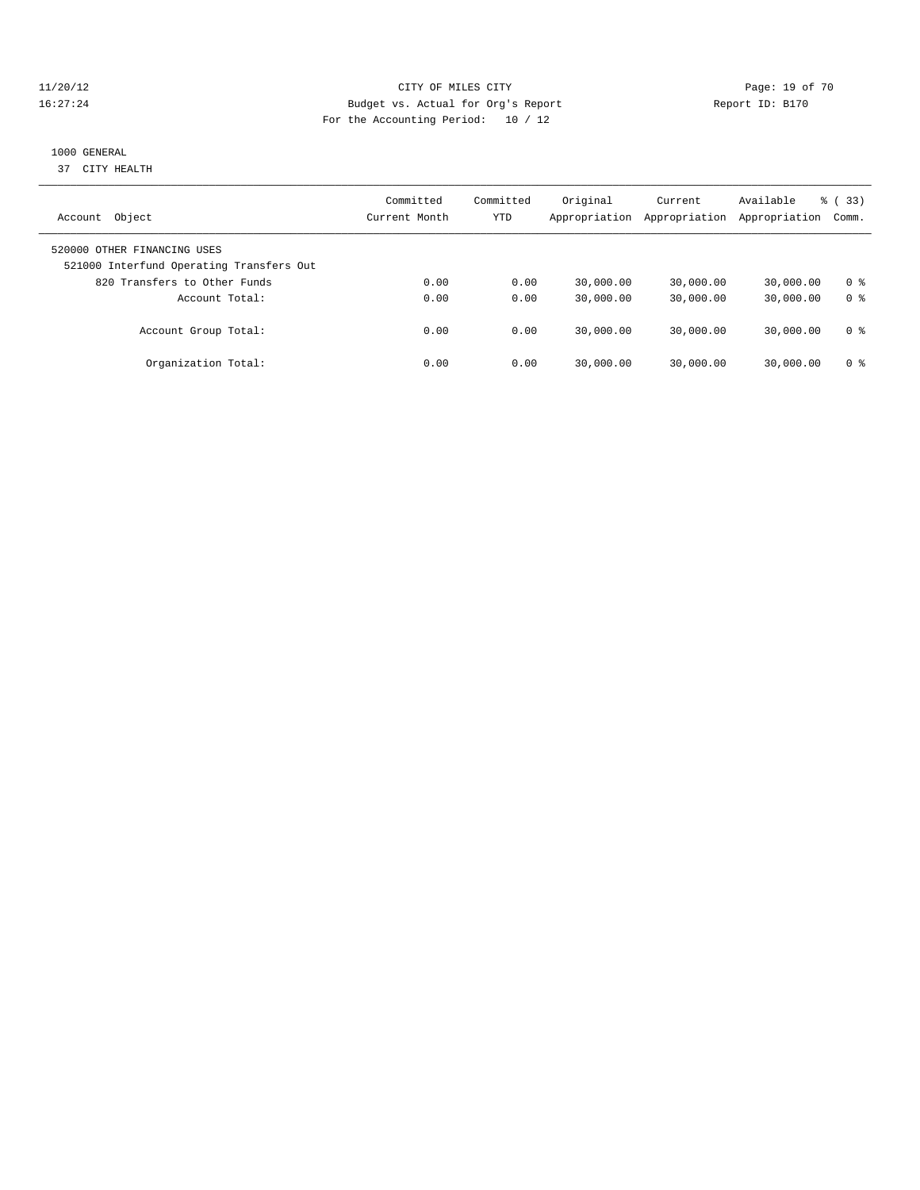#### 11/20/12 **Page: 19 of 70** CITY OF MILES CITY **CITY Page: 19 of 70** 16:27:24 Budget vs. Actual for Org's Report Report ID: B170 For the Accounting Period: 10 / 12

#### 1000 GENERAL

37 CITY HEALTH

| Object<br>Account                                                       | Committed<br>Current Month | Committed<br>YTD | Original<br>Appropriation | Current<br>Appropriation | Available<br>Appropriation | % (33)<br>Comm. |
|-------------------------------------------------------------------------|----------------------------|------------------|---------------------------|--------------------------|----------------------------|-----------------|
| 520000 OTHER FINANCING USES<br>521000 Interfund Operating Transfers Out |                            |                  |                           |                          |                            |                 |
| 820 Transfers to Other Funds                                            | 0.00                       | 0.00             | 30,000.00                 | 30,000.00                | 30,000.00                  | 0 <sup>8</sup>  |
| Account Total:                                                          | 0.00                       | 0.00             | 30,000.00                 | 30,000.00                | 30,000.00                  | 0 <sup>8</sup>  |
| Account Group Total:                                                    | 0.00                       | 0.00             | 30,000.00                 | 30,000.00                | 30,000.00                  | 0 ક             |
| Organization Total:                                                     | 0.00                       | 0.00             | 30,000.00                 | 30,000.00                | 30,000.00                  | 0 ક             |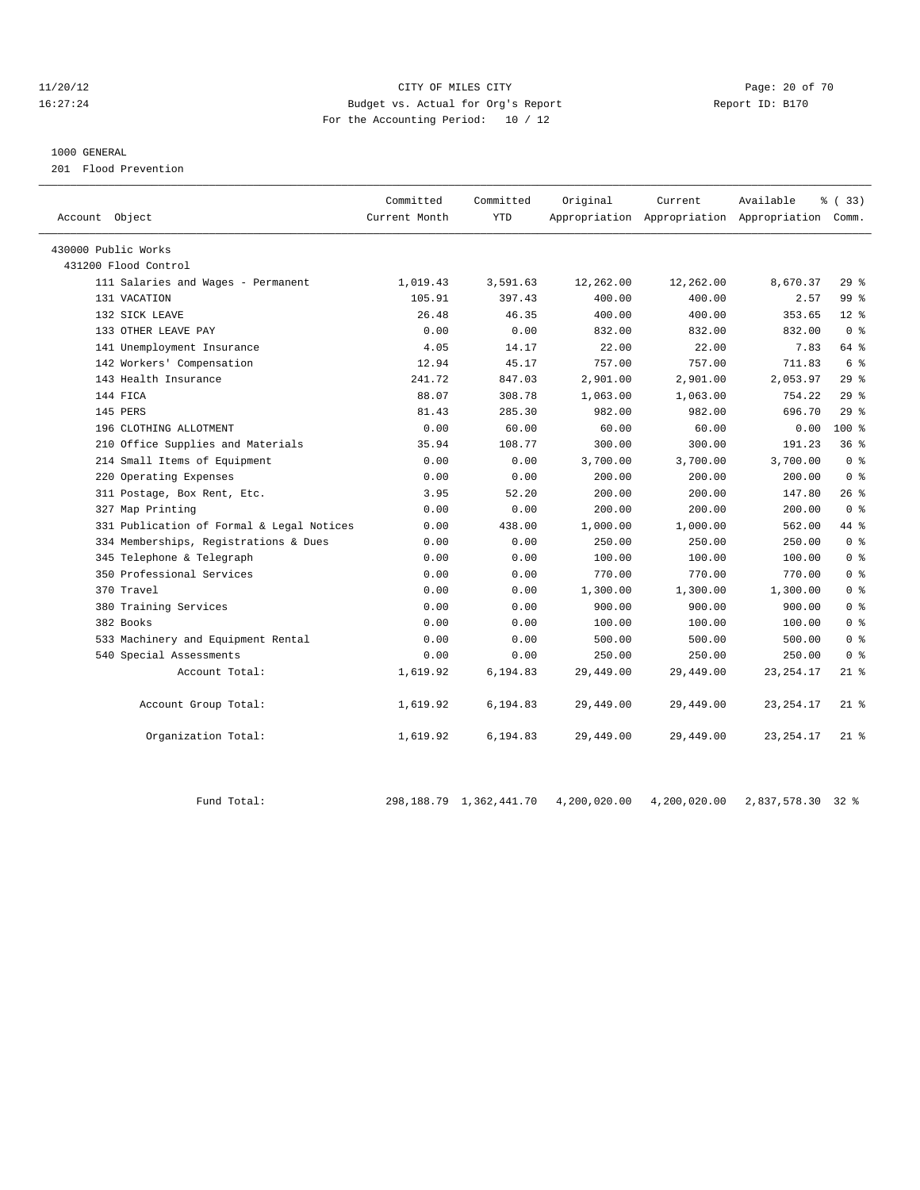#### 11/20/12 **Page: 20 of 70** CITY OF MILES CITY **Page: 20 of 70** 16:27:24 Budget vs. Actual for Org's Report Report ID: B170 For the Accounting Period: 10 / 12

#### 1000 GENERAL

201 Flood Prevention

| Account Object                            | Committed<br>Current Month | Committed<br><b>YTD</b> | Original  | Current   | Available<br>Appropriation Appropriation Appropriation Comm. | % (33)          |
|-------------------------------------------|----------------------------|-------------------------|-----------|-----------|--------------------------------------------------------------|-----------------|
| 430000 Public Works                       |                            |                         |           |           |                                                              |                 |
| 431200 Flood Control                      |                            |                         |           |           |                                                              |                 |
| 111 Salaries and Wages - Permanent        | 1,019.43                   | 3,591.63                | 12,262.00 | 12,262.00 | 8,670.37                                                     | 29%             |
| 131 VACATION                              | 105.91                     | 397.43                  | 400.00    | 400.00    | 2.57                                                         | 99 <sup>8</sup> |
| 132 SICK LEAVE                            | 26.48                      | 46.35                   | 400.00    | 400.00    | 353.65                                                       | $12*$           |
| 133 OTHER LEAVE PAY                       | 0.00                       | 0.00                    | 832.00    | 832.00    | 832.00                                                       | 0 <sup>8</sup>  |
| 141 Unemployment Insurance                | 4.05                       | 14.17                   | 22.00     | 22.00     | 7.83                                                         | 64 %            |
| 142 Workers' Compensation                 | 12.94                      | 45.17                   | 757.00    | 757.00    | 711.83                                                       | 6 <sup>°</sup>  |
| 143 Health Insurance                      | 241.72                     | 847.03                  | 2,901.00  | 2,901.00  | 2,053.97                                                     | 298             |
| 144 FICA                                  | 88.07                      | 308.78                  | 1,063.00  | 1,063.00  | 754.22                                                       | 29%             |
| 145 PERS                                  | 81.43                      | 285.30                  | 982.00    | 982.00    | 696.70                                                       | 29%             |
| 196 CLOTHING ALLOTMENT                    | 0.00                       | 60.00                   | 60.00     | 60.00     | 0.00                                                         | $100*$          |
| 210 Office Supplies and Materials         | 35.94                      | 108.77                  | 300.00    | 300.00    | 191.23                                                       | 36%             |
| 214 Small Items of Equipment              | 0.00                       | 0.00                    | 3,700.00  | 3,700.00  | 3,700.00                                                     | 0 <sup>8</sup>  |
| 220 Operating Expenses                    | 0.00                       | 0.00                    | 200.00    | 200.00    | 200.00                                                       | 0 <sup>8</sup>  |
| 311 Postage, Box Rent, Etc.               | 3.95                       | 52.20                   | 200.00    | 200.00    | 147.80                                                       | 26%             |
| 327 Map Printing                          | 0.00                       | 0.00                    | 200.00    | 200.00    | 200.00                                                       | 0 <sup>8</sup>  |
| 331 Publication of Formal & Legal Notices | 0.00                       | 438.00                  | 1,000.00  | 1,000.00  | 562.00                                                       | 44 %            |
| 334 Memberships, Registrations & Dues     | 0.00                       | 0.00                    | 250.00    | 250.00    | 250.00                                                       | 0 <sup>8</sup>  |
| 345 Telephone & Telegraph                 | 0.00                       | 0.00                    | 100.00    | 100.00    | 100.00                                                       | 0 <sup>8</sup>  |
| 350 Professional Services                 | 0.00                       | 0.00                    | 770.00    | 770.00    | 770.00                                                       | 0 <sup>8</sup>  |
| 370 Travel                                | 0.00                       | 0.00                    | 1,300.00  | 1,300.00  | 1,300.00                                                     | 0 <sup>8</sup>  |
| 380 Training Services                     | 0.00                       | 0.00                    | 900.00    | 900.00    | 900.00                                                       | 0 <sup>8</sup>  |
| 382 Books                                 | 0.00                       | 0.00                    | 100.00    | 100.00    | 100.00                                                       | 0 <sup>8</sup>  |
| 533 Machinery and Equipment Rental        | 0.00                       | 0.00                    | 500.00    | 500.00    | 500.00                                                       | 0 <sup>8</sup>  |
| 540 Special Assessments                   | 0.00                       | 0.00                    | 250.00    | 250.00    | 250.00                                                       | 0 <sup>8</sup>  |
| Account Total:                            | 1,619.92                   | 6,194.83                | 29,449.00 | 29,449.00 | 23, 254. 17                                                  | $21$ %          |
| Account Group Total:                      | 1,619.92                   | 6,194.83                | 29,449.00 | 29,449.00 | 23, 254. 17                                                  | $21$ %          |
| Organization Total:                       | 1,619.92                   | 6,194.83                | 29,449.00 | 29,449.00 | 23, 254. 17                                                  | $21$ %          |

Fund Total: 298,188.79 1,362,441.70 4,200,020.00 4,200,020.00 2,837,578.30 32 %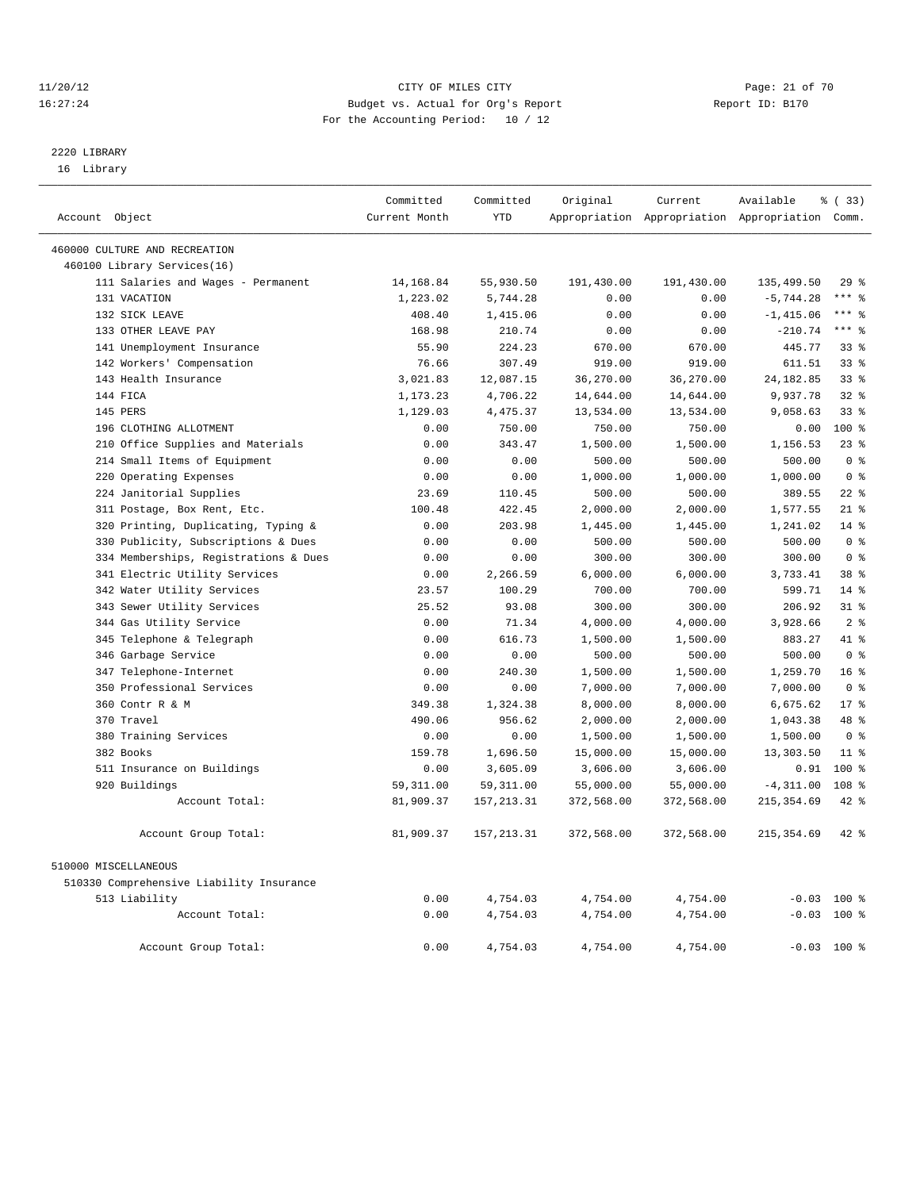#### 11/20/12 **Page: 21 of 70** CITY OF MILES CITY **Page: 21 of 70** 16:27:24 Budget vs. Actual for Org's Report Report ID: B170 For the Accounting Period: 10 / 12

————————————————————————————————————————————————————————————————————————————————————————————————————————————————————————————————————

## 2220 LIBRARY

16 Library

|                                          | Committed     | Committed   | Original   | Current    | Available                                       | १ (33)          |
|------------------------------------------|---------------|-------------|------------|------------|-------------------------------------------------|-----------------|
| Account Object                           | Current Month | <b>YTD</b>  |            |            | Appropriation Appropriation Appropriation Comm. |                 |
| 460000 CULTURE AND RECREATION            |               |             |            |            |                                                 |                 |
| 460100 Library Services(16)              |               |             |            |            |                                                 |                 |
| 111 Salaries and Wages - Permanent       | 14,168.84     | 55,930.50   | 191,430.00 | 191,430.00 | 135,499.50                                      | 29%             |
| 131 VACATION                             | 1,223.02      | 5,744.28    | 0.00       | 0.00       | $-5,744.28$                                     | $***$ $_{8}$    |
| 132 SICK LEAVE                           | 408.40        | 1,415.06    | 0.00       | 0.00       | $-1, 415.06$                                    | $***$ 8         |
| 133 OTHER LEAVE PAY                      | 168.98        | 210.74      | 0.00       | 0.00       | $-210.74$                                       | $***$ $_{8}$    |
| 141 Unemployment Insurance               | 55.90         | 224.23      | 670.00     | 670.00     | 445.77                                          | 33%             |
| 142 Workers' Compensation                | 76.66         | 307.49      | 919.00     | 919.00     | 611.51                                          | 33%             |
| 143 Health Insurance                     | 3,021.83      | 12,087.15   | 36,270.00  | 36,270.00  | 24, 182.85                                      | 33%             |
| 144 FICA                                 | 1,173.23      | 4,706.22    | 14,644.00  | 14,644.00  | 9,937.78                                        | 32%             |
| 145 PERS                                 | 1,129.03      | 4,475.37    | 13,534.00  | 13,534.00  | 9,058.63                                        | 33 <sup>8</sup> |
| 196 CLOTHING ALLOTMENT                   | 0.00          | 750.00      | 750.00     | 750.00     | 0.00                                            | $100*$          |
| 210 Office Supplies and Materials        | 0.00          | 343.47      | 1,500.00   | 1,500.00   | 1,156.53                                        | $23$ %          |
| 214 Small Items of Equipment             | 0.00          | 0.00        | 500.00     | 500.00     | 500.00                                          | 0 <sup>8</sup>  |
| 220 Operating Expenses                   | 0.00          | 0.00        | 1,000.00   | 1,000.00   | 1,000.00                                        | 0 <sup>8</sup>  |
| 224 Janitorial Supplies                  | 23.69         | 110.45      | 500.00     | 500.00     | 389.55                                          | $22$ %          |
| 311 Postage, Box Rent, Etc.              | 100.48        | 422.45      | 2,000.00   | 2,000.00   | 1,577.55                                        | $21$ %          |
| 320 Printing, Duplicating, Typing &      | 0.00          | 203.98      | 1,445.00   | 1,445.00   | 1,241.02                                        | $14$ %          |
| 330 Publicity, Subscriptions & Dues      | 0.00          | 0.00        | 500.00     | 500.00     | 500.00                                          | 0 <sup>8</sup>  |
| 334 Memberships, Registrations & Dues    | 0.00          | 0.00        | 300.00     | 300.00     | 300.00                                          | 0 <sup>8</sup>  |
| 341 Electric Utility Services            | 0.00          | 2,266.59    | 6,000.00   | 6,000.00   | 3,733.41                                        | 38 %            |
| 342 Water Utility Services               | 23.57         | 100.29      | 700.00     | 700.00     | 599.71                                          | $14$ %          |
| 343 Sewer Utility Services               | 25.52         | 93.08       | 300.00     | 300.00     | 206.92                                          | $31$ $%$        |
| 344 Gas Utility Service                  | 0.00          | 71.34       | 4,000.00   | 4,000.00   | 3,928.66                                        | 2 <sup>8</sup>  |
| 345 Telephone & Telegraph                | 0.00          | 616.73      | 1,500.00   | 1,500.00   | 883.27                                          | 41 %            |
| 346 Garbage Service                      | 0.00          | 0.00        | 500.00     | 500.00     | 500.00                                          | 0 <sup>°</sup>  |
| 347 Telephone-Internet                   | 0.00          | 240.30      | 1,500.00   | 1,500.00   | 1,259.70                                        | 16 <sup>°</sup> |
| 350 Professional Services                | 0.00          | 0.00        | 7,000.00   | 7,000.00   | 7,000.00                                        | 0 <sup>8</sup>  |
| 360 Contr R & M                          | 349.38        | 1,324.38    | 8,000.00   | 8,000.00   | 6,675.62                                        | $17*$           |
| 370 Travel                               | 490.06        | 956.62      | 2,000.00   | 2,000.00   | 1,043.38                                        | 48 %            |
| 380 Training Services                    | 0.00          | 0.00        | 1,500.00   | 1,500.00   | 1,500.00                                        | 0 <sup>8</sup>  |
| 382 Books                                | 159.78        | 1,696.50    | 15,000.00  | 15,000.00  | 13,303.50                                       | $11*$           |
| 511 Insurance on Buildings               | 0.00          | 3,605.09    | 3,606.00   | 3,606.00   | 0.91                                            | 100 %           |
| 920 Buildings                            | 59, 311.00    | 59, 311.00  | 55,000.00  | 55,000.00  | $-4, 311.00$                                    | 108 %           |
| Account Total:                           | 81,909.37     | 157, 213.31 | 372,568.00 | 372,568.00 | 215, 354.69                                     | 42 %            |
| Account Group Total:                     | 81,909.37     | 157, 213.31 | 372,568.00 | 372,568.00 | 215, 354.69                                     | 42 %            |
| 510000 MISCELLANEOUS                     |               |             |            |            |                                                 |                 |
| 510330 Comprehensive Liability Insurance |               |             |            |            |                                                 |                 |
| 513 Liability                            | 0.00          | 4,754.03    | 4,754.00   | 4,754.00   |                                                 | $-0.03$ 100 %   |
| Account Total:                           | 0.00          | 4,754.03    | 4,754.00   | 4,754.00   |                                                 | $-0.03$ 100 %   |
| Account Group Total:                     | 0.00          | 4,754.03    | 4,754.00   | 4,754.00   | $-0.03$                                         | 100 %           |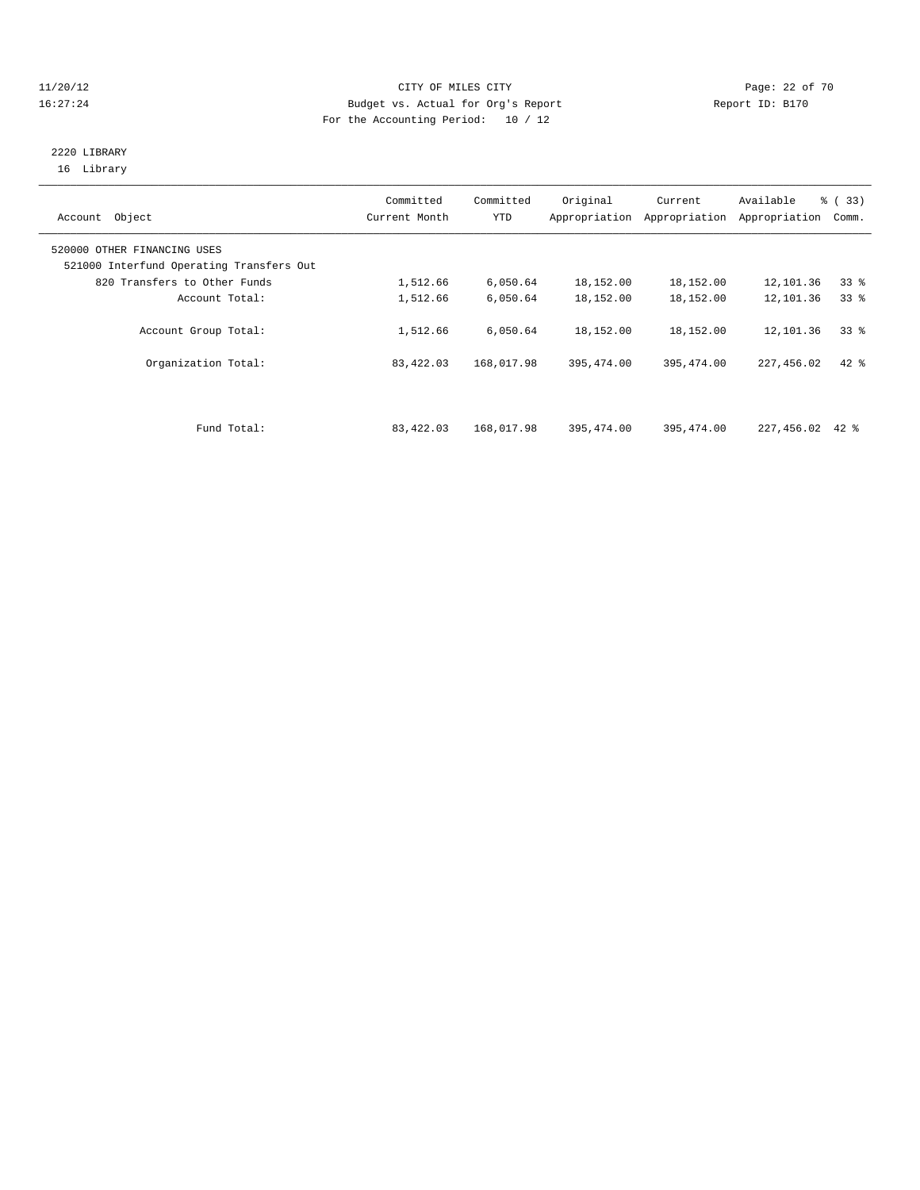#### 11/20/12 **Page: 22 of 70 CITY OF MILES CITY CITY Page: 22 of 70** 16:27:24 Budget vs. Actual for Org's Report Report ID: B170 For the Accounting Period: 10 / 12

### 2220 LIBRARY 16 Library

| Account Object                                                          | Committed<br>Current Month | Committed<br>YTD | Original   | Current<br>Appropriation Appropriation | Available<br>Appropriation | % (33)<br>Comm. |
|-------------------------------------------------------------------------|----------------------------|------------------|------------|----------------------------------------|----------------------------|-----------------|
| 520000 OTHER FINANCING USES<br>521000 Interfund Operating Transfers Out |                            |                  |            |                                        |                            |                 |
| 820 Transfers to Other Funds                                            | 1,512.66                   | 6,050.64         | 18,152.00  | 18,152.00                              | 12,101.36                  | 33 <sup>8</sup> |
| Account Total:                                                          | 1,512.66                   | 6,050.64         | 18,152.00  | 18,152.00                              | 12,101.36                  | $33*$           |
| Account Group Total:                                                    | 1,512.66                   | 6,050.64         | 18,152.00  | 18,152.00                              | 12,101.36                  | 338             |
| Organization Total:                                                     | 83,422.03                  | 168,017.98       | 395,474.00 | 395, 474.00                            | 227,456.02                 | $42$ $%$        |
|                                                                         |                            |                  |            |                                        |                            |                 |
| Fund Total:                                                             | 83,422.03                  | 168,017.98       | 395,474.00 | 395, 474, 00                           | 227,456.02                 | 42 %            |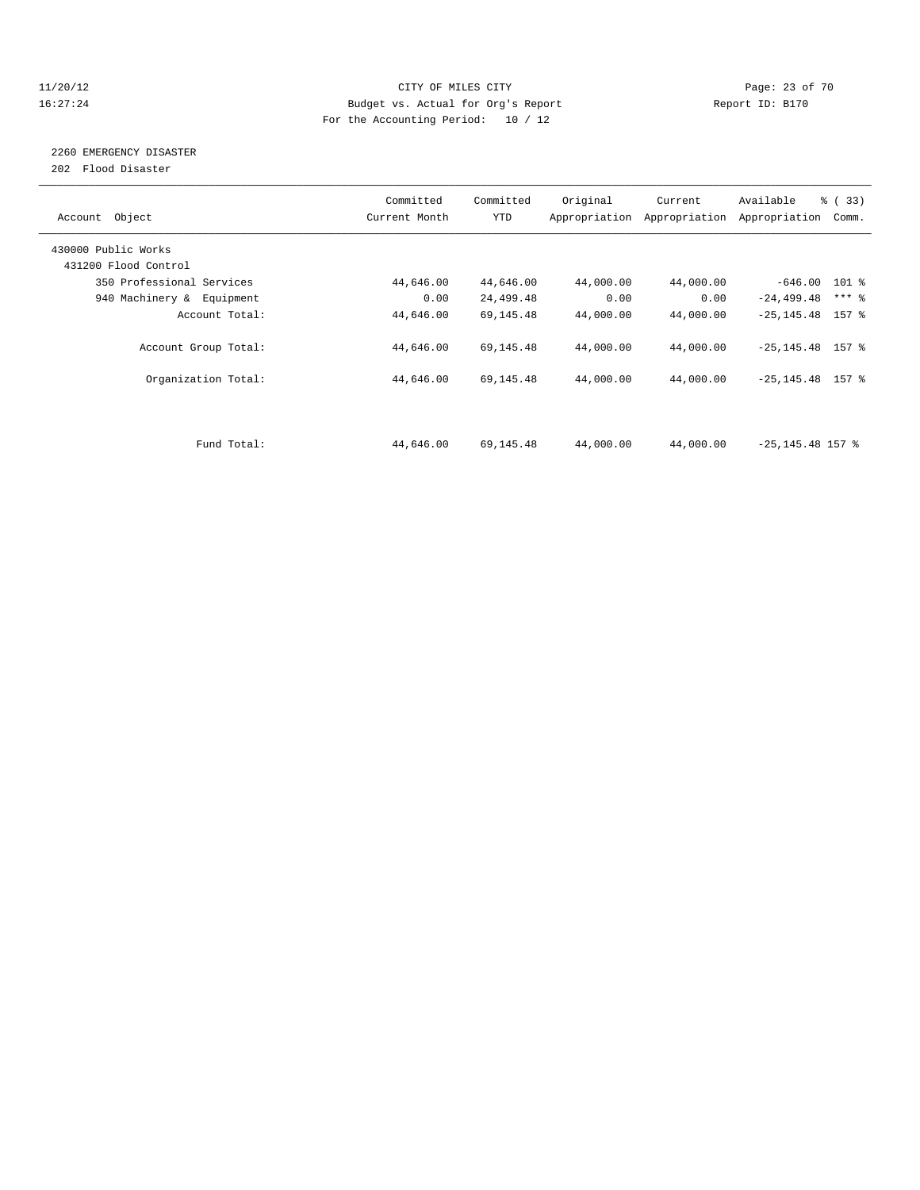#### 11/20/12 **Page: 23 of 70 CITY OF MILES CITY CITY Page: 23 of 70** 16:27:24 Budget vs. Actual for Org's Report Report ID: B170 For the Accounting Period: 10 / 12

# 2260 EMERGENCY DISASTER

202 Flood Disaster

| Account Object            | Committed<br>Current Month | Committed<br><b>YTD</b> | Original  | Current<br>Appropriation Appropriation | Available<br>Appropriation | % (33)<br>Comm.     |  |
|---------------------------|----------------------------|-------------------------|-----------|----------------------------------------|----------------------------|---------------------|--|
| 430000 Public Works       |                            |                         |           |                                        |                            |                     |  |
| 431200 Flood Control      |                            |                         |           |                                        |                            |                     |  |
| 350 Professional Services | 44,646.00                  | 44,646.00               | 44,000.00 | 44,000.00                              | $-646.00$ 101 %            |                     |  |
| 940 Machinery & Equipment | 0.00                       | 24,499.48               | 0.00      | 0.00                                   | $-24, 499.48$              | $***$ $\frac{6}{5}$ |  |
| Account Total:            | 44,646.00                  | 69,145.48               | 44,000.00 | 44,000.00                              | $-25, 145.48$ 157 %        |                     |  |
| Account Group Total:      | 44,646.00                  | 69,145.48               | 44,000.00 | 44,000.00                              | $-25, 145.48$ 157 %        |                     |  |
| Organization Total:       | 44,646.00                  | 69,145.48               | 44,000.00 | 44,000.00                              | $-25, 145.48$ 157 %        |                     |  |
|                           |                            |                         |           |                                        |                            |                     |  |
| Fund Total:               | 44,646.00                  | 69,145.48               | 44,000.00 | 44,000.00                              | $-25, 145.48$ 157 %        |                     |  |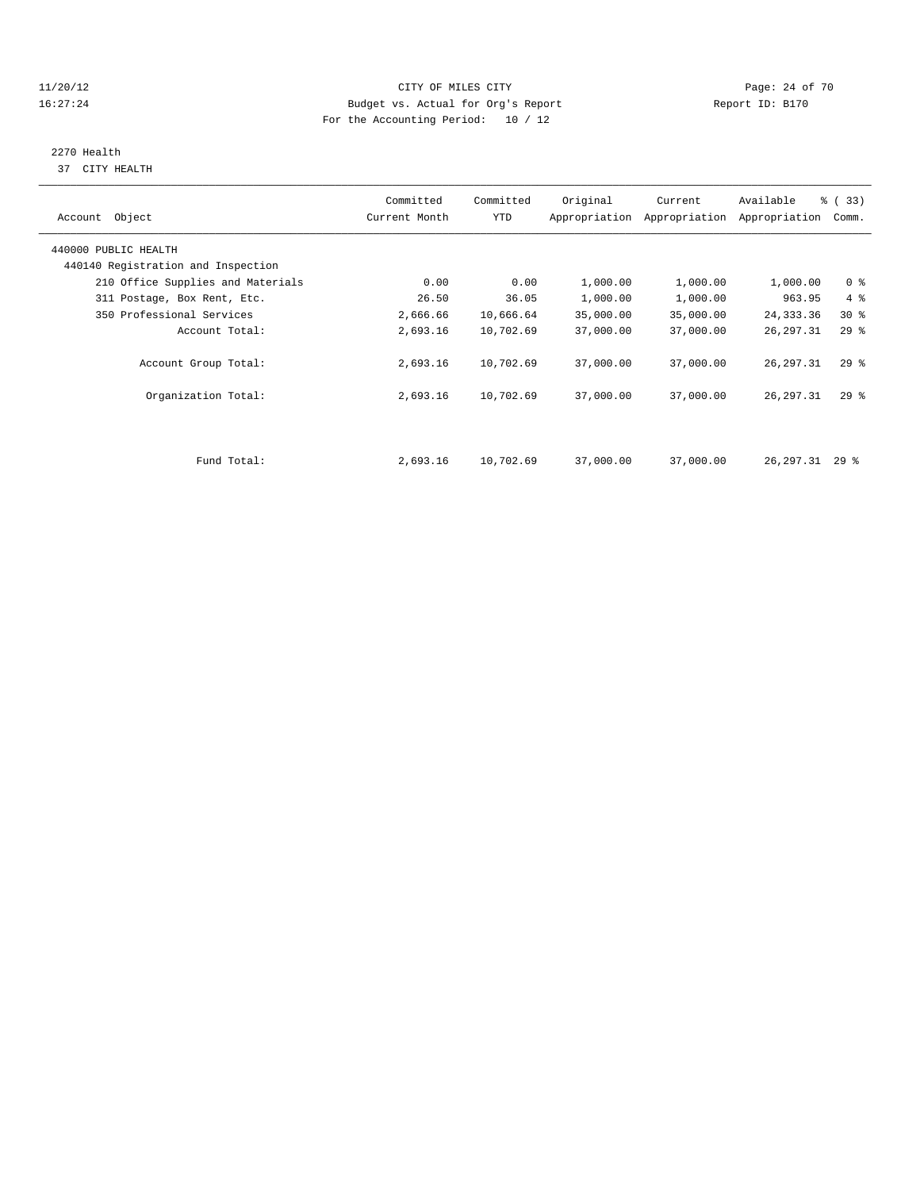#### 11/20/12 **Page: 24 of 70 CITY OF MILES CITY CITY Page: 24 of 70** 16:27:24 Budget vs. Actual for Org's Report Report ID: B170 For the Accounting Period: 10 / 12

# 2270 Health

37 CITY HEALTH

| Account Object                                             | Committed<br>Current Month | Committed<br>YTD | Original  | Current<br>Appropriation Appropriation | Available<br>Appropriation | % (33)<br>Comm. |  |
|------------------------------------------------------------|----------------------------|------------------|-----------|----------------------------------------|----------------------------|-----------------|--|
| 440000 PUBLIC HEALTH<br>440140 Registration and Inspection |                            |                  |           |                                        |                            |                 |  |
| 210 Office Supplies and Materials                          | 0.00                       | 0.00             | 1,000.00  | 1,000.00                               | 1,000.00                   | 0 <sup>8</sup>  |  |
| 311 Postage, Box Rent, Etc.                                | 26.50                      | 36.05            | 1,000.00  | 1,000.00                               | 963.95                     | $4\degree$      |  |
| 350 Professional Services                                  | 2,666.66                   | 10,666.64        | 35,000.00 | 35,000.00                              | 24, 333.36                 | $30*$           |  |
| Account Total:                                             | 2,693.16                   | 10,702.69        | 37,000.00 | 37,000.00                              | 26, 297.31                 | $29$ $%$        |  |
| Account Group Total:                                       | 2,693.16                   | 10,702.69        | 37,000.00 | 37,000.00                              | 26, 297.31                 | 298             |  |
| Organization Total:                                        | 2,693.16                   | 10,702.69        | 37,000.00 | 37,000.00                              | 26, 297.31                 | 298             |  |
|                                                            |                            |                  |           |                                        |                            |                 |  |
| Fund Total:                                                | 2,693.16                   | 10,702.69        | 37,000.00 | 37,000.00                              | $26, 297, 31$ 29 %         |                 |  |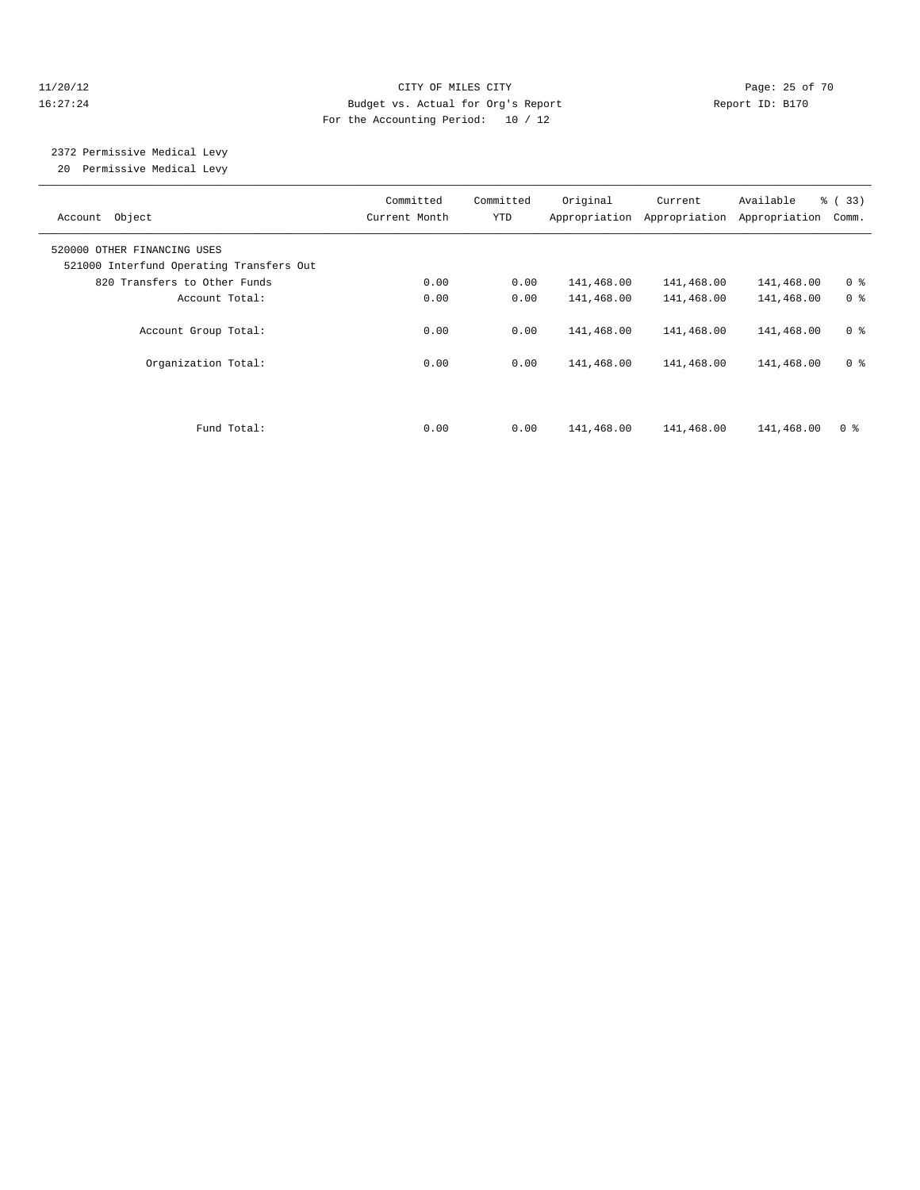#### 11/20/12 **Page: 25 of 70** CITY OF MILES CITY **CITY** Page: 25 of 70 16:27:24 Budget vs. Actual for Org's Report Report ID: B170 For the Accounting Period: 10 / 12

# 2372 Permissive Medical Levy

20 Permissive Medical Levy

| Account Object                                                          | Committed<br>Current Month | Committed<br>YTD | Original   | Current<br>Appropriation Appropriation | Available<br>Appropriation | $\frac{6}{6}$ (33)<br>Comm. |
|-------------------------------------------------------------------------|----------------------------|------------------|------------|----------------------------------------|----------------------------|-----------------------------|
| 520000 OTHER FINANCING USES<br>521000 Interfund Operating Transfers Out |                            |                  |            |                                        |                            |                             |
| 820 Transfers to Other Funds                                            | 0.00                       | 0.00             | 141,468.00 | 141,468.00                             | 141,468.00                 | 0 <sup>8</sup>              |
| Account Total:                                                          | 0.00                       | 0.00             | 141,468.00 | 141,468.00                             | 141,468.00                 | 0 <sup>8</sup>              |
| Account Group Total:                                                    | 0.00                       | 0.00             | 141,468.00 | 141,468.00                             | 141,468.00                 | 0 <sup>8</sup>              |
| Organization Total:                                                     | 0.00                       | 0.00             | 141,468.00 | 141,468.00                             | 141,468.00                 | 0 <sup>8</sup>              |
|                                                                         |                            |                  |            |                                        |                            |                             |
| Fund Total:                                                             | 0.00                       | 0.00             | 141,468.00 | 141,468.00                             | 141,468.00                 | 0 <sup>8</sup>              |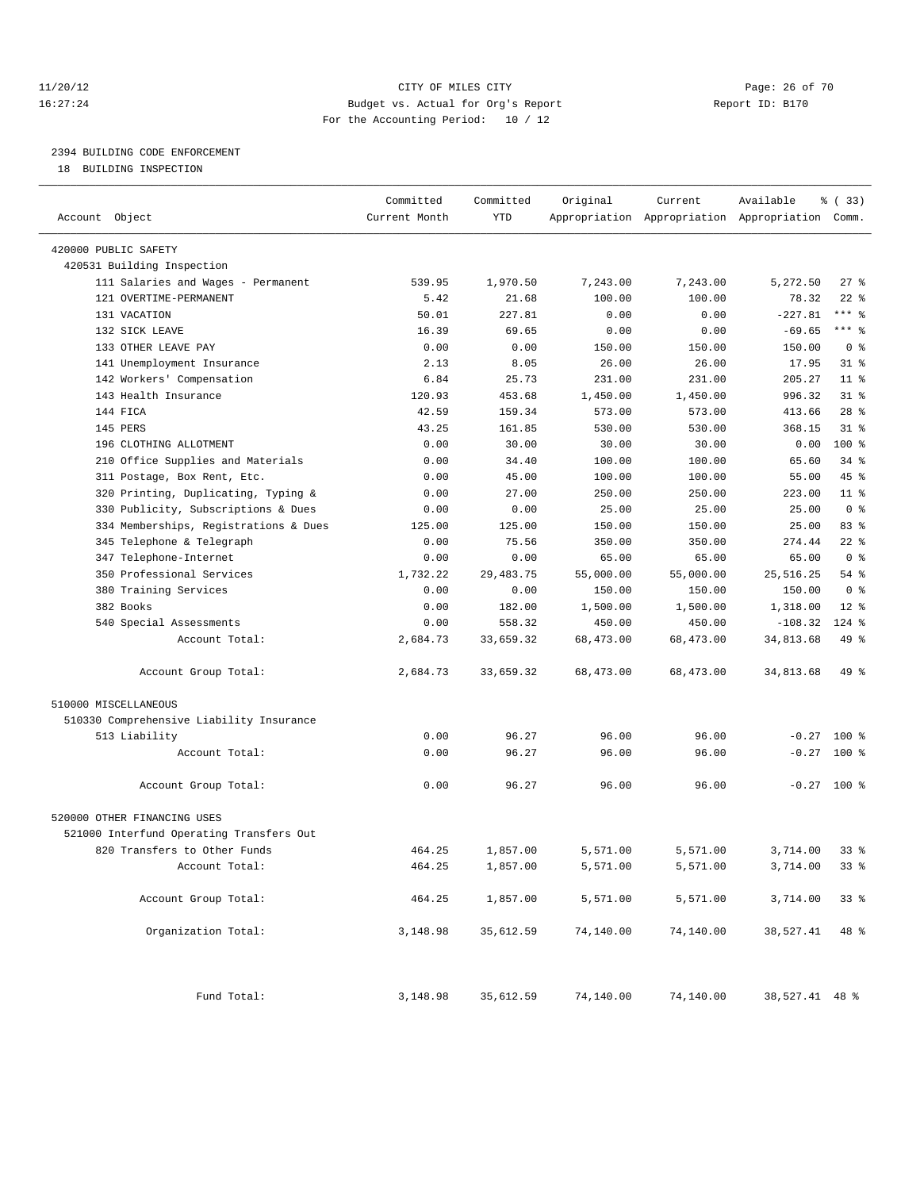#### 11/20/12 **Page: 26 of 70** CITY OF MILES CITY **CITY** Page: 26 of 70 16:27:24 Budget vs. Actual for Org's Report Report ID: B170 For the Accounting Period: 10 / 12

————————————————————————————————————————————————————————————————————————————————————————————————————————————————————————————————————

### 2394 BUILDING CODE ENFORCEMENT

18 BUILDING INSPECTION

|                                          | Committed     | Committed   | Original  | Current   | Available                                       | % (33)         |
|------------------------------------------|---------------|-------------|-----------|-----------|-------------------------------------------------|----------------|
| Account Object                           | Current Month | YTD         |           |           | Appropriation Appropriation Appropriation Comm. |                |
| 420000 PUBLIC SAFETY                     |               |             |           |           |                                                 |                |
| 420531 Building Inspection               |               |             |           |           |                                                 |                |
| 111 Salaries and Wages - Permanent       | 539.95        | 1,970.50    | 7,243.00  | 7,243.00  | 5,272.50                                        | $27$ %         |
| 121 OVERTIME-PERMANENT                   | 5.42          | 21.68       | 100.00    | 100.00    | 78.32                                           | $22$ %         |
| 131 VACATION                             | 50.01         | 227.81      | 0.00      | 0.00      | $-227.81$                                       | $***$ $-$      |
| 132 SICK LEAVE                           | 16.39         | 69.65       | 0.00      | 0.00      | $-69.65$                                        | $***$ $-$      |
| 133 OTHER LEAVE PAY                      | 0.00          | 0.00        | 150.00    | 150.00    | 150.00                                          | 0 <sup>8</sup> |
| 141 Unemployment Insurance               | 2.13          | 8.05        | 26.00     | 26.00     | 17.95                                           | $31$ $%$       |
| 142 Workers' Compensation                | 6.84          | 25.73       | 231.00    | 231.00    | 205.27                                          | $11$ %         |
| 143 Health Insurance                     | 120.93        | 453.68      | 1,450.00  | 1,450.00  | 996.32                                          | $31$ $%$       |
| 144 FICA                                 | 42.59         | 159.34      | 573.00    | 573.00    | 413.66                                          | $28$ %         |
| 145 PERS                                 | 43.25         | 161.85      | 530.00    | 530.00    | 368.15                                          | $31$ $%$       |
| 196 CLOTHING ALLOTMENT                   | 0.00          | 30.00       | 30.00     | 30.00     | 0.00                                            | $100*$         |
| 210 Office Supplies and Materials        | 0.00          | 34.40       | 100.00    | 100.00    | 65.60                                           | 34 %           |
| 311 Postage, Box Rent, Etc.              | 0.00          | 45.00       | 100.00    | 100.00    | 55.00                                           | 45 %           |
| 320 Printing, Duplicating, Typing &      | 0.00          | 27.00       | 250.00    | 250.00    | 223.00                                          | $11$ %         |
| 330 Publicity, Subscriptions & Dues      | 0.00          | 0.00        | 25.00     | 25.00     | 25.00                                           | 0 <sup>8</sup> |
| 334 Memberships, Registrations & Dues    | 125.00        | 125.00      | 150.00    | 150.00    | 25.00                                           | 83%            |
| 345 Telephone & Telegraph                | 0.00          | 75.56       | 350.00    | 350.00    | 274.44                                          | $22$ %         |
| 347 Telephone-Internet                   | 0.00          | 0.00        | 65.00     | 65.00     | 65.00                                           | 0 <sup>8</sup> |
| 350 Professional Services                | 1,732.22      | 29, 483. 75 | 55,000.00 | 55,000.00 | 25, 516.25                                      | 54 %           |
| 380 Training Services                    | 0.00          | 0.00        | 150.00    | 150.00    | 150.00                                          | 0 <sup>8</sup> |
| 382 Books                                | 0.00          | 182.00      | 1,500.00  | 1,500.00  | 1,318.00                                        | $12*$          |
| 540 Special Assessments                  | 0.00          | 558.32      | 450.00    | 450.00    | $-108.32$                                       | $124$ %        |
| Account Total:                           | 2,684.73      | 33,659.32   | 68,473.00 | 68,473.00 | 34,813.68                                       | 49 %           |
| Account Group Total:                     | 2,684.73      | 33,659.32   | 68,473.00 | 68,473.00 | 34,813.68                                       | 49 %           |
| 510000 MISCELLANEOUS                     |               |             |           |           |                                                 |                |
| 510330 Comprehensive Liability Insurance |               |             |           |           |                                                 |                |
| 513 Liability                            | 0.00          | 96.27       | 96.00     | 96.00     |                                                 | $-0.27$ 100 %  |
| Account Total:                           | 0.00          | 96.27       | 96.00     | 96.00     | $-0.27$                                         | $100$ %        |
| Account Group Total:                     | 0.00          | 96.27       | 96.00     | 96.00     |                                                 | $-0.27$ 100 %  |
| 520000 OTHER FINANCING USES              |               |             |           |           |                                                 |                |
| 521000 Interfund Operating Transfers Out |               |             |           |           |                                                 |                |
| 820 Transfers to Other Funds             | 464.25        | 1,857.00    | 5,571.00  | 5,571.00  | 3,714.00                                        | $33*$          |
| Account Total:                           | 464.25        | 1,857.00    | 5,571.00  | 5,571.00  | 3,714.00                                        | 33%            |
| Account Group Total:                     | 464.25        | 1,857.00    | 5,571.00  | 5,571.00  | 3,714.00                                        | 33%            |
| Organization Total:                      | 3,148.98      | 35,612.59   | 74,140.00 | 74,140.00 | 38,527.41                                       | 48 %           |
| Fund Total:                              | 3,148.98      | 35,612.59   | 74,140.00 | 74,140.00 | 38,527.41 48 %                                  |                |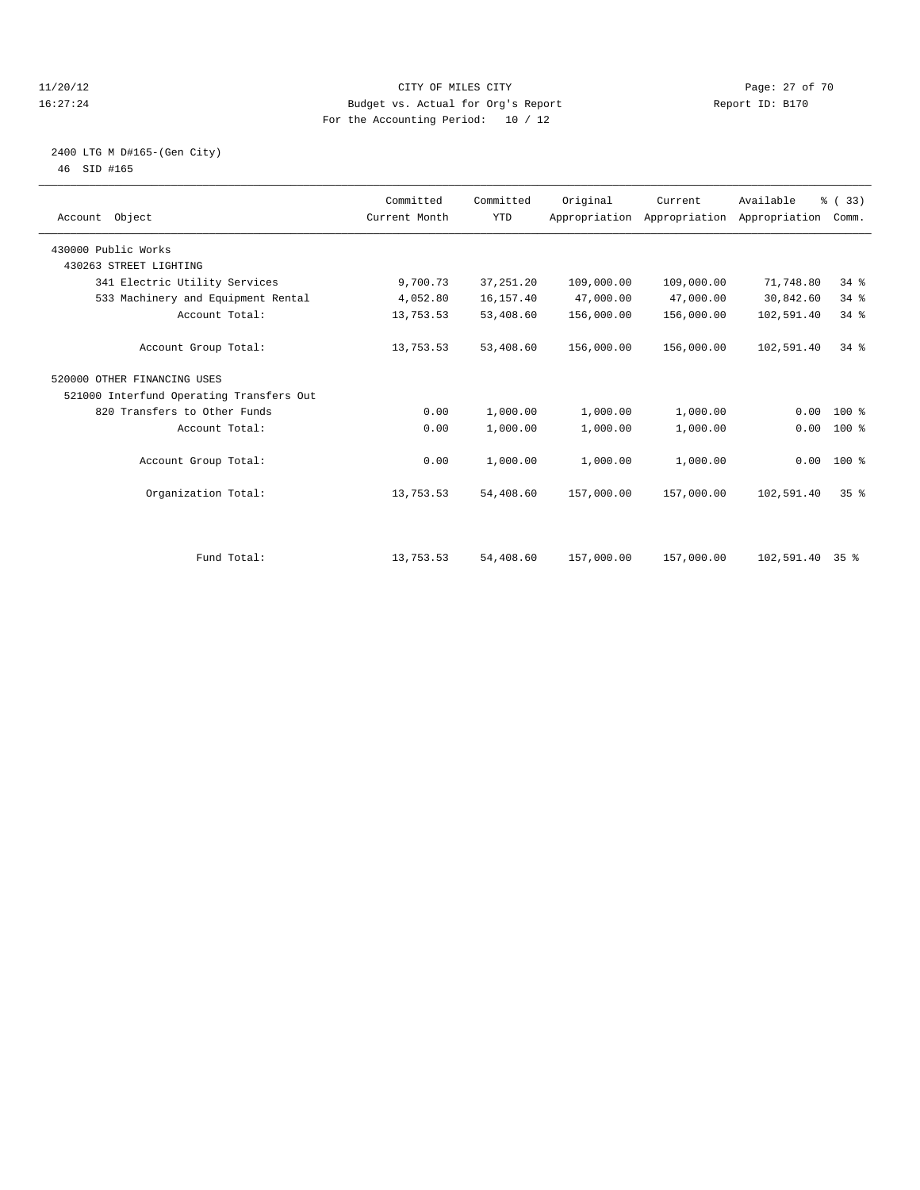#### 11/20/12 **Page: 27 of 70** CITY OF MILES CITY **Page: 27 of 70** 16:27:24 Budget vs. Actual for Org's Report Report ID: B170 For the Accounting Period: 10 / 12

#### 2400 LTG M D#165-(Gen City) 46 SID #165

| Account Object                           | Committed<br>Current Month | Committed<br><b>YTD</b> | Original   | Current<br>Appropriation Appropriation Appropriation | Available  | % (33)<br>Comm. |  |
|------------------------------------------|----------------------------|-------------------------|------------|------------------------------------------------------|------------|-----------------|--|
| 430000 Public Works                      |                            |                         |            |                                                      |            |                 |  |
| 430263 STREET LIGHTING                   |                            |                         |            |                                                      |            |                 |  |
| 341 Electric Utility Services            | 9,700.73                   | 37, 251.20              | 109,000.00 | 109,000.00                                           | 71,748.80  | $34$ $%$        |  |
| 533 Machinery and Equipment Rental       | 4,052.80                   | 16,157.40               | 47,000.00  | 47,000.00                                            | 30,842.60  | 34%             |  |
| Account Total:                           | 13,753.53                  | 53,408.60               | 156,000.00 | 156,000.00                                           | 102,591.40 | 34%             |  |
| Account Group Total:                     | 13,753.53                  | 53,408.60               | 156,000.00 | 156,000.00                                           | 102,591.40 | 34.8            |  |
| 520000 OTHER FINANCING USES              |                            |                         |            |                                                      |            |                 |  |
| 521000 Interfund Operating Transfers Out |                            |                         |            |                                                      |            |                 |  |
| 820 Transfers to Other Funds             | 0.00                       | 1,000.00                | 1,000.00   | 1,000.00                                             | 0.00       | $100*$          |  |
| Account Total:                           | 0.00                       | 1,000.00                | 1,000.00   | 1,000.00                                             | 0.00       | $100*$          |  |
| Account Group Total:                     | 0.00                       | 1,000.00                | 1,000.00   | 1,000.00                                             |            | $0.00$ 100 %    |  |
| Organization Total:                      | 13,753.53                  | 54,408.60               | 157,000.00 | 157,000.00                                           | 102,591.40 | 35 <sup>8</sup> |  |
|                                          |                            |                         |            |                                                      |            |                 |  |
| Fund Total:                              | 13,753.53                  | 54,408.60               | 157,000.00 | 157,000.00                                           | 102,591.40 | 35 %            |  |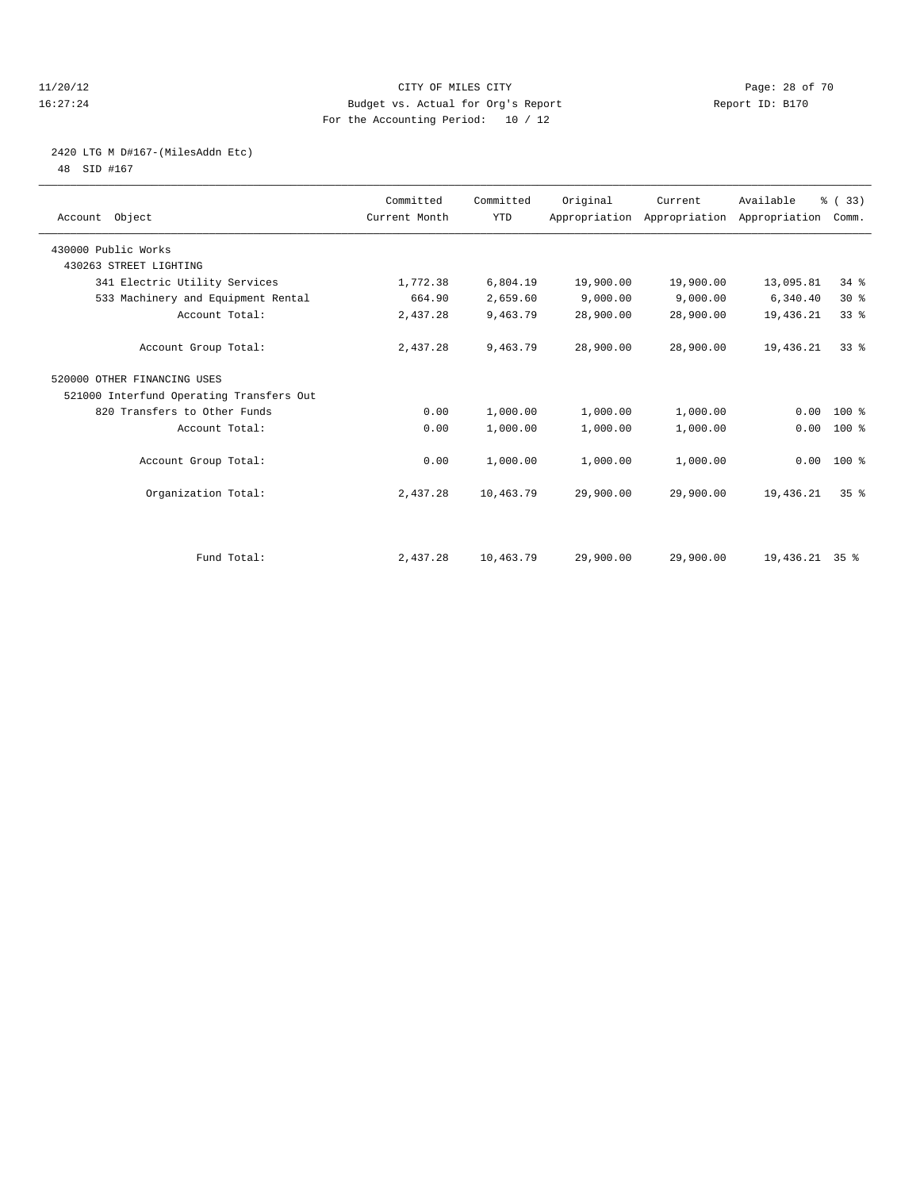#### 11/20/12 **Page: 28 of 70** CITY OF MILES CITY **CITY** Page: 28 of 70 16:27:24 Budget vs. Actual for Org's Report Report ID: B170 For the Accounting Period: 10 / 12

# 2420 LTG M D#167-(MilesAddn Etc)

48 SID #167

| Account Object                           | Committed<br>Current Month | Committed<br><b>YTD</b> | Original  | Current   | Available<br>Appropriation Appropriation Appropriation | % (33)<br>Comm. |  |
|------------------------------------------|----------------------------|-------------------------|-----------|-----------|--------------------------------------------------------|-----------------|--|
| 430000 Public Works                      |                            |                         |           |           |                                                        |                 |  |
| 430263 STREET LIGHTING                   |                            |                         |           |           |                                                        |                 |  |
| 341 Electric Utility Services            | 1,772.38                   | 6,804.19                | 19,900.00 | 19,900.00 | 13,095.81                                              | $34*$           |  |
| 533 Machinery and Equipment Rental       | 664.90                     | 2,659.60                | 9,000.00  | 9,000.00  | 6,340.40                                               | $30*$           |  |
| Account Total:                           | 2,437.28                   | 9,463.79                | 28,900.00 | 28,900.00 | 19,436.21                                              | 33 <sup>8</sup> |  |
| Account Group Total:                     | 2,437.28                   | 9,463.79                | 28,900.00 | 28,900.00 | 19,436.21                                              | 338             |  |
| 520000 OTHER FINANCING USES              |                            |                         |           |           |                                                        |                 |  |
| 521000 Interfund Operating Transfers Out |                            |                         |           |           |                                                        |                 |  |
| 820 Transfers to Other Funds             | 0.00                       | 1,000.00                | 1,000.00  | 1,000.00  | 0.00                                                   | $100*$          |  |
| Account Total:                           | 0.00                       | 1,000.00                | 1,000.00  | 1,000.00  | 0.00                                                   | 100 %           |  |
| Account Group Total:                     | 0.00                       | 1,000.00                | 1,000.00  | 1,000.00  |                                                        | $0.00$ 100 %    |  |
| Organization Total:                      | 2,437.28                   | 10,463.79               | 29,900.00 | 29,900.00 | 19,436.21                                              | 35 <sup>8</sup> |  |
|                                          |                            |                         |           |           |                                                        |                 |  |
| Fund Total:                              | 2,437.28                   | 10,463.79               | 29,900.00 | 29,900.00 | 19,436.21 35 %                                         |                 |  |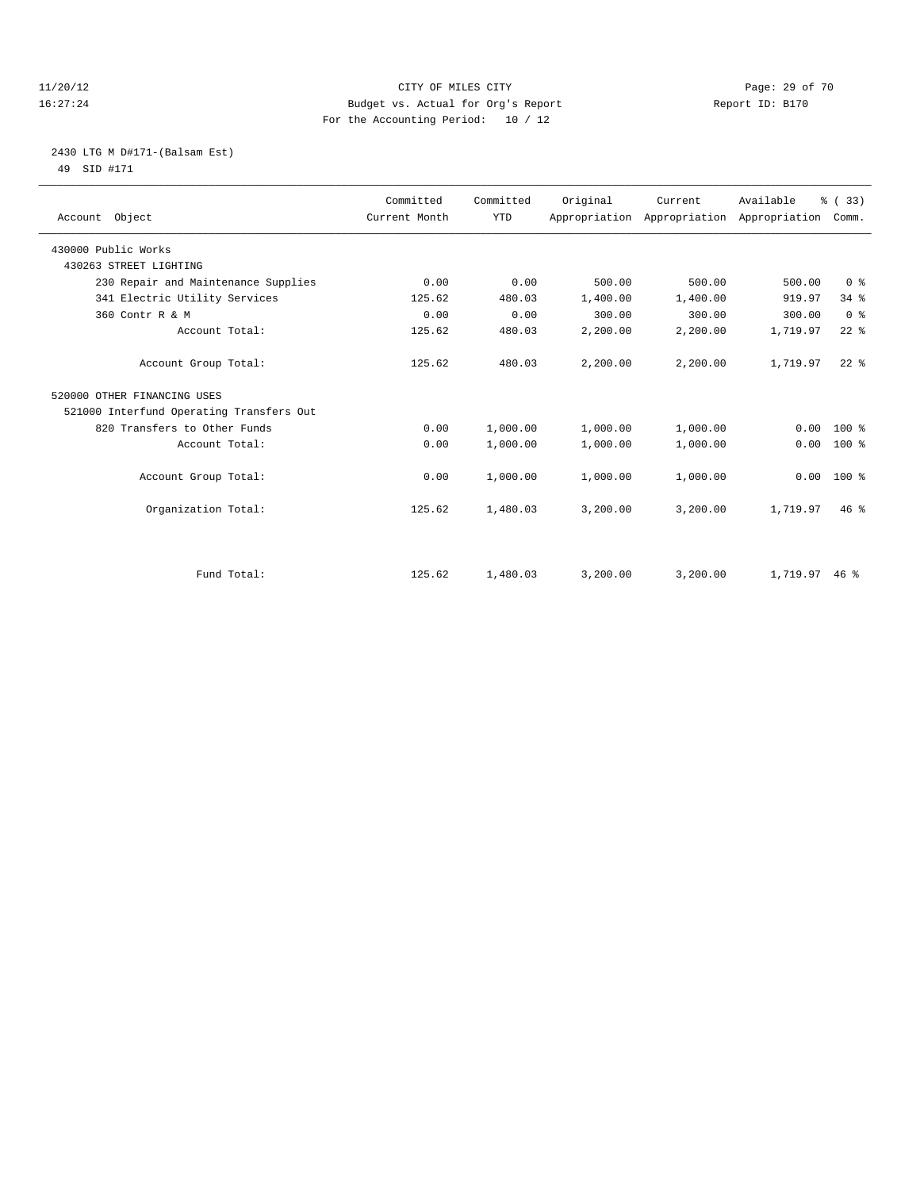#### 11/20/12 **Page: 29 of 70** CITY OF MILES CITY **CITY** Page: 29 of 70 16:27:24 Budget vs. Actual for Org's Report Report ID: B170 For the Accounting Period: 10 / 12

#### 2430 LTG M D#171-(Balsam Est) 49 SID #171

| Account Object                           | Committed<br>Current Month | Committed<br><b>YTD</b> | Original | Current  | Available<br>Appropriation Appropriation Appropriation | % (33)<br>Comm. |
|------------------------------------------|----------------------------|-------------------------|----------|----------|--------------------------------------------------------|-----------------|
| 430000 Public Works                      |                            |                         |          |          |                                                        |                 |
| 430263 STREET LIGHTING                   |                            |                         |          |          |                                                        |                 |
| 230 Repair and Maintenance Supplies      | 0.00                       | 0.00                    | 500.00   | 500.00   | 500.00                                                 | 0 <sup>8</sup>  |
| 341 Electric Utility Services            | 125.62                     | 480.03                  | 1,400.00 | 1,400.00 | 919.97                                                 | 34.8            |
| 360 Contr R & M                          | 0.00                       | 0.00                    | 300.00   | 300.00   | 300.00                                                 | 0 <sup>8</sup>  |
| Account Total:                           | 125.62                     | 480.03                  | 2,200.00 | 2,200.00 | 1,719.97                                               | $22$ $%$        |
| Account Group Total:                     | 125.62                     | 480.03                  | 2,200.00 | 2,200.00 | 1,719.97                                               | $22$ $%$        |
| 520000 OTHER FINANCING USES              |                            |                         |          |          |                                                        |                 |
| 521000 Interfund Operating Transfers Out |                            |                         |          |          |                                                        |                 |
| 820 Transfers to Other Funds             | 0.00                       | 1,000.00                | 1,000.00 | 1,000.00 | 0.00                                                   | $100*$          |
| Account Total:                           | 0.00                       | 1,000.00                | 1,000.00 | 1,000.00 | 0.00                                                   | 100 %           |
| Account Group Total:                     | 0.00                       | 1,000.00                | 1,000.00 | 1,000.00 | 0.00                                                   | 100 %           |
| Organization Total:                      | 125.62                     | 1,480.03                | 3,200.00 | 3,200.00 | 1,719.97                                               | 46.8            |
|                                          |                            |                         |          |          |                                                        |                 |
| Fund Total:                              | 125.62                     | 1,480.03                | 3,200.00 | 3,200.00 | $1,719.97$ 46 %                                        |                 |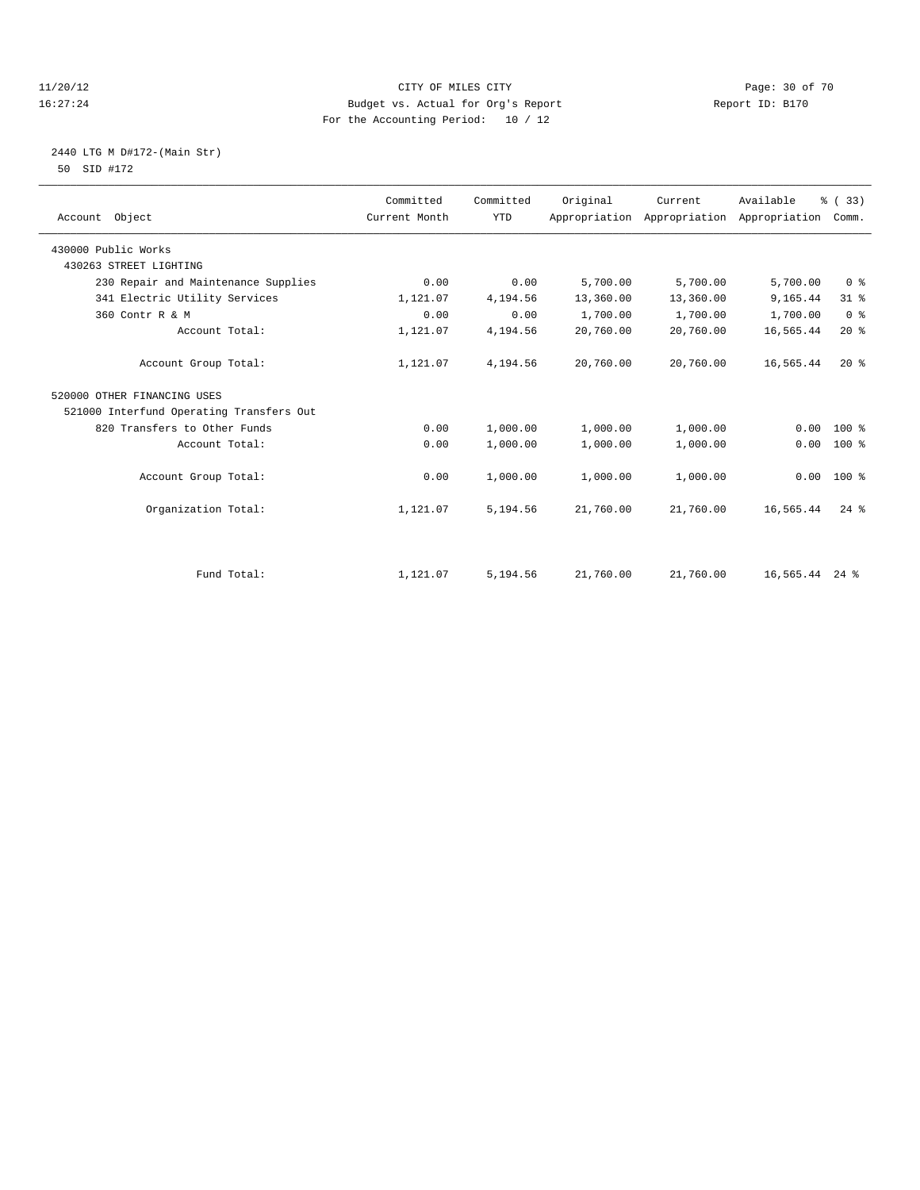#### 11/20/12 **Page: 30 of 70 CITY OF MILES CITY CITY Page: 30 of 70** 16:27:24 Budget vs. Actual for Org's Report Report ID: B170 For the Accounting Period: 10 / 12

#### 2440 LTG M D#172-(Main Str) 50 SID #172

| Account Object                           | Committed<br>Current Month | Committed<br><b>YTD</b> | Original  | Current<br>Appropriation Appropriation | Available<br>Appropriation | % (33)<br>Comm. |  |
|------------------------------------------|----------------------------|-------------------------|-----------|----------------------------------------|----------------------------|-----------------|--|
| 430000 Public Works                      |                            |                         |           |                                        |                            |                 |  |
| 430263 STREET LIGHTING                   |                            |                         |           |                                        |                            |                 |  |
| 230 Repair and Maintenance Supplies      | 0.00                       | 0.00                    | 5,700.00  | 5,700.00                               | 5,700.00                   | 0 <sup>8</sup>  |  |
| 341 Electric Utility Services            | 1,121.07                   | 4,194.56                | 13,360.00 | 13,360.00                              | 9,165.44                   | $31$ $%$        |  |
| 360 Contr R & M                          | 0.00                       | 0.00                    | 1,700.00  | 1,700.00                               | 1,700.00                   | 0 <sup>8</sup>  |  |
| Account Total:                           | 1,121.07                   | 4,194.56                | 20,760.00 | 20,760.00                              | 16,565.44                  | 20%             |  |
| Account Group Total:                     | 1,121.07                   | 4,194.56                | 20,760.00 | 20,760.00                              | 16,565.44                  | 20%             |  |
| 520000 OTHER FINANCING USES              |                            |                         |           |                                        |                            |                 |  |
| 521000 Interfund Operating Transfers Out |                            |                         |           |                                        |                            |                 |  |
| 820 Transfers to Other Funds             | 0.00                       | 1,000.00                | 1,000.00  | 1,000.00                               | 0.00                       | $100*$          |  |
| Account Total:                           | 0.00                       | 1,000.00                | 1,000.00  | 1,000.00                               | 0.00                       | $100*$          |  |
| Account Group Total:                     | 0.00                       | 1,000.00                | 1,000.00  | 1,000.00                               | 0.00                       | $100*$          |  |
| Organization Total:                      | 1,121.07                   | 5,194.56                | 21,760.00 | 21,760.00                              | 16,565.44                  | $24$ $%$        |  |
|                                          |                            |                         |           |                                        |                            |                 |  |
| Fund Total:                              | 1,121.07                   | 5,194.56                | 21,760.00 | 21,760.00                              | 16,565.44 24 %             |                 |  |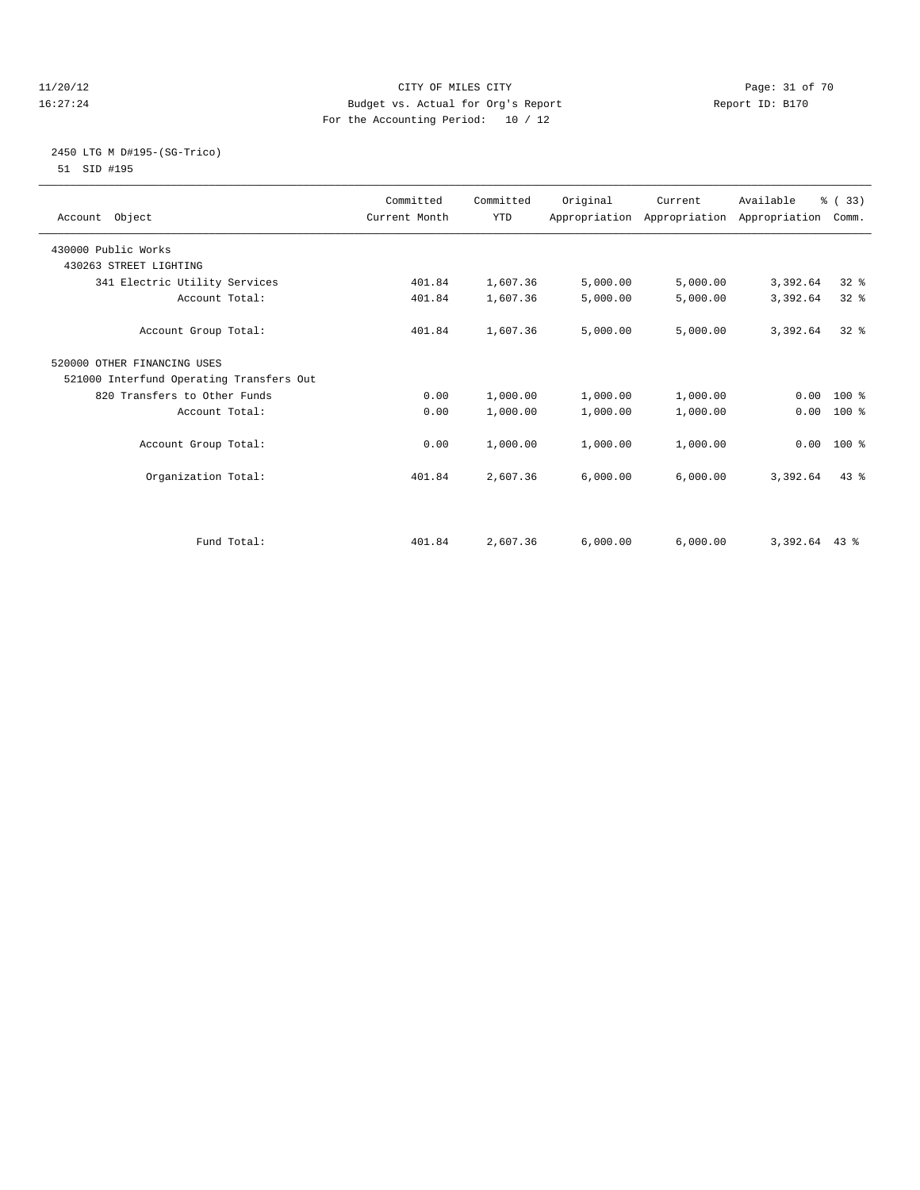#### 11/20/12 **Page: 31 of 70** CITY OF MILES CITY **Page: 31 of 70** 16:27:24 Budget vs. Actual for Org's Report Report ID: B170 For the Accounting Period: 10 / 12

#### 2450 LTG M D#195-(SG-Trico) 51 SID #195

| Account Object                           | Committed<br>Current Month | Committed<br><b>YTD</b> | Original | Current<br>Appropriation Appropriation Appropriation | Available       | % (33)<br>Comm. |  |
|------------------------------------------|----------------------------|-------------------------|----------|------------------------------------------------------|-----------------|-----------------|--|
| 430000 Public Works                      |                            |                         |          |                                                      |                 |                 |  |
| 430263 STREET LIGHTING                   |                            |                         |          |                                                      |                 |                 |  |
| 341 Electric Utility Services            | 401.84                     | 1,607.36                | 5,000.00 | 5,000.00                                             | 3,392.64        | 32 <sup>8</sup> |  |
| Account Total:                           | 401.84                     | 1,607.36                | 5,000.00 | 5,000.00                                             | 3,392.64        | 32 <sup>8</sup> |  |
| Account Group Total:                     | 401.84                     | 1,607.36                | 5,000.00 | 5,000.00                                             | 3,392.64        | $32*$           |  |
| 520000 OTHER FINANCING USES              |                            |                         |          |                                                      |                 |                 |  |
| 521000 Interfund Operating Transfers Out |                            |                         |          |                                                      |                 |                 |  |
| 820 Transfers to Other Funds             | 0.00                       | 1,000.00                | 1,000.00 | 1,000.00                                             |                 | $0.00 100$ %    |  |
| Account Total:                           | 0.00                       | 1,000.00                | 1,000.00 | 1,000.00                                             | 0.00            | 100 %           |  |
| Account Group Total:                     | 0.00                       | 1,000.00                | 1,000.00 | 1,000.00                                             |                 | $0.00$ 100 %    |  |
| Organization Total:                      | 401.84                     | 2,607.36                | 6,000.00 | 6,000.00                                             | 3,392.64        | 43.8            |  |
| Fund Total:                              | 401.84                     | 2,607.36                | 6,000.00 | 6,000.00                                             | $3,392.64$ 43 % |                 |  |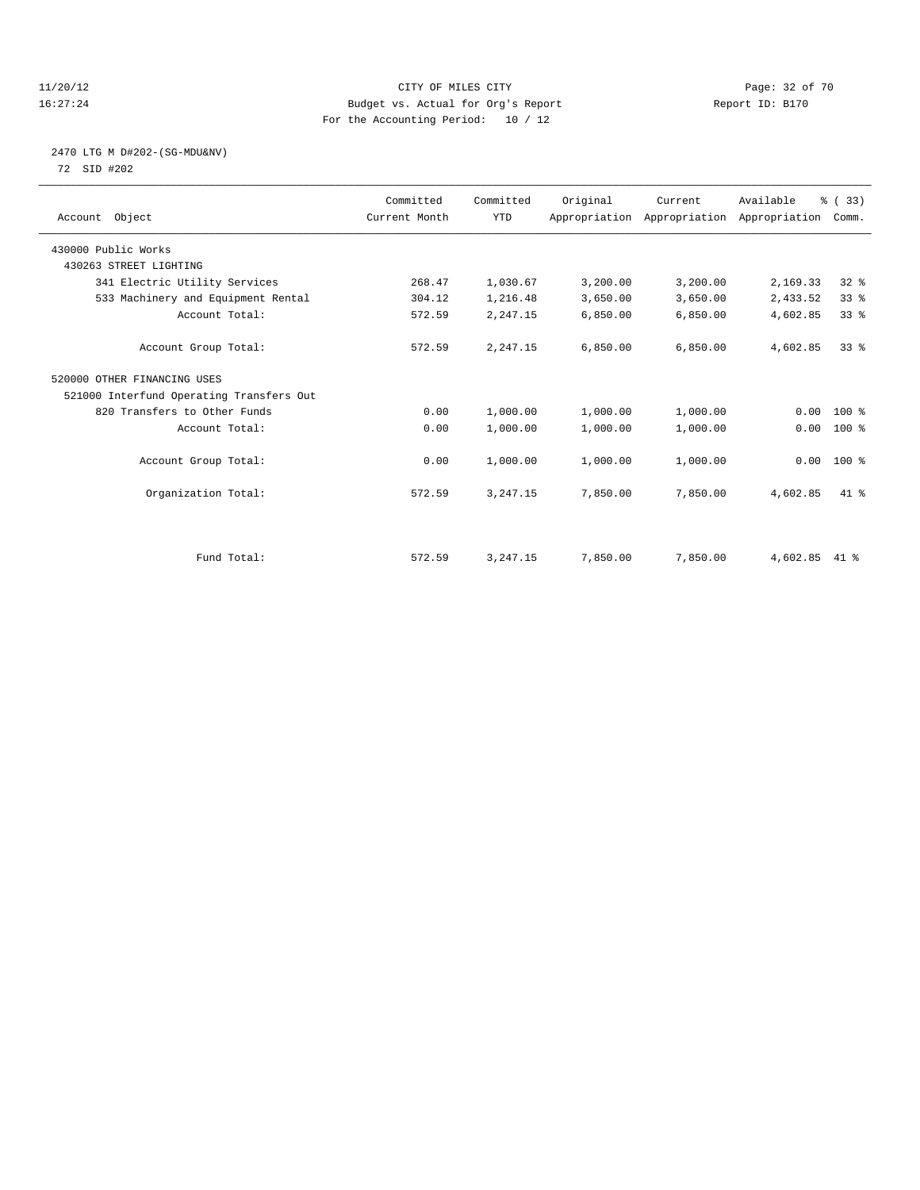#### 11/20/12 **Page: 32 of 70 CITY OF MILES CITY CITY Page: 32 of 70** 16:27:24 Budget vs. Actual for Org's Report Report ID: B170 For the Accounting Period: 10 / 12

#### 2470 LTG M D#202-(SG-MDU&NV) 72 SID #202

| Account Object                           | Committed<br>Current Month | Committed<br><b>YTD</b> | Original | Current<br>Appropriation Appropriation Appropriation | Available | % (33)<br>Comm. |  |
|------------------------------------------|----------------------------|-------------------------|----------|------------------------------------------------------|-----------|-----------------|--|
| 430000 Public Works                      |                            |                         |          |                                                      |           |                 |  |
| 430263 STREET LIGHTING                   |                            |                         |          |                                                      |           |                 |  |
| 341 Electric Utility Services            | 268.47                     | 1,030.67                | 3,200.00 | 3,200.00                                             | 2,169.33  | 32%             |  |
| 533 Machinery and Equipment Rental       | 304.12                     | 1,216.48                | 3,650.00 | 3,650.00                                             | 2,433.52  | 33%             |  |
| Account Total:                           | 572.59                     | 2,247.15                | 6,850.00 | 6,850.00                                             | 4,602.85  | 33 <sup>8</sup> |  |
| Account Group Total:                     | 572.59                     | 2,247.15                | 6.850.00 | 6,850.00                                             | 4,602.85  | 33 <sup>8</sup> |  |
| 520000 OTHER FINANCING USES              |                            |                         |          |                                                      |           |                 |  |
| 521000 Interfund Operating Transfers Out |                            |                         |          |                                                      |           |                 |  |
| 820 Transfers to Other Funds             | 0.00                       | 1,000.00                | 1,000.00 | 1,000.00                                             | 0.00      | 100 %           |  |
| Account Total:                           | 0.00                       | 1,000.00                | 1,000.00 | 1,000.00                                             | 0.00      | 100 %           |  |
| Account Group Total:                     | 0.00                       | 1,000.00                | 1,000.00 | 1,000.00                                             |           | $0.00$ 100 %    |  |
| Organization Total:                      | 572.59                     | 3, 247.15               | 7,850.00 | 7,850.00                                             | 4,602.85  | 41.8            |  |
|                                          |                            |                         |          |                                                      |           |                 |  |
| Fund Total:                              | 572.59                     | 3, 247. 15              | 7,850.00 | 7,850.00                                             | 4,602.85  | $41*$           |  |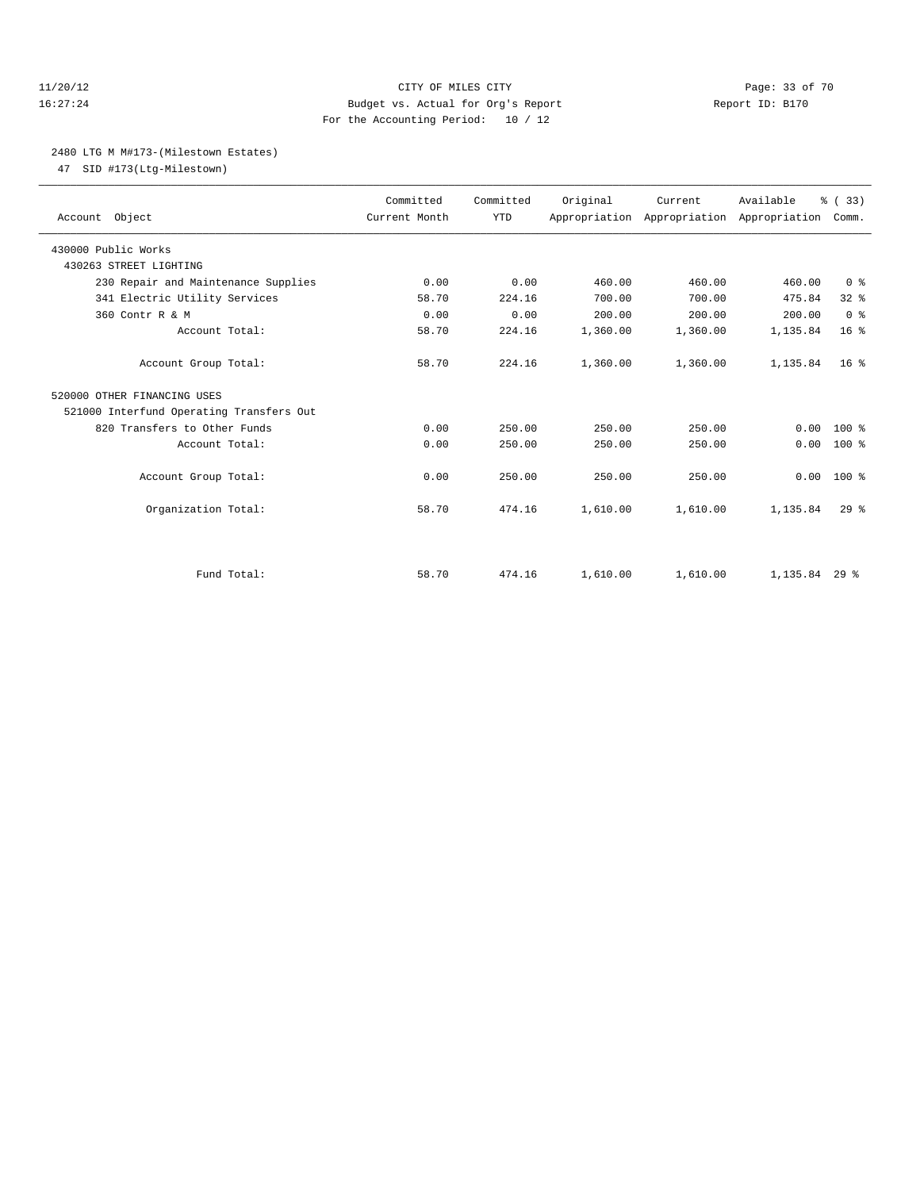#### 11/20/12 **Page: 33 of 70** CITY OF MILES CITY **Page: 33 of 70** 16:27:24 Budget vs. Actual for Org's Report Report ID: B170 For the Accounting Period: 10 / 12

#### 2480 LTG M M#173-(Milestown Estates)

47 SID #173(Ltg-Milestown)

| Account Object                           | Committed<br>Current Month | Committed<br><b>YTD</b> | Original | Current<br>Appropriation Appropriation Appropriation | Available       | % (33)<br>Comm. |
|------------------------------------------|----------------------------|-------------------------|----------|------------------------------------------------------|-----------------|-----------------|
| 430000 Public Works                      |                            |                         |          |                                                      |                 |                 |
| 430263 STREET LIGHTING                   |                            |                         |          |                                                      |                 |                 |
| 230 Repair and Maintenance Supplies      | 0.00                       | 0.00                    | 460.00   | 460.00                                               | 460.00          | 0 <sup>8</sup>  |
| 341 Electric Utility Services            | 58.70                      | 224.16                  | 700.00   | 700.00                                               | 475.84          | 32 <sup>8</sup> |
| 360 Contr R & M                          | 0.00                       | 0.00                    | 200.00   | 200.00                                               | 200.00          | 0 <sup>8</sup>  |
| Account Total:                           | 58.70                      | 224.16                  | 1,360.00 | 1,360.00                                             | 1,135.84        | 16 <sup>8</sup> |
| Account Group Total:                     | 58.70                      | 224.16                  | 1,360.00 | 1,360.00                                             | 1,135.84        | 16 <sup>8</sup> |
| 520000 OTHER FINANCING USES              |                            |                         |          |                                                      |                 |                 |
| 521000 Interfund Operating Transfers Out |                            |                         |          |                                                      |                 |                 |
| 820 Transfers to Other Funds             | 0.00                       | 250.00                  | 250.00   | 250.00                                               | 0.00            | $100*$          |
| Account Total:                           | 0.00                       | 250.00                  | 250.00   | 250.00                                               | 0.00            | $100*$          |
| Account Group Total:                     | 0.00                       | 250.00                  | 250.00   | 250.00                                               | 0.00            | $100*$          |
| Organization Total:                      | 58.70                      | 474.16                  | 1,610.00 | 1,610.00                                             | 1,135.84        | 29 <sup>8</sup> |
|                                          |                            |                         |          |                                                      |                 |                 |
| Fund Total:                              | 58.70                      | 474.16                  | 1,610.00 | 1,610.00                                             | $1.135.84$ 29 % |                 |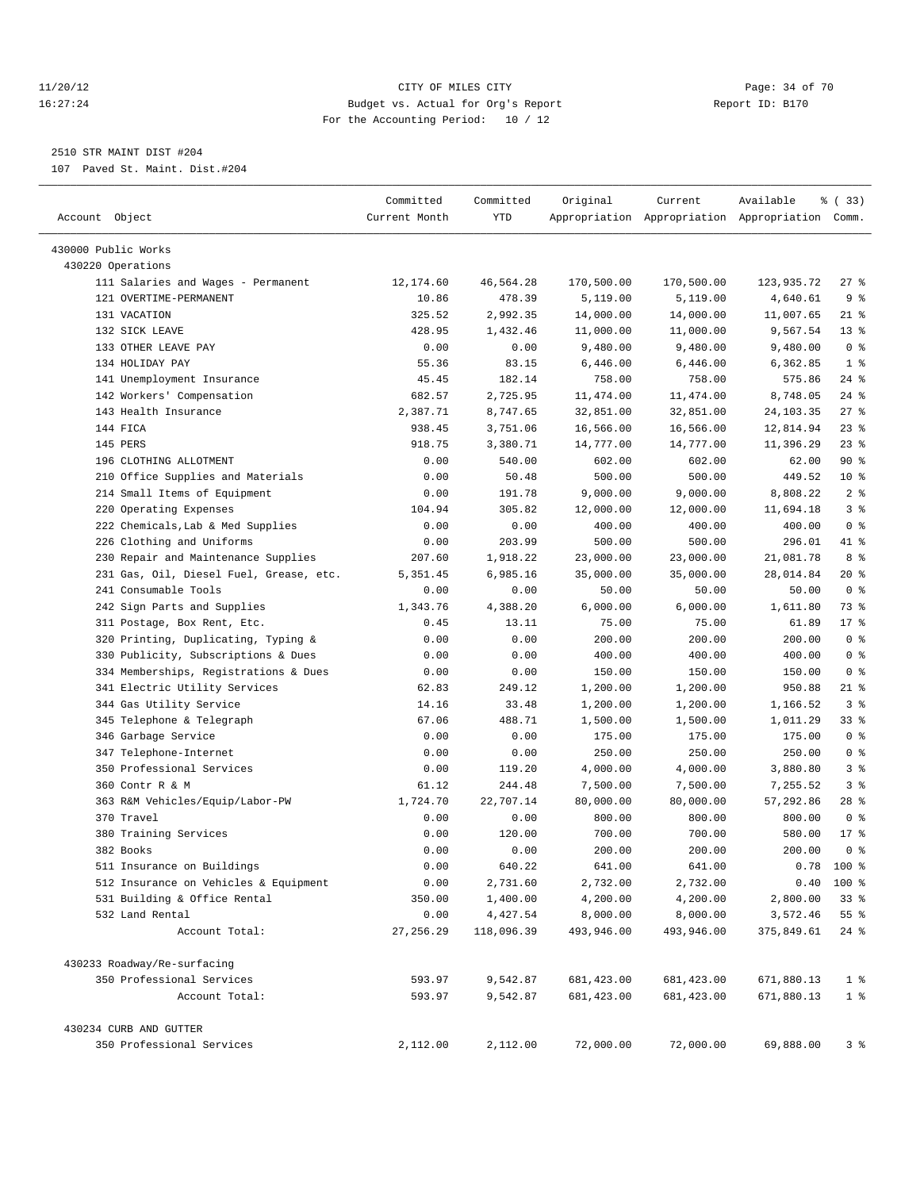#### 11/20/12 **Page: 34 of 70 CITY OF MILES CITY CITY Page: 34 of 70** 16:27:24 Budget vs. Actual for Org's Report Report ID: B170 For the Accounting Period: 10 / 12

————————————————————————————————————————————————————————————————————————————————————————————————————————————————————————————————————

### 2510 STR MAINT DIST #204

107 Paved St. Maint. Dist.#204

|                                         | Committed     | Committed  | Original    | Current     | Available                                       | % (33)          |
|-----------------------------------------|---------------|------------|-------------|-------------|-------------------------------------------------|-----------------|
| Account Object                          | Current Month | YTD        |             |             | Appropriation Appropriation Appropriation Comm. |                 |
| 430000 Public Works                     |               |            |             |             |                                                 |                 |
| 430220 Operations                       |               |            |             |             |                                                 |                 |
| 111 Salaries and Wages - Permanent      | 12,174.60     | 46,564.28  | 170,500.00  | 170,500.00  | 123,935.72                                      | $27$ %          |
| 121 OVERTIME-PERMANENT                  | 10.86         | 478.39     | 5,119.00    | 5,119.00    | 4,640.61                                        | 9%              |
| 131 VACATION                            | 325.52        | 2,992.35   | 14,000.00   | 14,000.00   | 11,007.65                                       | 21 %            |
| 132 SICK LEAVE                          | 428.95        | 1,432.46   | 11,000.00   | 11,000.00   | 9,567.54                                        | $13*$           |
| 133 OTHER LEAVE PAY                     | 0.00          | 0.00       | 9,480.00    | 9,480.00    | 9,480.00                                        | 0 <sup>8</sup>  |
| 134 HOLIDAY PAY                         | 55.36         | 83.15      | 6,446.00    | 6,446.00    | 6,362.85                                        | 1 <sup>8</sup>  |
| 141 Unemployment Insurance              | 45.45         | 182.14     | 758.00      | 758.00      | 575.86                                          | $24$ %          |
| 142 Workers' Compensation               | 682.57        | 2,725.95   | 11,474.00   | 11,474.00   | 8,748.05                                        | $24$ %          |
| 143 Health Insurance                    | 2,387.71      | 8,747.65   | 32,851.00   | 32,851.00   | 24, 103. 35                                     | $27$ %          |
| 144 FICA                                | 938.45        | 3,751.06   | 16,566.00   | 16,566.00   | 12,814.94                                       | $23$ $%$        |
| 145 PERS                                | 918.75        | 3,380.71   | 14,777.00   | 14,777.00   | 11,396.29                                       | $23$ $%$        |
| 196 CLOTHING ALLOTMENT                  | 0.00          | 540.00     | 602.00      | 602.00      | 62.00                                           | 90%             |
| 210 Office Supplies and Materials       | 0.00          | 50.48      | 500.00      | 500.00      | 449.52                                          | 10 <sup>8</sup> |
| 214 Small Items of Equipment            | 0.00          | 191.78     | 9,000.00    | 9,000.00    | 8,808.22                                        | 2 <sub>8</sub>  |
| 220 Operating Expenses                  | 104.94        | 305.82     | 12,000.00   | 12,000.00   | 11,694.18                                       | 3 <sup>8</sup>  |
| 222 Chemicals, Lab & Med Supplies       | 0.00          | 0.00       | 400.00      | 400.00      | 400.00                                          | 0 <sup>8</sup>  |
| 226 Clothing and Uniforms               | 0.00          | 203.99     | 500.00      | 500.00      | 296.01                                          | 41 %            |
| 230 Repair and Maintenance Supplies     | 207.60        | 1,918.22   | 23,000.00   | 23,000.00   | 21,081.78                                       | 8 %             |
| 231 Gas, Oil, Diesel Fuel, Grease, etc. | 5,351.45      | 6,985.16   | 35,000.00   | 35,000.00   | 28,014.84                                       | $20*$           |
| 241 Consumable Tools                    | 0.00          | 0.00       | 50.00       | 50.00       | 50.00                                           | 0 <sup>8</sup>  |
| 242 Sign Parts and Supplies             | 1,343.76      | 4,388.20   | 6,000.00    | 6,000.00    | 1,611.80                                        | 73 %            |
| 311 Postage, Box Rent, Etc.             | 0.45          | 13.11      | 75.00       | 75.00       | 61.89                                           | 17.8            |
| 320 Printing, Duplicating, Typing &     | 0.00          | 0.00       | 200.00      | 200.00      | 200.00                                          | 0 <sup>8</sup>  |
| 330 Publicity, Subscriptions & Dues     | 0.00          | 0.00       | 400.00      | 400.00      | 400.00                                          | 0 <sup>8</sup>  |
| 334 Memberships, Registrations & Dues   | 0.00          | 0.00       | 150.00      | 150.00      | 150.00                                          | 0 <sup>8</sup>  |
| 341 Electric Utility Services           | 62.83         | 249.12     | 1,200.00    | 1,200.00    | 950.88                                          | 21 %            |
| 344 Gas Utility Service                 | 14.16         | 33.48      | 1,200.00    | 1,200.00    | 1,166.52                                        | 3 <sup>°</sup>  |
| 345 Telephone & Telegraph               | 67.06         | 488.71     | 1,500.00    | 1,500.00    | 1,011.29                                        | 33 %            |
| 346 Garbage Service                     | 0.00          | 0.00       | 175.00      | 175.00      | 175.00                                          | 0 <sup>8</sup>  |
| 347 Telephone-Internet                  | 0.00          | 0.00       | 250.00      | 250.00      | 250.00                                          | 0 <sup>8</sup>  |
| 350 Professional Services               | 0.00          | 119.20     | 4,000.00    | 4,000.00    | 3,880.80                                        | 3%              |
| 360 Contr R & M                         | 61.12         | 244.48     | 7,500.00    | 7,500.00    | 7,255.52                                        | 3%              |
| 363 R&M Vehicles/Equip/Labor-PW         | 1,724.70      | 22,707.14  | 80,000.00   | 80,000.00   | 57,292.86                                       | $28$ %          |
| 370 Travel                              | 0.00          | 0.00       | 800.00      | 800.00      | 800.00                                          | 0 <sup>8</sup>  |
| 380 Training Services                   | 0.00          | 120.00     | 700.00      | 700.00      | 580.00                                          | $17*$           |
| 382 Books                               | 0.00          | 0.00       | 200.00      | 200.00      | 200.00                                          | 0 <sup>8</sup>  |
| 511 Insurance on Buildings              | 0.00          | 640.22     | 641.00      | 641.00      |                                                 | $0.78$ 100 %    |
| 512 Insurance on Vehicles & Equipment   | 0.00          | 2,731.60   | 2,732.00    | 2,732.00    |                                                 | $0.40$ 100 %    |
| 531 Building & Office Rental            | 350.00        | 1,400.00   | 4,200.00    | 4,200.00    | 2,800.00                                        | 33%             |
| 532 Land Rental                         | 0.00          | 4,427.54   | 8,000.00    | 8,000.00    | 3,572.46                                        | 55%             |
| Account Total:                          | 27, 256.29    | 118,096.39 | 493,946.00  | 493,946.00  | 375,849.61                                      | $24$ %          |
| 430233 Roadway/Re-surfacing             |               |            |             |             |                                                 |                 |
| 350 Professional Services               | 593.97        | 9,542.87   | 681, 423.00 | 681, 423.00 | 671,880.13                                      | $1$ %           |
| Account Total:                          | 593.97        | 9,542.87   | 681,423.00  | 681, 423.00 | 671,880.13                                      | 1 <sup>°</sup>  |
| 430234 CURB AND GUTTER                  |               |            |             |             |                                                 |                 |
| 350 Professional Services               | 2,112.00      | 2,112.00   | 72,000.00   | 72,000.00   | 69,888.00                                       | 3%              |
|                                         |               |            |             |             |                                                 |                 |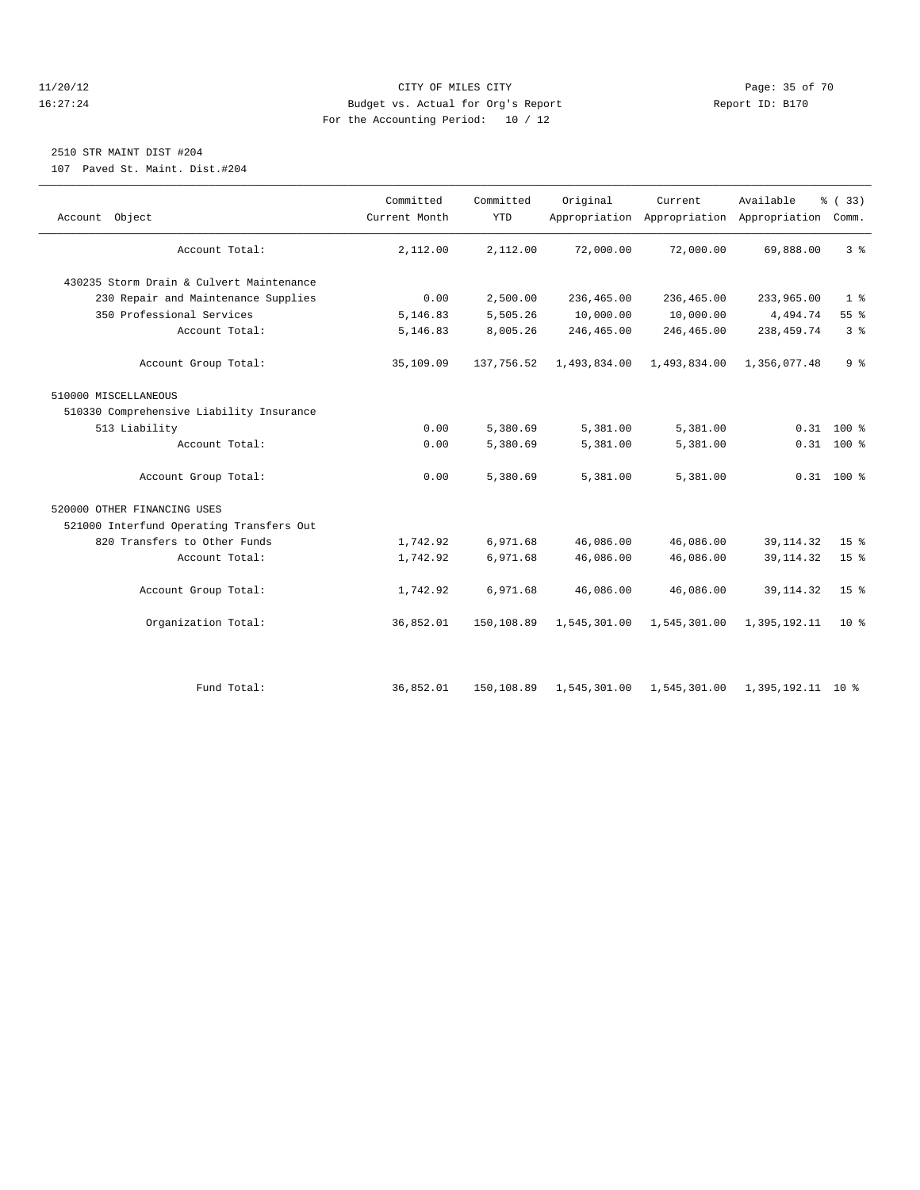#### 11/20/12 **Page: 35 of 70** CITY OF MILES CITY **CITY** Page: 35 of 70 16:27:24 Budget vs. Actual for Org's Report Report ID: B170 For the Accounting Period: 10 / 12

#### 2510 STR MAINT DIST #204

107 Paved St. Maint. Dist.#204

| Account Object                           | Committed<br>Current Month | Committed<br><b>YTD</b> | Original     | Current<br>Appropriation Appropriation Appropriation Comm. | Available         | % (33)          |
|------------------------------------------|----------------------------|-------------------------|--------------|------------------------------------------------------------|-------------------|-----------------|
| Account Total:                           | 2,112.00                   | 2,112.00                | 72,000.00    | 72,000.00                                                  | 69,888.00         | 3 <sup>8</sup>  |
| 430235 Storm Drain & Culvert Maintenance |                            |                         |              |                                                            |                   |                 |
| 230 Repair and Maintenance Supplies      | 0.00                       | 2,500.00                | 236,465.00   | 236,465.00                                                 | 233,965.00        | 1 <sup>°</sup>  |
| 350 Professional Services                | 5,146.83                   | 5,505.26                | 10,000.00    | 10,000.00                                                  | 4,494.74          | 55%             |
| Account Total:                           | 5,146.83                   | 8,005.26                | 246,465.00   | 246,465.00                                                 | 238, 459. 74      | 3 <sup>8</sup>  |
| Account Group Total:                     | 35,109.09                  | 137,756.52              | 1,493,834.00 | 1,493,834.00                                               | 1,356,077.48      | 9 <sup>°</sup>  |
| 510000 MISCELLANEOUS                     |                            |                         |              |                                                            |                   |                 |
| 510330 Comprehensive Liability Insurance |                            |                         |              |                                                            |                   |                 |
| 513 Liability                            | 0.00                       | 5,380.69                | 5,381.00     | 5,381.00                                                   |                   | $0.31$ 100 %    |
| Account Total:                           | 0.00                       | 5,380.69                | 5,381.00     | 5,381.00                                                   |                   | $0.31$ 100 %    |
| Account Group Total:                     | 0.00                       | 5,380.69                | 5,381.00     | 5,381.00                                                   |                   | $0.31$ 100 %    |
| 520000 OTHER FINANCING USES              |                            |                         |              |                                                            |                   |                 |
| 521000 Interfund Operating Transfers Out |                            |                         |              |                                                            |                   |                 |
| 820 Transfers to Other Funds             | 1,742.92                   | 6,971.68                | 46,086.00    | 46,086.00                                                  | 39, 114.32        | 15 <sup>8</sup> |
| Account Total:                           | 1,742.92                   | 6,971.68                | 46,086.00    | 46,086.00                                                  | 39, 114. 32       | 15 <sup>°</sup> |
| Account Group Total:                     | 1,742.92                   | 6,971.68                | 46,086.00    | 46,086.00                                                  | 39, 114.32        | 15 <sup>8</sup> |
| Organization Total:                      | 36,852.01                  | 150,108.89              | 1,545,301.00 | 1,545,301.00                                               | 1,395,192.11      | $10*$           |
|                                          |                            |                         |              |                                                            |                   |                 |
| Fund Total:                              | 36,852.01                  | 150,108.89              |              | 1,545,301.00 1,545,301.00                                  | 1,395,192.11 10 % |                 |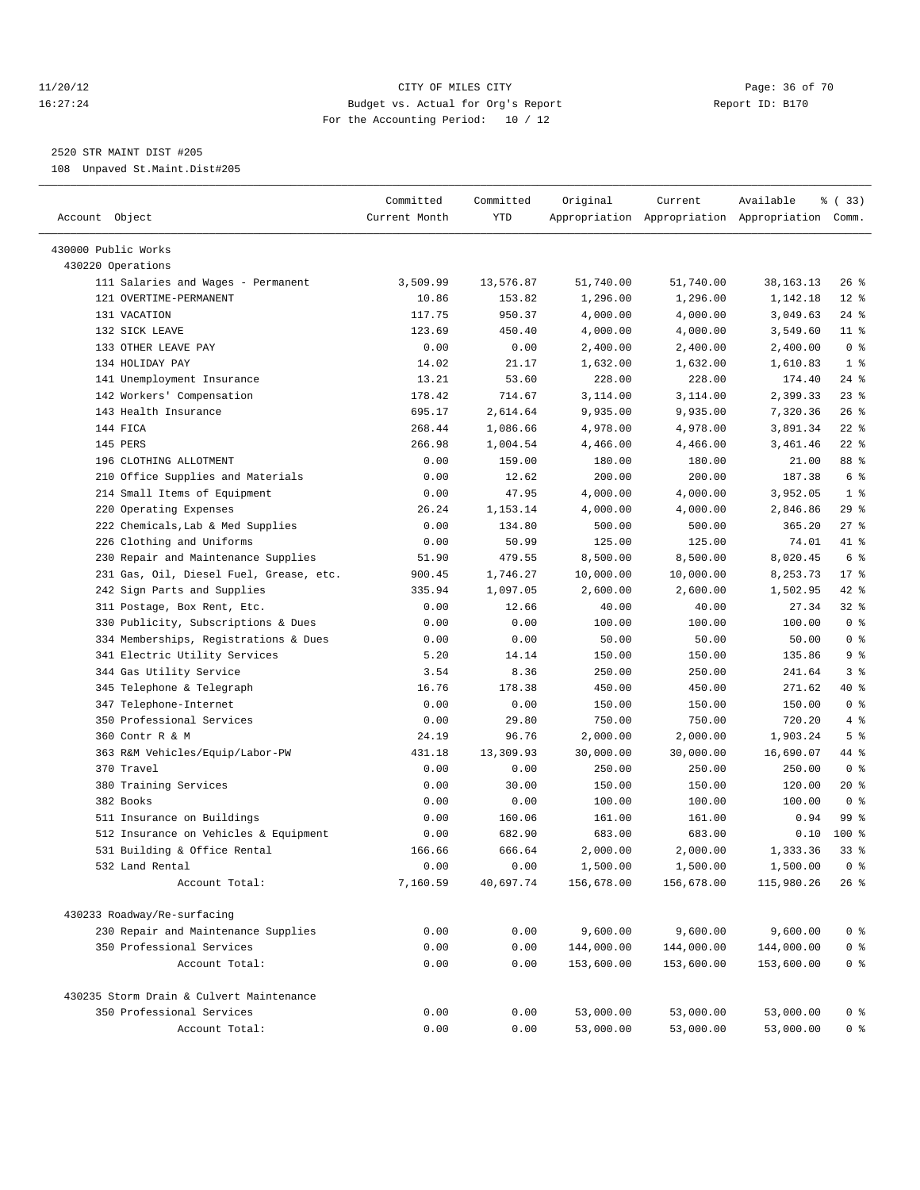#### 11/20/12 **Page: 36 of 70** CITY OF MILES CITY **Page: 36 of 70** 16:27:24 Budget vs. Actual for Org's Report Report ID: B170 For the Accounting Period: 10 / 12

————————————————————————————————————————————————————————————————————————————————————————————————————————————————————————————————————

#### 2520 STR MAINT DIST #205

108 Unpaved St.Maint.Dist#205

| Account Object                           | Committed<br>Current Month | Committed<br>YTD | Original   | Current    | Available<br>Appropriation Appropriation Appropriation Comm. | % (33)         |
|------------------------------------------|----------------------------|------------------|------------|------------|--------------------------------------------------------------|----------------|
| 430000 Public Works                      |                            |                  |            |            |                                                              |                |
| 430220 Operations                        |                            |                  |            |            |                                                              |                |
| 111 Salaries and Wages - Permanent       | 3,509.99                   | 13,576.87        | 51,740.00  | 51,740.00  | 38,163.13                                                    | $26$ %         |
| 121 OVERTIME-PERMANENT                   | 10.86                      | 153.82           | 1,296.00   | 1,296.00   | 1,142.18                                                     | $12$ %         |
| 131 VACATION                             | 117.75                     | 950.37           | 4,000.00   | 4,000.00   | 3,049.63                                                     | $24$ %         |
| 132 SICK LEAVE                           | 123.69                     | 450.40           | 4,000.00   | 4,000.00   | 3,549.60                                                     | $11$ %         |
| 133 OTHER LEAVE PAY                      | 0.00                       | 0.00             | 2,400.00   | 2,400.00   | 2,400.00                                                     | 0 <sup>8</sup> |
| 134 HOLIDAY PAY                          | 14.02                      | 21.17            | 1,632.00   | 1,632.00   | 1,610.83                                                     | 1 <sup>8</sup> |
| 141 Unemployment Insurance               | 13.21                      | 53.60            | 228.00     | 228.00     | 174.40                                                       | $24$ %         |
| 142 Workers' Compensation                | 178.42                     | 714.67           | 3,114.00   | 3,114.00   | 2,399.33                                                     | $23$ %         |
| 143 Health Insurance                     | 695.17                     | 2,614.64         | 9,935.00   | 9,935.00   | 7,320.36                                                     | $26$ %         |
| 144 FICA                                 | 268.44                     | 1,086.66         | 4,978.00   | 4,978.00   | 3,891.34                                                     | $22$ %         |
| 145 PERS                                 | 266.98                     | 1,004.54         | 4,466.00   | 4,466.00   | 3,461.46                                                     | $22$ %         |
| 196 CLOTHING ALLOTMENT                   | 0.00                       | 159.00           | 180.00     | 180.00     | 21.00                                                        | 88 %           |
| 210 Office Supplies and Materials        | 0.00                       | 12.62            | 200.00     | 200.00     | 187.38                                                       | 6 %            |
| 214 Small Items of Equipment             | 0.00                       | 47.95            | 4,000.00   | 4,000.00   | 3,952.05                                                     | 1 <sup>8</sup> |
| 220 Operating Expenses                   | 26.24                      | 1,153.14         | 4,000.00   | 4,000.00   | 2,846.86                                                     | 29%            |
| 222 Chemicals, Lab & Med Supplies        | 0.00                       | 134.80           | 500.00     | 500.00     | 365.20                                                       | $27$ %         |
| 226 Clothing and Uniforms                | 0.00                       | 50.99            | 125.00     | 125.00     | 74.01                                                        | 41 %           |
| 230 Repair and Maintenance Supplies      | 51.90                      | 479.55           | 8,500.00   | 8,500.00   | 8,020.45                                                     | 6 %            |
| 231 Gas, Oil, Diesel Fuel, Grease, etc.  | 900.45                     | 1,746.27         | 10,000.00  | 10,000.00  | 8,253.73                                                     | $17*$          |
| 242 Sign Parts and Supplies              | 335.94                     | 1,097.05         | 2,600.00   | 2,600.00   | 1,502.95                                                     | $42$ %         |
| 311 Postage, Box Rent, Etc.              | 0.00                       | 12.66            | 40.00      | 40.00      | 27.34                                                        | $32$ $%$       |
| 330 Publicity, Subscriptions & Dues      | 0.00                       | 0.00             | 100.00     | 100.00     | 100.00                                                       | 0 <sup>8</sup> |
| 334 Memberships, Registrations & Dues    | 0.00                       | 0.00             | 50.00      | 50.00      | 50.00                                                        | 0 <sup>8</sup> |
| 341 Electric Utility Services            | 5.20                       | 14.14            | 150.00     | 150.00     | 135.86                                                       | 9%             |
| 344 Gas Utility Service                  | 3.54                       | 8.36             | 250.00     | 250.00     | 241.64                                                       | 3%             |
| 345 Telephone & Telegraph                | 16.76                      | 178.38           | 450.00     | 450.00     | 271.62                                                       | 40 %           |
| 347 Telephone-Internet                   | 0.00                       | 0.00             | 150.00     | 150.00     | 150.00                                                       | 0 <sup>8</sup> |
| 350 Professional Services                | 0.00                       | 29.80            | 750.00     | 750.00     | 720.20                                                       | 4%             |
| 360 Contr R & M                          | 24.19                      | 96.76            | 2,000.00   | 2,000.00   | 1,903.24                                                     | 5 <sup>°</sup> |
| 363 R&M Vehicles/Equip/Labor-PW          | 431.18                     | 13,309.93        | 30,000.00  | 30,000.00  | 16,690.07                                                    | 44 %           |
| 370 Travel                               | 0.00                       | 0.00             | 250.00     | 250.00     | 250.00                                                       | 0 <sup>8</sup> |
| 380 Training Services                    | 0.00                       | 30.00            | 150.00     | 150.00     | 120.00                                                       | $20*$          |
| 382 Books                                | 0.00                       | 0.00             | 100.00     | 100.00     | 100.00                                                       | 0 <sup>8</sup> |
| 511 Insurance on Buildings               | 0.00                       | 160.06           | 161.00     | 161.00     | 0.94                                                         | 99 %           |
| 512 Insurance on Vehicles & Equipment    | 0.00                       | 682.90           | 683.00     | 683.00     | 0.10                                                         | $100$ %        |
| 531 Building & Office Rental             | 166.66                     | 666.64           | 2,000.00   | 2,000.00   | 1,333.36                                                     | $33$ $%$       |
| 532 Land Rental                          | 0.00                       | 0.00             | 1,500.00   | 1,500.00   | 1,500.00                                                     | $0$ %          |
| Account Total:                           | 7,160.59                   | 40,697.74        | 156,678.00 | 156,678.00 | 115,980.26                                                   | $26$ %         |
| 430233 Roadway/Re-surfacing              |                            |                  |            |            |                                                              |                |
| 230 Repair and Maintenance Supplies      | 0.00                       | 0.00             | 9,600.00   | 9,600.00   | 9,600.00                                                     | 0 <sup>8</sup> |
| 350 Professional Services                | 0.00                       | 0.00             | 144,000.00 | 144,000.00 | 144,000.00                                                   | 0 <sup>8</sup> |
| Account Total:                           | 0.00                       | 0.00             | 153,600.00 | 153,600.00 | 153,600.00                                                   | 0 <sup>8</sup> |
| 430235 Storm Drain & Culvert Maintenance |                            |                  |            |            |                                                              |                |
| 350 Professional Services                | 0.00                       | 0.00             | 53,000.00  | 53,000.00  | 53,000.00                                                    | 0 %            |
| Account Total:                           | 0.00                       | 0.00             | 53,000.00  | 53,000.00  | 53,000.00                                                    | 0 <sup>8</sup> |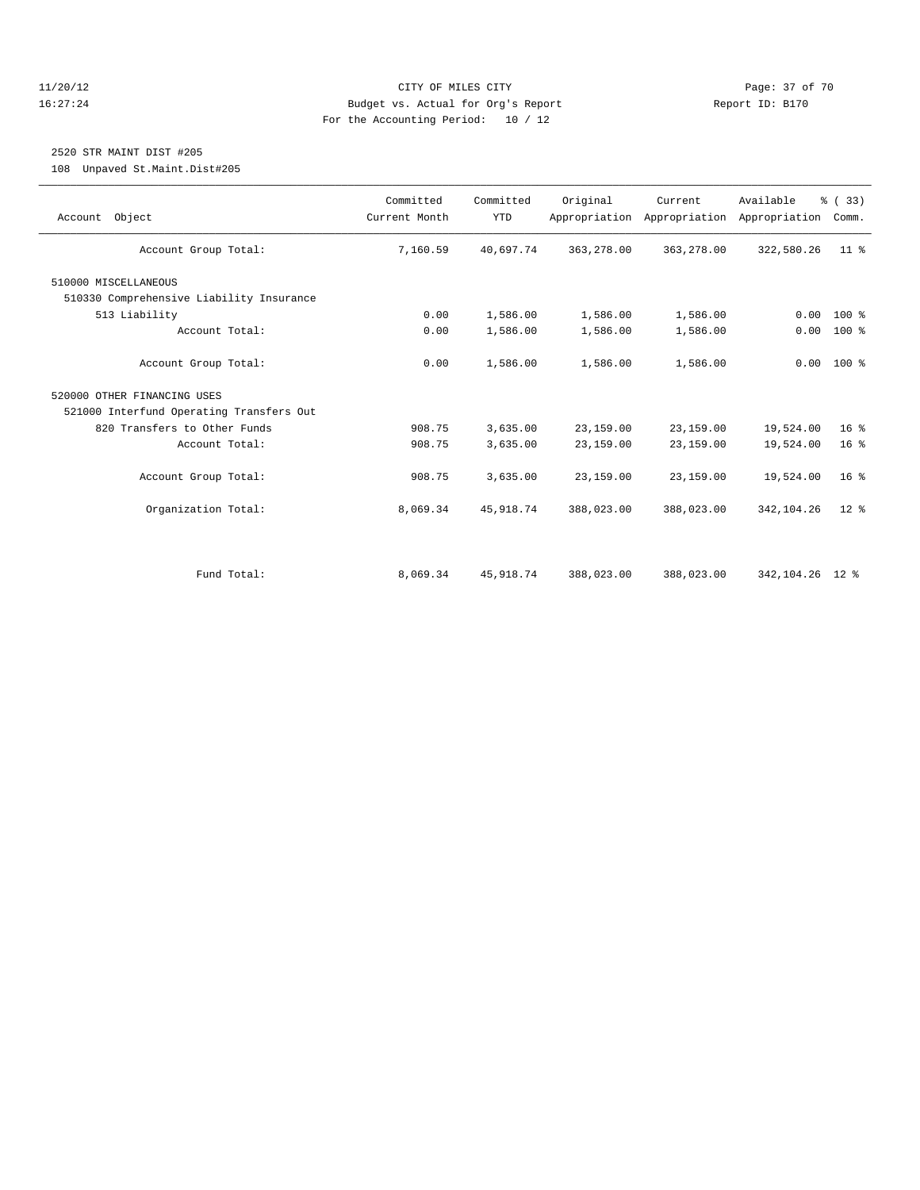#### 11/20/12 **Page: 37 of 70** CITY OF MILES CITY **Page: 37 of 70** 16:27:24 Budget vs. Actual for Org's Report Report ID: B170 For the Accounting Period: 10 / 12

### 2520 STR MAINT DIST #205

108 Unpaved St.Maint.Dist#205

| Account Object                           | Committed<br>Current Month | Committed<br><b>YTD</b> | Original   | Current<br>Appropriation Appropriation | Available<br>Appropriation | % (33)<br>Comm. |
|------------------------------------------|----------------------------|-------------------------|------------|----------------------------------------|----------------------------|-----------------|
| Account Group Total:                     | 7,160.59                   | 40,697.74               | 363,278.00 | 363, 278.00                            | 322,580.26                 | 11 <sup>°</sup> |
| 510000 MISCELLANEOUS                     |                            |                         |            |                                        |                            |                 |
| 510330 Comprehensive Liability Insurance |                            |                         |            |                                        |                            |                 |
| 513 Liability                            | 0.00                       | 1,586.00                | 1,586.00   | 1,586.00                               | 0.00                       | $100*$          |
| Account Total:                           | 0.00                       | 1,586.00                | 1,586.00   | 1,586.00                               | 0.00                       | 100 %           |
| Account Group Total:                     | 0.00                       | 1,586.00                | 1,586.00   | 1,586.00                               |                            | $0.00 100$ %    |
| 520000 OTHER FINANCING USES              |                            |                         |            |                                        |                            |                 |
| 521000 Interfund Operating Transfers Out |                            |                         |            |                                        |                            |                 |
| 820 Transfers to Other Funds             | 908.75                     | 3,635.00                | 23,159.00  | 23,159.00                              | 19,524.00                  | 16 <sup>8</sup> |
| Account Total:                           | 908.75                     | 3,635.00                | 23,159.00  | 23,159.00                              | 19,524.00                  | 16 <sup>8</sup> |
| Account Group Total:                     | 908.75                     | 3,635.00                | 23,159.00  | 23,159.00                              | 19,524.00                  | 16 <sup>8</sup> |
| Organization Total:                      | 8,069.34                   | 45, 918.74              | 388,023.00 | 388,023.00                             | 342,104.26                 | $12*$           |
|                                          |                            |                         |            |                                        |                            |                 |
| Fund Total:                              | 8,069.34                   | 45, 918.74              | 388,023.00 | 388,023.00                             | 342, 104. 26 12 %          |                 |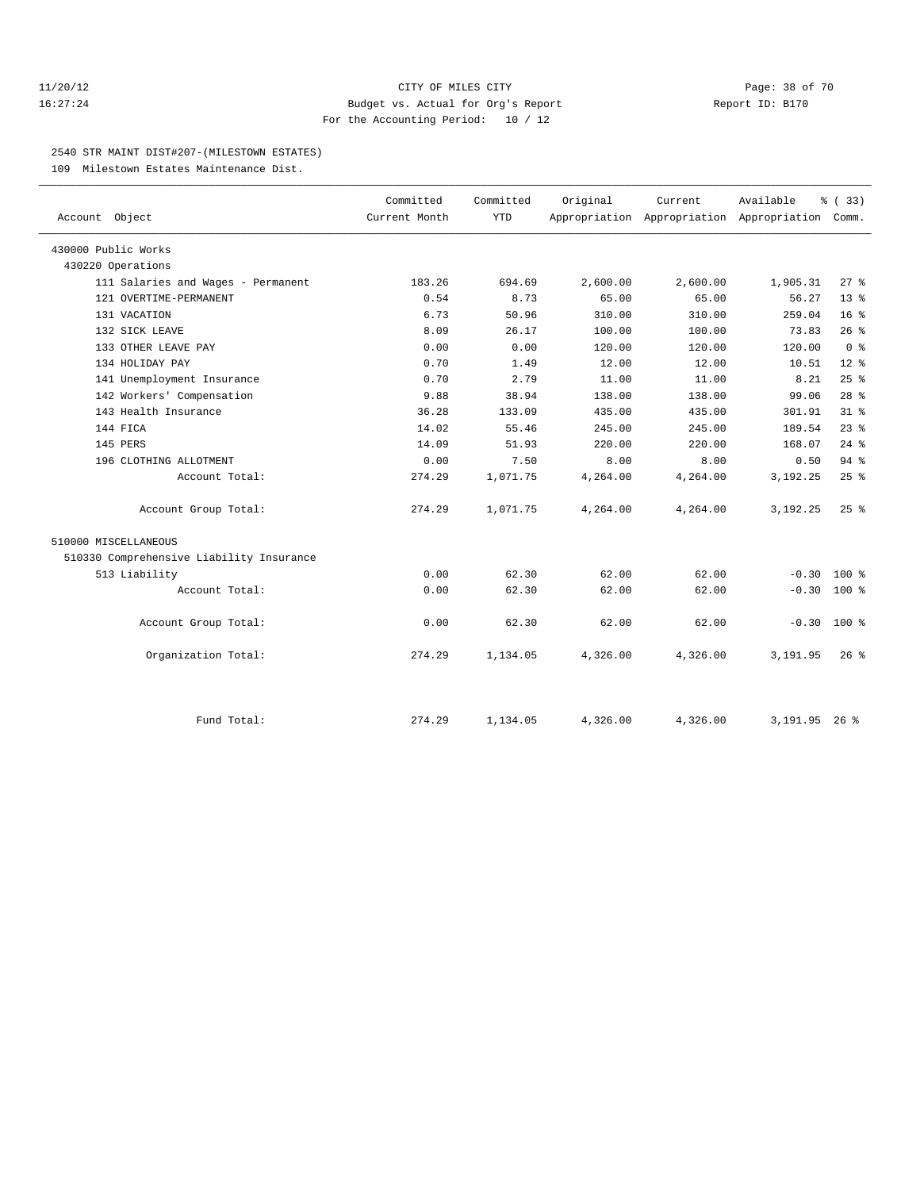#### 11/20/12 **Page: 38 of 70 CITY OF MILES CITY CITY Page: 38 of 70** 16:27:24 Budget vs. Actual for Org's Report Report ID: B170 For the Accounting Period: 10 / 12

#### 2540 STR MAINT DIST#207-(MILESTOWN ESTATES)

109 Milestown Estates Maintenance Dist.

| Account Object                           | Committed<br>Current Month | Committed<br><b>YTD</b> | Original | Current  | Available<br>Appropriation Appropriation Appropriation | % (33)<br>Comm. |  |
|------------------------------------------|----------------------------|-------------------------|----------|----------|--------------------------------------------------------|-----------------|--|
|                                          |                            |                         |          |          |                                                        |                 |  |
| 430000 Public Works                      |                            |                         |          |          |                                                        |                 |  |
| 430220 Operations                        |                            |                         |          |          |                                                        |                 |  |
| 111 Salaries and Wages - Permanent       | 183.26                     | 694.69                  | 2,600.00 | 2,600.00 | 1,905.31                                               | $27$ %          |  |
| 121 OVERTIME-PERMANENT                   | 0.54                       | 8.73                    | 65.00    | 65.00    | 56.27                                                  | 13 <sup>8</sup> |  |
| 131 VACATION                             | 6.73                       | 50.96                   | 310.00   | 310.00   | 259.04                                                 | 16 <sup>°</sup> |  |
| 132 SICK LEAVE                           | 8.09                       | 26.17                   | 100.00   | 100.00   | 73.83                                                  | 26%             |  |
| 133 OTHER LEAVE PAY                      | 0.00                       | 0.00                    | 120.00   | 120.00   | 120.00                                                 | 0 <sup>8</sup>  |  |
| 134 HOLIDAY PAY                          | 0.70                       | 1.49                    | 12.00    | 12.00    | 10.51                                                  | $12*$           |  |
| 141 Unemployment Insurance               | 0.70                       | 2.79                    | 11.00    | 11.00    | 8.21                                                   | 25%             |  |
| 142 Workers' Compensation                | 9.88                       | 38.94                   | 138.00   | 138.00   | 99.06                                                  | 28 <sup>8</sup> |  |
| 143 Health Insurance                     | 36.28                      | 133.09                  | 435.00   | 435.00   | 301.91                                                 | 31.8            |  |
| 144 FICA                                 | 14.02                      | 55.46                   | 245.00   | 245.00   | 189.54                                                 | $23$ $%$        |  |
| 145 PERS                                 | 14.09                      | 51.93                   | 220.00   | 220.00   | 168.07                                                 | $24$ $%$        |  |
| 196 CLOTHING ALLOTMENT                   | 0.00                       | 7.50                    | 8.00     | 8.00     | 0.50                                                   | 94%             |  |
| Account Total:                           | 274.29                     | 1,071.75                | 4,264.00 | 4,264.00 | 3,192.25                                               | 25%             |  |
| Account Group Total:                     | 274.29                     | 1,071.75                | 4,264.00 | 4,264.00 | 3,192.25                                               | $25$ %          |  |
| 510000 MISCELLANEOUS                     |                            |                         |          |          |                                                        |                 |  |
| 510330 Comprehensive Liability Insurance |                            |                         |          |          |                                                        |                 |  |
| 513 Liability                            | 0.00                       | 62.30                   | 62.00    | 62.00    | $-0.30$                                                | $100*$          |  |
| Account Total:                           | 0.00                       | 62.30                   | 62.00    | 62.00    | $-0.30$                                                | 100 %           |  |
| Account Group Total:                     | 0.00                       | 62.30                   | 62.00    | 62.00    | $-0.30$                                                | $100*$          |  |
| Organization Total:                      | 274.29                     | 1,134.05                | 4,326.00 | 4,326.00 | 3,191.95                                               | $26*$           |  |
|                                          |                            |                         |          |          |                                                        |                 |  |
| Fund Total:                              | 274.29                     | 1,134.05                | 4,326.00 | 4,326.00 | 3, 191.95 26 %                                         |                 |  |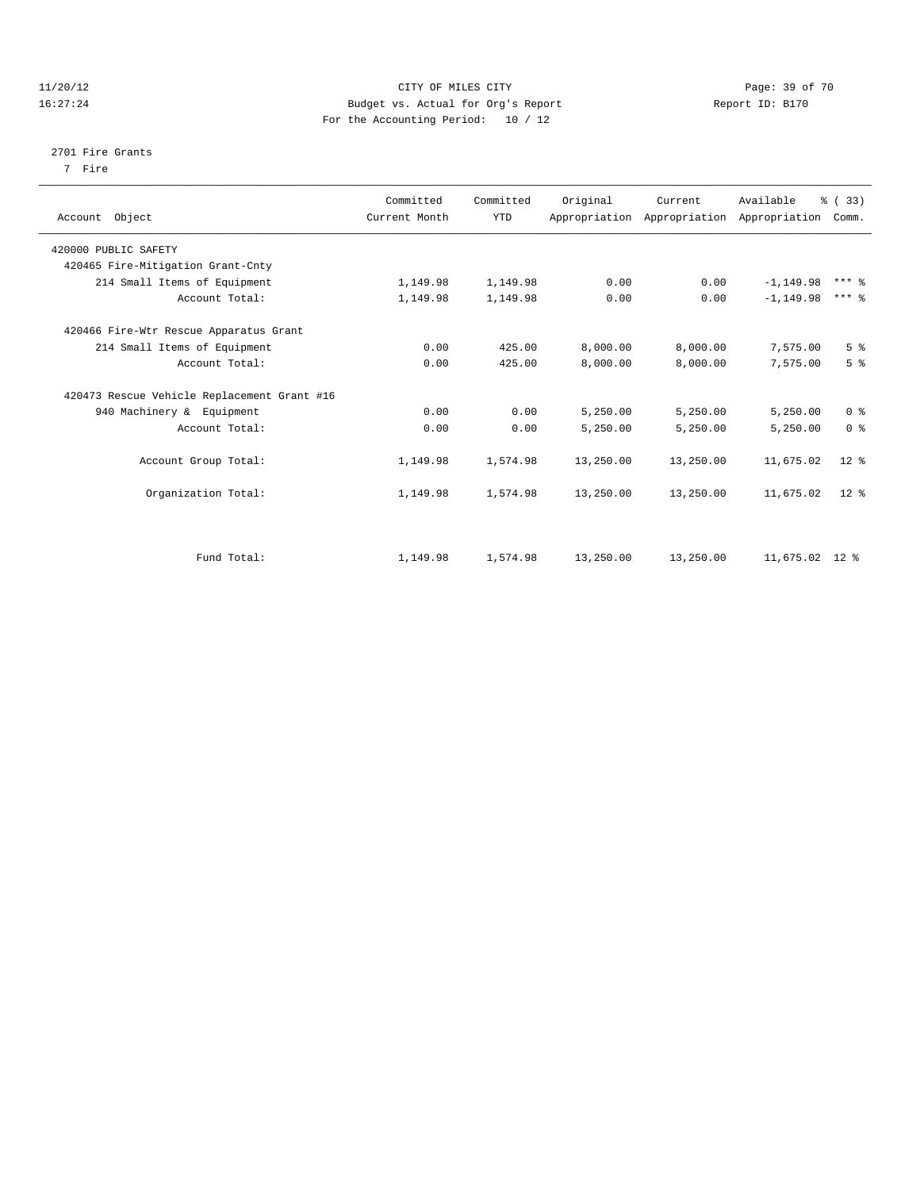#### 11/20/12 **Page: 39 of 70 CITY CONSIDER CITY CITY CITY Page: 39 of 70** 16:27:24 Budget vs. Actual for Org's Report Report ID: B170 For the Accounting Period: 10 / 12

#### 2701 Fire Grants

7 Fire

| Account Object                              | Committed<br>Current Month | Committed<br><b>YTD</b> | Original  | Current<br>Appropriation Appropriation Appropriation | Available      | % (33)<br>Comm.     |  |
|---------------------------------------------|----------------------------|-------------------------|-----------|------------------------------------------------------|----------------|---------------------|--|
| 420000 PUBLIC SAFETY                        |                            |                         |           |                                                      |                |                     |  |
| 420465 Fire-Mitigation Grant-Cnty           |                            |                         |           |                                                      |                |                     |  |
| 214 Small Items of Equipment                | 1,149.98                   | 1,149.98                | 0.00      | 0.00                                                 | $-1, 149.98$   | $***$ $\frac{6}{5}$ |  |
| Account Total:                              | 1,149.98                   | 1,149.98                | 0.00      | 0.00                                                 | $-1, 149.98$   | $***$ $%$           |  |
| 420466 Fire-Wtr Rescue Apparatus Grant      |                            |                         |           |                                                      |                |                     |  |
| 214 Small Items of Equipment                | 0.00                       | 425.00                  | 8,000.00  | 8,000.00                                             | 7,575.00       | 5 <sup>°</sup>      |  |
| Account Total:                              | 0.00                       | 425.00                  | 8,000.00  | 8,000.00                                             | 7,575.00       | 5 <sup>°</sup>      |  |
| 420473 Rescue Vehicle Replacement Grant #16 |                            |                         |           |                                                      |                |                     |  |
| 940 Machinery & Equipment                   | 0.00                       | 0.00                    | 5,250.00  | 5,250.00                                             | 5,250.00       | 0 <sup>8</sup>      |  |
| Account Total:                              | 0.00                       | 0.00                    | 5,250.00  | 5,250.00                                             | 5,250.00       | 0 <sup>8</sup>      |  |
| Account Group Total:                        | 1,149.98                   | 1,574.98                | 13,250.00 | 13,250.00                                            | 11,675.02      | $12*$               |  |
| Organization Total:                         | 1,149.98                   | 1,574.98                | 13,250.00 | 13,250.00                                            | 11,675.02      | $12*$               |  |
|                                             |                            |                         |           |                                                      |                |                     |  |
| Fund Total:                                 | 1,149.98                   | 1,574.98                | 13,250.00 | 13,250.00                                            | 11,675.02 12 % |                     |  |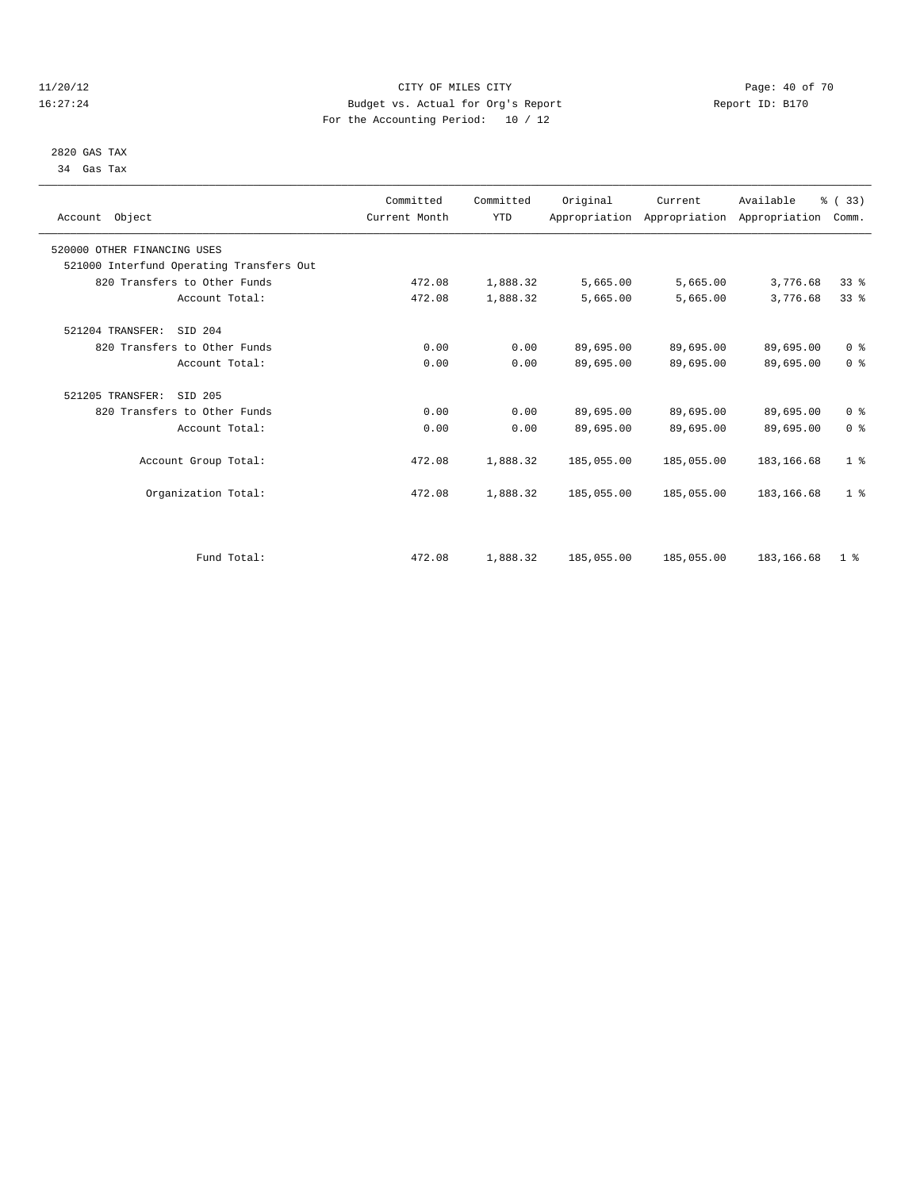#### 11/20/12 **Page: 40 of 70 CITY OF MILES CITY CITY Page: 40 of 70** 16:27:24 Budget vs. Actual for Org's Report Report ID: B170 For the Accounting Period: 10 / 12

 2820 GAS TAX 34 Gas Tax

| Account Object                           | Committed<br>Current Month | Committed<br><b>YTD</b> | Original   | Current<br>Appropriation Appropriation Appropriation | Available   | % (33)<br>Comm. |  |
|------------------------------------------|----------------------------|-------------------------|------------|------------------------------------------------------|-------------|-----------------|--|
| 520000 OTHER FINANCING USES              |                            |                         |            |                                                      |             |                 |  |
| 521000 Interfund Operating Transfers Out |                            |                         |            |                                                      |             |                 |  |
| 820 Transfers to Other Funds             | 472.08                     | 1,888.32                | 5,665.00   | 5,665.00                                             | 3,776.68    | 33 <sup>8</sup> |  |
| Account Total:                           | 472.08                     | 1,888.32                | 5,665.00   | 5,665.00                                             | 3,776.68    | 33 <sup>8</sup> |  |
| 521204 TRANSFER:<br>SID 204              |                            |                         |            |                                                      |             |                 |  |
| 820 Transfers to Other Funds             | 0.00                       | 0.00                    | 89,695.00  | 89,695.00                                            | 89,695.00   | 0 <sup>8</sup>  |  |
| Account Total:                           | 0.00                       | 0.00                    | 89,695.00  | 89,695.00                                            | 89,695.00   | 0 <sup>8</sup>  |  |
| 521205 TRANSFER:<br>SID 205              |                            |                         |            |                                                      |             |                 |  |
| 820 Transfers to Other Funds             | 0.00                       | 0.00                    | 89,695.00  | 89,695.00                                            | 89,695.00   | 0 <sup>8</sup>  |  |
| Account Total:                           | 0.00                       | 0.00                    | 89,695.00  | 89,695.00                                            | 89,695.00   | 0 <sup>8</sup>  |  |
| Account Group Total:                     | 472.08                     | 1,888.32                | 185,055.00 | 185,055.00                                           | 183, 166.68 | 1 <sup>8</sup>  |  |
| Organization Total:                      | 472.08                     | 1,888.32                | 185,055.00 | 185,055.00                                           | 183, 166.68 | 1 <sup>8</sup>  |  |
|                                          |                            |                         |            |                                                      |             |                 |  |
| Fund Total:                              | 472.08                     | 1,888.32                | 185,055.00 | 185,055.00                                           | 183, 166.68 | 1 <sup>8</sup>  |  |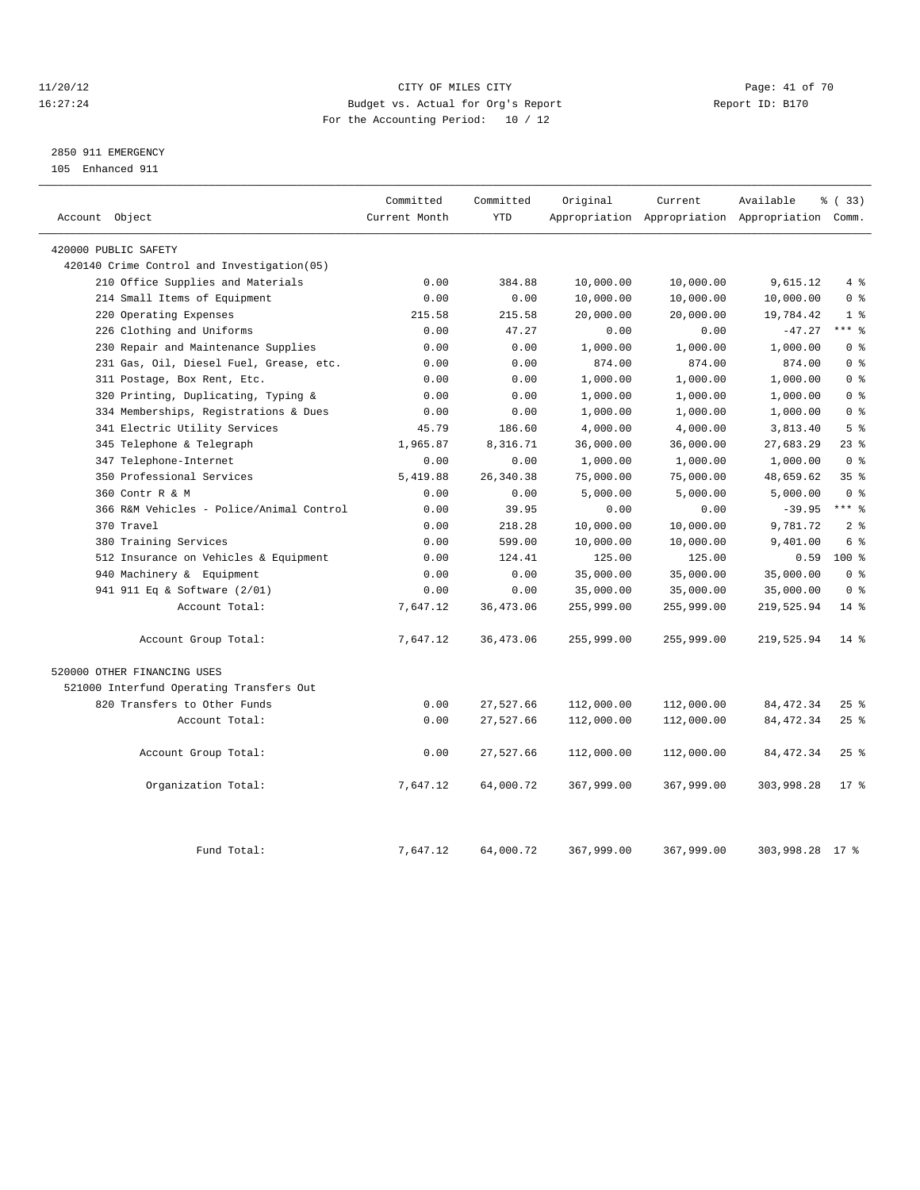#### 11/20/12 **Page: 41 of 70 CITY OF MILES CITY Page: 41 of 70 Page: 41 of 70** 16:27:24 Budget vs. Actual for Org's Report Report ID: B170 For the Accounting Period: 10 / 12

### 2850 911 EMERGENCY

105 Enhanced 911

| Account Object                             | Committed<br>Current Month | Committed<br><b>YTD</b> | Original   | Current    | Available<br>Appropriation Appropriation Appropriation Comm. | % (33)          |
|--------------------------------------------|----------------------------|-------------------------|------------|------------|--------------------------------------------------------------|-----------------|
| 420000 PUBLIC SAFETY                       |                            |                         |            |            |                                                              |                 |
| 420140 Crime Control and Investigation(05) |                            |                         |            |            |                                                              |                 |
| 210 Office Supplies and Materials          | 0.00                       | 384.88                  | 10,000.00  | 10,000.00  | 9,615.12                                                     | 4%              |
| 214 Small Items of Equipment               | 0.00                       | 0.00                    | 10,000.00  | 10,000.00  | 10,000.00                                                    | 0 <sup>8</sup>  |
| Operating Expenses<br>220                  | 215.58                     | 215.58                  | 20,000.00  | 20,000.00  | 19,784.42                                                    | 1 <sup>8</sup>  |
| 226 Clothing and Uniforms                  | 0.00                       | 47.27                   | 0.00       | 0.00       | $-47.27$                                                     | $***$ $-$       |
| 230 Repair and Maintenance Supplies        | 0.00                       | 0.00                    | 1,000.00   | 1,000.00   | 1,000.00                                                     | 0 <sup>8</sup>  |
| 231 Gas, Oil, Diesel Fuel, Grease, etc.    | 0.00                       | 0.00                    | 874.00     | 874.00     | 874.00                                                       | 0 <sup>8</sup>  |
| 311 Postage, Box Rent, Etc.                | 0.00                       | 0.00                    | 1,000.00   | 1,000.00   | 1,000.00                                                     | 0 <sup>8</sup>  |
| Printing, Duplicating, Typing &<br>320     | 0.00                       | 0.00                    | 1,000.00   | 1,000.00   | 1,000.00                                                     | 0 <sup>8</sup>  |
| 334 Memberships, Registrations & Dues      | 0.00                       | 0.00                    | 1,000.00   | 1,000.00   | 1,000.00                                                     | 0 <sup>8</sup>  |
| 341 Electric Utility Services              | 45.79                      | 186.60                  | 4,000.00   | 4,000.00   | 3,813.40                                                     | 5 <sup>8</sup>  |
| 345 Telephone & Telegraph                  | 1,965.87                   | 8,316.71                | 36,000.00  | 36,000.00  | 27,683.29                                                    | $23$ %          |
| 347 Telephone-Internet                     | 0.00                       | 0.00                    | 1,000.00   | 1,000.00   | 1,000.00                                                     | 0 <sup>8</sup>  |
| 350 Professional Services                  | 5,419.88                   | 26, 340. 38             | 75,000.00  | 75,000.00  | 48,659.62                                                    | 35 <sup>8</sup> |
| 360 Contr R & M                            | 0.00                       | 0.00                    | 5,000.00   | 5,000.00   | 5,000.00                                                     | 0 <sup>8</sup>  |
| 366 R&M Vehicles - Police/Animal Control   | 0.00                       | 39.95                   | 0.00       | 0.00       | $-39.95$                                                     | $***$ $-$       |
| 370 Travel                                 | 0.00                       | 218.28                  | 10,000.00  | 10,000.00  | 9,781.72                                                     | 2 <sup>8</sup>  |
| 380 Training Services                      | 0.00                       | 599.00                  | 10,000.00  | 10,000.00  | 9,401.00                                                     | 6 %             |
| 512 Insurance on Vehicles & Equipment      | 0.00                       | 124.41                  | 125.00     | 125.00     | 0.59                                                         | $100*$          |
| 940 Machinery & Equipment                  | 0.00                       | 0.00                    | 35,000.00  | 35,000.00  | 35,000.00                                                    | 0 <sup>8</sup>  |
| 941 911 Eq & Software (2/01)               | 0.00                       | 0.00                    | 35,000.00  | 35,000.00  | 35,000.00                                                    | 0 <sup>8</sup>  |
| Account Total:                             | 7,647.12                   | 36, 473.06              | 255,999.00 | 255,999.00 | 219,525.94                                                   | $14*$           |
| Account Group Total:                       | 7,647.12                   | 36, 473.06              | 255,999.00 | 255,999.00 | 219,525.94                                                   | $14*$           |
| 520000 OTHER FINANCING USES                |                            |                         |            |            |                                                              |                 |
| 521000 Interfund Operating Transfers Out   |                            |                         |            |            |                                                              |                 |
| 820 Transfers to Other Funds               | 0.00                       | 27,527.66               | 112,000.00 | 112,000.00 | 84, 472.34                                                   | 25%             |
| Account Total:                             | 0.00                       | 27,527.66               | 112,000.00 | 112,000.00 | 84, 472.34                                                   | 25%             |
| Account Group Total:                       | 0.00                       | 27,527.66               | 112,000.00 | 112,000.00 | 84, 472.34                                                   | 25%             |
| Organization Total:                        | 7,647.12                   | 64,000.72               | 367,999.00 | 367,999.00 | 303,998.28                                                   | 17 <sup>8</sup> |
| Fund Total:                                | 7.647.12                   | 64,000.72               | 367,999.00 | 367,999.00 | 303,998.28 17 %                                              |                 |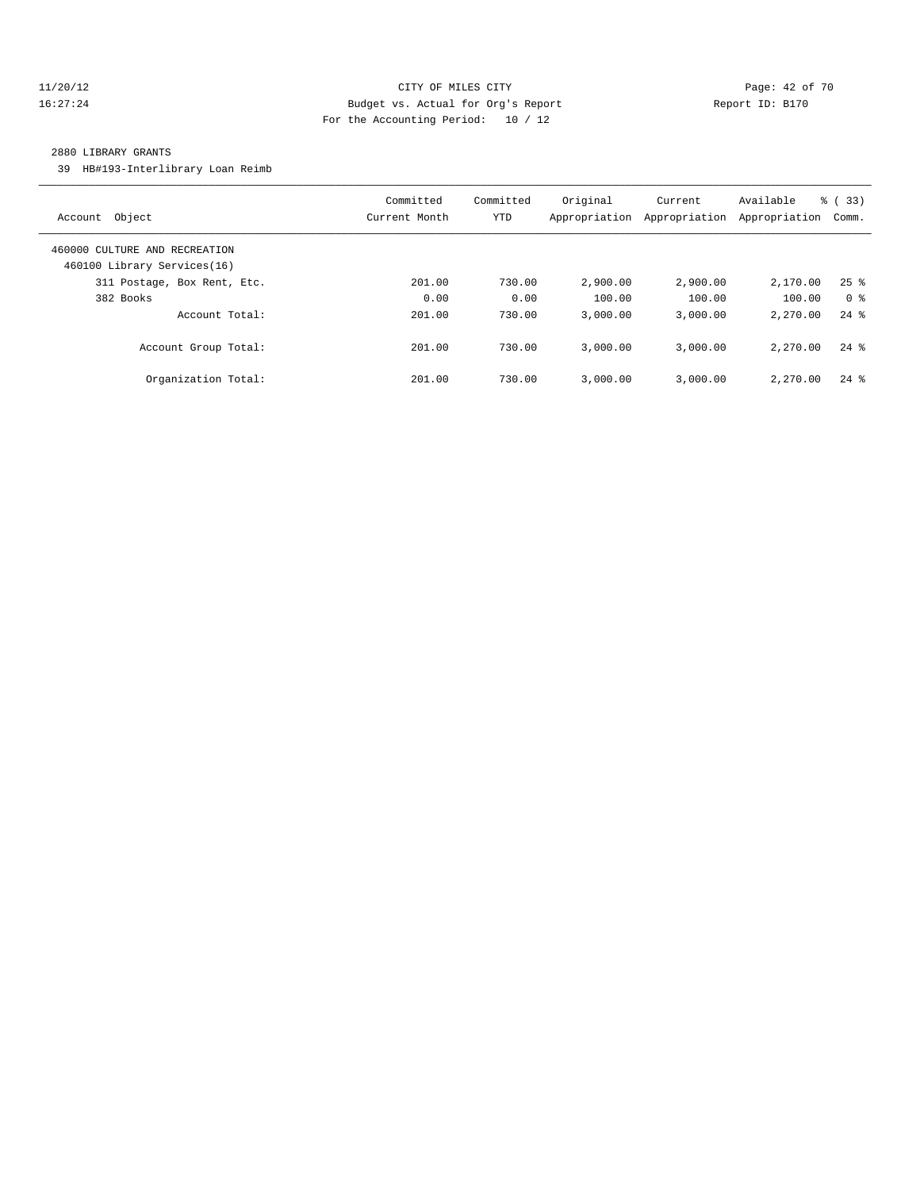#### 11/20/12 **Page: 42 of 70 CITY OF MILES CITY CITY Page: 42 of 70** 16:27:24 Budget vs. Actual for Org's Report Report ID: B170 For the Accounting Period: 10 / 12

#### 2880 LIBRARY GRANTS

39 HB#193-Interlibrary Loan Reimb

| Object<br>Account                                            | Committed<br>Current Month | Committed<br><b>YTD</b> | Original<br>Appropriation | Current<br>Appropriation | Available<br>Appropriation | % (33)<br>Comm.    |
|--------------------------------------------------------------|----------------------------|-------------------------|---------------------------|--------------------------|----------------------------|--------------------|
| 460000 CULTURE AND RECREATION<br>460100 Library Services(16) |                            |                         |                           |                          |                            |                    |
| 311 Postage, Box Rent, Etc.                                  | 201.00                     | 730.00                  | 2,900.00                  | 2,900.00                 | 2,170.00                   | $25$ $%$           |
| 382 Books                                                    | 0.00                       | 0.00                    | 100.00                    | 100.00                   | 100.00                     | 0 <sup>8</sup>     |
| Account Total:                                               | 201.00                     | 730.00                  | 3,000.00                  | 3.000.00                 | 2.270.00                   | $24$ $%$           |
| Account Group Total:                                         | 201.00                     | 730.00                  | 3,000.00                  | 3.000.00                 | 2.270.00                   | $24$ $\frac{6}{3}$ |
| Organization Total:                                          | 201.00                     | 730.00                  | 3.000.00                  | 3.000.00                 | 2,270.00                   | $24$ $%$           |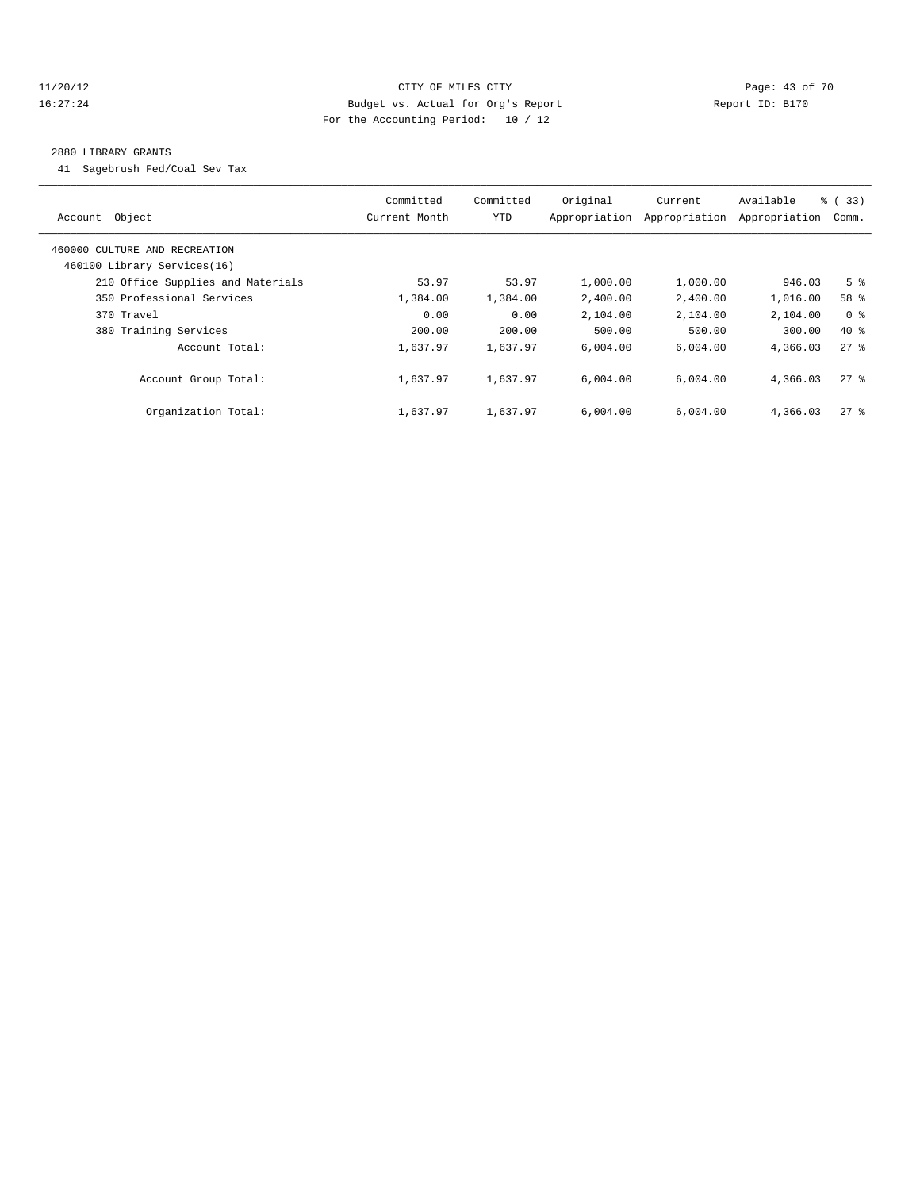#### 11/20/12 **Page: 43 of 70 CITY OF MILES CITY CITY Page: 43 of 70** 16:27:24 Budget vs. Actual for Org's Report Report ID: B170 For the Accounting Period: 10 / 12

#### 2880 LIBRARY GRANTS

41 Sagebrush Fed/Coal Sev Tax

|                                   | Committed     | Committed  | Original      | Current       | Available     | % (33)             |
|-----------------------------------|---------------|------------|---------------|---------------|---------------|--------------------|
| Object<br>Account                 | Current Month | <b>YTD</b> | Appropriation | Appropriation | Appropriation | Comm.              |
| 460000 CULTURE AND RECREATION     |               |            |               |               |               |                    |
| 460100 Library Services(16)       |               |            |               |               |               |                    |
| 210 Office Supplies and Materials | 53.97         | 53.97      | 1,000.00      | 1,000.00      | 946.03        | 5 <sup>8</sup>     |
| 350 Professional Services         | 1,384.00      | 1,384.00   | 2,400.00      | 2,400.00      | 1,016.00      | 58 %               |
| 370 Travel                        | 0.00          | 0.00       | 2,104.00      | 2,104.00      | 2,104.00      | 0 <sup>8</sup>     |
| 380 Training Services             | 200.00        | 200.00     | 500.00        | 500.00        | 300.00        | 40 %               |
| Account Total:                    | 1,637.97      | 1,637.97   | 6.004.00      | 6,004.00      | 4,366.03      | $27$ $\frac{6}{5}$ |
| Account Group Total:              | 1,637.97      | 1,637.97   | 6.004.00      | 6.004.00      | 4,366.03      | $27$ %             |
| Organization Total:               | 1,637.97      | 1,637.97   | 6.004.00      | 6,004.00      | 4,366.03      | $27$ %             |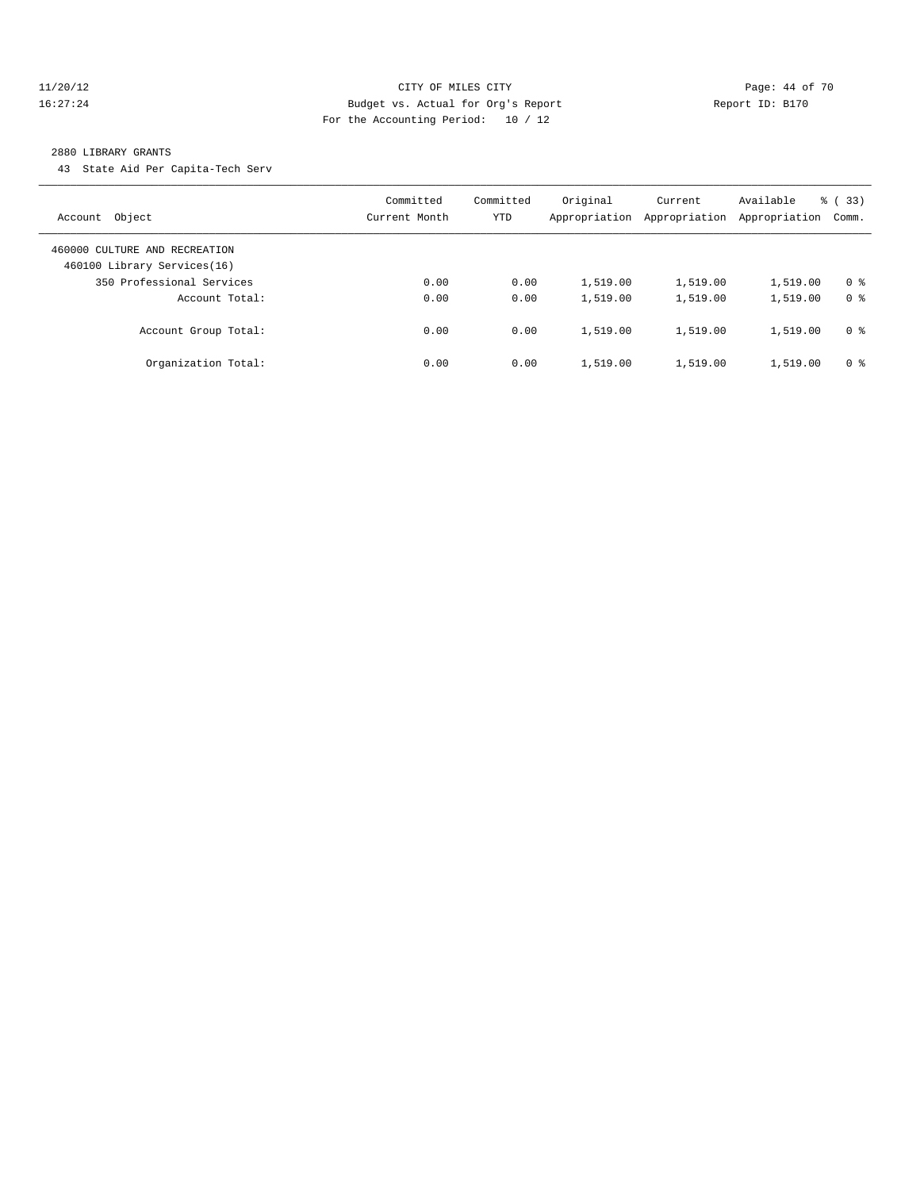#### 11/20/12 **Page: 44 of 70 CITY OF MILES CITY Page: 44 of 70** 16:27:24 Budget vs. Actual for Org's Report Report ID: B170 For the Accounting Period: 10 / 12

#### 2880 LIBRARY GRANTS

43 State Aid Per Capita-Tech Serv

| Object<br>Account                                            | Committed<br>Current Month | Committed<br>YTD | Original<br>Appropriation | Current<br>Appropriation | Available<br>Appropriation | % (33)<br>Comm. |
|--------------------------------------------------------------|----------------------------|------------------|---------------------------|--------------------------|----------------------------|-----------------|
| 460000 CULTURE AND RECREATION<br>460100 Library Services(16) |                            |                  |                           |                          |                            |                 |
| 350 Professional Services                                    | 0.00                       | 0.00             | 1,519.00                  | 1,519.00                 | 1,519.00                   | 0 <sup>8</sup>  |
| Account Total:                                               | 0.00                       | 0.00             | 1,519.00                  | 1,519.00                 | 1,519.00                   | 0 <sup>8</sup>  |
| Account Group Total:                                         | 0.00                       | 0.00             | 1,519.00                  | 1,519.00                 | 1,519.00                   | 0 <sup>8</sup>  |
| Organization Total:                                          | 0.00                       | 0.00             | 1,519.00                  | 1,519.00                 | 1,519.00                   | 0 <sup>8</sup>  |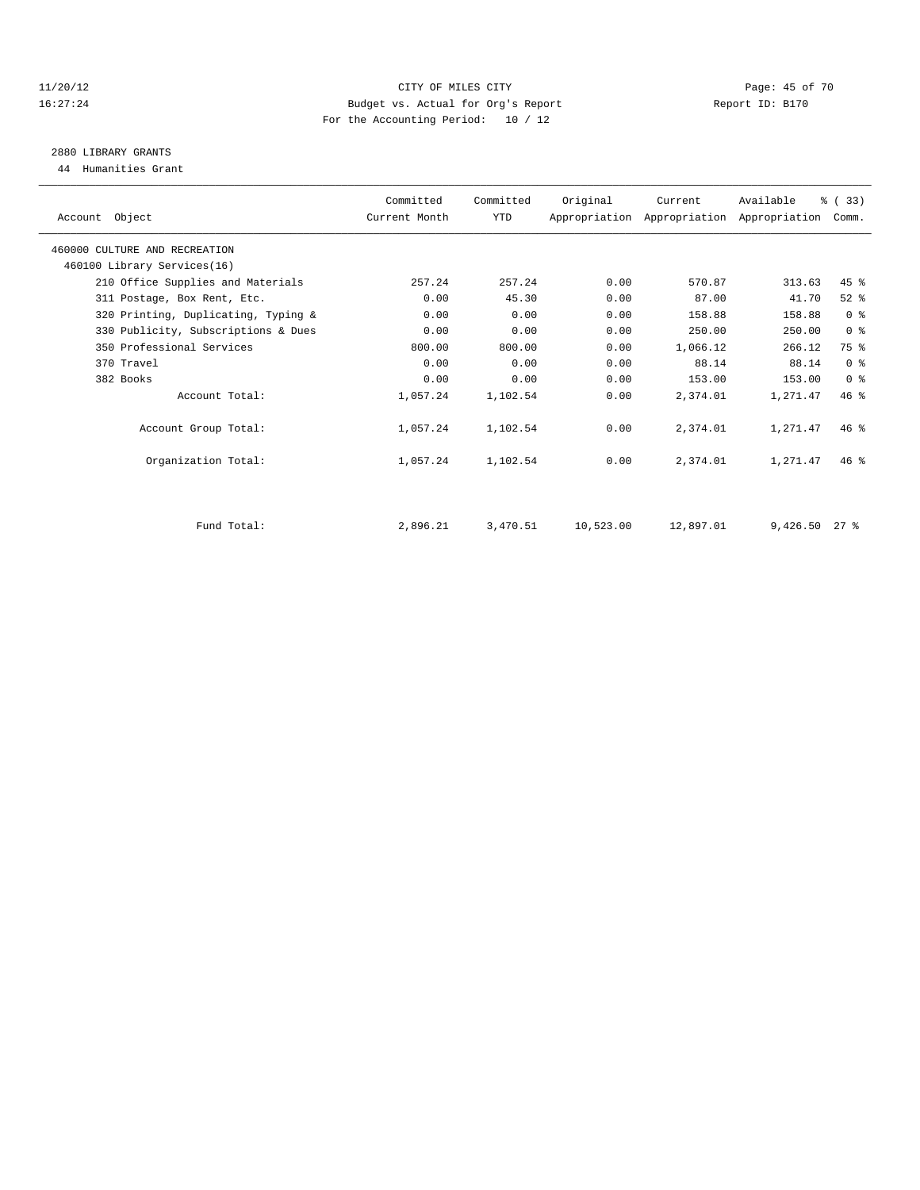#### 11/20/12 **Page: 45 of 70 CITY OF MILES CITY CITY Page: 45 of 70** 16:27:24 Budget vs. Actual for Org's Report Report ID: B170 For the Accounting Period: 10 / 12

### 2880 LIBRARY GRANTS

44 Humanities Grant

| Committed<br>Committed<br>Original<br>Available<br>Current<br>YTD<br>Account Object<br>Current Month<br>Appropriation Appropriation Appropriation<br>460000 CULTURE AND RECREATION<br>460100 Library Services(16)<br>257.24<br>0.00<br>570.87<br>313.63<br>210 Office Supplies and Materials<br>257.24<br>45.30<br>0.00<br>87.00<br>0.00<br>41.70<br>311 Postage, Box Rent, Etc.<br>0.00<br>320 Printing, Duplicating, Typing &<br>0.00<br>0.00<br>158.88<br>158.88<br>0.00<br>250.00<br>330 Publicity, Subscriptions & Dues<br>0.00<br>0.00<br>250.00<br>800.00<br>350 Professional Services<br>800.00<br>0.00<br>1,066.12<br>266.12<br>0.00<br>88.14<br>370 Travel<br>0.00<br>0.00<br>88.14<br>382 Books<br>0.00<br>0.00<br>0.00<br>153.00<br>153.00<br>Account Total:<br>1,057.24<br>1,102.54<br>0.00<br>2,374.01<br>1,271.47<br>Account Group Total:<br>1,057.24<br>1,102.54<br>0.00<br>2,374.01<br>1,271.47 | % (33)<br>Comm. |        |
|------------------------------------------------------------------------------------------------------------------------------------------------------------------------------------------------------------------------------------------------------------------------------------------------------------------------------------------------------------------------------------------------------------------------------------------------------------------------------------------------------------------------------------------------------------------------------------------------------------------------------------------------------------------------------------------------------------------------------------------------------------------------------------------------------------------------------------------------------------------------------------------------------------------|-----------------|--------|
|                                                                                                                                                                                                                                                                                                                                                                                                                                                                                                                                                                                                                                                                                                                                                                                                                                                                                                                  |                 |        |
|                                                                                                                                                                                                                                                                                                                                                                                                                                                                                                                                                                                                                                                                                                                                                                                                                                                                                                                  |                 |        |
|                                                                                                                                                                                                                                                                                                                                                                                                                                                                                                                                                                                                                                                                                                                                                                                                                                                                                                                  |                 |        |
|                                                                                                                                                                                                                                                                                                                                                                                                                                                                                                                                                                                                                                                                                                                                                                                                                                                                                                                  | $45$ $%$        |        |
|                                                                                                                                                                                                                                                                                                                                                                                                                                                                                                                                                                                                                                                                                                                                                                                                                                                                                                                  | $52$ $%$        |        |
|                                                                                                                                                                                                                                                                                                                                                                                                                                                                                                                                                                                                                                                                                                                                                                                                                                                                                                                  | 0 <sup>8</sup>  |        |
|                                                                                                                                                                                                                                                                                                                                                                                                                                                                                                                                                                                                                                                                                                                                                                                                                                                                                                                  | 0 <sup>8</sup>  |        |
|                                                                                                                                                                                                                                                                                                                                                                                                                                                                                                                                                                                                                                                                                                                                                                                                                                                                                                                  | 75 %            |        |
|                                                                                                                                                                                                                                                                                                                                                                                                                                                                                                                                                                                                                                                                                                                                                                                                                                                                                                                  | 0 <sup>8</sup>  |        |
|                                                                                                                                                                                                                                                                                                                                                                                                                                                                                                                                                                                                                                                                                                                                                                                                                                                                                                                  | 0 <sup>8</sup>  |        |
|                                                                                                                                                                                                                                                                                                                                                                                                                                                                                                                                                                                                                                                                                                                                                                                                                                                                                                                  | 46.8            |        |
|                                                                                                                                                                                                                                                                                                                                                                                                                                                                                                                                                                                                                                                                                                                                                                                                                                                                                                                  | 46%             |        |
| Organization Total:<br>1,057.24<br>1,102.54<br>0.00<br>2,374.01<br>1,271.47                                                                                                                                                                                                                                                                                                                                                                                                                                                                                                                                                                                                                                                                                                                                                                                                                                      | $46*$           |        |
| Fund Total:<br>2,896.21<br>3,470.51<br>10,523.00<br>12,897.01<br>9,426.50                                                                                                                                                                                                                                                                                                                                                                                                                                                                                                                                                                                                                                                                                                                                                                                                                                        |                 | $27$ % |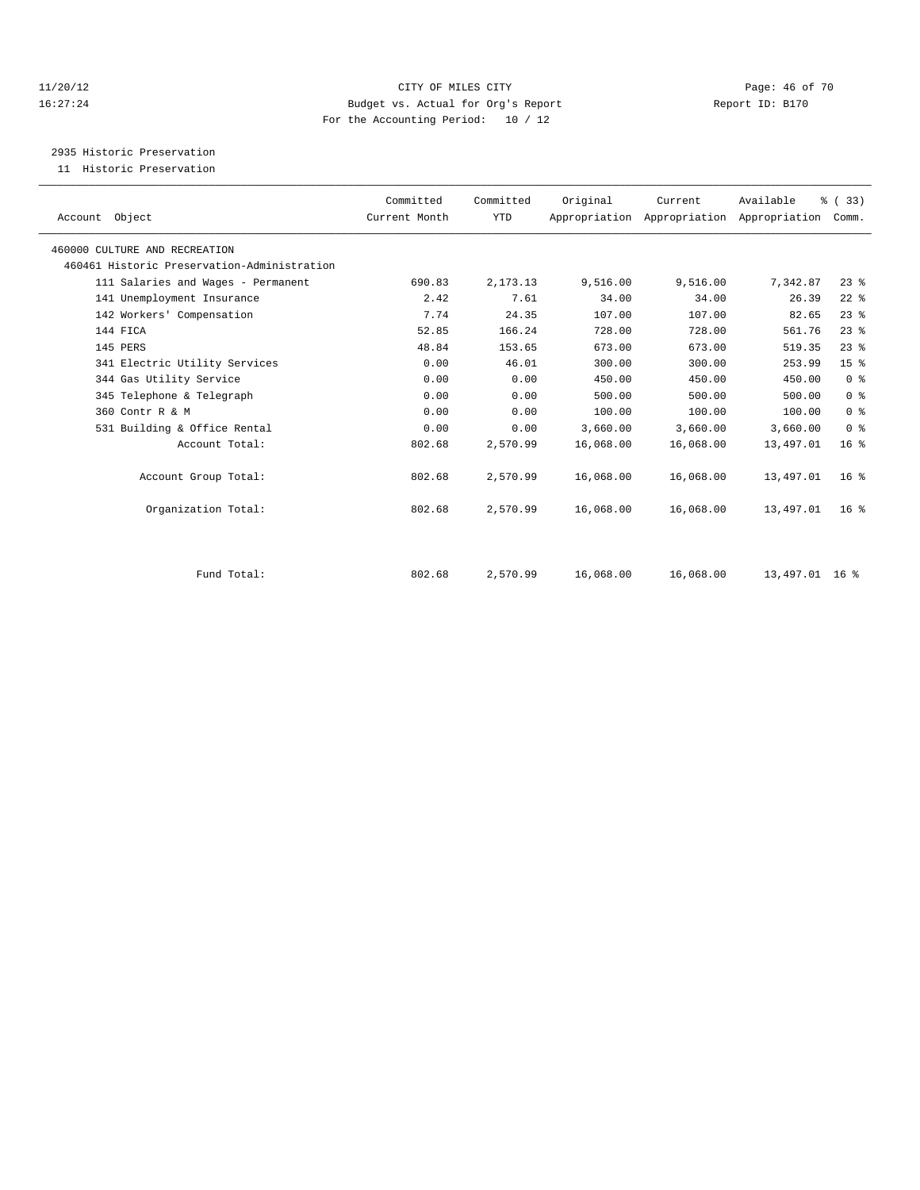#### 11/20/12 **Page: 46 of 70 CITY OF MILES CITY CITY Page: 46 of 70** 16:27:24 Budget vs. Actual for Org's Report Report ID: B170 For the Accounting Period: 10 / 12

2935 Historic Preservation

11 Historic Preservation

| Account Object                              | Committed<br>Current Month | Committed<br>YTD | Original  | Current   | Available<br>Appropriation Appropriation Appropriation | % (33)<br>Comm. |  |
|---------------------------------------------|----------------------------|------------------|-----------|-----------|--------------------------------------------------------|-----------------|--|
| 460000 CULTURE AND RECREATION               |                            |                  |           |           |                                                        |                 |  |
| 460461 Historic Preservation-Administration |                            |                  |           |           |                                                        |                 |  |
| 111 Salaries and Wages - Permanent          | 690.83                     | 2, 173. 13       | 9,516.00  | 9,516.00  | 7,342.87                                               | $23$ $%$        |  |
| 141 Unemployment Insurance                  | 2.42                       | 7.61             | 34.00     | 34.00     | 26.39                                                  | $22$ %          |  |
| 142 Workers' Compensation                   | 7.74                       | 24.35            | 107.00    | 107.00    | 82.65                                                  | $23$ $%$        |  |
| 144 FICA                                    | 52.85                      | 166.24           | 728.00    | 728.00    | 561.76                                                 | $23$ $%$        |  |
| 145 PERS                                    | 48.84                      | 153.65           | 673.00    | 673.00    | 519.35                                                 | 23%             |  |
| 341 Electric Utility Services               | 0.00                       | 46.01            | 300.00    | 300.00    | 253.99                                                 | 15 <sup>8</sup> |  |
| 344 Gas Utility Service                     | 0.00                       | 0.00             | 450.00    | 450.00    | 450.00                                                 | 0 <sup>8</sup>  |  |
| 345 Telephone & Telegraph                   | 0.00                       | 0.00             | 500.00    | 500.00    | 500.00                                                 | 0 <sup>8</sup>  |  |
| 360 Contr R & M                             | 0.00                       | 0.00             | 100.00    | 100.00    | 100.00                                                 | 0 <sup>8</sup>  |  |
| 531 Building & Office Rental                | 0.00                       | 0.00             | 3,660.00  | 3,660.00  | 3,660.00                                               | 0 <sup>8</sup>  |  |
| Account Total:                              | 802.68                     | 2,570.99         | 16,068.00 | 16,068.00 | 13,497.01                                              | 16 <sup>°</sup> |  |
| Account Group Total:                        | 802.68                     | 2,570.99         | 16,068.00 | 16,068.00 | 13,497.01                                              | 16 <sup>8</sup> |  |
| Organization Total:                         | 802.68                     | 2,570.99         | 16,068.00 | 16,068.00 | 13,497.01                                              | 16 <sup>8</sup> |  |
|                                             |                            |                  |           |           |                                                        |                 |  |
| Fund Total:                                 | 802.68                     | 2,570.99         | 16,068.00 | 16,068.00 | 13,497.01 16 %                                         |                 |  |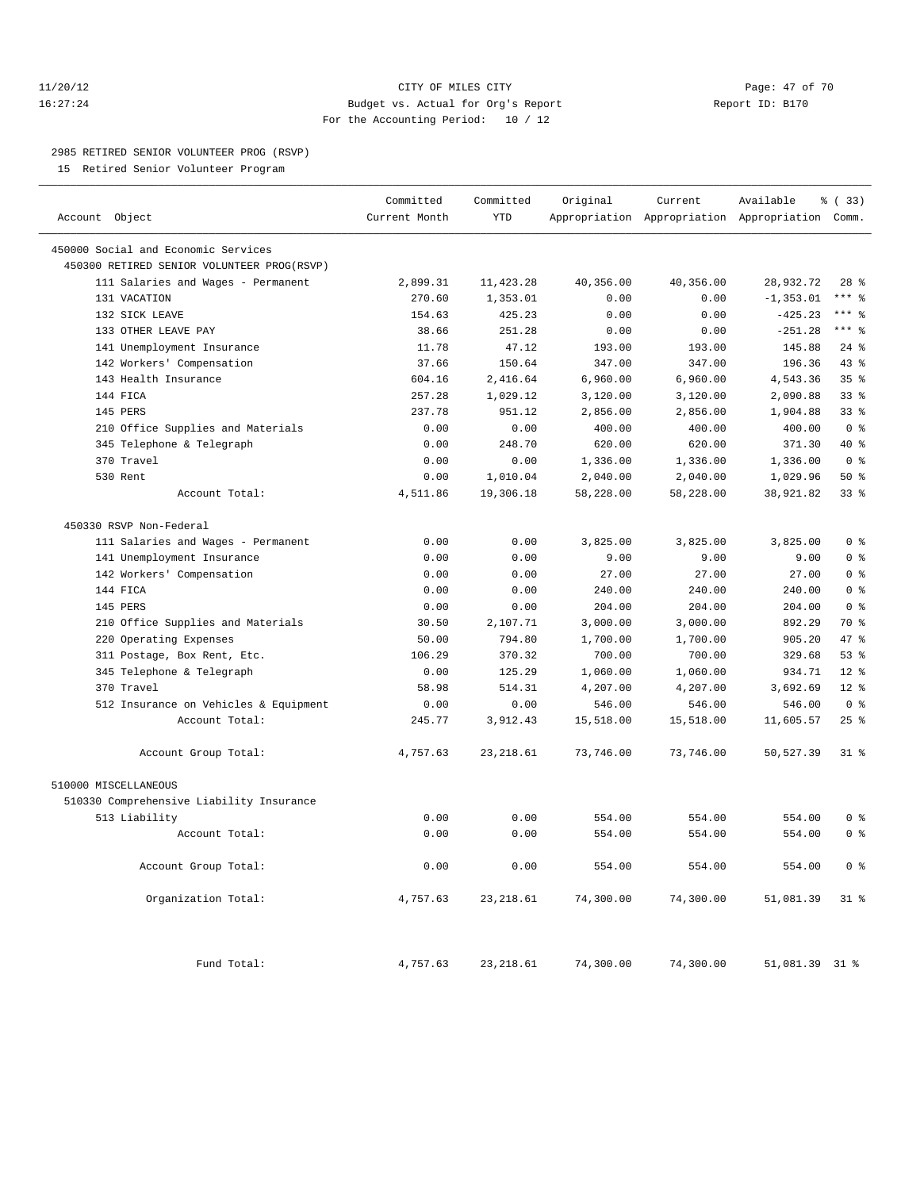#### 11/20/12 **Page: 47 of 70** CITY OF MILES CITY **Page: 47 of 70** 16:27:24 Budget vs. Actual for Org's Report Report ID: B170 For the Accounting Period: 10 / 12

————————————————————————————————————————————————————————————————————————————————————————————————————————————————————————————————————

#### 2985 RETIRED SENIOR VOLUNTEER PROG (RSVP)

15 Retired Senior Volunteer Program

|                                            | Committed     | Committed  | Original  | Current   | Available                                       | % (33)          |
|--------------------------------------------|---------------|------------|-----------|-----------|-------------------------------------------------|-----------------|
| Account Object                             | Current Month | <b>YTD</b> |           |           | Appropriation Appropriation Appropriation Comm. |                 |
| 450000 Social and Economic Services        |               |            |           |           |                                                 |                 |
| 450300 RETIRED SENIOR VOLUNTEER PROG(RSVP) |               |            |           |           |                                                 |                 |
| 111 Salaries and Wages - Permanent         | 2,899.31      | 11, 423.28 | 40,356.00 | 40,356.00 | 28,932.72                                       | $28$ %          |
| 131 VACATION                               | 270.60        | 1,353.01   | 0.00      | 0.00      | $-1, 353.01$                                    | $***$ $-$       |
| 132 SICK LEAVE                             | 154.63        | 425.23     | 0.00      | 0.00      | $-425.23$                                       | $***$ 8         |
| 133 OTHER LEAVE PAY                        | 38.66         | 251.28     | 0.00      | 0.00      | $-251.28$                                       | $***$ 8         |
| 141 Unemployment Insurance                 | 11.78         | 47.12      | 193.00    | 193.00    | 145.88                                          | $24$ %          |
| 142 Workers' Compensation                  | 37.66         | 150.64     | 347.00    | 347.00    | 196.36                                          | 43 %            |
| 143 Health Insurance                       | 604.16        | 2,416.64   | 6,960.00  | 6,960.00  | 4,543.36                                        | 35 <sup>8</sup> |
| 144 FICA                                   | 257.28        | 1,029.12   | 3,120.00  | 3,120.00  | 2,090.88                                        | 33%             |
| 145 PERS                                   | 237.78        | 951.12     | 2,856.00  | 2,856.00  | 1,904.88                                        | $33$ $%$        |
| 210 Office Supplies and Materials          | 0.00          | 0.00       | 400.00    | 400.00    | 400.00                                          | 0 <sup>8</sup>  |
| 345 Telephone & Telegraph                  | 0.00          | 248.70     | 620.00    | 620.00    | 371.30                                          | $40*$           |
| 370 Travel                                 | 0.00          | 0.00       | 1,336.00  | 1,336.00  | 1,336.00                                        | 0 <sup>8</sup>  |
| 530 Rent                                   | 0.00          | 1,010.04   | 2,040.00  | 2,040.00  | 1,029.96                                        | 50%             |
| Account Total:                             | 4,511.86      | 19,306.18  | 58,228.00 | 58,228.00 | 38,921.82                                       | 33%             |
| 450330 RSVP Non-Federal                    |               |            |           |           |                                                 |                 |
| 111 Salaries and Wages - Permanent         | 0.00          | 0.00       | 3,825.00  | 3,825.00  | 3,825.00                                        | 0 <sup>8</sup>  |
| 141 Unemployment Insurance                 | 0.00          | 0.00       | 9.00      | 9.00      | 9.00                                            | 0 <sup>8</sup>  |
| 142 Workers' Compensation                  | 0.00          | 0.00       | 27.00     | 27.00     | 27.00                                           | 0 <sup>8</sup>  |
| 144 FICA                                   | 0.00          | 0.00       | 240.00    | 240.00    | 240.00                                          | 0 <sup>8</sup>  |
| 145 PERS                                   | 0.00          | 0.00       | 204.00    | 204.00    | 204.00                                          | 0 <sup>8</sup>  |
| 210 Office Supplies and Materials          | 30.50         | 2,107.71   | 3,000.00  | 3,000.00  | 892.29                                          | 70 %            |
| 220 Operating Expenses                     | 50.00         | 794.80     | 1,700.00  | 1,700.00  | 905.20                                          | 47 %            |
| 311 Postage, Box Rent, Etc.                | 106.29        | 370.32     | 700.00    | 700.00    | 329.68                                          | 53%             |
| 345 Telephone & Telegraph                  | 0.00          | 125.29     | 1,060.00  | 1,060.00  | 934.71                                          | $12*$           |
| 370 Travel                                 | 58.98         | 514.31     | 4,207.00  | 4,207.00  | 3,692.69                                        | $12*$           |
| 512 Insurance on Vehicles & Equipment      | 0.00          | 0.00       | 546.00    | 546.00    | 546.00                                          | 0 <sup>8</sup>  |
| Account Total:                             | 245.77        | 3,912.43   | 15,518.00 | 15,518.00 | 11,605.57                                       | 25%             |
| Account Group Total:                       | 4,757.63      | 23, 218.61 | 73,746.00 | 73,746.00 | 50,527.39                                       | $31$ $%$        |
| 510000 MISCELLANEOUS                       |               |            |           |           |                                                 |                 |
| 510330 Comprehensive Liability Insurance   |               |            |           |           |                                                 |                 |
| 513 Liability                              | 0.00          | 0.00       | 554.00    | 554.00    | 554.00                                          | 0 <sup>8</sup>  |
| Account Total:                             | 0.00          | 0.00       | 554.00    | 554.00    | 554.00                                          | 0 <sup>8</sup>  |
| Account Group Total:                       | 0.00          | 0.00       | 554.00    | 554.00    | 554.00                                          | 0 <sup>8</sup>  |
| Organization Total:                        | 4,757.63      | 23, 218.61 | 74,300.00 | 74,300.00 | 51,081.39                                       | $31$ %          |
| Fund Total:                                | 4,757.63      | 23, 218.61 | 74,300.00 | 74,300.00 | 51,081.39 31 %                                  |                 |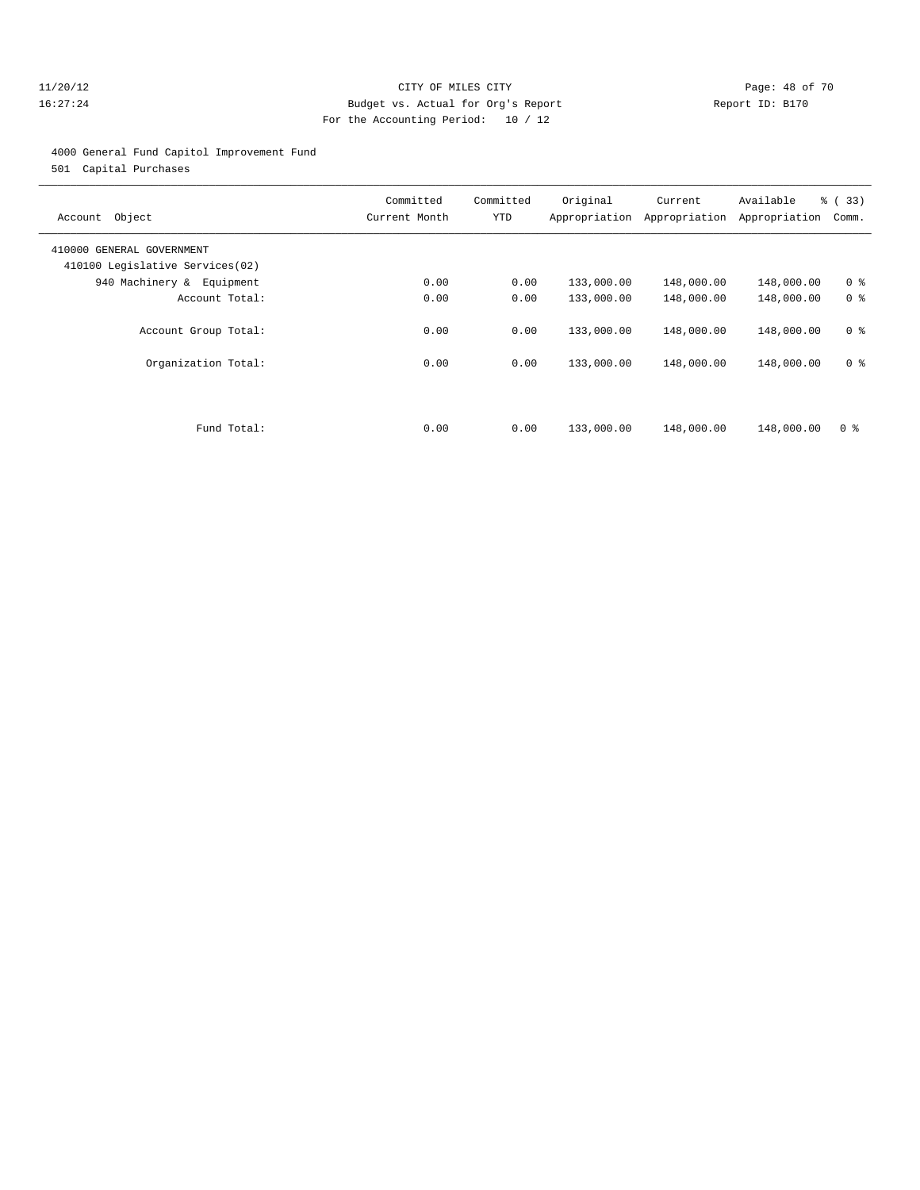#### 11/20/12 **Page: 48 of 70 CITY OF MILES CITY CITY Page: 48 of 70** 16:27:24 Budget vs. Actual for Org's Report Report ID: B170 For the Accounting Period: 10 / 12

#### 4000 General Fund Capitol Improvement Fund

501 Capital Purchases

| Object<br>Account                                            | Committed<br>Current Month | Committed<br>YTD | Original   | Current<br>Appropriation Appropriation | Available<br>Appropriation | % (33)<br>Comm. |
|--------------------------------------------------------------|----------------------------|------------------|------------|----------------------------------------|----------------------------|-----------------|
| 410000 GENERAL GOVERNMENT<br>410100 Legislative Services(02) |                            |                  |            |                                        |                            |                 |
| 940 Machinery & Equipment                                    | 0.00                       | 0.00             | 133,000.00 | 148,000.00                             | 148,000.00                 | 0 <sup>8</sup>  |
| Account Total:                                               | 0.00                       | 0.00             | 133,000.00 | 148,000.00                             | 148,000.00                 | 0 <sup>8</sup>  |
| Account Group Total:                                         | 0.00                       | 0.00             | 133,000.00 | 148,000.00                             | 148,000.00                 | 0 <sup>8</sup>  |
| Organization Total:                                          | 0.00                       | 0.00             | 133,000.00 | 148,000.00                             | 148,000.00                 | 0 <sup>8</sup>  |
|                                                              |                            |                  |            |                                        |                            |                 |
| Fund Total:                                                  | 0.00                       | 0.00             | 133,000.00 | 148,000.00                             | 148,000.00                 | 0 <sup>8</sup>  |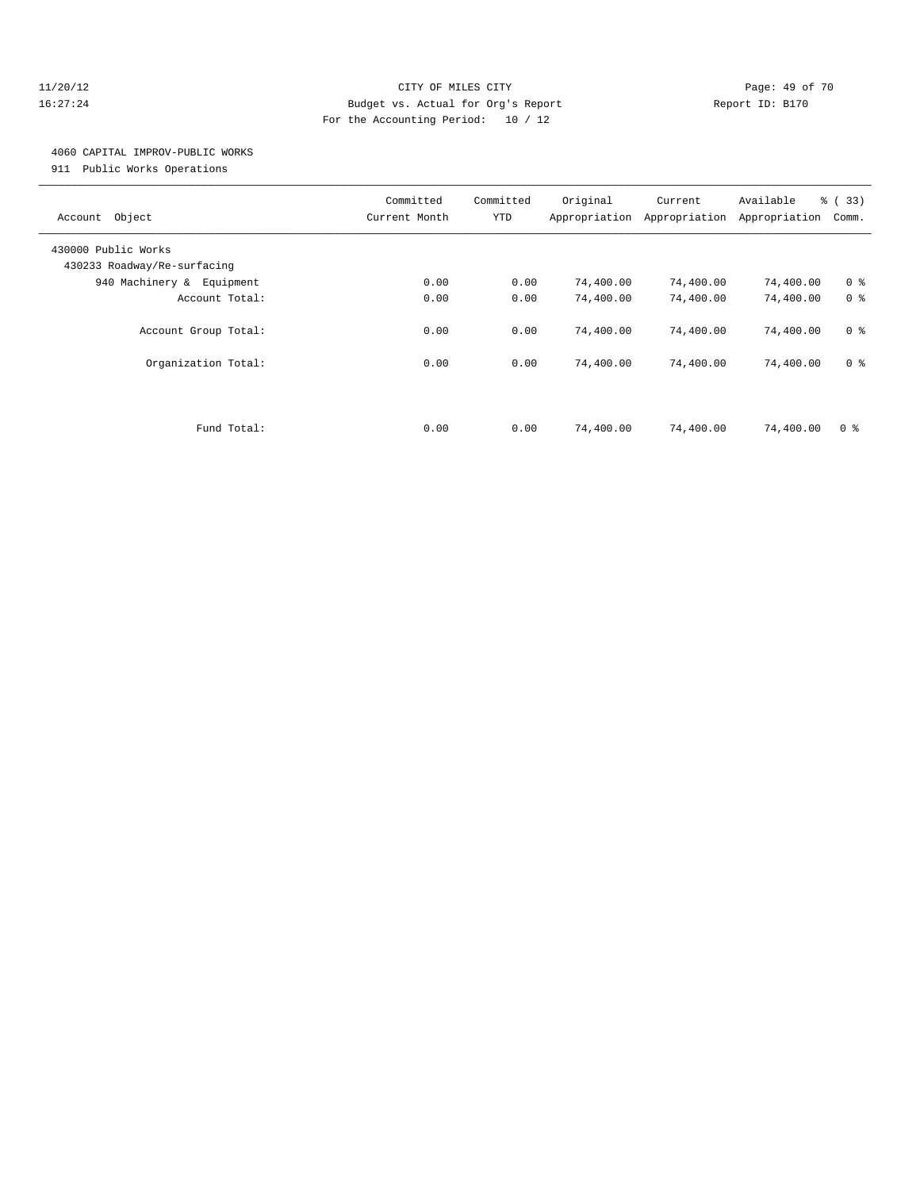#### 11/20/12 **Page: 49 of 70 CITY OF MILES CITY CITY Page: 49 of 70** 16:27:24 Budget vs. Actual for Org's Report Report ID: B170 For the Accounting Period: 10 / 12

#### 4060 CAPITAL IMPROV-PUBLIC WORKS

911 Public Works Operations

| Object<br>Account                                  | Committed<br>Current Month | Committed<br>YTD | Original<br>Appropriation | Current<br>Appropriation | Available<br>Appropriation | % (33)<br>Comm. |
|----------------------------------------------------|----------------------------|------------------|---------------------------|--------------------------|----------------------------|-----------------|
| 430000 Public Works<br>430233 Roadway/Re-surfacing |                            |                  |                           |                          |                            |                 |
| 940 Machinery & Equipment                          | 0.00                       | 0.00             | 74,400.00                 | 74,400.00                | 74,400.00                  | 0 <sup>8</sup>  |
| Account Total:                                     | 0.00                       | 0.00             | 74,400.00                 | 74,400.00                | 74,400.00                  | 0 <sup>8</sup>  |
| Account Group Total:                               | 0.00                       | 0.00             | 74,400.00                 | 74,400.00                | 74,400.00                  | 0 <sup>8</sup>  |
| Organization Total:                                | 0.00                       | 0.00             | 74,400.00                 | 74,400.00                | 74,400.00                  | 0 <sup>8</sup>  |
|                                                    |                            |                  |                           |                          |                            |                 |
| Fund Total:                                        | 0.00                       | 0.00             | 74,400.00                 | 74,400.00                | 74,400.00                  | 0 <sup>8</sup>  |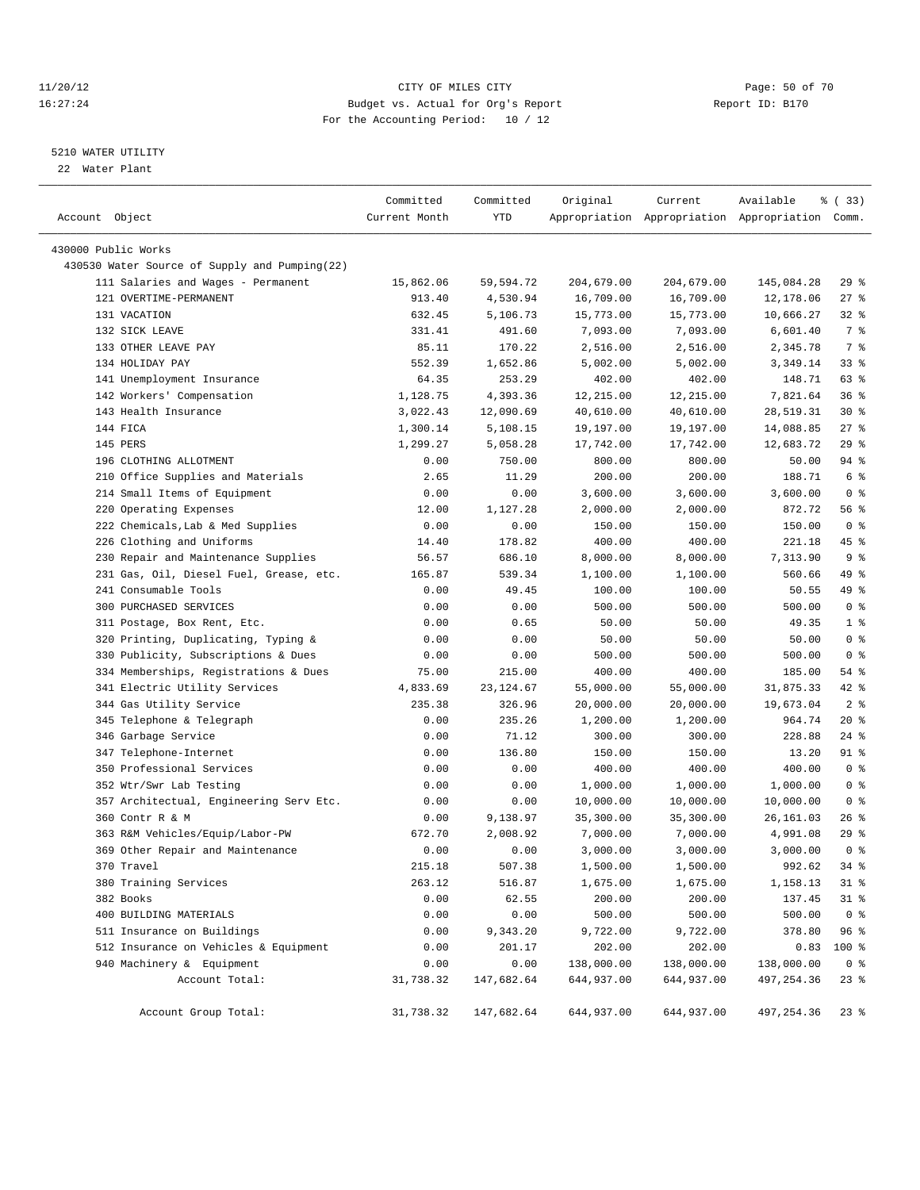#### 11/20/12 **Page: 50 of 70** CITY OF MILES CITY **CITY** Page: 50 of 70 16:27:24 Budget vs. Actual for Org's Report Report ID: B170 For the Accounting Period: 10 / 12

————————————————————————————————————————————————————————————————————————————————————————————————————————————————————————————————————

#### 5210 WATER UTILITY

22 Water Plant

|                                               | Committed     | Committed  | Original   | Current    | Available                                       | १ (33)         |
|-----------------------------------------------|---------------|------------|------------|------------|-------------------------------------------------|----------------|
| Account Object                                | Current Month | YTD        |            |            | Appropriation Appropriation Appropriation Comm. |                |
| 430000 Public Works                           |               |            |            |            |                                                 |                |
| 430530 Water Source of Supply and Pumping(22) |               |            |            |            |                                                 |                |
|                                               | 15,862.06     |            |            |            |                                                 | 29%            |
| 111 Salaries and Wages - Permanent            |               | 59,594.72  | 204,679.00 | 204,679.00 | 145,084.28                                      |                |
| 121 OVERTIME-PERMANENT<br>131 VACATION        | 913.40        | 4,530.94   | 16,709.00  | 16,709.00  | 12,178.06                                       | $27$ %         |
|                                               | 632.45        | 5,106.73   | 15,773.00  | 15,773.00  | 10,666.27                                       | $32$ $%$       |
| 132 SICK LEAVE                                | 331.41        | 491.60     | 7,093.00   | 7,093.00   | 6,601.40                                        | 7 %            |
| 133 OTHER LEAVE PAY                           | 85.11         | 170.22     | 2,516.00   | 2,516.00   | 2,345.78                                        | 7 %            |
| 134 HOLIDAY PAY                               | 552.39        | 1,652.86   | 5,002.00   | 5,002.00   | 3,349.14<br>148.71                              | $33$ $%$       |
| 141 Unemployment Insurance                    | 64.35         | 253.29     | 402.00     | 402.00     |                                                 | 63 %           |
| 142 Workers' Compensation                     | 1,128.75      | 4,393.36   | 12,215.00  | 12,215.00  | 7,821.64                                        | 36%            |
| 143 Health Insurance                          | 3,022.43      | 12,090.69  | 40,610.00  | 40,610.00  | 28,519.31                                       | $30*$          |
| 144 FICA                                      | 1,300.14      | 5,108.15   | 19,197.00  | 19,197.00  | 14,088.85                                       | $27$ %         |
| 145 PERS                                      | 1,299.27      | 5,058.28   | 17,742.00  | 17,742.00  | 12,683.72                                       | 29%            |
| 196 CLOTHING ALLOTMENT                        | 0.00          | 750.00     | 800.00     | 800.00     | 50.00                                           | 94 %           |
| 210 Office Supplies and Materials             | 2.65          | 11.29      | 200.00     | 200.00     | 188.71                                          | 6 %            |
| 214 Small Items of Equipment                  | 0.00          | 0.00       | 3,600.00   | 3,600.00   | 3,600.00                                        | 0 <sup>8</sup> |
| 220 Operating Expenses                        | 12.00         | 1,127.28   | 2,000.00   | 2,000.00   | 872.72                                          | 56 %           |
| 222 Chemicals, Lab & Med Supplies             | 0.00          | 0.00       | 150.00     | 150.00     | 150.00                                          | 0 <sup>8</sup> |
| 226 Clothing and Uniforms                     | 14.40         | 178.82     | 400.00     | 400.00     | 221.18                                          | 45 %           |
| 230 Repair and Maintenance Supplies           | 56.57         | 686.10     | 8,000.00   | 8,000.00   | 7,313.90                                        | 9%             |
| 231 Gas, Oil, Diesel Fuel, Grease, etc.       | 165.87        | 539.34     | 1,100.00   | 1,100.00   | 560.66                                          | 49 %           |
| 241 Consumable Tools                          | 0.00          | 49.45      | 100.00     | 100.00     | 50.55                                           | 49 %           |
| 300 PURCHASED SERVICES                        | 0.00          | 0.00       | 500.00     | 500.00     | 500.00                                          | 0 <sup>8</sup> |
| 311 Postage, Box Rent, Etc.                   | 0.00          | 0.65       | 50.00      | 50.00      | 49.35                                           | 1 <sup>°</sup> |
| 320 Printing, Duplicating, Typing &           | 0.00          | 0.00       | 50.00      | 50.00      | 50.00                                           | 0 <sup>8</sup> |
| 330 Publicity, Subscriptions & Dues           | 0.00          | 0.00       | 500.00     | 500.00     | 500.00                                          | 0 <sup>8</sup> |
| 334 Memberships, Registrations & Dues         | 75.00         | 215.00     | 400.00     | 400.00     | 185.00                                          | 54 %           |
| 341 Electric Utility Services                 | 4,833.69      | 23,124.67  | 55,000.00  | 55,000.00  | 31,875.33                                       | 42 %           |
| 344 Gas Utility Service                       | 235.38        | 326.96     | 20,000.00  | 20,000.00  | 19,673.04                                       | 2 <sup>8</sup> |
| 345 Telephone & Telegraph                     | 0.00          | 235.26     | 1,200.00   | 1,200.00   | 964.74                                          | $20*$          |
| 346 Garbage Service                           | 0.00          | 71.12      | 300.00     | 300.00     | 228.88                                          | 24 %           |
| 347 Telephone-Internet                        | 0.00          | 136.80     | 150.00     | 150.00     | 13.20                                           | 91 %           |
| 350 Professional Services                     | 0.00          | 0.00       | 400.00     | 400.00     | 400.00                                          | 0 <sup>8</sup> |
| 352 Wtr/Swr Lab Testing                       | 0.00          | 0.00       | 1,000.00   | 1,000.00   | 1,000.00                                        | 0 <sup>8</sup> |
| 357 Architectual, Engineering Serv Etc.       | 0.00          | 0.00       | 10,000.00  | 10,000.00  | 10,000.00                                       | 0 <sup>8</sup> |
| 360 Contr R & M                               | 0.00          | 9,138.97   | 35,300.00  | 35,300.00  | 26,161.03                                       | $26$ %         |
| 363 R&M Vehicles/Equip/Labor-PW               | 672.70        | 2,008.92   | 7,000.00   | 7,000.00   | 4,991.08                                        | 29%            |
| 369 Other Repair and Maintenance              | 0.00          | 0.00       | 3,000.00   | 3,000.00   | 3,000.00                                        | 0 <sup>8</sup> |
| 370 Travel                                    | 215.18        | 507.38     | 1,500.00   | 1,500.00   | 992.62                                          | $34$ $%$       |
| 380 Training Services                         | 263.12        | 516.87     | 1,675.00   | 1,675.00   | 1,158.13                                        | 31 %           |
| 382 Books                                     | 0.00          | 62.55      | 200.00     | 200.00     | 137.45                                          | $31$ %         |
| 400 BUILDING MATERIALS                        | 0.00          | 0.00       | 500.00     | 500.00     | 500.00                                          | 0 <sup>8</sup> |
| 511 Insurance on Buildings                    | 0.00          | 9,343.20   | 9,722.00   | 9,722.00   | 378.80                                          | 96%            |
| 512 Insurance on Vehicles & Equipment         | 0.00          | 201.17     | 202.00     | 202.00     | 0.83                                            | 100 %          |
| 940 Machinery & Equipment                     | 0.00          | 0.00       | 138,000.00 | 138,000.00 | 138,000.00                                      | 0 <sup>8</sup> |
| Account Total:                                | 31,738.32     | 147,682.64 | 644,937.00 | 644,937.00 | 497,254.36                                      | $23$ $%$       |
| Account Group Total:                          | 31,738.32     | 147,682.64 | 644,937.00 | 644,937.00 | 497,254.36                                      | $23$ %         |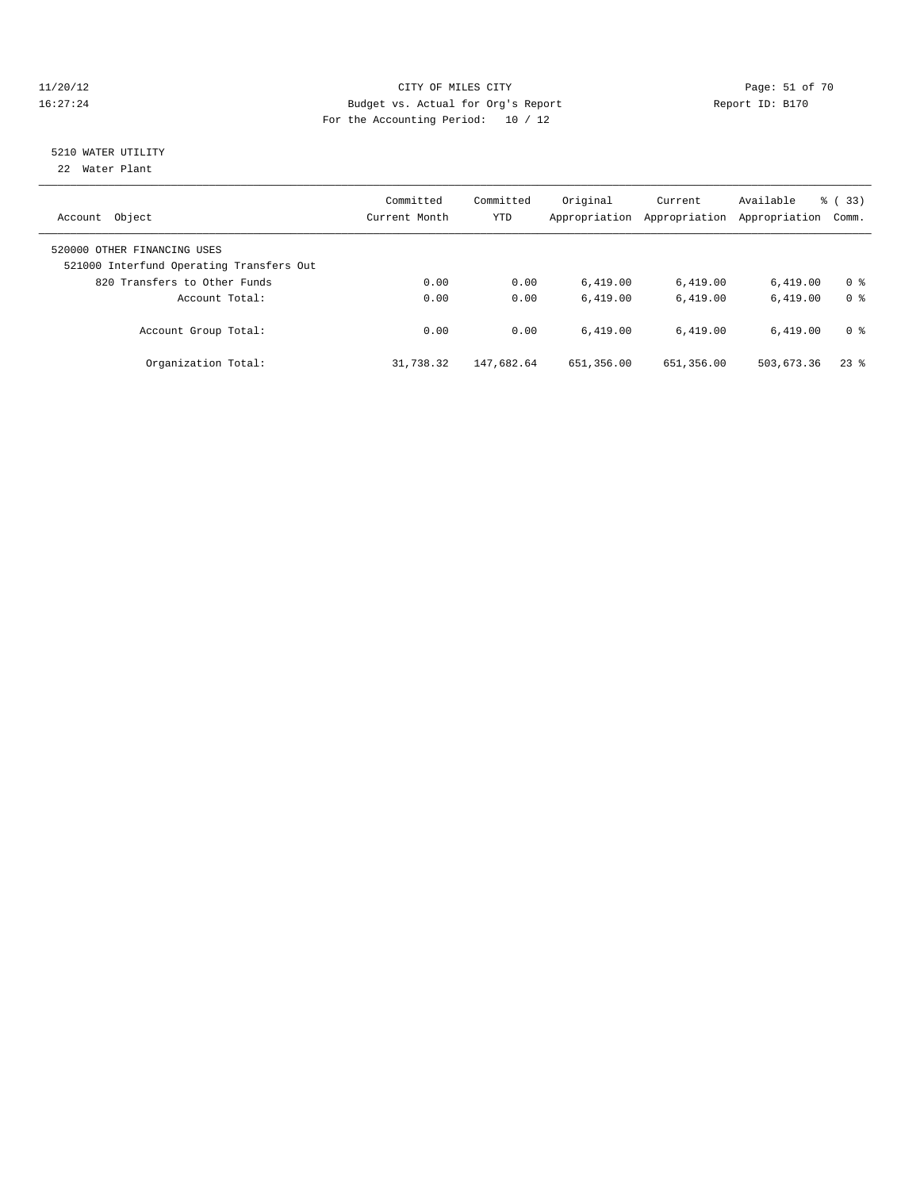#### 11/20/12 **Page: 51 of 70** CITY OF MILES CITY **Page: 51 of 70** 16:27:24 Budget vs. Actual for Org's Report Report ID: B170 For the Accounting Period: 10 / 12

# 5210 WATER UTILITY

22 Water Plant

| Object<br>Account                                                       | Committed<br>Current Month | Committed<br><b>YTD</b> | Original<br>Appropriation | Current<br>Appropriation | Available<br>Appropriation | % (33)<br>Comm. |
|-------------------------------------------------------------------------|----------------------------|-------------------------|---------------------------|--------------------------|----------------------------|-----------------|
| 520000 OTHER FINANCING USES<br>521000 Interfund Operating Transfers Out |                            |                         |                           |                          |                            |                 |
| 820 Transfers to Other Funds                                            | 0.00                       | 0.00                    | 6.419.00                  | 6,419.00                 | 6.419.00                   | 0 <sup>8</sup>  |
| Account Total:                                                          | 0.00                       | 0.00                    | 6.419.00                  | 6.419.00                 | 6.419.00                   | 0 <sup>8</sup>  |
| Account Group Total:                                                    | 0.00                       | 0.00                    | 6.419.00                  | 6.419.00                 | 6.419.00                   | 0 <sup>8</sup>  |
| Organization Total:                                                     | 31,738.32                  | 147,682.64              | 651,356.00                | 651,356.00               | 503,673.36                 | $23$ $%$        |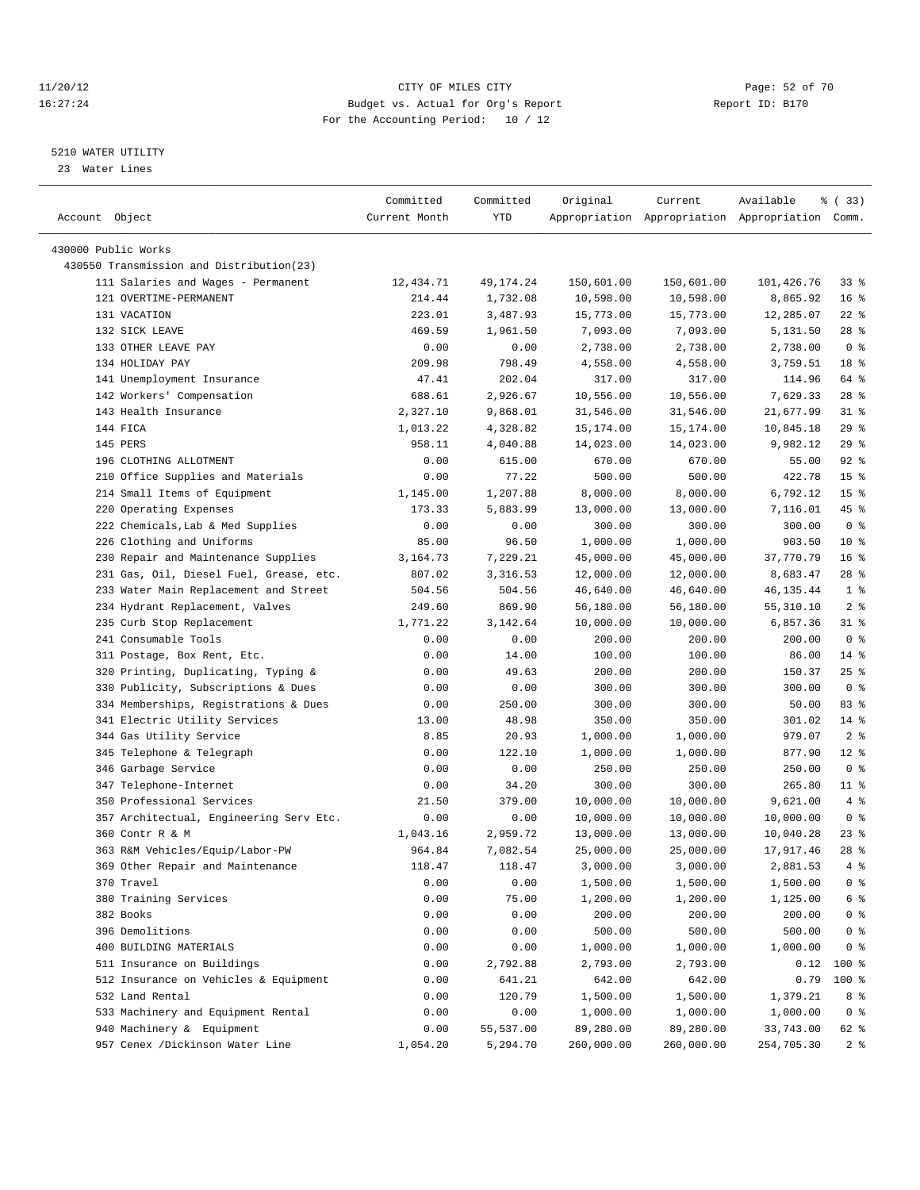#### 11/20/12 **Page: 52 of 70** CITY OF MILES CITY **CITY** Page: 52 of 70 16:27:24 Budget vs. Actual for Org's Report Report ID: B170 For the Accounting Period: 10 / 12

————————————————————————————————————————————————————————————————————————————————————————————————————————————————————————————————————

#### 5210 WATER UTILITY

23 Water Lines

|                                          | Committed     | Committed | Original   | Current    | Available                                       | % (33)            |
|------------------------------------------|---------------|-----------|------------|------------|-------------------------------------------------|-------------------|
| Account Object                           | Current Month | YTD       |            |            | Appropriation Appropriation Appropriation Comm. |                   |
| 430000 Public Works                      |               |           |            |            |                                                 |                   |
| 430550 Transmission and Distribution(23) |               |           |            |            |                                                 |                   |
| 111 Salaries and Wages - Permanent       | 12,434.71     | 49,174.24 | 150,601.00 | 150,601.00 | 101,426.76                                      | 338               |
| 121 OVERTIME-PERMANENT                   | 214.44        | 1,732.08  | 10,598.00  | 10,598.00  | 8,865.92                                        | 16 <sup>8</sup>   |
| 131 VACATION                             | 223.01        | 3,487.93  | 15,773.00  | 15,773.00  | 12,285.07                                       | $22$ %            |
| 132 SICK LEAVE                           | 469.59        | 1,961.50  | 7,093.00   | 7,093.00   | 5,131.50                                        | $28$ %            |
| 133 OTHER LEAVE PAY                      | 0.00          | 0.00      | 2,738.00   | 2,738.00   | 2,738.00                                        | 0 <sup>8</sup>    |
| 134 HOLIDAY PAY                          | 209.98        | 798.49    | 4,558.00   | 4,558.00   | 3,759.51                                        | 18 <sup>8</sup>   |
| 141 Unemployment Insurance               | 47.41         | 202.04    | 317.00     | 317.00     | 114.96                                          | 64 %              |
| 142 Workers' Compensation                | 688.61        | 2,926.67  | 10,556.00  | 10,556.00  | 7,629.33                                        | $28$ %            |
| 143 Health Insurance                     | 2,327.10      | 9,868.01  | 31,546.00  | 31,546.00  | 21,677.99                                       | $31$ $%$          |
| 144 FICA                                 | 1,013.22      | 4,328.82  | 15,174.00  | 15,174.00  | 10,845.18                                       | 29%               |
| 145 PERS                                 | 958.11        | 4,040.88  | 14,023.00  | 14,023.00  | 9,982.12                                        | 29%               |
| 196 CLOTHING ALLOTMENT                   | 0.00          | 615.00    | 670.00     | 670.00     | 55.00                                           | $92$ $%$          |
| 210 Office Supplies and Materials        | 0.00          | 77.22     | 500.00     | 500.00     | 422.78                                          | 15 <sup>8</sup>   |
| 214 Small Items of Equipment             | 1,145.00      | 1,207.88  | 8,000.00   | 8,000.00   | 6,792.12                                        | 15 <sup>8</sup>   |
| 220 Operating Expenses                   | 173.33        | 5,883.99  | 13,000.00  | 13,000.00  | 7,116.01                                        | 45 %              |
| 222 Chemicals, Lab & Med Supplies        | 0.00          | 0.00      | 300.00     | 300.00     | 300.00                                          | 0 <sup>8</sup>    |
| 226 Clothing and Uniforms                | 85.00         | 96.50     | 1,000.00   | 1,000.00   | 903.50                                          | $10*$             |
| 230 Repair and Maintenance Supplies      | 3,164.73      | 7,229.21  | 45,000.00  | 45,000.00  | 37,770.79                                       | 16 <sup>°</sup>   |
| 231 Gas, Oil, Diesel Fuel, Grease, etc.  | 807.02        | 3,316.53  | 12,000.00  | 12,000.00  | 8,683.47                                        | $28$ %            |
| 233 Water Main Replacement and Street    | 504.56        | 504.56    | 46,640.00  | 46,640.00  | 46, 135. 44                                     | 1 <sup>8</sup>    |
| 234 Hydrant Replacement, Valves          | 249.60        | 869.90    | 56,180.00  | 56,180.00  | 55,310.10                                       | 2 <sup>8</sup>    |
| 235 Curb Stop Replacement                | 1,771.22      | 3,142.64  | 10,000.00  | 10,000.00  | 6,857.36                                        | 31 %              |
| 241 Consumable Tools                     | 0.00          | 0.00      | 200.00     | 200.00     | 200.00                                          | 0 <sup>8</sup>    |
| 311 Postage, Box Rent, Etc.              | 0.00          | 14.00     | 100.00     | 100.00     | 86.00                                           | $14*$             |
| 320 Printing, Duplicating, Typing &      | 0.00          | 49.63     | 200.00     | 200.00     | 150.37                                          | $25$ $%$          |
| 330 Publicity, Subscriptions & Dues      | 0.00          | 0.00      | 300.00     | 300.00     | 300.00                                          | 0 <sup>8</sup>    |
| 334 Memberships, Registrations & Dues    | 0.00          | 250.00    | 300.00     | 300.00     | 50.00                                           | 83%               |
| 341 Electric Utility Services            | 13.00         | 48.98     | 350.00     | 350.00     | 301.02                                          | $14$ %            |
| 344 Gas Utility Service                  | 8.85          | 20.93     | 1,000.00   | 1,000.00   | 979.07                                          | 2 <sup>8</sup>    |
| 345 Telephone & Telegraph                | 0.00          | 122.10    | 1,000.00   | 1,000.00   | 877.90                                          | $12*$             |
| 346 Garbage Service                      | 0.00          | 0.00      | 250.00     | 250.00     | 250.00                                          | 0 <sup>8</sup>    |
| 347 Telephone-Internet                   | 0.00          | 34.20     | 300.00     | 300.00     | 265.80                                          | $11$ %            |
| 350 Professional Services                | 21.50         | 379.00    | 10,000.00  | 10,000.00  | 9,621.00                                        | 4%                |
| 357 Architectual, Engineering Serv Etc.  | 0.00          | 0.00      | 10,000.00  | 10,000.00  | 10,000.00                                       | 0 <sup>8</sup>    |
| 360 Contr R & M                          | 1,043.16      | 2,959.72  | 13,000.00  | 13,000.00  | 10,040.28                                       | $23$ $%$          |
| 363 R&M Vehicles/Equip/Labor-PW          | 964.84        | 7,082.54  | 25,000.00  | 25,000.00  | 17,917.46                                       | $28$ %            |
| 369 Other Repair and Maintenance         | 118.47        | 118.47    | 3,000.00   | 3,000.00   | 2,881.53                                        | $4$ %             |
| 370 Travel                               | 0.00          | 0.00      | 1,500.00   | 1,500.00   | 1,500.00                                        | 0 <sup>8</sup>    |
| 380 Training Services                    | 0.00          | 75.00     | 1,200.00   | 1,200.00   | 1,125.00                                        | $6\degree$        |
| 382 Books                                | 0.00          | 0.00      | 200.00     | 200.00     | 200.00                                          | $0$ %             |
| 396 Demolitions                          | 0.00          | 0.00      | 500.00     | 500.00     | 500.00                                          | $0$ %             |
| 400 BUILDING MATERIALS                   | 0.00          | 0.00      | 1,000.00   | 1,000.00   | 1,000.00                                        | 0 <sup>8</sup>    |
| 511 Insurance on Buildings               | 0.00          | 2,792.88  | 2,793.00   | 2,793.00   | 0.12                                            | $100$ %           |
| 512 Insurance on Vehicles & Equipment    | 0.00          | 641.21    | 642.00     | 642.00     | 0.79                                            | $100$ %           |
| 532 Land Rental                          | 0.00          | 120.79    | 1,500.00   | 1,500.00   | 1,379.21                                        | 8 %               |
| 533 Machinery and Equipment Rental       | 0.00          | 0.00      | 1,000.00   | 1,000.00   | 1,000.00                                        | 0 <sup>8</sup>    |
| 940 Machinery & Equipment                | 0.00          | 55,537.00 | 89,280.00  | 89,280.00  | 33,743.00                                       | 62 %              |
| 957 Cenex /Dickinson Water Line          | 1,054.20      | 5,294.70  | 260,000.00 | 260,000.00 | 254,705.30                                      | $2$ $\frac{6}{9}$ |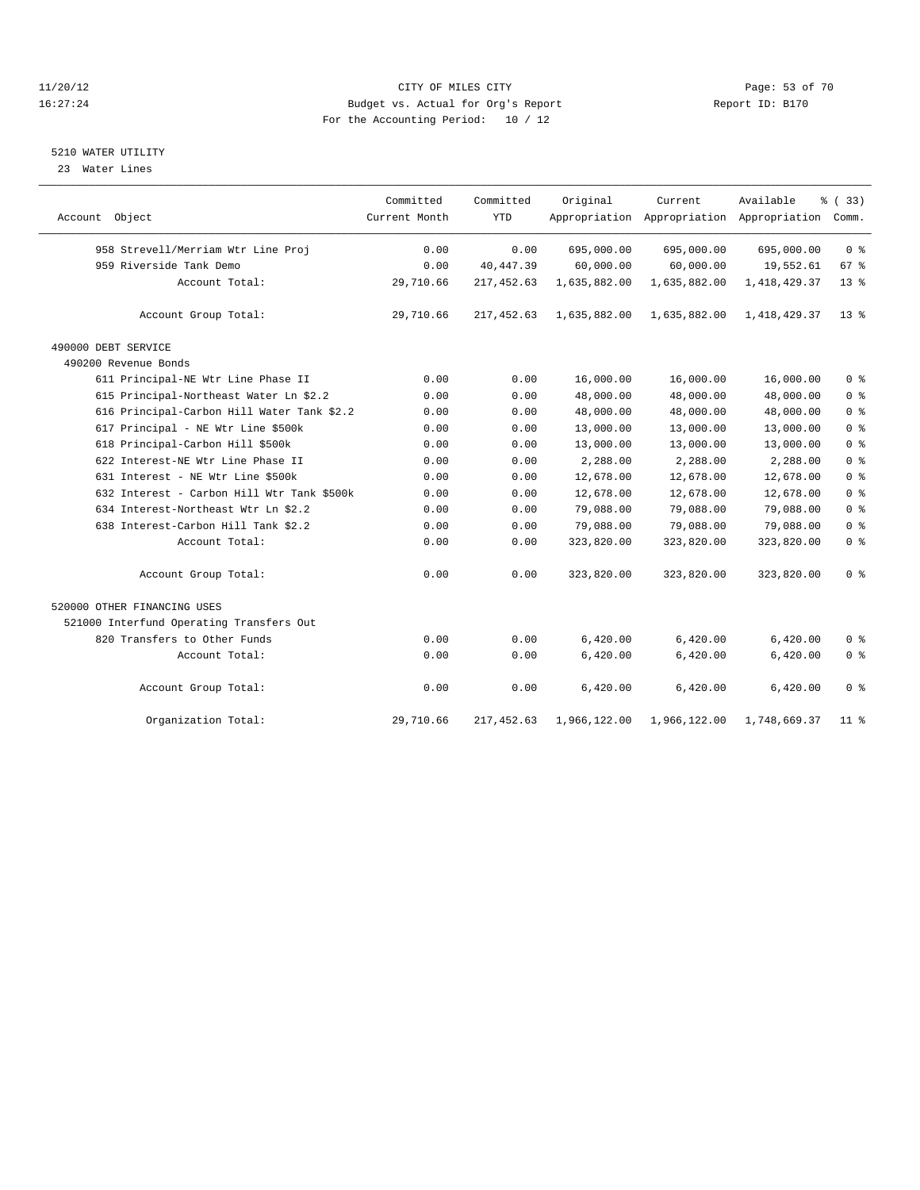#### 11/20/12 **Page: 53 of 70** CITY OF MILES CITY **CITY** Page: 53 of 70 16:27:24 Budget vs. Actual for Org's Report Report ID: B170 For the Accounting Period: 10 / 12

#### 5210 WATER UTILITY

23 Water Lines

|                                            | Committed     | Committed   | Original     | Current      | Available                                 | % (33)          |
|--------------------------------------------|---------------|-------------|--------------|--------------|-------------------------------------------|-----------------|
| Account Object                             | Current Month | <b>YTD</b>  |              |              | Appropriation Appropriation Appropriation | Comm.           |
| 958 Strevell/Merriam Wtr Line Proj         | 0.00          | 0.00        | 695,000.00   | 695,000.00   | 695,000.00                                | 0 <sup>8</sup>  |
| 959 Riverside Tank Demo                    | 0.00          | 40, 447.39  | 60,000.00    | 60,000.00    | 19,552.61                                 | 67 %            |
| Account Total:                             | 29,710.66     | 217,452.63  | 1,635,882.00 | 1,635,882.00 | 1,418,429.37                              | $13*$           |
| Account Group Total:                       | 29,710.66     | 217,452.63  | 1,635,882.00 | 1,635,882.00 | 1,418,429.37                              | $13*$           |
| 490000 DEBT SERVICE                        |               |             |              |              |                                           |                 |
| 490200 Revenue Bonds                       |               |             |              |              |                                           |                 |
| 611 Principal-NE Wtr Line Phase II         | 0.00          | 0.00        | 16,000.00    | 16,000.00    | 16,000.00                                 | 0 <sup>8</sup>  |
| 615 Principal-Northeast Water Ln \$2.2     | 0.00          | 0.00        | 48,000.00    | 48,000.00    | 48,000.00                                 | 0 <sup>°</sup>  |
| 616 Principal-Carbon Hill Water Tank \$2.2 | 0.00          | 0.00        | 48,000.00    | 48,000.00    | 48,000.00                                 | 0 <sup>8</sup>  |
| 617 Principal - NE Wtr Line \$500k         | 0.00          | 0.00        | 13,000.00    | 13,000.00    | 13,000.00                                 | 0 <sup>°</sup>  |
| 618 Principal-Carbon Hill \$500k           | 0.00          | 0.00        | 13,000.00    | 13,000.00    | 13,000.00                                 | 0 <sup>°</sup>  |
| 622 Interest-NE Wtr Line Phase II          | 0.00          | 0.00        | 2,288.00     | 2,288.00     | 2,288.00                                  | 0 <sup>°</sup>  |
| 631 Interest - NE Wtr Line \$500k          | 0.00          | 0.00        | 12,678.00    | 12,678.00    | 12,678.00                                 | 0 <sup>°</sup>  |
| 632 Interest - Carbon Hill Wtr Tank \$500k | 0.00          | 0.00        | 12,678.00    | 12,678.00    | 12,678.00                                 | 0 <sup>°</sup>  |
| 634 Interest-Northeast Wtr Ln \$2.2        | 0.00          | 0.00        | 79,088.00    | 79,088.00    | 79,088.00                                 | 0 <sup>°</sup>  |
| 638 Interest-Carbon Hill Tank \$2.2        | 0.00          | 0.00        | 79,088.00    | 79,088.00    | 79,088.00                                 | 0 <sup>8</sup>  |
| Account Total:                             | 0.00          | 0.00        | 323,820.00   | 323,820.00   | 323,820.00                                | 0 <sup>°</sup>  |
| Account Group Total:                       | 0.00          | 0.00        | 323,820.00   | 323,820.00   | 323,820.00                                | 0 <sup>°</sup>  |
| 520000 OTHER FINANCING USES                |               |             |              |              |                                           |                 |
| 521000 Interfund Operating Transfers Out   |               |             |              |              |                                           |                 |
| 820 Transfers to Other Funds               | 0.00          | 0.00        | 6,420.00     | 6,420.00     | 6,420.00                                  | 0 <sup>8</sup>  |
| Account Total:                             | 0.00          | 0.00        | 6,420.00     | 6,420.00     | 6,420.00                                  | 0 <sup>°</sup>  |
| Account Group Total:                       | 0.00          | 0.00        | 6,420.00     | 6,420.00     | 6,420.00                                  | 0 <sup>8</sup>  |
| Organization Total:                        | 29,710.66     | 217, 452.63 | 1,966,122.00 | 1,966,122.00 | 1,748,669.37                              | 11 <sub>8</sub> |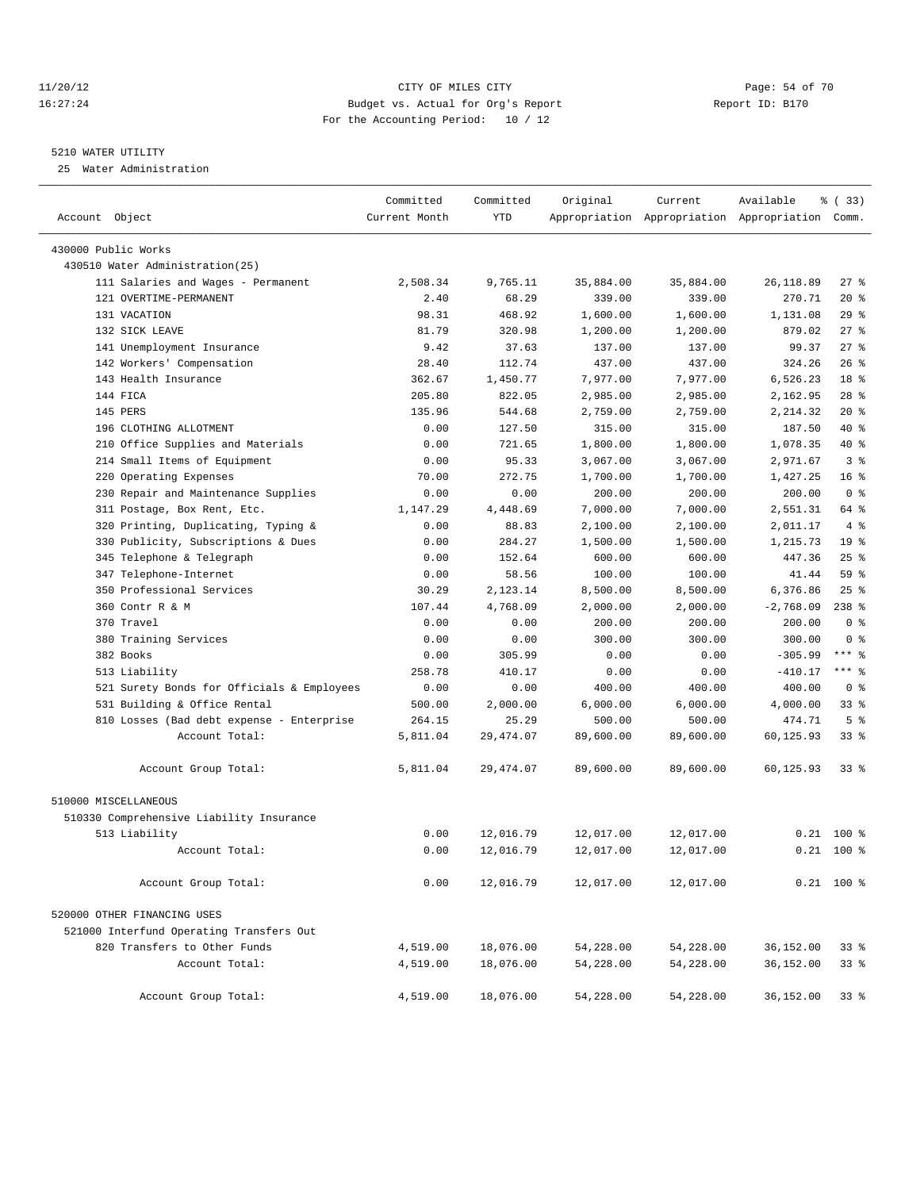#### 11/20/12 **Page: 54 of 70 CITY OF MILES CITY CITY Page: 54 of 70** 16:27:24 Budget vs. Actual for Org's Report Report ID: B170 For the Accounting Period: 10 / 12

————————————————————————————————————————————————————————————————————————————————————————————————————————————————————————————————————

#### 5210 WATER UTILITY

25 Water Administration

|                                            | Committed     | Committed  | Original  | Current   | Available                                       | 8 (33)          |
|--------------------------------------------|---------------|------------|-----------|-----------|-------------------------------------------------|-----------------|
| Account Object                             | Current Month | <b>YTD</b> |           |           | Appropriation Appropriation Appropriation Comm. |                 |
| 430000 Public Works                        |               |            |           |           |                                                 |                 |
| 430510 Water Administration(25)            |               |            |           |           |                                                 |                 |
| 111 Salaries and Wages - Permanent         | 2,508.34      | 9,765.11   | 35,884.00 | 35,884.00 | 26,118.89                                       | $27$ %          |
| 121 OVERTIME-PERMANENT                     | 2.40          | 68.29      | 339.00    | 339.00    | 270.71                                          | $20*$           |
| 131 VACATION                               | 98.31         | 468.92     | 1,600.00  | 1,600.00  | 1,131.08                                        | 29%             |
| 132 SICK LEAVE                             | 81.79         | 320.98     | 1,200.00  | 1,200.00  | 879.02                                          | $27$ %          |
| 141 Unemployment Insurance                 | 9.42          | 37.63      | 137.00    | 137.00    | 99.37                                           | $27$ %          |
| 142 Workers' Compensation                  | 28.40         | 112.74     | 437.00    | 437.00    | 324.26                                          | 26%             |
| 143 Health Insurance                       | 362.67        | 1,450.77   | 7,977.00  | 7,977.00  | 6,526.23                                        | 18 <sup>8</sup> |
| 144 FICA                                   | 205.80        | 822.05     | 2,985.00  | 2,985.00  | 2,162.95                                        | $28$ %          |
| 145 PERS                                   | 135.96        | 544.68     | 2,759.00  | 2,759.00  | 2,214.32                                        | $20*$           |
| 196 CLOTHING ALLOTMENT                     | 0.00          | 127.50     | 315.00    | 315.00    | 187.50                                          | 40 %            |
| 210 Office Supplies and Materials          | 0.00          | 721.65     | 1,800.00  | 1,800.00  | 1,078.35                                        | 40 %            |
| 214 Small Items of Equipment               | 0.00          | 95.33      | 3,067.00  | 3,067.00  | 2,971.67                                        | 3%              |
| 220 Operating Expenses                     | 70.00         | 272.75     | 1,700.00  | 1,700.00  | 1,427.25                                        | 16 <sup>°</sup> |
| 230 Repair and Maintenance Supplies        | 0.00          | 0.00       | 200.00    | 200.00    | 200.00                                          | 0 <sup>8</sup>  |
| 311 Postage, Box Rent, Etc.                | 1,147.29      | 4,448.69   | 7,000.00  | 7,000.00  | 2,551.31                                        | 64 %            |
| 320 Printing, Duplicating, Typing &        | 0.00          | 88.83      | 2,100.00  | 2,100.00  | 2,011.17                                        | 4%              |
| 330 Publicity, Subscriptions & Dues        | 0.00          | 284.27     | 1,500.00  | 1,500.00  | 1,215.73                                        | 19 <sup>°</sup> |
| 345 Telephone & Telegraph                  | 0.00          | 152.64     | 600.00    | 600.00    | 447.36                                          | 25%             |
| 347 Telephone-Internet                     | 0.00          | 58.56      | 100.00    | 100.00    | 41.44                                           | 59 %            |
| 350 Professional Services                  | 30.29         | 2,123.14   | 8,500.00  | 8,500.00  | 6,376.86                                        | $25$ %          |
| 360 Contr R & M                            | 107.44        | 4,768.09   | 2,000.00  | 2,000.00  | $-2,768.09$                                     | $238*$          |
| 370 Travel                                 | 0.00          | 0.00       | 200.00    | 200.00    | 200.00                                          | 0 <sup>8</sup>  |
| 380 Training Services                      | 0.00          | 0.00       | 300.00    | 300.00    | 300.00                                          | 0 <sup>8</sup>  |
| 382 Books                                  | 0.00          | 305.99     | 0.00      | 0.00      | $-305.99$                                       | $***$ $-$       |
| 513 Liability                              | 258.78        | 410.17     | 0.00      | 0.00      | $-410.17$                                       | *** 응           |
| 521 Surety Bonds for Officials & Employees | 0.00          | 0.00       | 400.00    | 400.00    | 400.00                                          | 0 <sup>8</sup>  |
| 531 Building & Office Rental               | 500.00        | 2,000.00   | 6,000.00  | 6,000.00  | 4,000.00                                        | 33%             |
| 810 Losses (Bad debt expense - Enterprise  | 264.15        | 25.29      | 500.00    | 500.00    | 474.71                                          | 5 <sup>°</sup>  |
| Account Total:                             | 5,811.04      | 29, 474.07 | 89,600.00 | 89,600.00 | 60,125.93                                       | $33$ $%$        |
| Account Group Total:                       | 5,811.04      | 29, 474.07 | 89,600.00 | 89,600.00 | 60,125.93                                       | $33$ $%$        |
| 510000 MISCELLANEOUS                       |               |            |           |           |                                                 |                 |
| 510330 Comprehensive Liability Insurance   |               |            |           |           |                                                 |                 |
| 513 Liability                              | 0.00          | 12,016.79  | 12,017.00 | 12,017.00 | 0.21                                            | 100 %           |
| Account Total:                             | 0.00          | 12,016.79  | 12,017.00 | 12,017.00 |                                                 | $0.21$ 100 %    |
| Account Group Total:                       | 0.00          | 12,016.79  | 12,017.00 | 12,017.00 |                                                 | $0.21$ 100 %    |
| 520000 OTHER FINANCING USES                |               |            |           |           |                                                 |                 |
| 521000 Interfund Operating Transfers Out   |               |            |           |           |                                                 |                 |
| 820 Transfers to Other Funds               | 4,519.00      | 18,076.00  | 54,228.00 | 54,228.00 | 36,152.00                                       | 338             |
| Account Total:                             | 4,519.00      | 18,076.00  | 54,228.00 | 54,228.00 | 36,152.00                                       | 338             |
| Account Group Total:                       | 4,519.00      | 18,076.00  | 54,228.00 | 54,228.00 | 36,152.00                                       | 338             |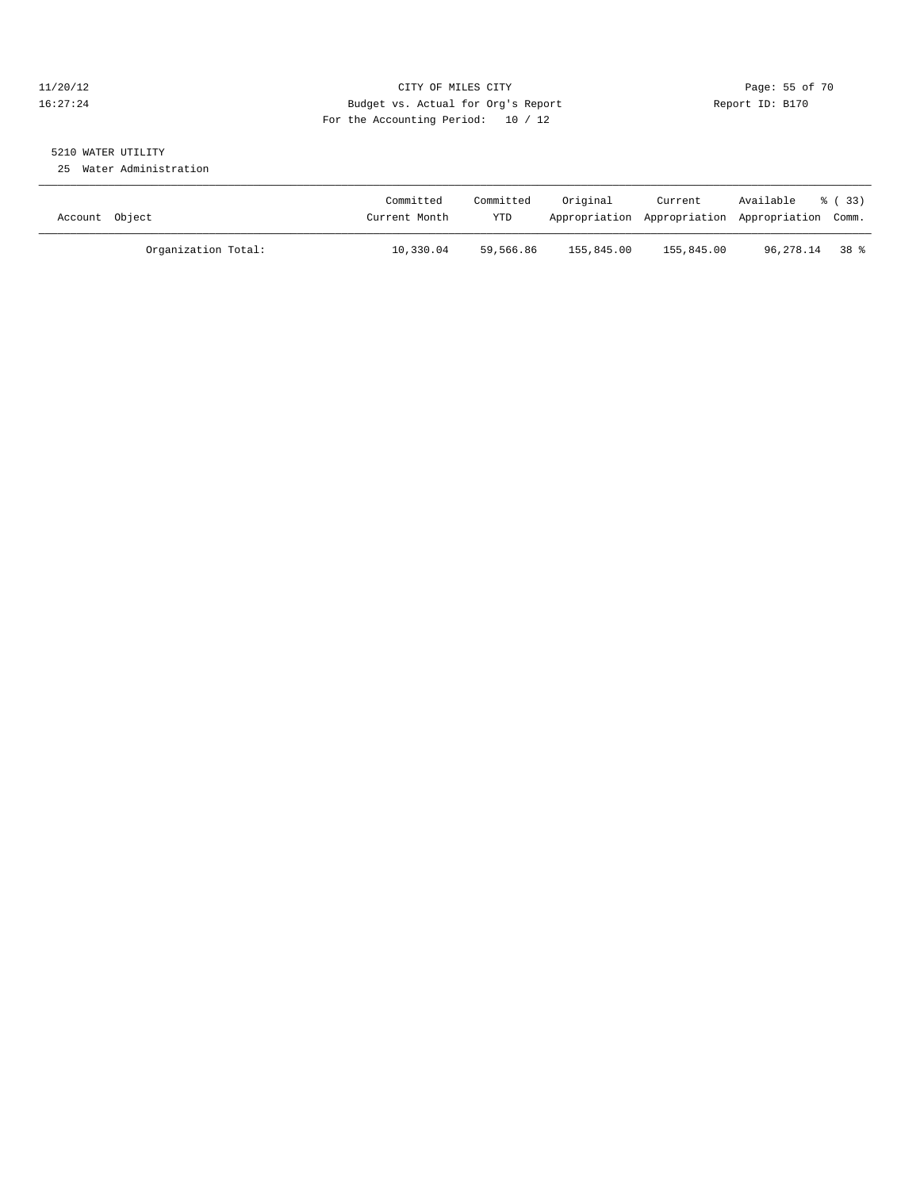#### 11/20/12 **Page: 55 of 70** CITY OF MILES CITY **CITY** Page: 55 of 70 16:27:24 Budget vs. Actual for Org's Report Report ID: B170 For the Accounting Period: 10 / 12

# 5210 WATER UTILITY

25 Water Administration

| Account Object      | Committed<br>Current Month | Committed<br><b>YTD</b> | Original   | Current    | Available<br>Appropriation Appropriation Appropriation Comm. | 8 ( 33 ) |
|---------------------|----------------------------|-------------------------|------------|------------|--------------------------------------------------------------|----------|
| Organization Total: | 10,330.04                  | 59,566.86               | 155,845.00 | 155,845.00 | 96,278.14 38 %                                               |          |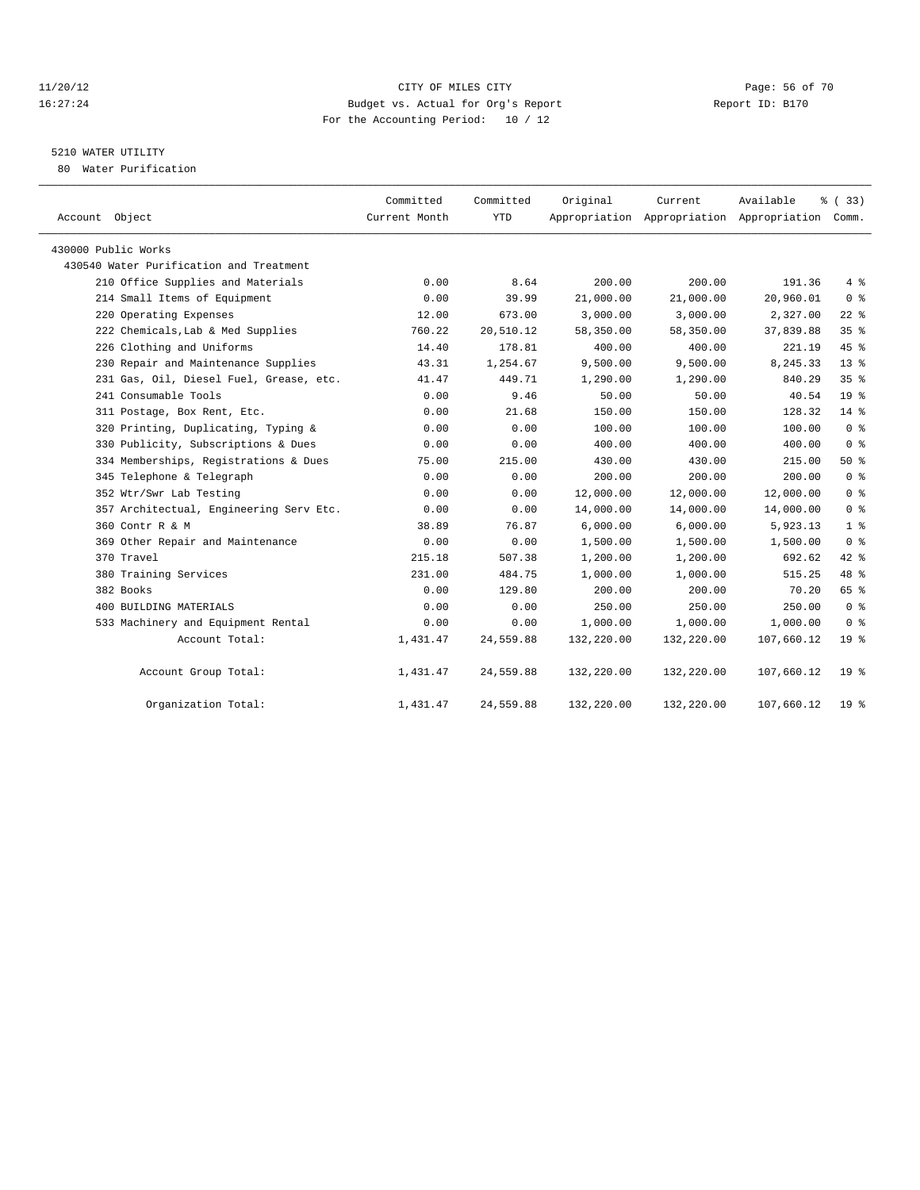#### 11/20/12 **Page: 56 of 70** CITY OF MILES CITY **CITY** Page: 56 of 70 16:27:24 Budget vs. Actual for Org's Report Report ID: B170 For the Accounting Period: 10 / 12

### 5210 WATER UTILITY

80 Water Purification

| Account Object                          | Committed<br>Current Month | Committed<br>YTD | Original   | Current    | Available<br>Appropriation Appropriation Appropriation Comm. | % (33)          |
|-----------------------------------------|----------------------------|------------------|------------|------------|--------------------------------------------------------------|-----------------|
| 430000 Public Works                     |                            |                  |            |            |                                                              |                 |
| 430540 Water Purification and Treatment |                            |                  |            |            |                                                              |                 |
| 210 Office Supplies and Materials       | 0.00                       | 8.64             | 200.00     | 200.00     | 191.36                                                       | 4%              |
| 214 Small Items of Equipment            | 0.00                       | 39.99            | 21,000.00  | 21,000.00  | 20,960.01                                                    | 0 <sup>8</sup>  |
| 220 Operating Expenses                  | 12.00                      | 673.00           | 3,000.00   | 3,000.00   | 2,327.00                                                     | $22$ $%$        |
| 222 Chemicals, Lab & Med Supplies       | 760.22                     | 20,510.12        | 58,350.00  | 58,350.00  | 37,839.88                                                    | 35 <sup>8</sup> |
| 226 Clothing and Uniforms               | 14.40                      | 178.81           | 400.00     | 400.00     | 221.19                                                       | 45 %            |
| 230 Repair and Maintenance Supplies     | 43.31                      | 1,254.67         | 9,500.00   | 9,500.00   | 8,245.33                                                     | $13*$           |
| 231 Gas, Oil, Diesel Fuel, Grease, etc. | 41.47                      | 449.71           | 1,290.00   | 1,290.00   | 840.29                                                       | 35%             |
| 241 Consumable Tools                    | 0.00                       | 9.46             | 50.00      | 50.00      | 40.54                                                        | 19 <sup>°</sup> |
| 311 Postage, Box Rent, Etc.             | 0.00                       | 21.68            | 150.00     | 150.00     | 128.32                                                       | 14 %            |
| 320 Printing, Duplicating, Typing &     | 0.00                       | 0.00             | 100.00     | 100.00     | 100.00                                                       | 0 <sup>8</sup>  |
| 330 Publicity, Subscriptions & Dues     | 0.00                       | 0.00             | 400.00     | 400.00     | 400.00                                                       | 0 <sup>8</sup>  |
| 334 Memberships, Registrations & Dues   | 75.00                      | 215.00           | 430.00     | 430.00     | 215.00                                                       | 50%             |
| 345 Telephone & Telegraph               | 0.00                       | 0.00             | 200.00     | 200.00     | 200.00                                                       | 0 <sup>8</sup>  |
| 352 Wtr/Swr Lab Testing                 | 0.00                       | 0.00             | 12,000.00  | 12,000.00  | 12,000.00                                                    | 0 <sup>8</sup>  |
| 357 Architectual, Engineering Serv Etc. | 0.00                       | 0.00             | 14,000.00  | 14,000.00  | 14,000.00                                                    | 0 <sup>8</sup>  |
| 360 Contr R & M                         | 38.89                      | 76.87            | 6,000.00   | 6,000.00   | 5,923.13                                                     | 1 <sup>°</sup>  |
| 369 Other Repair and Maintenance        | 0.00                       | 0.00             | 1,500.00   | 1,500.00   | 1,500.00                                                     | 0 <sup>8</sup>  |
| 370 Travel                              | 215.18                     | 507.38           | 1,200.00   | 1,200.00   | 692.62                                                       | $42$ %          |
| 380 Training Services                   | 231.00                     | 484.75           | 1,000.00   | 1,000.00   | 515.25                                                       | 48 %            |
| 382 Books                               | 0.00                       | 129.80           | 200.00     | 200.00     | 70.20                                                        | 65 %            |
| 400 BUILDING MATERIALS                  | 0.00                       | 0.00             | 250.00     | 250.00     | 250.00                                                       | 0 <sup>8</sup>  |
| 533 Machinery and Equipment Rental      | 0.00                       | 0.00             | 1,000.00   | 1,000.00   | 1,000.00                                                     | 0 <sup>8</sup>  |
| Account Total:                          | 1,431.47                   | 24,559.88        | 132,220.00 | 132,220.00 | 107,660.12                                                   | 19 <sup>8</sup> |
| Account Group Total:                    | 1,431.47                   | 24,559.88        | 132,220.00 | 132,220.00 | 107,660.12                                                   | 19 <sup>8</sup> |
| Organization Total:                     | 1,431.47                   | 24,559.88        | 132,220.00 | 132,220.00 | 107,660.12                                                   | 19 <sup>°</sup> |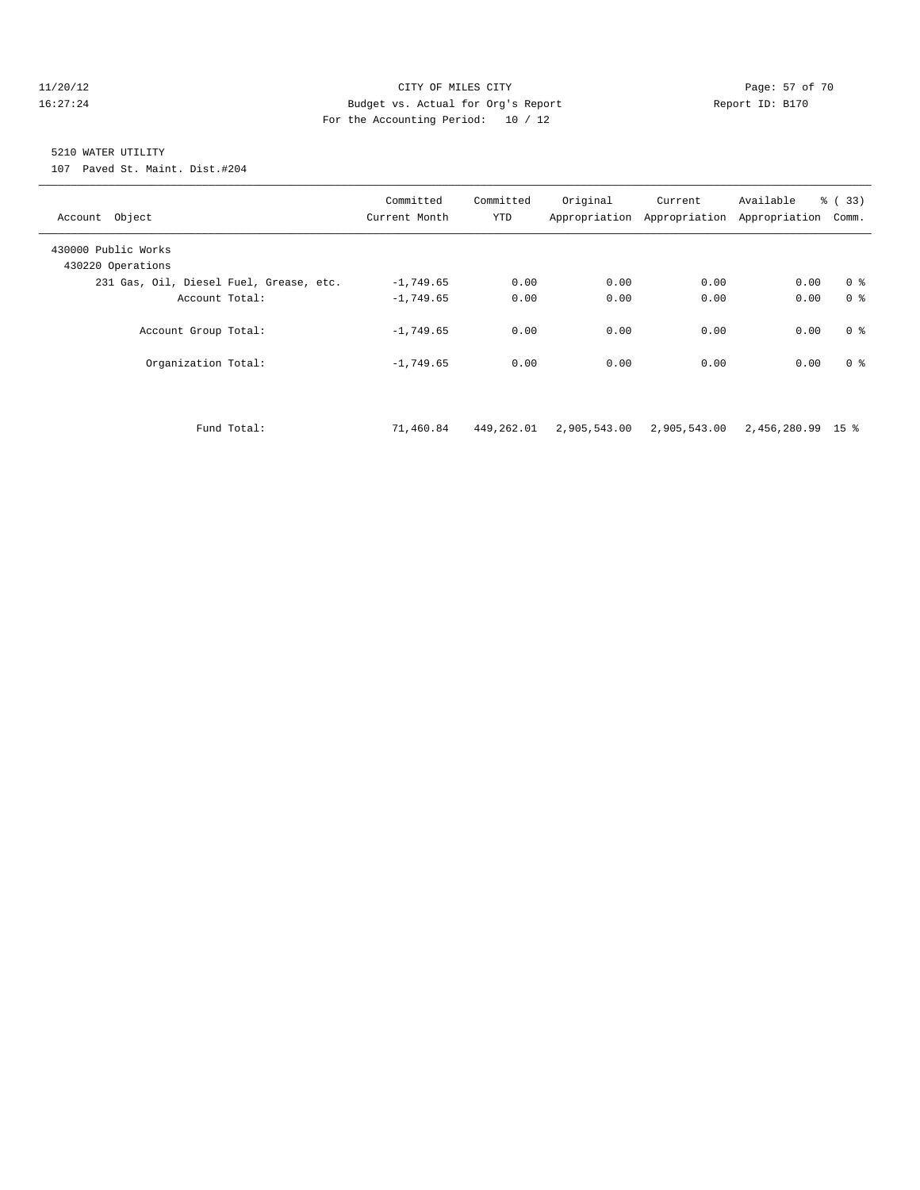#### 11/20/12 **Page: 57 of 70 CITY OF MILES CITY CITY Page: 57 of 70** 16:27:24 Budget vs. Actual for Org's Report Report ID: B170 For the Accounting Period: 10 / 12

#### 5210 WATER UTILITY

107 Paved St. Maint. Dist.#204

| Account Object                           | Committed<br>Current Month | Committed<br><b>YTD</b> | Original | Current<br>Appropriation Appropriation | Available<br>Appropriation | $\frac{6}{6}$ (33)<br>Comm. |
|------------------------------------------|----------------------------|-------------------------|----------|----------------------------------------|----------------------------|-----------------------------|
| 430000 Public Works<br>430220 Operations |                            |                         |          |                                        |                            |                             |
| 231 Gas, Oil, Diesel Fuel, Grease, etc.  | $-1,749.65$                | 0.00                    | 0.00     | 0.00                                   | 0.00                       | 0 <sup>8</sup>              |
| Account Total:                           | $-1,749.65$                | 0.00                    | 0.00     | 0.00                                   | 0.00                       | 0 <sup>8</sup>              |
| Account Group Total:                     | $-1,749.65$                | 0.00                    | 0.00     | 0.00                                   | 0.00                       | 0 <sup>8</sup>              |
| Organization Total:                      | $-1,749.65$                | 0.00                    | 0.00     | 0.00                                   | 0.00                       | 0 <sup>8</sup>              |
|                                          |                            |                         |          |                                        |                            |                             |

Fund Total: 71,460.84 449,262.01 2,905,543.00 2,905,543.00 2,456,280.99 15 %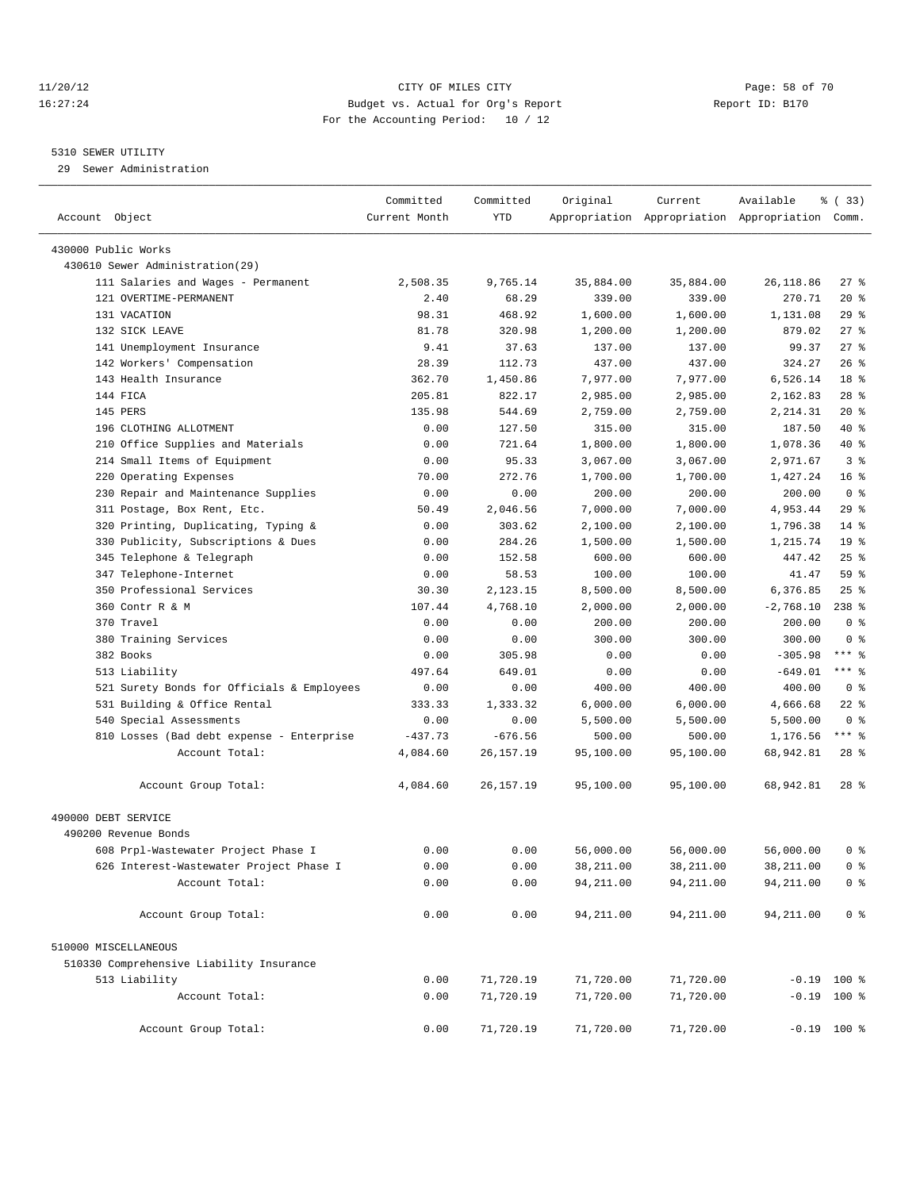#### 11/20/12 **Page: 58 of 70** CITY OF MILES CITY **CITY** Page: 58 of 70 16:27:24 Budget vs. Actual for Org's Report Report ID: B170 For the Accounting Period: 10 / 12

————————————————————————————————————————————————————————————————————————————————————————————————————————————————————————————————————

#### 5310 SEWER UTILITY

29 Sewer Administration

|                                            | Committed     | Committed  | Original   | Current    | Available                                       | 8 (33)          |
|--------------------------------------------|---------------|------------|------------|------------|-------------------------------------------------|-----------------|
| Account Object                             | Current Month | <b>YTD</b> |            |            | Appropriation Appropriation Appropriation Comm. |                 |
| 430000 Public Works                        |               |            |            |            |                                                 |                 |
| 430610 Sewer Administration(29)            |               |            |            |            |                                                 |                 |
| 111 Salaries and Wages - Permanent         | 2,508.35      | 9,765.14   | 35,884.00  | 35,884.00  | 26,118.86                                       | $27$ %          |
| 121 OVERTIME-PERMANENT                     | 2.40          | 68.29      | 339.00     | 339.00     | 270.71                                          | $20*$           |
| 131 VACATION                               | 98.31         | 468.92     | 1,600.00   | 1,600.00   | 1,131.08                                        | 29%             |
| 132 SICK LEAVE                             | 81.78         | 320.98     | 1,200.00   | 1,200.00   | 879.02                                          | $27$ %          |
| 141 Unemployment Insurance                 | 9.41          | 37.63      | 137.00     | 137.00     | 99.37                                           | $27$ %          |
| 142 Workers' Compensation                  | 28.39         | 112.73     | 437.00     | 437.00     | 324.27                                          | $26$ %          |
| 143 Health Insurance                       | 362.70        | 1,450.86   | 7,977.00   | 7,977.00   | 6,526.14                                        | 18 <sup>8</sup> |
| 144 FICA                                   | 205.81        | 822.17     | 2,985.00   | 2,985.00   | 2,162.83                                        | $28$ %          |
| 145 PERS                                   | 135.98        | 544.69     | 2,759.00   | 2,759.00   | 2,214.31                                        | $20*$           |
| 196 CLOTHING ALLOTMENT                     | 0.00          | 127.50     | 315.00     | 315.00     | 187.50                                          | 40 %            |
|                                            |               |            |            |            |                                                 | 40 %            |
| 210 Office Supplies and Materials          | 0.00          | 721.64     | 1,800.00   | 1,800.00   | 1,078.36                                        | 3 <sup>8</sup>  |
| 214 Small Items of Equipment               | 0.00          | 95.33      | 3,067.00   | 3,067.00   | 2,971.67                                        |                 |
| 220 Operating Expenses                     | 70.00         | 272.76     | 1,700.00   | 1,700.00   | 1,427.24                                        | 16 <sup>°</sup> |
| 230 Repair and Maintenance Supplies        | 0.00          | 0.00       | 200.00     | 200.00     | 200.00                                          | 0 <sup>8</sup>  |
| 311 Postage, Box Rent, Etc.                | 50.49         | 2,046.56   | 7,000.00   | 7,000.00   | 4,953.44                                        | $29$ $%$        |
| 320 Printing, Duplicating, Typing &        | 0.00          | 303.62     | 2,100.00   | 2,100.00   | 1,796.38                                        | $14$ %          |
| 330 Publicity, Subscriptions & Dues        | 0.00          | 284.26     | 1,500.00   | 1,500.00   | 1,215.74                                        | 19 <sup>°</sup> |
| 345 Telephone & Telegraph                  | 0.00          | 152.58     | 600.00     | 600.00     | 447.42                                          | $25$ $%$        |
| 347 Telephone-Internet                     | 0.00          | 58.53      | 100.00     | 100.00     | 41.47                                           | 59 %            |
| 350 Professional Services                  | 30.30         | 2,123.15   | 8,500.00   | 8,500.00   | 6,376.85                                        | $25$ %          |
| 360 Contr R & M                            | 107.44        | 4,768.10   | 2,000.00   | 2,000.00   | $-2,768.10$                                     | $238*$          |
| 370 Travel                                 | 0.00          | 0.00       | 200.00     | 200.00     | 200.00                                          | 0 <sup>8</sup>  |
| 380 Training Services                      | 0.00          | 0.00       | 300.00     | 300.00     | 300.00                                          | 0 <sup>8</sup>  |
| 382 Books                                  | 0.00          | 305.98     | 0.00       | 0.00       | $-305.98$                                       | *** 응           |
| 513 Liability                              | 497.64        | 649.01     | 0.00       | 0.00       | $-649.01$                                       | *** 응           |
| 521 Surety Bonds for Officials & Employees | 0.00          | 0.00       | 400.00     | 400.00     | 400.00                                          | 0 <sup>8</sup>  |
| 531 Building & Office Rental               | 333.33        | 1,333.32   | 6,000.00   | 6,000.00   | 4,666.68                                        | $22$ %          |
| 540 Special Assessments                    | 0.00          | 0.00       | 5,500.00   | 5,500.00   | 5,500.00                                        | 0 <sup>8</sup>  |
| 810 Losses (Bad debt expense - Enterprise  | $-437.73$     | $-676.56$  | 500.00     | 500.00     | 1,176.56                                        | $***$ $%$       |
| Account Total:                             | 4,084.60      | 26,157.19  | 95,100.00  | 95,100.00  | 68,942.81                                       | $28$ $%$        |
| Account Group Total:                       | 4,084.60      | 26,157.19  | 95,100.00  | 95,100.00  | 68,942.81                                       | $28$ $%$        |
| 490000 DEBT SERVICE                        |               |            |            |            |                                                 |                 |
| 490200 Revenue Bonds                       |               |            |            |            |                                                 |                 |
| 608 Prpl-Wastewater Project Phase I        | 0.00          | 0.00       | 56,000.00  | 56,000.00  | 56,000.00                                       | 0 %             |
| 626 Interest-Wastewater Project Phase I    | 0.00          | 0.00       | 38,211.00  | 38,211.00  | 38,211.00                                       | 0 <sup>8</sup>  |
| Account Total:                             | 0.00          | 0.00       | 94, 211.00 | 94, 211.00 | 94, 211.00                                      | 0 <sup>8</sup>  |
| Account Group Total:                       | 0.00          | 0.00       | 94, 211.00 | 94,211.00  | 94,211.00                                       | 0 <sup>8</sup>  |
| 510000 MISCELLANEOUS                       |               |            |            |            |                                                 |                 |
| 510330 Comprehensive Liability Insurance   |               |            |            |            |                                                 |                 |
| 513 Liability                              | 0.00          | 71,720.19  | 71,720.00  | 71,720.00  |                                                 | $-0.19$ 100 %   |
| Account Total:                             | 0.00          | 71,720.19  | 71,720.00  | 71,720.00  |                                                 | $-0.19$ 100 %   |
| Account Group Total:                       | 0.00          | 71,720.19  | 71,720.00  | 71,720.00  |                                                 | $-0.19$ 100 %   |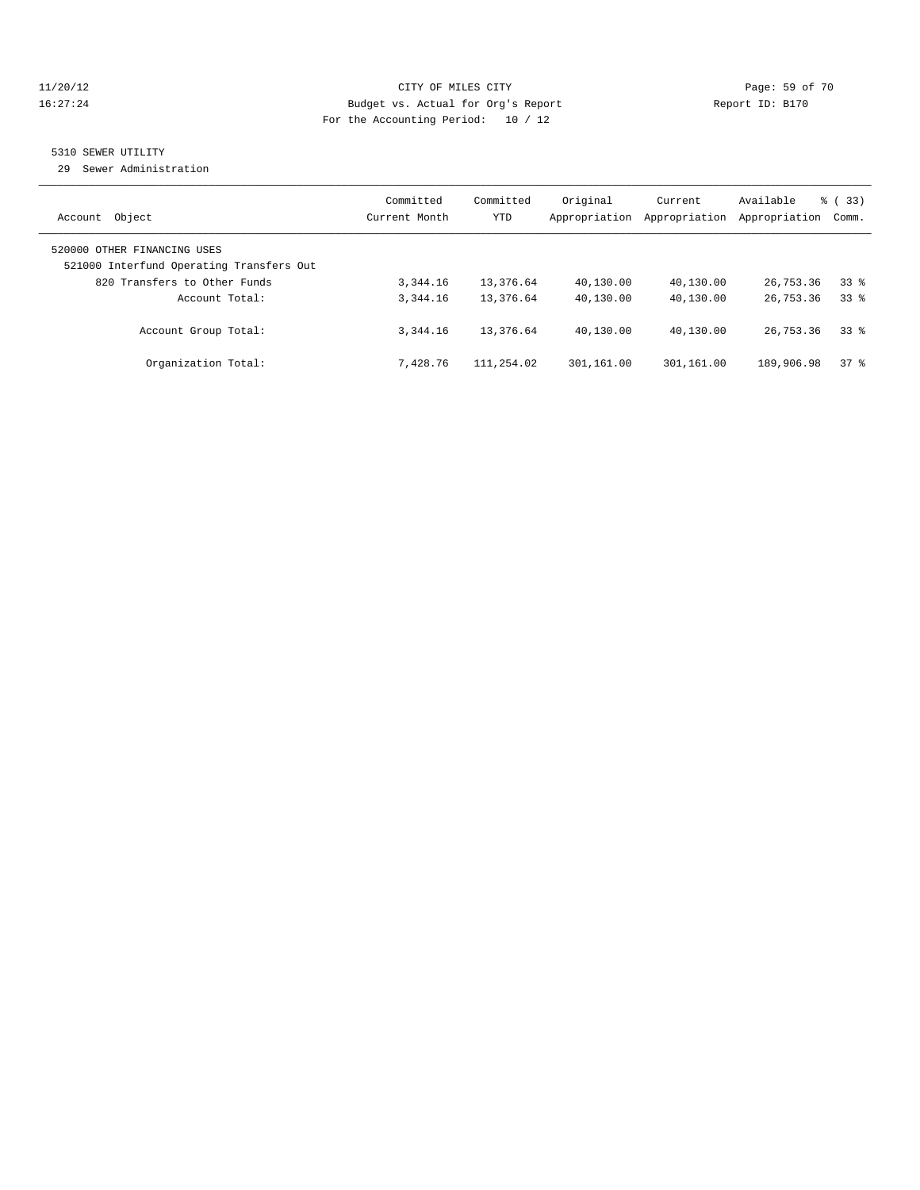#### 11/20/12 **Page: 59 of 70** CITY OF MILES CITY **CITY** Page: 59 of 70 16:27:24 Budget vs. Actual for Org's Report Report ID: B170 For the Accounting Period: 10 / 12

#### 5310 SEWER UTILITY

29 Sewer Administration

| Object<br>Account                                                                                       | Committed<br>Current Month | Committed<br><b>YTD</b> | Original<br>Appropriation | Current<br>Appropriation | Available<br>Appropriation | % (33)<br>Comm. |
|---------------------------------------------------------------------------------------------------------|----------------------------|-------------------------|---------------------------|--------------------------|----------------------------|-----------------|
| 520000 OTHER FINANCING USES<br>521000 Interfund Operating Transfers Out<br>820 Transfers to Other Funds | 3,344.16                   | 13,376.64               | 40,130.00                 | 40,130.00                | 26,753.36                  | 338             |
| Account Total:                                                                                          | 3, 344, 16                 | 13,376.64               | 40,130.00                 | 40,130.00                | 26,753.36                  | 338             |
| Account Group Total:                                                                                    | 3, 344, 16                 | 13,376.64               | 40,130.00                 | 40,130.00                | 26,753.36                  | 338             |
| Organization Total:                                                                                     | 7.428.76                   | 111,254.02              | 301,161.00                | 301,161.00               | 189,906.98                 | $37*$           |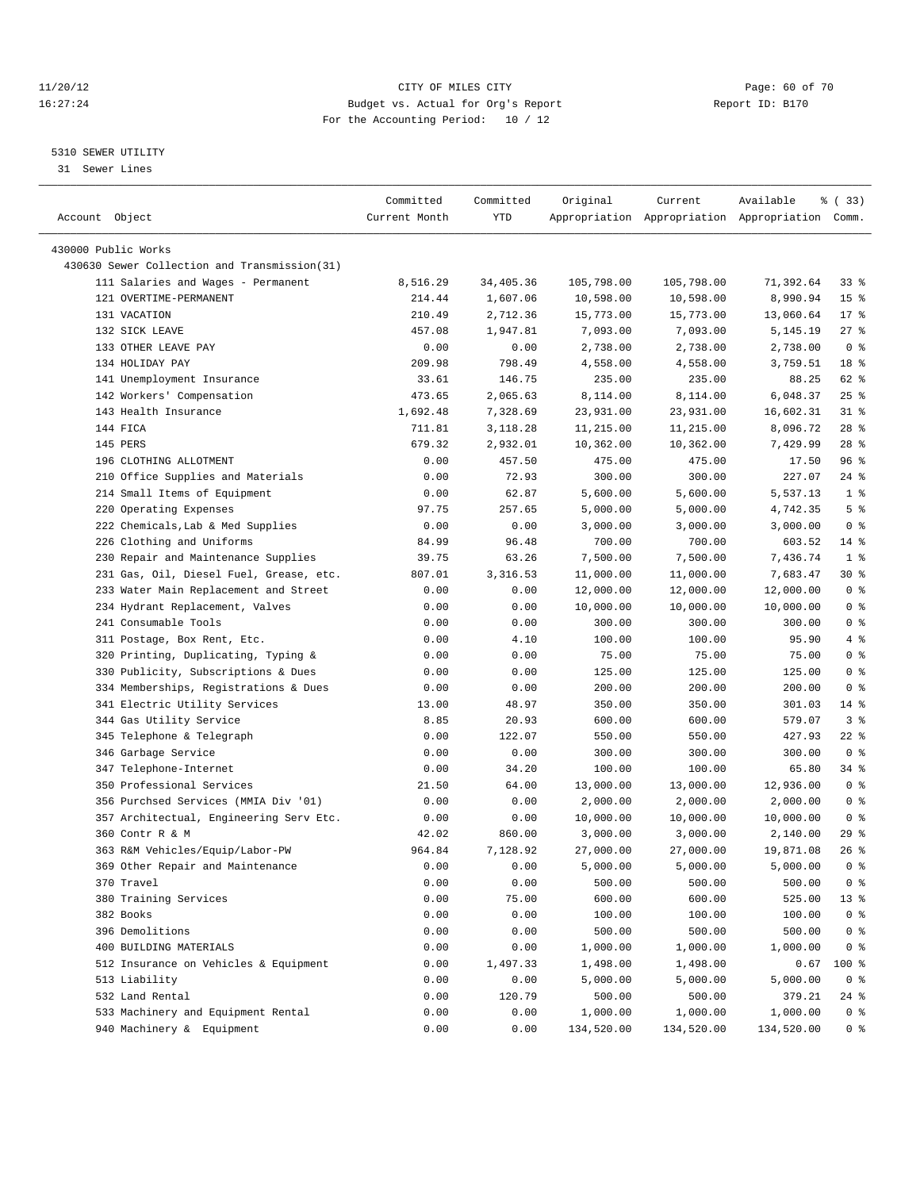#### 11/20/12 **Page: 60 of 70** CITY OF MILES CITY **Page: 60 of 70** 16:27:24 Budget vs. Actual for Org's Report Report ID: B170 For the Accounting Period: 10 / 12

————————————————————————————————————————————————————————————————————————————————————————————————————————————————————————————————————

#### 5310 SEWER UTILITY

31 Sewer Lines

|                                                                     | Committed      | Committed        | Original             | Current              | Available                                       | % (33)                   |
|---------------------------------------------------------------------|----------------|------------------|----------------------|----------------------|-------------------------------------------------|--------------------------|
| Account Object                                                      | Current Month  | YTD              |                      |                      | Appropriation Appropriation Appropriation Comm. |                          |
|                                                                     |                |                  |                      |                      |                                                 |                          |
| 430000 Public Works<br>430630 Sewer Collection and Transmission(31) |                |                  |                      |                      |                                                 |                          |
| 111 Salaries and Wages - Permanent                                  | 8,516.29       | 34,405.36        | 105,798.00           | 105,798.00           | 71,392.64                                       | 338                      |
| 121 OVERTIME-PERMANENT                                              | 214.44         | 1,607.06         | 10,598.00            |                      | 8,990.94                                        | 15 <sup>8</sup>          |
| 131 VACATION                                                        |                |                  |                      | 10,598.00            |                                                 | $17*$                    |
|                                                                     | 210.49         | 2,712.36         | 15,773.00            | 15,773.00            | 13,060.64                                       |                          |
| 132 SICK LEAVE<br>133 OTHER LEAVE PAY                               | 457.08<br>0.00 | 1,947.81<br>0.00 | 7,093.00<br>2,738.00 | 7,093.00<br>2,738.00 | 5,145.19<br>2,738.00                            | $27$ %<br>0 <sup>8</sup> |
| 134 HOLIDAY PAY                                                     | 209.98         | 798.49           |                      |                      |                                                 | 18 %                     |
| 141 Unemployment Insurance                                          |                |                  | 4,558.00             | 4,558.00             | 3,759.51                                        |                          |
|                                                                     | 33.61          | 146.75           | 235.00               | 235.00               | 88.25                                           | 62 %                     |
| 142 Workers' Compensation                                           | 473.65         | 2,065.63         | 8,114.00             | 8,114.00             | 6,048.37                                        | $25$ %                   |
| 143 Health Insurance                                                | 1,692.48       | 7,328.69         | 23,931.00            | 23,931.00            | 16,602.31                                       | $31$ $%$                 |
| 144 FICA                                                            | 711.81         | 3,118.28         | 11,215.00            | 11,215.00            | 8,096.72                                        | $28$ %                   |
| 145 PERS                                                            | 679.32         | 2,932.01         | 10,362.00            | 10,362.00            | 7,429.99                                        | $28$ %                   |
| 196 CLOTHING ALLOTMENT                                              | 0.00           | 457.50           | 475.00               | 475.00               | 17.50                                           | 96%                      |
| 210 Office Supplies and Materials                                   | 0.00           | 72.93            | 300.00               | 300.00               | 227.07                                          | $24$ %                   |
| 214 Small Items of Equipment                                        | 0.00           | 62.87            | 5,600.00             | 5,600.00             | 5,537.13                                        | 1 <sup>°</sup>           |
| 220 Operating Expenses                                              | 97.75          | 257.65           | 5,000.00             | 5,000.00             | 4,742.35                                        | 5 <sup>°</sup>           |
| 222 Chemicals, Lab & Med Supplies                                   | 0.00           | 0.00             | 3,000.00             | 3,000.00             | 3,000.00                                        | 0 <sup>8</sup>           |
| 226 Clothing and Uniforms                                           | 84.99          | 96.48            | 700.00               | 700.00               | 603.52                                          | $14$ %                   |
| 230 Repair and Maintenance Supplies                                 | 39.75          | 63.26            | 7,500.00             | 7,500.00             | 7,436.74                                        | 1 <sup>8</sup>           |
| 231 Gas, Oil, Diesel Fuel, Grease, etc.                             | 807.01         | 3,316.53         | 11,000.00            | 11,000.00            | 7,683.47                                        | 30 %                     |
| 233 Water Main Replacement and Street                               | 0.00           | 0.00             | 12,000.00            | 12,000.00            | 12,000.00                                       | 0 <sup>8</sup>           |
| 234 Hydrant Replacement, Valves                                     | 0.00           | 0.00             | 10,000.00            | 10,000.00            | 10,000.00                                       | 0 <sup>8</sup>           |
| 241 Consumable Tools                                                | 0.00           | 0.00             | 300.00               | 300.00               | 300.00                                          | 0 <sup>8</sup>           |
| 311 Postage, Box Rent, Etc.                                         | 0.00           | 4.10             | 100.00               | 100.00               | 95.90                                           | 4%                       |
| 320 Printing, Duplicating, Typing &                                 | 0.00           | 0.00             | 75.00                | 75.00                | 75.00                                           | 0 <sup>8</sup>           |
| 330 Publicity, Subscriptions & Dues                                 | 0.00           | 0.00             | 125.00               | 125.00               | 125.00                                          | 0 <sup>8</sup>           |
| 334 Memberships, Registrations & Dues                               | 0.00           | 0.00             | 200.00               | 200.00               | 200.00                                          | 0 <sup>8</sup>           |
| 341 Electric Utility Services                                       | 13.00          | 48.97            | 350.00               | 350.00               | 301.03                                          | $14$ %                   |
| 344 Gas Utility Service                                             | 8.85           | 20.93            | 600.00               | 600.00               | 579.07                                          | 3 <sup>8</sup>           |
| 345 Telephone & Telegraph                                           | 0.00           | 122.07           | 550.00               | 550.00               | 427.93                                          | 22 %                     |
| 346 Garbage Service                                                 | 0.00           | 0.00             | 300.00               | 300.00               | 300.00                                          | 0 <sup>8</sup>           |
| 347 Telephone-Internet                                              | 0.00           | 34.20            | 100.00               | 100.00               | 65.80                                           | 34 %                     |
| 350 Professional Services                                           | 21.50          | 64.00            | 13,000.00            | 13,000.00            | 12,936.00                                       | 0 <sup>8</sup>           |
| 356 Purchsed Services (MMIA Div '01)                                | 0.00           | 0.00             | 2,000.00             | 2,000.00             | 2,000.00                                        | 0 <sup>8</sup>           |
| 357 Architectual, Engineering Serv Etc.                             | 0.00           | 0.00             | 10,000.00            | 10,000.00            | 10,000.00                                       | 0 <sup>8</sup>           |
| 360 Contr R & M                                                     | 42.02          | 860.00           | 3,000.00             | 3,000.00             | 2,140.00                                        | 29 %                     |
| 363 R&M Vehicles/Equip/Labor-PW                                     | 964.84         | 7,128.92         | 27,000.00            | 27,000.00            | 19,871.08                                       | 26%                      |
| 369 Other Repair and Maintenance                                    | 0.00           | 0.00             | 5,000.00             | 5,000.00             | 5,000.00                                        | 0 <sup>°</sup>           |
| 370 Travel                                                          | 0.00           | 0.00             | 500.00               | 500.00               | 500.00                                          | 0 <sup>8</sup>           |
| 380 Training Services                                               | 0.00           | 75.00            | 600.00               | 600.00               | 525.00                                          | 13 <sup>°</sup>          |
| 382 Books                                                           | 0.00           | 0.00             | 100.00               | 100.00               | 100.00                                          | 0 <sup>8</sup>           |
| 396 Demolitions                                                     | 0.00           | 0.00             | 500.00               | 500.00               | 500.00                                          | 0 <sup>8</sup>           |
| 400 BUILDING MATERIALS                                              | 0.00           | 0.00             | 1,000.00             | 1,000.00             | 1,000.00                                        | 0 <sup>8</sup>           |
| 512 Insurance on Vehicles & Equipment                               | 0.00           | 1,497.33         | 1,498.00             | 1,498.00             | 0.67                                            | $100$ %                  |
| 513 Liability                                                       | 0.00           | 0.00             | 5,000.00             | 5,000.00             | 5,000.00                                        | 0 <sup>8</sup>           |
| 532 Land Rental                                                     | 0.00           | 120.79           | 500.00               | 500.00               | 379.21                                          | $24$ %                   |
| 533 Machinery and Equipment Rental                                  | 0.00           | 0.00             | 1,000.00             | 1,000.00             | 1,000.00                                        | 0 <sup>8</sup>           |
| 940 Machinery & Equipment                                           | 0.00           | 0.00             | 134,520.00           | 134,520.00           | 134,520.00                                      | 0 <sup>8</sup>           |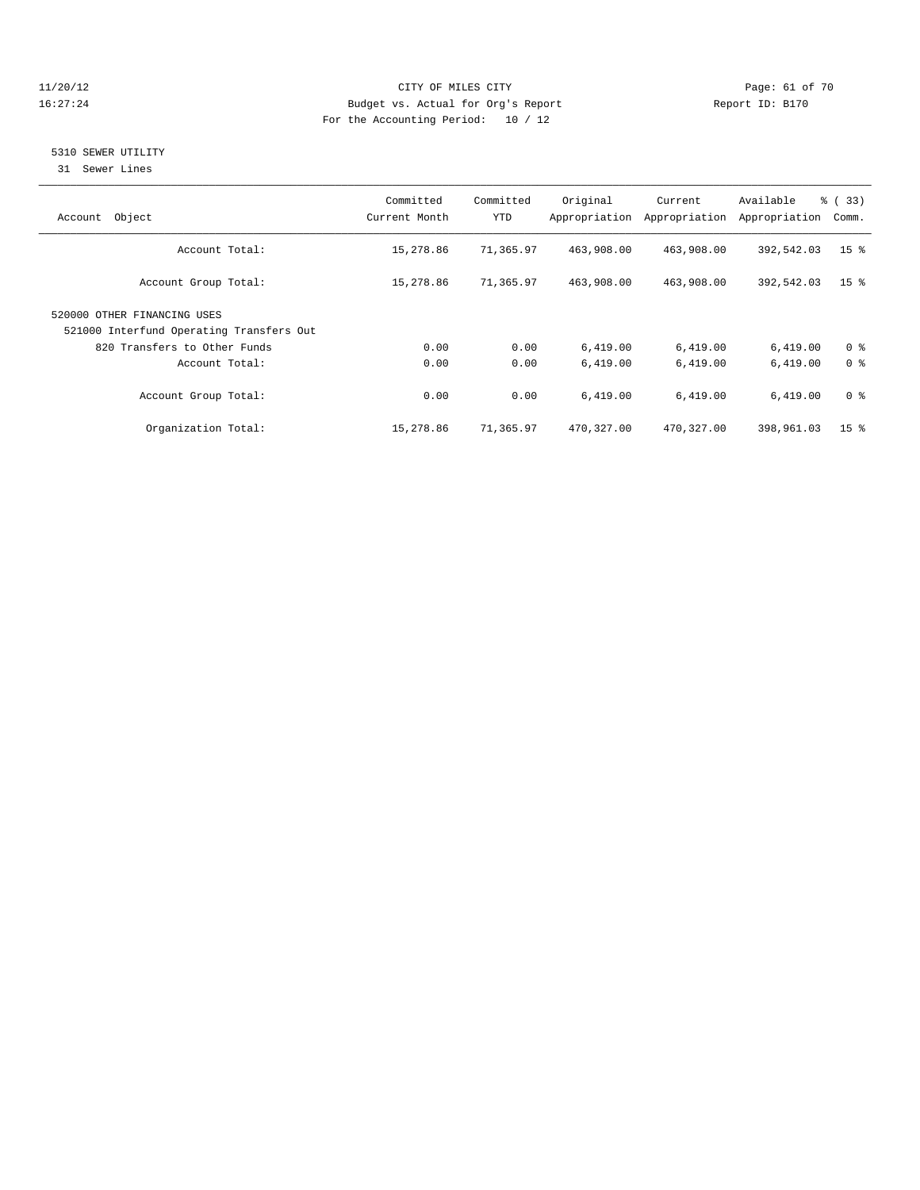#### 11/20/12 **Page: 61 of 70** CITY OF MILES CITY **Page: 61 of 70** 16:27:24 Budget vs. Actual for Org's Report Report ID: B170 For the Accounting Period: 10 / 12

#### 5310 SEWER UTILITY

31 Sewer Lines

| Object<br>Account                        | Committed<br>Current Month | Committed<br>YTD | Original   | Current<br>Appropriation Appropriation | Available<br>Appropriation | $\frac{3}{2}$ (33)<br>Comm. |
|------------------------------------------|----------------------------|------------------|------------|----------------------------------------|----------------------------|-----------------------------|
| Account Total:                           | 15,278.86                  | 71,365.97        | 463,908.00 | 463,908.00                             | 392,542.03                 | 15 <sup>°</sup>             |
| Account Group Total:                     | 15,278.86                  | 71,365.97        | 463,908.00 | 463,908.00                             | 392,542.03                 | 15 <sup>8</sup>             |
| 520000 OTHER FINANCING USES              |                            |                  |            |                                        |                            |                             |
| 521000 Interfund Operating Transfers Out |                            |                  |            |                                        |                            |                             |
| 820 Transfers to Other Funds             | 0.00                       | 0.00             | 6,419.00   | 6,419.00                               | 6,419.00                   | 0 <sup>8</sup>              |
| Account Total:                           | 0.00                       | 0.00             | 6,419.00   | 6,419.00                               | 6,419.00                   | 0 <sup>8</sup>              |
| Account Group Total:                     | 0.00                       | 0.00             | 6,419.00   | 6,419.00                               | 6,419.00                   | 0 <sup>8</sup>              |
| Organization Total:                      | 15,278.86                  | 71,365.97        | 470,327.00 | 470,327.00                             | 398,961.03                 | 15 <sup>8</sup>             |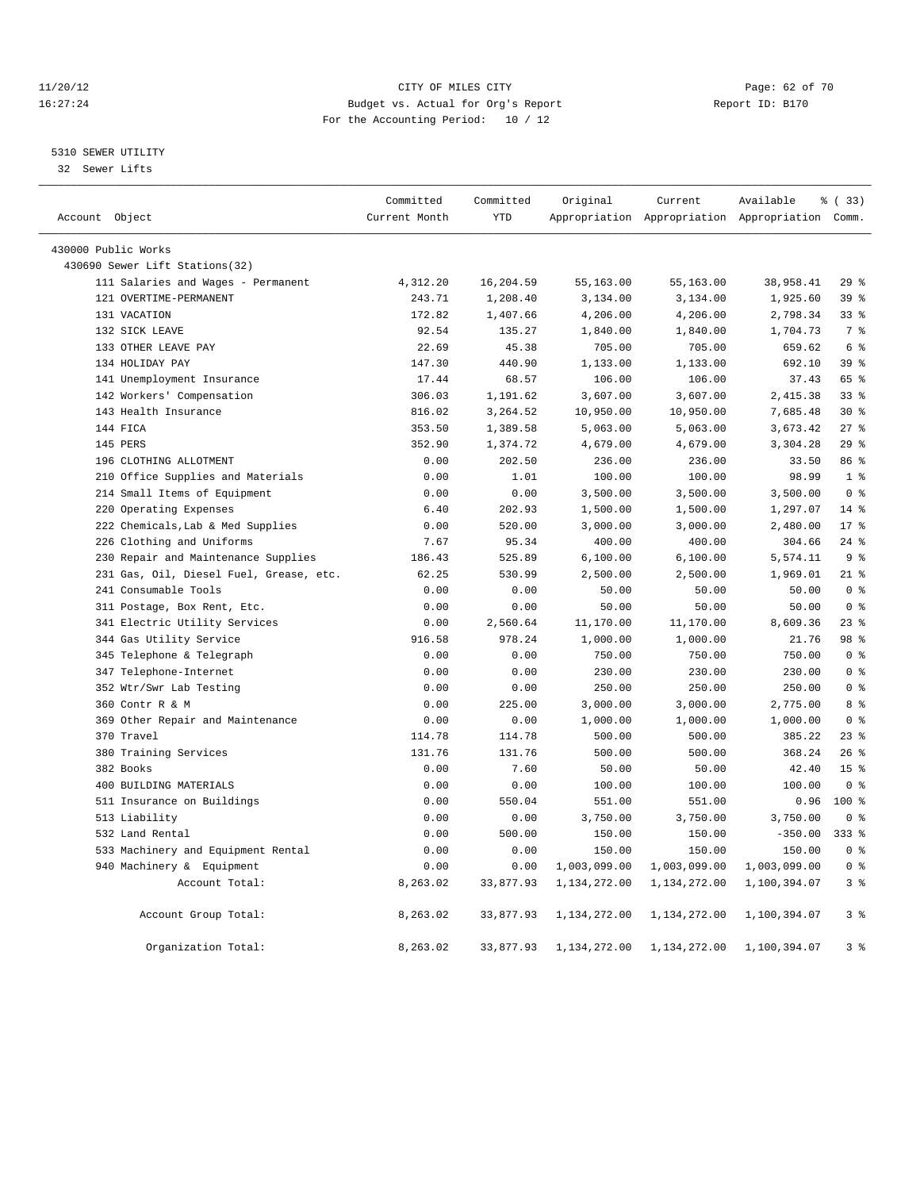#### 11/20/12 **Page: 62 of 70 CITY OF MILES CITY CITY Page: 62 of 70** 16:27:24 Budget vs. Actual for Org's Report Report ID: B170 For the Accounting Period: 10 / 12

#### 5310 SEWER UTILITY

32 Sewer Lifts

|                     |                                         | Committed     | Committed  | Original     | Current      | Available                                       | % (33)           |  |
|---------------------|-----------------------------------------|---------------|------------|--------------|--------------|-------------------------------------------------|------------------|--|
| Account Object      |                                         | Current Month | <b>YTD</b> |              |              | Appropriation Appropriation Appropriation Comm. |                  |  |
| 430000 Public Works |                                         |               |            |              |              |                                                 |                  |  |
|                     | 430690 Sewer Lift Stations(32)          |               |            |              |              |                                                 |                  |  |
|                     | 111 Salaries and Wages - Permanent      | 4,312.20      | 16,204.59  | 55,163.00    | 55,163.00    | 38,958.41                                       | 29%              |  |
|                     | 121 OVERTIME-PERMANENT                  | 243.71        | 1,208.40   | 3,134.00     | 3,134.00     | 1,925.60                                        | 39 <sup>8</sup>  |  |
|                     | 131 VACATION                            | 172.82        | 1,407.66   | 4,206.00     | 4,206.00     | 2,798.34                                        | 33 <sup>8</sup>  |  |
|                     | 132 SICK LEAVE                          | 92.54         | 135.27     | 1,840.00     | 1,840.00     | 1,704.73                                        | 7 <sup>°</sup>   |  |
|                     | 133 OTHER LEAVE PAY                     | 22.69         | 45.38      | 705.00       | 705.00       | 659.62                                          | 6 %              |  |
|                     | 134 HOLIDAY PAY                         | 147.30        | 440.90     | 1,133.00     | 1,133.00     | 692.10                                          | 39 <sup>8</sup>  |  |
|                     | 141 Unemployment Insurance              | 17.44         | 68.57      | 106.00       | 106.00       | 37.43                                           | 65 %             |  |
|                     | 142 Workers' Compensation               | 306.03        | 1,191.62   | 3,607.00     | 3,607.00     | 2,415.38                                        | 33%              |  |
|                     | 143 Health Insurance                    | 816.02        | 3,264.52   | 10,950.00    | 10,950.00    | 7,685.48                                        | $30*$            |  |
| 144 FICA            |                                         | 353.50        | 1,389.58   | 5,063.00     | 5,063.00     | 3,673.42                                        | $27$ $%$         |  |
| 145 PERS            |                                         | 352.90        | 1,374.72   | 4,679.00     | 4,679.00     | 3,304.28                                        | 29%              |  |
|                     | 196 CLOTHING ALLOTMENT                  | 0.00          | 202.50     | 236.00       | 236.00       | 33.50                                           | 86 %             |  |
|                     | 210 Office Supplies and Materials       | 0.00          | 1.01       | 100.00       | 100.00       | 98.99                                           | 1 <sup>8</sup>   |  |
|                     | 214 Small Items of Equipment            | 0.00          | 0.00       | 3,500.00     | 3,500.00     | 3,500.00                                        | 0 <sup>8</sup>   |  |
|                     | 220 Operating Expenses                  | 6.40          | 202.93     | 1,500.00     | 1,500.00     | 1,297.07                                        | $14*$            |  |
|                     | 222 Chemicals, Lab & Med Supplies       | 0.00          | 520.00     | 3,000.00     | 3,000.00     | 2,480.00                                        | $17*$            |  |
|                     | 226 Clothing and Uniforms               | 7.67          | 95.34      | 400.00       | 400.00       | 304.66                                          | $24$ %           |  |
|                     | 230 Repair and Maintenance Supplies     | 186.43        | 525.89     | 6,100.00     | 6,100.00     | 5,574.11                                        | 9 <sup>8</sup>   |  |
|                     | 231 Gas, Oil, Diesel Fuel, Grease, etc. | 62.25         | 530.99     | 2,500.00     | 2,500.00     | 1,969.01                                        | $21$ %           |  |
|                     | 241 Consumable Tools                    | 0.00          | 0.00       | 50.00        | 50.00        | 50.00                                           | 0 <sup>8</sup>   |  |
|                     | 311 Postage, Box Rent, Etc.             | 0.00          | 0.00       | 50.00        | 50.00        | 50.00                                           | 0 <sup>°</sup>   |  |
|                     | 341 Electric Utility Services           | 0.00          | 2,560.64   | 11,170.00    | 11,170.00    | 8,609.36                                        | $23$ $%$         |  |
|                     | 344 Gas Utility Service                 | 916.58        | 978.24     | 1,000.00     | 1,000.00     | 21.76                                           | 98 %             |  |
|                     | 345 Telephone & Telegraph               | 0.00          | 0.00       | 750.00       | 750.00       | 750.00                                          | 0 <sup>8</sup>   |  |
|                     | 347 Telephone-Internet                  | 0.00          | 0.00       | 230.00       | 230.00       | 230.00                                          | 0 <sup>8</sup>   |  |
|                     | 352 Wtr/Swr Lab Testing                 | 0.00          | 0.00       | 250.00       | 250.00       | 250.00                                          | 0 <sup>8</sup>   |  |
|                     | 360 Contr R & M                         | 0.00          | 225.00     | 3,000.00     | 3,000.00     | 2,775.00                                        | 8 <sup>8</sup>   |  |
|                     | 369 Other Repair and Maintenance        | 0.00          | 0.00       | 1,000.00     | 1,000.00     | 1,000.00                                        | 0 <sup>8</sup>   |  |
|                     | 370 Travel                              | 114.78        | 114.78     | 500.00       | 500.00       | 385.22                                          | $23$ $%$         |  |
|                     | 380 Training Services                   | 131.76        | 131.76     | 500.00       | 500.00       | 368.24                                          | 26%              |  |
| 382 Books           |                                         | 0.00          | 7.60       | 50.00        | 50.00        | 42.40                                           | 15 <sup>°</sup>  |  |
|                     | 400 BUILDING MATERIALS                  | 0.00          | 0.00       | 100.00       | 100.00       | 100.00                                          | 0 %              |  |
|                     | 511 Insurance on Buildings              | 0.00          | 550.04     | 551.00       | 551.00       | 0.96                                            | 100 <sub>8</sub> |  |
|                     | 513 Liability                           | 0.00          | 0.00       | 3,750.00     | 3,750.00     | 3,750.00                                        | 0 <sup>8</sup>   |  |
|                     | 532 Land Rental                         | 0.00          | 500.00     | 150.00       | 150.00       | $-350.00$                                       | $333$ $%$        |  |
|                     | 533 Machinery and Equipment Rental      | 0.00          | 0.00       | 150.00       | 150.00       | 150.00                                          | 0 <sup>8</sup>   |  |
|                     | 940 Machinery & Equipment               | 0.00          | 0.00       | 1,003,099.00 | 1,003,099.00 | 1,003,099.00                                    | 0 <sup>8</sup>   |  |
|                     | Account Total:                          | 8,263.02      | 33,877.93  | 1,134,272.00 | 1,134,272.00 | 1,100,394.07                                    | 3 <sup>8</sup>   |  |
|                     | Account Group Total:                    | 8,263.02      | 33,877.93  | 1,134,272.00 | 1,134,272.00 | 1,100,394.07                                    | 3 <sup>8</sup>   |  |
|                     | Organization Total:                     | 8,263.02      | 33,877.93  | 1,134,272.00 | 1,134,272.00 | 1,100,394.07                                    | 3 <sup>8</sup>   |  |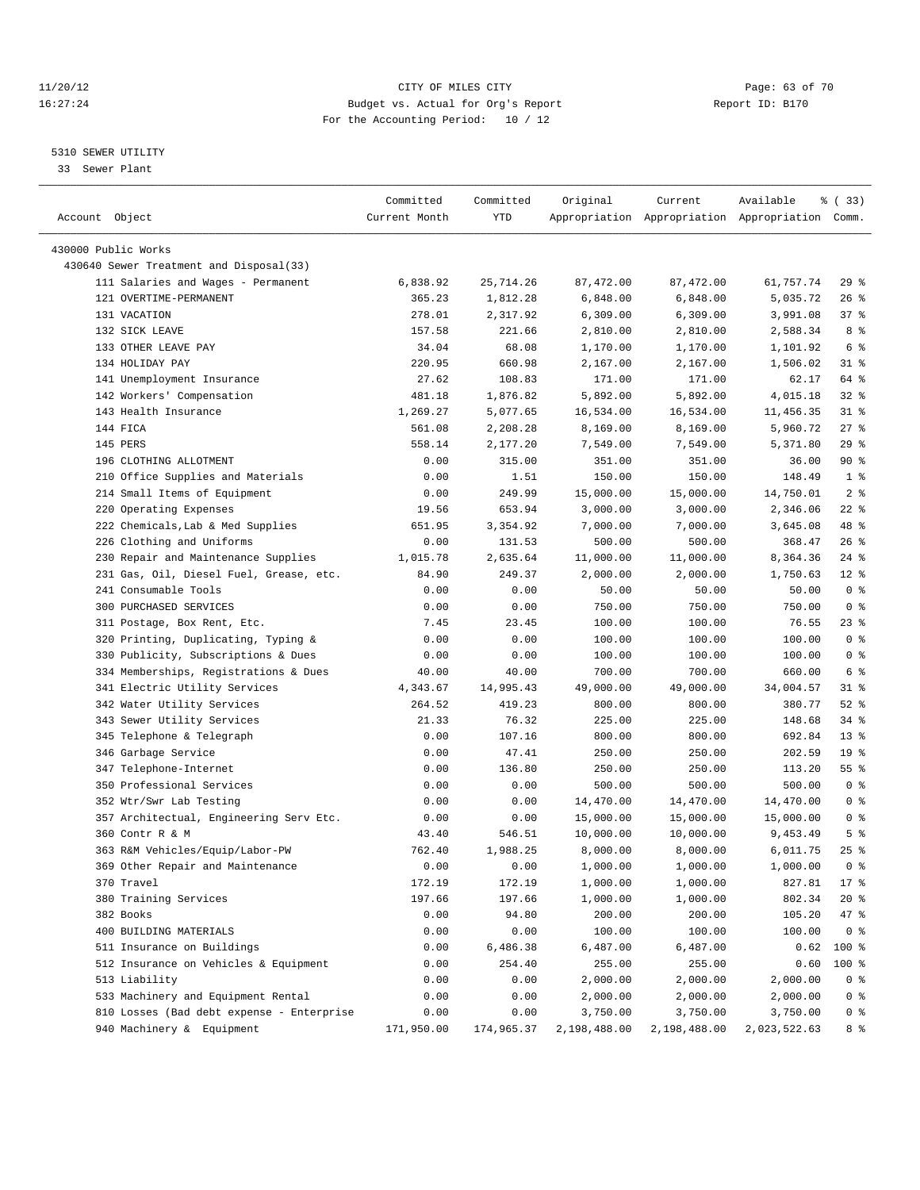#### 11/20/12 **Page: 63 of 70 CITY CONSIDER CITY** CITY **Page: 63 of 70** 16:27:24 Budget vs. Actual for Org's Report Report ID: B170 For the Accounting Period: 10 / 12

————————————————————————————————————————————————————————————————————————————————————————————————————————————————————————————————————

#### 5310 SEWER UTILITY

33 Sewer Plant

|                                           | Committed     | Committed  | Original     | Current      | Available                                       | % (33)          |
|-------------------------------------------|---------------|------------|--------------|--------------|-------------------------------------------------|-----------------|
| Account Object                            | Current Month | YTD        |              |              | Appropriation Appropriation Appropriation Comm. |                 |
|                                           |               |            |              |              |                                                 |                 |
| 430000 Public Works                       |               |            |              |              |                                                 |                 |
| 430640 Sewer Treatment and Disposal(33)   |               |            |              |              |                                                 |                 |
| 111 Salaries and Wages - Permanent        | 6,838.92      | 25,714.26  | 87,472.00    | 87,472.00    | 61,757.74                                       | $29$ $%$        |
| 121 OVERTIME-PERMANENT                    | 365.23        | 1,812.28   | 6,848.00     | 6,848.00     | 5,035.72                                        | $26$ %          |
| 131 VACATION                              | 278.01        | 2,317.92   | 6,309.00     | 6,309.00     | 3,991.08                                        | 37%             |
| 132 SICK LEAVE                            | 157.58        | 221.66     | 2,810.00     | 2,810.00     | 2,588.34                                        | 8 %             |
| 133 OTHER LEAVE PAY                       | 34.04         | 68.08      | 1,170.00     | 1,170.00     | 1,101.92                                        | 6 %             |
| 134 HOLIDAY PAY                           | 220.95        | 660.98     | 2,167.00     | 2,167.00     | 1,506.02                                        | $31$ %          |
| 141 Unemployment Insurance                | 27.62         | 108.83     | 171.00       | 171.00       | 62.17                                           | 64 %            |
| 142 Workers' Compensation                 | 481.18        | 1,876.82   | 5,892.00     | 5,892.00     | 4,015.18                                        | $32$ $%$        |
| 143 Health Insurance                      | 1,269.27      | 5,077.65   | 16,534.00    | 16,534.00    | 11,456.35                                       | $31$ $%$        |
| 144 FICA                                  | 561.08        | 2,208.28   | 8,169.00     | 8,169.00     | 5,960.72                                        | $27$ %          |
| 145 PERS                                  | 558.14        | 2,177.20   | 7,549.00     | 7,549.00     | 5,371.80                                        | 29%             |
| 196 CLOTHING ALLOTMENT                    | 0.00          | 315.00     | 351.00       | 351.00       | 36.00                                           | 90%             |
| 210 Office Supplies and Materials         | 0.00          | 1.51       | 150.00       | 150.00       | 148.49                                          | 1 <sup>8</sup>  |
| 214 Small Items of Equipment              | 0.00          | 249.99     | 15,000.00    | 15,000.00    | 14,750.01                                       | 2 <sub>8</sub>  |
| 220 Operating Expenses                    | 19.56         | 653.94     | 3,000.00     | 3,000.00     | 2,346.06                                        | $22$ %          |
| 222 Chemicals, Lab & Med Supplies         | 651.95        | 3,354.92   | 7,000.00     | 7,000.00     | 3,645.08                                        | 48 %            |
| 226 Clothing and Uniforms                 | 0.00          | 131.53     | 500.00       | 500.00       | 368.47                                          | 26 %            |
| 230 Repair and Maintenance Supplies       | 1,015.78      | 2,635.64   | 11,000.00    | 11,000.00    | 8,364.36                                        | $24$ %          |
| 231 Gas, Oil, Diesel Fuel, Grease, etc.   | 84.90         | 249.37     | 2,000.00     | 2,000.00     | 1,750.63                                        | $12*$           |
| 241 Consumable Tools                      | 0.00          | 0.00       | 50.00        | 50.00        | 50.00                                           | 0 <sup>8</sup>  |
| 300 PURCHASED SERVICES                    | 0.00          | 0.00       | 750.00       | 750.00       | 750.00                                          | 0 <sup>8</sup>  |
| 311 Postage, Box Rent, Etc.               | 7.45          | 23.45      | 100.00       | 100.00       | 76.55                                           | $23$ %          |
| 320 Printing, Duplicating, Typing &       | 0.00          | 0.00       | 100.00       | 100.00       | 100.00                                          | 0 <sup>8</sup>  |
| 330 Publicity, Subscriptions & Dues       | 0.00          | 0.00       | 100.00       | 100.00       | 100.00                                          | 0 <sup>8</sup>  |
| 334 Memberships, Registrations & Dues     | 40.00         | 40.00      | 700.00       | 700.00       | 660.00                                          | 6 %             |
| 341 Electric Utility Services             | 4,343.67      | 14,995.43  | 49,000.00    | 49,000.00    | 34,004.57                                       | $31$ %          |
| 342 Water Utility Services                | 264.52        | 419.23     | 800.00       | 800.00       | 380.77                                          | $52$ $%$        |
| 343 Sewer Utility Services                | 21.33         | 76.32      | 225.00       | 225.00       | 148.68                                          | $34$ $%$        |
| 345 Telephone & Telegraph                 | 0.00          | 107.16     | 800.00       | 800.00       | 692.84                                          | $13*$           |
| 346 Garbage Service                       | 0.00          | 47.41      | 250.00       | 250.00       | 202.59                                          | 19 <sup>°</sup> |
| 347 Telephone-Internet                    | 0.00          | 136.80     | 250.00       | 250.00       | 113.20                                          | $55$ $%$        |
| 350 Professional Services                 | 0.00          | 0.00       | 500.00       | 500.00       | 500.00                                          | 0 <sup>8</sup>  |
| 352 Wtr/Swr Lab Testing                   | 0.00          | 0.00       | 14,470.00    | 14,470.00    | 14,470.00                                       | 0 <sup>8</sup>  |
| 357 Architectual, Engineering Serv Etc.   | 0.00          | 0.00       | 15,000.00    | 15,000.00    | 15,000.00                                       | 0 <sup>8</sup>  |
| 360 Contr R & M                           | 43.40         | 546.51     | 10,000.00    | 10,000.00    | 9,453.49                                        | 5 <sup>°</sup>  |
| 363 R&M Vehicles/Equip/Labor-PW           | 762.40        | 1,988.25   | 8,000.00     | 8,000.00     | 6,011.75                                        | $25$ %          |
| 369 Other Repair and Maintenance          | 0.00          | 0.00       | 1,000.00     | 1,000.00     | 1,000.00                                        | 0 <sup>8</sup>  |
| 370 Travel                                | 172.19        | 172.19     | 1,000.00     | 1,000.00     | 827.81                                          | $17*$           |
| 380 Training Services                     | 197.66        | 197.66     | 1,000.00     | 1,000.00     | 802.34                                          | $20*$           |
| 382 Books                                 | 0.00          | 94.80      | 200.00       | 200.00       | 105.20                                          | 47 %            |
| 400 BUILDING MATERIALS                    | 0.00          | 0.00       | 100.00       | 100.00       | 100.00                                          | 0 <sup>8</sup>  |
| 511 Insurance on Buildings                | 0.00          | 6,486.38   | 6,487.00     | 6,487.00     | 0.62                                            | $100*$          |
| 512 Insurance on Vehicles & Equipment     | 0.00          | 254.40     | 255.00       | 255.00       | 0.60                                            | $100*$          |
| 513 Liability                             | 0.00          | 0.00       | 2,000.00     | 2,000.00     | 2,000.00                                        | 0 <sup>8</sup>  |
| 533 Machinery and Equipment Rental        | 0.00          | 0.00       | 2,000.00     | 2,000.00     | 2,000.00                                        | 0 <sup>8</sup>  |
| 810 Losses (Bad debt expense - Enterprise | 0.00          | 0.00       | 3,750.00     | 3,750.00     | 3,750.00                                        | $0$ %           |
| 940 Machinery & Equipment                 | 171,950.00    | 174,965.37 | 2,198,488.00 | 2,198,488.00 | 2,023,522.63                                    | 8 %             |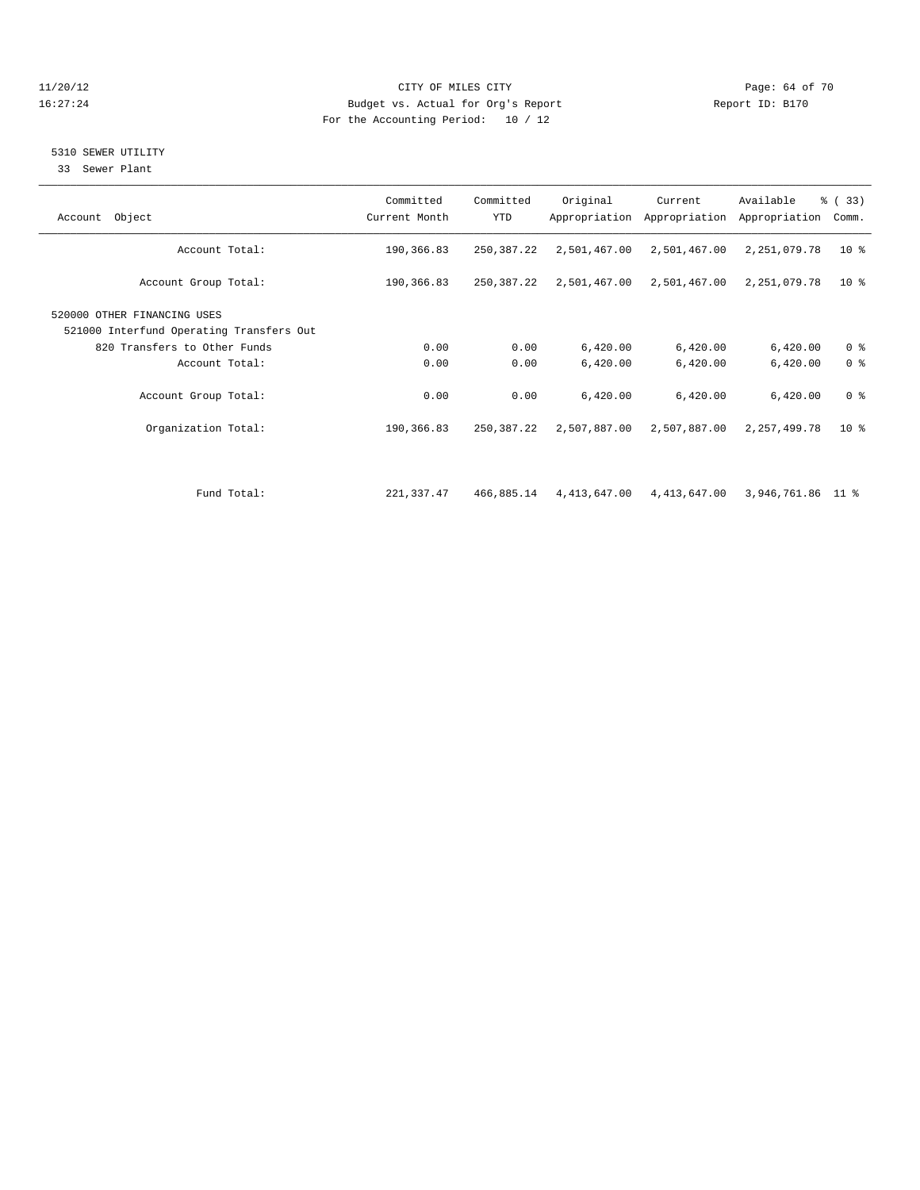#### 11/20/12 **Page: 64 of 70 CITY OF MILES CITY Page: 64 of 70 Page: 64 of 70** 16:27:24 Budget vs. Actual for Org's Report Report ID: B170 For the Accounting Period: 10 / 12

### 5310 SEWER UTILITY

33 Sewer Plant

| Account Object                                                          | Committed<br>Current Month | Committed<br><b>YTD</b> | Original     | Current<br>Appropriation Appropriation | Available<br>Appropriation | $\frac{6}{6}$ (33)<br>Comm. |
|-------------------------------------------------------------------------|----------------------------|-------------------------|--------------|----------------------------------------|----------------------------|-----------------------------|
| Account Total:                                                          | 190,366.83                 | 250,387.22              | 2,501,467.00 | 2,501,467.00                           | 2,251,079.78               | $10*$                       |
| Account Group Total:                                                    | 190,366.83                 | 250,387.22              | 2,501,467.00 | 2,501,467.00                           | 2,251,079.78               | 10 <sup>8</sup>             |
| 520000 OTHER FINANCING USES<br>521000 Interfund Operating Transfers Out |                            |                         |              |                                        |                            |                             |
| 820 Transfers to Other Funds                                            | 0.00                       | 0.00                    | 6,420.00     | 6,420.00                               | 6,420.00                   | 0 <sup>8</sup>              |
| Account Total:                                                          | 0.00                       | 0.00                    | 6,420.00     | 6,420.00                               | 6,420.00                   | 0 <sup>8</sup>              |
| Account Group Total:                                                    | 0.00                       | 0.00                    | 6,420.00     | 6,420.00                               | 6,420.00                   | 0 <sup>8</sup>              |
| Organization Total:                                                     | 190,366.83                 | 250,387.22              | 2,507,887.00 | 2,507,887.00                           | 2,257,499.78               | $10*$                       |
|                                                                         |                            |                         |              |                                        |                            |                             |
| Fund Total:                                                             | 221,337.47                 | 466,885.14              |              | 4,413,647.00  4,413,647.00             | 3,946,761.86 11 %          |                             |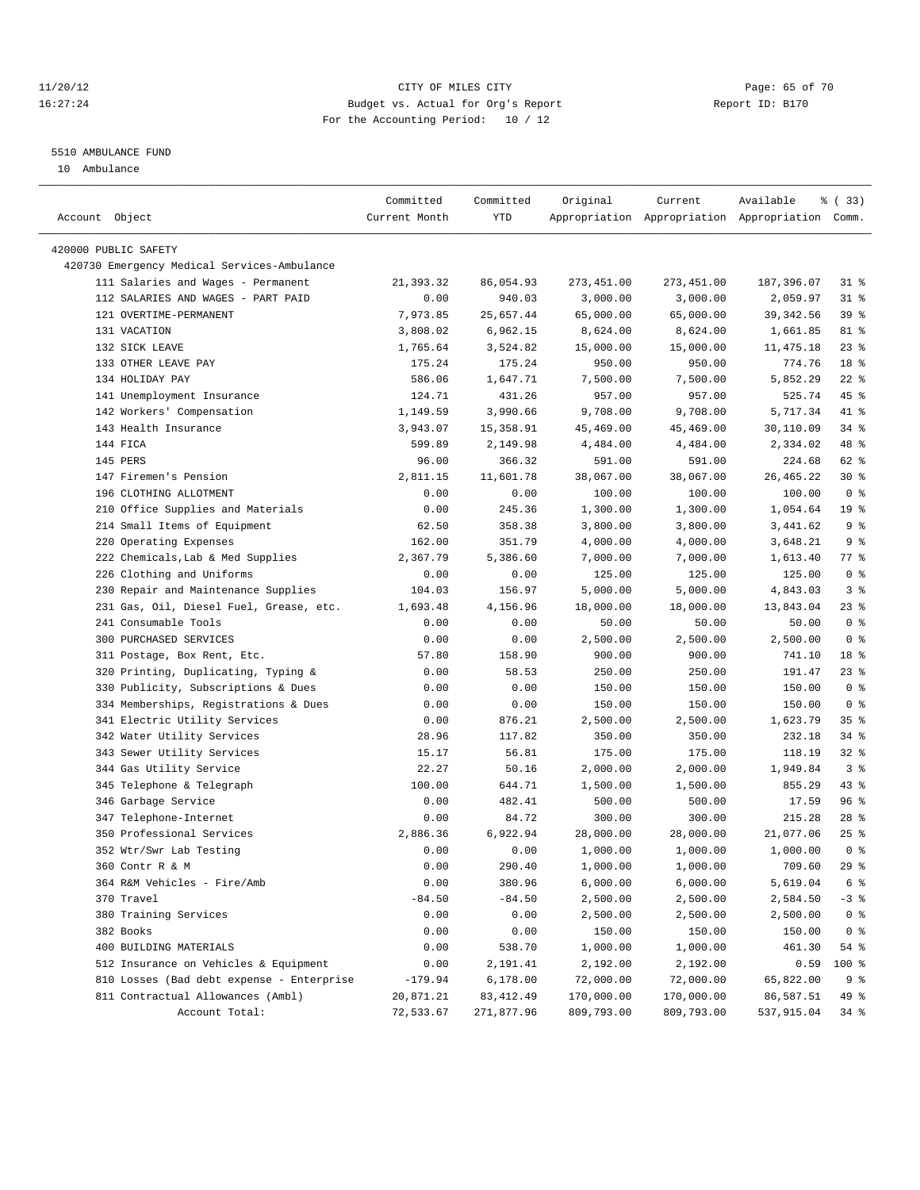#### 11/20/12 **Page: 65 of 70** CITY OF MILES CITY **CITY** Page: 65 of 70 16:27:24 Budget vs. Actual for Org's Report Report ID: B170 For the Accounting Period: 10 / 12

————————————————————————————————————————————————————————————————————————————————————————————————————————————————————————————————————

#### 5510 AMBULANCE FUND

10 Ambulance

|                                             | Committed     | Committed  | Original   | Current    | Available                                       | % (33)          |
|---------------------------------------------|---------------|------------|------------|------------|-------------------------------------------------|-----------------|
| Account Object                              | Current Month | YTD        |            |            | Appropriation Appropriation Appropriation Comm. |                 |
|                                             |               |            |            |            |                                                 |                 |
| 420000 PUBLIC SAFETY                        |               |            |            |            |                                                 |                 |
| 420730 Emergency Medical Services-Ambulance |               |            |            |            |                                                 |                 |
| 111 Salaries and Wages - Permanent          | 21,393.32     | 86,054.93  | 273,451.00 | 273,451.00 | 187,396.07                                      | 31 %            |
| 112 SALARIES AND WAGES - PART PAID          | 0.00          | 940.03     | 3,000.00   | 3,000.00   | 2,059.97                                        | $31$ $8$        |
| 121 OVERTIME-PERMANENT                      | 7,973.85      | 25,657.44  | 65,000.00  | 65,000.00  | 39, 342.56                                      | 39 <sup>8</sup> |
| 131 VACATION                                | 3,808.02      | 6,962.15   | 8,624.00   | 8,624.00   | 1,661.85                                        | 81 %            |
| 132 SICK LEAVE                              | 1,765.64      | 3,524.82   | 15,000.00  | 15,000.00  | 11,475.18                                       | $23$ $%$        |
| 133 OTHER LEAVE PAY                         | 175.24        | 175.24     | 950.00     | 950.00     | 774.76                                          | 18 %            |
| 134 HOLIDAY PAY                             | 586.06        | 1,647.71   | 7,500.00   | 7,500.00   | 5,852.29                                        | $22$ %          |
| 141 Unemployment Insurance                  | 124.71        | 431.26     | 957.00     | 957.00     | 525.74                                          | 45 %            |
| 142 Workers' Compensation                   | 1,149.59      | 3,990.66   | 9,708.00   | 9,708.00   | 5,717.34                                        | 41 %            |
| 143 Health Insurance                        | 3,943.07      | 15,358.91  | 45,469.00  | 45,469.00  | 30,110.09                                       | $34$ $%$        |
| 144 FICA                                    | 599.89        | 2,149.98   | 4,484.00   | 4,484.00   | 2,334.02                                        | 48 %            |
| 145 PERS                                    | 96.00         | 366.32     | 591.00     | 591.00     | 224.68                                          | 62 %            |
| 147 Firemen's Pension                       | 2,811.15      | 11,601.78  | 38,067.00  | 38,067.00  | 26,465.22                                       | $30*$           |
| 196 CLOTHING ALLOTMENT                      | 0.00          | 0.00       | 100.00     | 100.00     | 100.00                                          | 0 <sup>8</sup>  |
| 210 Office Supplies and Materials           | 0.00          | 245.36     | 1,300.00   | 1,300.00   | 1,054.64                                        | 19 <sup>°</sup> |
| 214 Small Items of Equipment                | 62.50         | 358.38     | 3,800.00   | 3,800.00   | 3,441.62                                        | 9%              |
| 220 Operating Expenses                      | 162.00        | 351.79     | 4,000.00   | 4,000.00   | 3,648.21                                        | 9%              |
| 222 Chemicals, Lab & Med Supplies           | 2,367.79      | 5,386.60   | 7,000.00   | 7,000.00   | 1,613.40                                        | $77$ $%$        |
| 226 Clothing and Uniforms                   | 0.00          | 0.00       | 125.00     | 125.00     | 125.00                                          | 0 <sup>8</sup>  |
| 230 Repair and Maintenance Supplies         | 104.03        | 156.97     | 5,000.00   | 5,000.00   | 4,843.03                                        | 3 <sup>°</sup>  |
| 231 Gas, Oil, Diesel Fuel, Grease, etc.     | 1,693.48      | 4,156.96   | 18,000.00  | 18,000.00  | 13,843.04                                       | $23$ %          |
| 241 Consumable Tools                        | 0.00          | 0.00       | 50.00      | 50.00      | 50.00                                           | 0 <sup>8</sup>  |
| 300 PURCHASED SERVICES                      | 0.00          | 0.00       | 2,500.00   | 2,500.00   | 2,500.00                                        | 0 <sup>8</sup>  |
| 311 Postage, Box Rent, Etc.                 | 57.80         | 158.90     | 900.00     | 900.00     | 741.10                                          | 18 %            |
| 320 Printing, Duplicating, Typing &         | 0.00          | 58.53      | 250.00     | 250.00     | 191.47                                          | $23$ %          |
| 330 Publicity, Subscriptions & Dues         | 0.00          | 0.00       | 150.00     | 150.00     | 150.00                                          | 0 <sup>8</sup>  |
| 334 Memberships, Registrations & Dues       | 0.00          | 0.00       | 150.00     | 150.00     | 150.00                                          | 0 <sup>8</sup>  |
| 341 Electric Utility Services               | 0.00          | 876.21     | 2,500.00   | 2,500.00   | 1,623.79                                        | 35%             |
| 342 Water Utility Services                  | 28.96         | 117.82     | 350.00     | 350.00     | 232.18                                          | 34 %            |
| 343 Sewer Utility Services                  | 15.17         | 56.81      | 175.00     | 175.00     | 118.19                                          | $32$ $%$        |
| 344 Gas Utility Service                     | 22.27         | 50.16      | 2,000.00   | 2,000.00   | 1,949.84                                        | 3 <sup>8</sup>  |
| 345 Telephone & Telegraph                   | 100.00        | 644.71     | 1,500.00   | 1,500.00   | 855.29                                          | $43$ %          |
| 346 Garbage Service                         | 0.00          | 482.41     | 500.00     | 500.00     | 17.59                                           | 96 %            |
| 347 Telephone-Internet                      | 0.00          | 84.72      | 300.00     | 300.00     | 215.28                                          | $28$ %          |
| 350 Professional Services                   | 2,886.36      | 6,922.94   | 28,000.00  | 28,000.00  | 21,077.06                                       | $25$ $%$        |
| 352 Wtr/Swr Lab Testing                     | 0.00          | 0.00       | 1,000.00   | 1,000.00   | 1,000.00                                        | 0 <sup>8</sup>  |
| 360 Contr R & M                             | 0.00          | 290.40     | 1,000.00   | 1,000.00   | 709.60                                          | 29%             |
| 364 R&M Vehicles - Fire/Amb                 | 0.00          | 380.96     | 6,000.00   | 6,000.00   | 5,619.04                                        | 6 %             |
| 370 Travel                                  | $-84.50$      | $-84.50$   | 2,500.00   | 2,500.00   | 2,584.50                                        | $-3$ $%$        |
| 380 Training Services                       | 0.00          | 0.00       | 2,500.00   | 2,500.00   | 2,500.00                                        | $0$ %           |
| 382 Books                                   | 0.00          | 0.00       | 150.00     | 150.00     | 150.00                                          | 0 <sup>8</sup>  |
| 400 BUILDING MATERIALS                      | 0.00          | 538.70     | 1,000.00   | 1,000.00   | 461.30                                          | 54 %            |
| 512 Insurance on Vehicles & Equipment       | 0.00          | 2,191.41   | 2,192.00   | 2,192.00   | 0.59                                            | 100 %           |
| 810 Losses (Bad debt expense - Enterprise   | $-179.94$     | 6,178.00   | 72,000.00  | 72,000.00  | 65,822.00                                       | 9 %             |
| 811 Contractual Allowances (Ambl)           | 20,871.21     | 83,412.49  | 170,000.00 | 170,000.00 | 86,587.51                                       | 49 %            |
| Account Total:                              | 72,533.67     | 271,877.96 | 809,793.00 | 809,793.00 | 537,915.04                                      | 34 %            |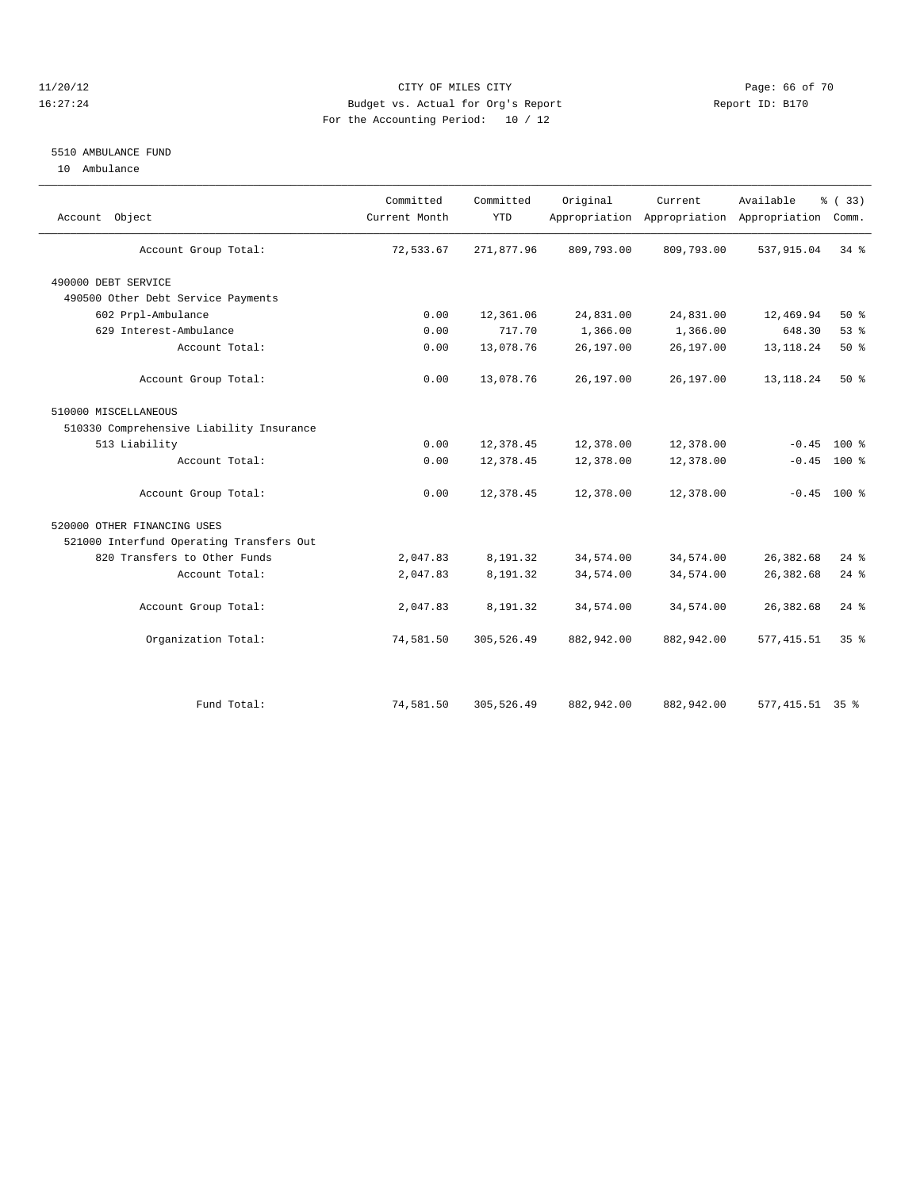#### 11/20/12 **Page: 66 of 70** CITY OF MILES CITY **Page: 66 of 70** 16:27:24 Budget vs. Actual for Org's Report Report ID: B170 For the Accounting Period: 10 / 12

#### 5510 AMBULANCE FUND

10 Ambulance

| Account Object                           | Committed<br>Current Month | Committed<br><b>YTD</b> | Original   | Current    | Available<br>Appropriation Appropriation Appropriation | % (33)<br>Comm.    |  |
|------------------------------------------|----------------------------|-------------------------|------------|------------|--------------------------------------------------------|--------------------|--|
| Account Group Total:                     | 72,533.67                  | 271,877.96              | 809,793.00 | 809,793.00 | 537,915.04                                             | 34 %               |  |
| 490000 DEBT SERVICE                      |                            |                         |            |            |                                                        |                    |  |
| 490500 Other Debt Service Payments       |                            |                         |            |            |                                                        |                    |  |
| 602 Prpl-Ambulance                       | 0.00                       | 12,361.06               | 24,831.00  | 24,831.00  | 12,469.94                                              | $50*$              |  |
| 629 Interest-Ambulance                   | 0.00                       | 717.70                  | 1,366.00   | 1,366.00   | 648.30                                                 | 53%                |  |
| Account Total:                           | 0.00                       | 13,078.76               | 26,197.00  | 26,197.00  | 13, 118. 24                                            | 50%                |  |
| Account Group Total:                     | 0.00                       | 13,078.76               | 26,197.00  | 26,197.00  | 13, 118. 24                                            | $50*$              |  |
| 510000 MISCELLANEOUS                     |                            |                         |            |            |                                                        |                    |  |
| 510330 Comprehensive Liability Insurance |                            |                         |            |            |                                                        |                    |  |
| 513 Liability                            | 0.00                       | 12,378.45               | 12,378.00  | 12,378.00  | $-0.45$                                                | 100 %              |  |
| Account Total:                           | 0.00                       | 12,378.45               | 12,378.00  | 12,378.00  | $-0.45$                                                | 100 %              |  |
| Account Group Total:                     | 0.00                       | 12,378.45               | 12,378.00  | 12,378.00  |                                                        | $-0.45$ 100 %      |  |
| 520000 OTHER FINANCING USES              |                            |                         |            |            |                                                        |                    |  |
| 521000 Interfund Operating Transfers Out |                            |                         |            |            |                                                        |                    |  |
| 820 Transfers to Other Funds             | 2,047.83                   | 8,191.32                | 34,574.00  | 34,574.00  | 26, 382.68                                             | $24$ $\frac{6}{5}$ |  |
| Account Total:                           | 2,047.83                   | 8,191.32                | 34,574.00  | 34,574.00  | 26, 382.68                                             | $24$ %             |  |
| Account Group Total:                     | 2,047.83                   | 8,191.32                | 34,574.00  | 34,574.00  | 26, 382.68                                             | $24$ %             |  |
| Organization Total:                      | 74,581.50                  | 305,526.49              | 882,942.00 | 882,942.00 | 577, 415.51                                            | 35 <sup>8</sup>    |  |
|                                          |                            |                         |            |            |                                                        |                    |  |
| Fund Total:                              | 74,581.50                  | 305,526.49              | 882,942.00 | 882,942.00 | 577, 415.51 35 %                                       |                    |  |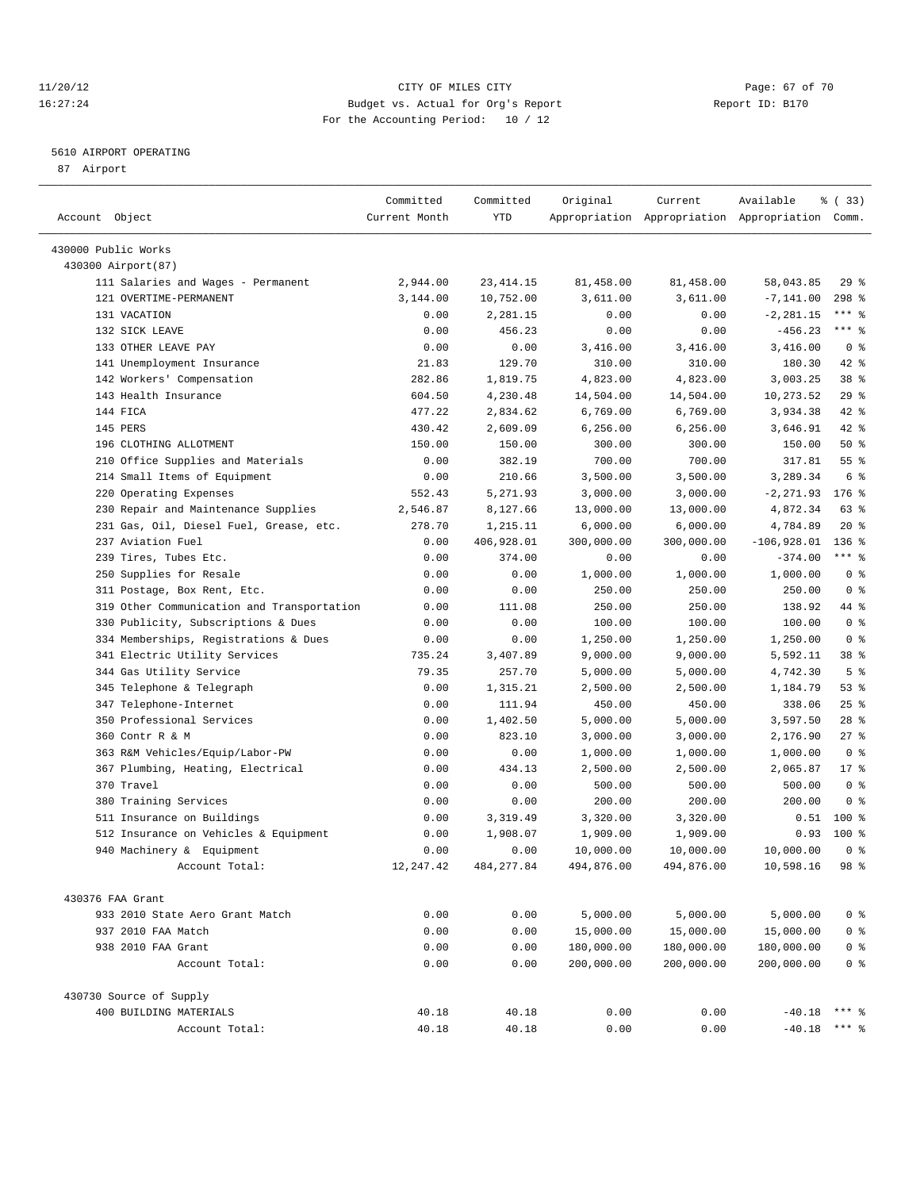#### 11/20/12 **Page: 67 of 70** CITY OF MILES CITY **Page: 67 of 70** 16:27:24 Budget vs. Actual for Org's Report Report ID: B170 For the Accounting Period: 10 / 12

————————————————————————————————————————————————————————————————————————————————————————————————————————————————————————————————————

#### 5610 AIRPORT OPERATING

87 Airport

|                                            | Committed     | Committed  | Original   | Current    | Available                                       | 8 (33)          |
|--------------------------------------------|---------------|------------|------------|------------|-------------------------------------------------|-----------------|
| Account Object                             | Current Month | YTD        |            |            | Appropriation Appropriation Appropriation Comm. |                 |
|                                            |               |            |            |            |                                                 |                 |
| 430000 Public Works<br>430300 Airport (87) |               |            |            |            |                                                 |                 |
| 111 Salaries and Wages - Permanent         | 2,944.00      | 23, 414.15 | 81,458.00  | 81,458.00  | 58,043.85                                       | $29$ %          |
| 121 OVERTIME-PERMANENT                     | 3,144.00      | 10,752.00  | 3,611.00   | 3,611.00   | $-7,141.00$                                     | $298$ %         |
| 131 VACATION                               | 0.00          | 2,281.15   | 0.00       | 0.00       | $-2, 281.15$                                    | $***$ $_{8}$    |
| 132 SICK LEAVE                             | 0.00          | 456.23     | 0.00       | 0.00       | $-456.23$                                       | $***$ $%$       |
| 133 OTHER LEAVE PAY                        | 0.00          | 0.00       | 3,416.00   | 3,416.00   | 3,416.00                                        | 0 <sup>8</sup>  |
| 141 Unemployment Insurance                 | 21.83         | 129.70     | 310.00     | 310.00     | 180.30                                          | $42$ %          |
| 142 Workers' Compensation                  | 282.86        | 1,819.75   | 4,823.00   | 4,823.00   | 3,003.25                                        | 38 <sup>8</sup> |
| 143 Health Insurance                       | 604.50        | 4,230.48   | 14,504.00  | 14,504.00  | 10,273.52                                       | 29%             |
| 144 FICA                                   | 477.22        | 2,834.62   | 6,769.00   | 6,769.00   | 3,934.38                                        | 42 %            |
| 145 PERS                                   | 430.42        | 2,609.09   | 6, 256.00  | 6,256.00   | 3,646.91                                        | 42 %            |
| 196 CLOTHING ALLOTMENT                     | 150.00        | 150.00     | 300.00     | 300.00     | 150.00                                          | $50*$           |
| 210 Office Supplies and Materials          | 0.00          | 382.19     | 700.00     | 700.00     | 317.81                                          | $55$ $%$        |
| 214 Small Items of Equipment               | 0.00          | 210.66     | 3,500.00   | 3,500.00   | 3,289.34                                        | 6 %             |
| 220 Operating Expenses                     | 552.43        | 5,271.93   | 3,000.00   | 3,000.00   | $-2, 271.93$                                    | $176$ %         |
| 230 Repair and Maintenance Supplies        | 2,546.87      | 8,127.66   | 13,000.00  | 13,000.00  | 4,872.34                                        | 63 %            |
| 231 Gas, Oil, Diesel Fuel, Grease, etc.    | 278.70        | 1,215.11   | 6,000.00   | 6,000.00   | 4,784.89                                        | $20*$           |
| 237 Aviation Fuel                          | 0.00          | 406,928.01 | 300,000.00 | 300,000.00 | $-106,928.01$                                   | $136$ %         |
| 239 Tires, Tubes Etc.                      | 0.00          | 374.00     | 0.00       | 0.00       | $-374.00$                                       | $***$ $_{8}$    |
| 250 Supplies for Resale                    | 0.00          | 0.00       | 1,000.00   | 1,000.00   | 1,000.00                                        | 0 <sup>8</sup>  |
| 311 Postage, Box Rent, Etc.                | 0.00          | 0.00       | 250.00     | 250.00     | 250.00                                          | 0 <sup>8</sup>  |
| 319 Other Communication and Transportation | 0.00          | 111.08     | 250.00     | 250.00     | 138.92                                          | 44 %            |
| 330 Publicity, Subscriptions & Dues        | 0.00          | 0.00       | 100.00     | 100.00     | 100.00                                          | 0 <sup>8</sup>  |
| 334 Memberships, Registrations & Dues      | 0.00          | 0.00       | 1,250.00   | 1,250.00   | 1,250.00                                        | 0 <sup>8</sup>  |
| 341 Electric Utility Services              | 735.24        | 3,407.89   | 9,000.00   | 9,000.00   | 5,592.11                                        | 38 %            |
| 344 Gas Utility Service                    | 79.35         | 257.70     | 5,000.00   | 5,000.00   | 4,742.30                                        | 5 <sup>8</sup>  |
| 345 Telephone & Telegraph                  | 0.00          | 1,315.21   | 2,500.00   | 2,500.00   | 1,184.79                                        | 53%             |
| 347 Telephone-Internet                     | 0.00          | 111.94     | 450.00     | 450.00     | 338.06                                          | $25$ $%$        |
| 350 Professional Services                  | 0.00          | 1,402.50   | 5,000.00   | 5,000.00   | 3,597.50                                        | $28$ %          |
| 360 Contr R & M                            | 0.00          | 823.10     | 3,000.00   | 3,000.00   | 2,176.90                                        | $27$ %          |
| 363 R&M Vehicles/Equip/Labor-PW            | 0.00          | 0.00       | 1,000.00   | 1,000.00   | 1,000.00                                        | 0 <sup>8</sup>  |
| 367 Plumbing, Heating, Electrical          | 0.00          | 434.13     | 2,500.00   | 2,500.00   | 2,065.87                                        | $17*$           |
| 370 Travel                                 | 0.00          | 0.00       | 500.00     | 500.00     | 500.00                                          | 0 <sup>8</sup>  |
| 380 Training Services                      | 0.00          | 0.00       | 200.00     | 200.00     | 200.00                                          | 0 <sup>8</sup>  |
| 511 Insurance on Buildings                 | 0.00          | 3,319.49   | 3,320.00   | 3,320.00   | 0.51                                            | 100 %           |
| 512 Insurance on Vehicles & Equipment      | 0.00          | 1,908.07   | 1,909.00   | 1,909.00   | 0.93                                            | 100 %           |
| 940 Machinery & Equipment                  | 0.00          | 0.00       | 10,000.00  | 10,000.00  | 10,000.00                                       | 0 <sup>8</sup>  |
| Account Total:                             | 12, 247.42    | 484,277.84 | 494,876.00 | 494,876.00 | 10,598.16                                       | 98 <sup>°</sup> |
|                                            |               |            |            |            |                                                 |                 |
| 430376 FAA Grant                           |               |            |            |            |                                                 |                 |
| 933 2010 State Aero Grant Match            | 0.00          | 0.00       | 5,000.00   | 5,000.00   | 5,000.00                                        | 0 <sup>8</sup>  |
| 937 2010 FAA Match                         | 0.00          | 0.00       | 15,000.00  | 15,000.00  | 15,000.00                                       | 0 <sup>8</sup>  |
| 938 2010 FAA Grant                         | 0.00          | 0.00       | 180,000.00 | 180,000.00 | 180,000.00                                      | 0 <sup>8</sup>  |
| Account Total:                             | 0.00          | 0.00       | 200,000.00 | 200,000.00 | 200,000.00                                      | 0 <sup>8</sup>  |
| 430730 Source of Supply                    |               |            |            |            |                                                 |                 |
| 400 BUILDING MATERIALS                     | 40.18         | 40.18      | 0.00       | 0.00       | $-40.18$                                        | $***$ $%$       |
| Account Total:                             | 40.18         | 40.18      | 0.00       | 0.00       | $-40.18$                                        | $***$ $%$       |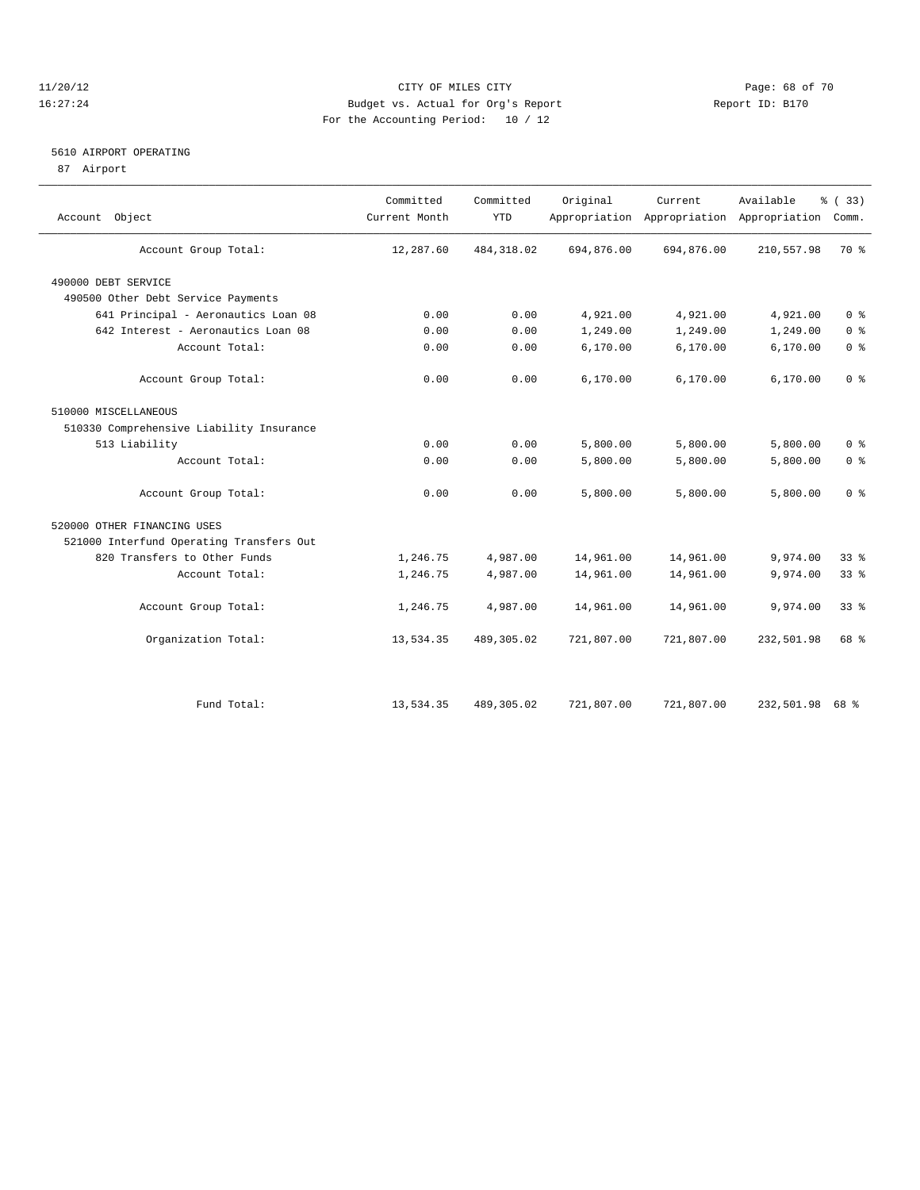#### 11/20/12 **Page: 68 of 70** CITY OF MILES CITY **CITY** Page: 68 of 70 16:27:24 Budget vs. Actual for Org's Report Report ID: B170 For the Accounting Period: 10 / 12

#### 5610 AIRPORT OPERATING

87 Airport

| Account Object                           | Committed<br>Current Month | Committed<br><b>YTD</b> | Original   | Current    | Available<br>Appropriation Appropriation Appropriation | % (33)<br>Comm. |  |
|------------------------------------------|----------------------------|-------------------------|------------|------------|--------------------------------------------------------|-----------------|--|
| Account Group Total:                     | 12,287.60                  | 484, 318.02             | 694,876.00 | 694,876.00 | 210,557.98                                             | 70 %            |  |
| 490000 DEBT SERVICE                      |                            |                         |            |            |                                                        |                 |  |
| 490500 Other Debt Service Payments       |                            |                         |            |            |                                                        |                 |  |
| 641 Principal - Aeronautics Loan 08      | 0.00                       | 0.00                    | 4,921.00   | 4,921.00   | 4,921.00                                               | 0 <sup>8</sup>  |  |
| 642 Interest - Aeronautics Loan 08       | 0.00                       | 0.00                    | 1,249.00   | 1,249.00   | 1,249.00                                               | 0 <sup>°</sup>  |  |
| Account Total:                           | 0.00                       | 0.00                    | 6, 170.00  | 6,170.00   | 6,170.00                                               | 0 <sup>°</sup>  |  |
| Account Group Total:                     | 0.00                       | 0.00                    | 6,170.00   | 6,170.00   | 6,170.00                                               | 0 <sup>8</sup>  |  |
| 510000 MISCELLANEOUS                     |                            |                         |            |            |                                                        |                 |  |
| 510330 Comprehensive Liability Insurance |                            |                         |            |            |                                                        |                 |  |
| 513 Liability                            | 0.00                       | 0.00                    | 5,800.00   | 5,800.00   | 5,800.00                                               | 0 <sup>8</sup>  |  |
| Account Total:                           | 0.00                       | 0.00                    | 5,800.00   | 5,800.00   | 5,800.00                                               | 0 <sup>°</sup>  |  |
| Account Group Total:                     | 0.00                       | 0.00                    | 5,800.00   | 5,800.00   | 5,800.00                                               | 0 <sup>8</sup>  |  |
| 520000 OTHER FINANCING USES              |                            |                         |            |            |                                                        |                 |  |
| 521000 Interfund Operating Transfers Out |                            |                         |            |            |                                                        |                 |  |
| 820 Transfers to Other Funds             | 1,246.75                   | 4,987.00                | 14,961.00  | 14,961.00  | 9,974.00                                               | 33%             |  |
| Account Total:                           | 1,246.75                   | 4,987.00                | 14,961.00  | 14,961.00  | 9,974.00                                               | 33 <sup>8</sup> |  |
| Account Group Total:                     | 1,246.75                   | 4,987.00                | 14,961.00  | 14,961.00  | 9,974.00                                               | 33 <sup>8</sup> |  |
| Organization Total:                      | 13,534.35                  | 489,305.02              | 721,807.00 | 721,807.00 | 232,501.98                                             | 68 %            |  |
|                                          |                            |                         |            |            |                                                        |                 |  |
| Fund Total:                              | 13,534.35                  | 489,305.02              | 721,807.00 | 721,807.00 | 232,501.98                                             | 68 %            |  |